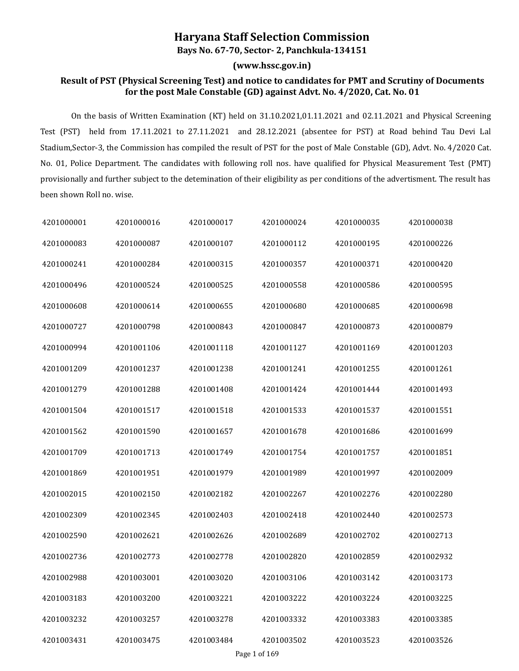## **Haryana Staff Selection Commission**

**Bays No. 67-70, Sector- 2, Panchkula-134151**

**(www.hssc.gov.in)**

## **Result of PST (Physical Screening Test) and notice to candidates for PMT and Scrutiny of Documents for the post Male Constable (GD) against Advt. No. 4/2020, Cat. No. 01**

On the basis of Written Examination (KT) held on 31.10.2021,01.11.2021 and 02.11.2021 and Physical Screening Test (PST) held from 17.11.2021 to 27.11.2021 and 28.12.2021 (absentee for PST) at Road behind Tau Devi Lal Stadium, Sector-3, the Commission has compiled the result of PST for the post of Male Constable (GD), Advt. No. 4/2020 Cat.<br>No. 01, Police Department. The candidates with following roll nos. have qualified for Physical Mea provisionally and further subject to the detemination of their eligibility as per conditions of the advertisment. The result has been shown Roll no. wise.

| 4201000001 | 4201000016 | 4201000017 | 4201000024 | 4201000035 | 4201000038 |
|------------|------------|------------|------------|------------|------------|
| 4201000083 | 4201000087 | 4201000107 | 4201000112 | 4201000195 | 4201000226 |
| 4201000241 | 4201000284 | 4201000315 | 4201000357 | 4201000371 | 4201000420 |
| 4201000496 | 4201000524 | 4201000525 | 4201000558 | 4201000586 | 4201000595 |
| 4201000608 | 4201000614 | 4201000655 | 4201000680 | 4201000685 | 4201000698 |
| 4201000727 | 4201000798 | 4201000843 | 4201000847 | 4201000873 | 4201000879 |
| 4201000994 | 4201001106 | 4201001118 | 4201001127 | 4201001169 | 4201001203 |
| 4201001209 | 4201001237 | 4201001238 | 4201001241 | 4201001255 | 4201001261 |
| 4201001279 | 4201001288 | 4201001408 | 4201001424 | 4201001444 | 4201001493 |
| 4201001504 | 4201001517 | 4201001518 | 4201001533 | 4201001537 | 4201001551 |
| 4201001562 | 4201001590 | 4201001657 | 4201001678 | 4201001686 | 4201001699 |
| 4201001709 | 4201001713 | 4201001749 | 4201001754 | 4201001757 | 4201001851 |
| 4201001869 | 4201001951 | 4201001979 | 4201001989 | 4201001997 | 4201002009 |
| 4201002015 | 4201002150 | 4201002182 | 4201002267 | 4201002276 | 4201002280 |
| 4201002309 | 4201002345 | 4201002403 | 4201002418 | 4201002440 | 4201002573 |
| 4201002590 | 4201002621 | 4201002626 | 4201002689 | 4201002702 | 4201002713 |
| 4201002736 | 4201002773 | 4201002778 | 4201002820 | 4201002859 | 4201002932 |
| 4201002988 | 4201003001 | 4201003020 | 4201003106 | 4201003142 | 4201003173 |
| 4201003183 | 4201003200 | 4201003221 | 4201003222 | 4201003224 | 4201003225 |
| 4201003232 | 4201003257 | 4201003278 | 4201003332 | 4201003383 | 4201003385 |
| 4201003431 | 4201003475 | 4201003484 | 4201003502 | 4201003523 | 4201003526 |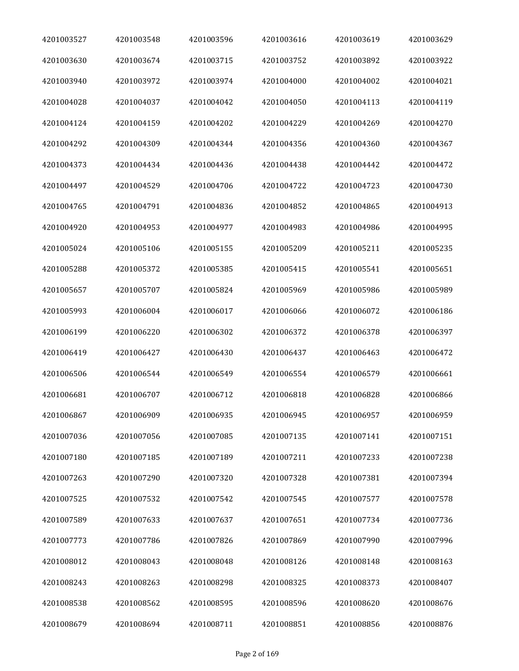| 4201003527 | 4201003548 | 4201003596 | 4201003616 | 4201003619 | 4201003629 |
|------------|------------|------------|------------|------------|------------|
| 4201003630 | 4201003674 | 4201003715 | 4201003752 | 4201003892 | 4201003922 |
| 4201003940 | 4201003972 | 4201003974 | 4201004000 | 4201004002 | 4201004021 |
| 4201004028 | 4201004037 | 4201004042 | 4201004050 | 4201004113 | 4201004119 |
| 4201004124 | 4201004159 | 4201004202 | 4201004229 | 4201004269 | 4201004270 |
| 4201004292 | 4201004309 | 4201004344 | 4201004356 | 4201004360 | 4201004367 |
| 4201004373 | 4201004434 | 4201004436 | 4201004438 | 4201004442 | 4201004472 |
| 4201004497 | 4201004529 | 4201004706 | 4201004722 | 4201004723 | 4201004730 |
| 4201004765 | 4201004791 | 4201004836 | 4201004852 | 4201004865 | 4201004913 |
| 4201004920 | 4201004953 | 4201004977 | 4201004983 | 4201004986 | 4201004995 |
| 4201005024 | 4201005106 | 4201005155 | 4201005209 | 4201005211 | 4201005235 |
| 4201005288 | 4201005372 | 4201005385 | 4201005415 | 4201005541 | 4201005651 |
| 4201005657 | 4201005707 | 4201005824 | 4201005969 | 4201005986 | 4201005989 |
| 4201005993 | 4201006004 | 4201006017 | 4201006066 | 4201006072 | 4201006186 |
| 4201006199 | 4201006220 | 4201006302 | 4201006372 | 4201006378 | 4201006397 |
| 4201006419 | 4201006427 | 4201006430 | 4201006437 | 4201006463 | 4201006472 |
| 4201006506 | 4201006544 | 4201006549 | 4201006554 | 4201006579 | 4201006661 |
| 4201006681 | 4201006707 | 4201006712 | 4201006818 | 4201006828 | 4201006866 |
| 4201006867 | 4201006909 | 4201006935 | 4201006945 | 4201006957 | 4201006959 |
| 4201007036 | 4201007056 | 4201007085 | 4201007135 | 4201007141 | 4201007151 |
| 4201007180 | 4201007185 | 4201007189 | 4201007211 | 4201007233 | 4201007238 |
| 4201007263 | 4201007290 | 4201007320 | 4201007328 | 4201007381 | 4201007394 |
| 4201007525 | 4201007532 | 4201007542 | 4201007545 | 4201007577 | 4201007578 |
| 4201007589 | 4201007633 | 4201007637 | 4201007651 | 4201007734 | 4201007736 |
| 4201007773 | 4201007786 | 4201007826 | 4201007869 | 4201007990 | 4201007996 |
| 4201008012 | 4201008043 | 4201008048 | 4201008126 | 4201008148 | 4201008163 |
| 4201008243 | 4201008263 | 4201008298 | 4201008325 | 4201008373 | 4201008407 |
| 4201008538 | 4201008562 | 4201008595 | 4201008596 | 4201008620 | 4201008676 |
| 4201008679 | 4201008694 | 4201008711 | 4201008851 | 4201008856 | 4201008876 |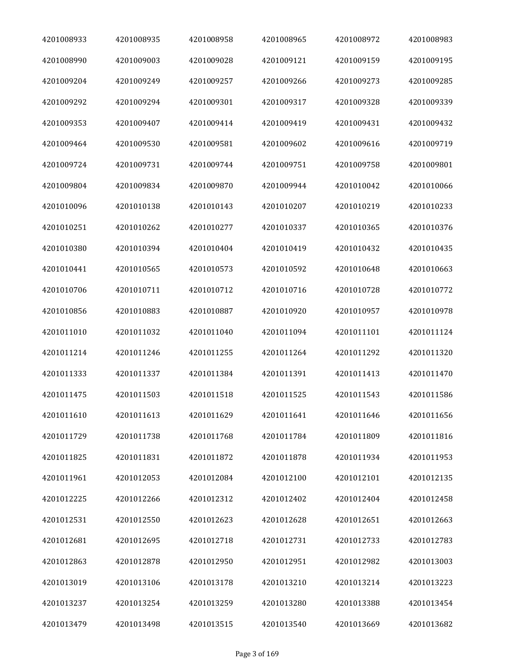| 4201008933 | 4201008935 | 4201008958 | 4201008965 | 4201008972 | 4201008983 |
|------------|------------|------------|------------|------------|------------|
| 4201008990 | 4201009003 | 4201009028 | 4201009121 | 4201009159 | 4201009195 |
| 4201009204 | 4201009249 | 4201009257 | 4201009266 | 4201009273 | 4201009285 |
| 4201009292 | 4201009294 | 4201009301 | 4201009317 | 4201009328 | 4201009339 |
| 4201009353 | 4201009407 | 4201009414 | 4201009419 | 4201009431 | 4201009432 |
| 4201009464 | 4201009530 | 4201009581 | 4201009602 | 4201009616 | 4201009719 |
| 4201009724 | 4201009731 | 4201009744 | 4201009751 | 4201009758 | 4201009801 |
| 4201009804 | 4201009834 | 4201009870 | 4201009944 | 4201010042 | 4201010066 |
| 4201010096 | 4201010138 | 4201010143 | 4201010207 | 4201010219 | 4201010233 |
| 4201010251 | 4201010262 | 4201010277 | 4201010337 | 4201010365 | 4201010376 |
| 4201010380 | 4201010394 | 4201010404 | 4201010419 | 4201010432 | 4201010435 |
| 4201010441 | 4201010565 | 4201010573 | 4201010592 | 4201010648 | 4201010663 |
| 4201010706 | 4201010711 | 4201010712 | 4201010716 | 4201010728 | 4201010772 |
| 4201010856 | 4201010883 | 4201010887 | 4201010920 | 4201010957 | 4201010978 |
| 4201011010 | 4201011032 | 4201011040 | 4201011094 | 4201011101 | 4201011124 |
| 4201011214 | 4201011246 | 4201011255 | 4201011264 | 4201011292 | 4201011320 |
| 4201011333 | 4201011337 | 4201011384 | 4201011391 | 4201011413 | 4201011470 |
| 4201011475 | 4201011503 | 4201011518 | 4201011525 | 4201011543 | 4201011586 |
| 4201011610 | 4201011613 | 4201011629 | 4201011641 | 4201011646 | 4201011656 |
| 4201011729 | 4201011738 | 4201011768 | 4201011784 | 4201011809 | 4201011816 |
| 4201011825 | 4201011831 | 4201011872 | 4201011878 | 4201011934 | 4201011953 |
| 4201011961 | 4201012053 | 4201012084 | 4201012100 | 4201012101 | 4201012135 |
| 4201012225 | 4201012266 | 4201012312 | 4201012402 | 4201012404 | 4201012458 |
| 4201012531 | 4201012550 | 4201012623 | 4201012628 | 4201012651 | 4201012663 |
| 4201012681 | 4201012695 | 4201012718 | 4201012731 | 4201012733 | 4201012783 |
| 4201012863 | 4201012878 | 4201012950 | 4201012951 | 4201012982 | 4201013003 |
| 4201013019 | 4201013106 | 4201013178 | 4201013210 | 4201013214 | 4201013223 |
| 4201013237 | 4201013254 | 4201013259 | 4201013280 | 4201013388 | 4201013454 |
| 4201013479 | 4201013498 | 4201013515 | 4201013540 | 4201013669 | 4201013682 |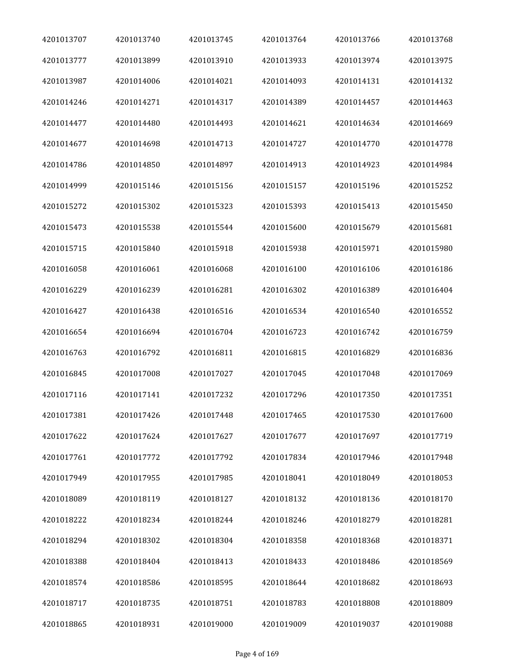| 4201013707 | 4201013740 | 4201013745 | 4201013764 | 4201013766 | 4201013768 |
|------------|------------|------------|------------|------------|------------|
| 4201013777 | 4201013899 | 4201013910 | 4201013933 | 4201013974 | 4201013975 |
| 4201013987 | 4201014006 | 4201014021 | 4201014093 | 4201014131 | 4201014132 |
| 4201014246 | 4201014271 | 4201014317 | 4201014389 | 4201014457 | 4201014463 |
| 4201014477 | 4201014480 | 4201014493 | 4201014621 | 4201014634 | 4201014669 |
| 4201014677 | 4201014698 | 4201014713 | 4201014727 | 4201014770 | 4201014778 |
| 4201014786 | 4201014850 | 4201014897 | 4201014913 | 4201014923 | 4201014984 |
| 4201014999 | 4201015146 | 4201015156 | 4201015157 | 4201015196 | 4201015252 |
| 4201015272 | 4201015302 | 4201015323 | 4201015393 | 4201015413 | 4201015450 |
| 4201015473 | 4201015538 | 4201015544 | 4201015600 | 4201015679 | 4201015681 |
| 4201015715 | 4201015840 | 4201015918 | 4201015938 | 4201015971 | 4201015980 |
| 4201016058 | 4201016061 | 4201016068 | 4201016100 | 4201016106 | 4201016186 |
| 4201016229 | 4201016239 | 4201016281 | 4201016302 | 4201016389 | 4201016404 |
| 4201016427 | 4201016438 | 4201016516 | 4201016534 | 4201016540 | 4201016552 |
| 4201016654 | 4201016694 | 4201016704 | 4201016723 | 4201016742 | 4201016759 |
| 4201016763 | 4201016792 | 4201016811 | 4201016815 | 4201016829 | 4201016836 |
| 4201016845 | 4201017008 | 4201017027 | 4201017045 | 4201017048 | 4201017069 |
| 4201017116 | 4201017141 | 4201017232 | 4201017296 | 4201017350 | 4201017351 |
| 4201017381 | 4201017426 | 4201017448 | 4201017465 | 4201017530 | 4201017600 |
| 4201017622 | 4201017624 | 4201017627 | 4201017677 | 4201017697 | 4201017719 |
| 4201017761 | 4201017772 | 4201017792 | 4201017834 | 4201017946 | 4201017948 |
| 4201017949 | 4201017955 | 4201017985 | 4201018041 | 4201018049 | 4201018053 |
| 4201018089 | 4201018119 | 4201018127 | 4201018132 | 4201018136 | 4201018170 |
| 4201018222 | 4201018234 | 4201018244 | 4201018246 | 4201018279 | 4201018281 |
| 4201018294 | 4201018302 | 4201018304 | 4201018358 | 4201018368 | 4201018371 |
| 4201018388 | 4201018404 | 4201018413 | 4201018433 | 4201018486 | 4201018569 |
| 4201018574 | 4201018586 | 4201018595 | 4201018644 | 4201018682 | 4201018693 |
| 4201018717 | 4201018735 | 4201018751 | 4201018783 | 4201018808 | 4201018809 |
| 4201018865 | 4201018931 | 4201019000 | 4201019009 | 4201019037 | 4201019088 |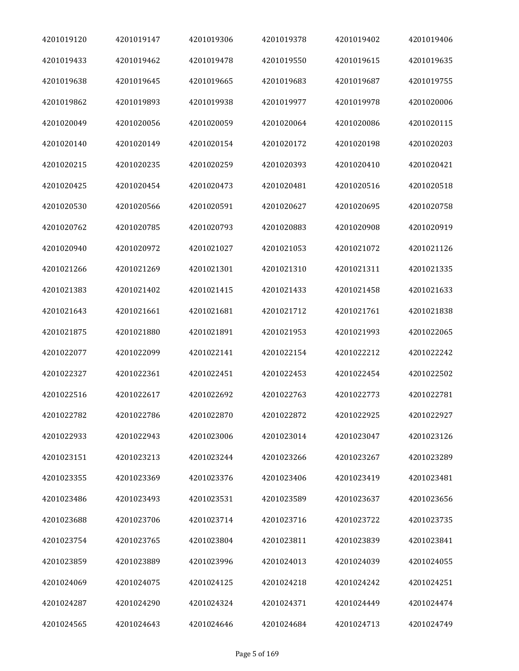| 4201019120 | 4201019147 | 4201019306 | 4201019378 | 4201019402 | 4201019406 |
|------------|------------|------------|------------|------------|------------|
| 4201019433 | 4201019462 | 4201019478 | 4201019550 | 4201019615 | 4201019635 |
| 4201019638 | 4201019645 | 4201019665 | 4201019683 | 4201019687 | 4201019755 |
| 4201019862 | 4201019893 | 4201019938 | 4201019977 | 4201019978 | 4201020006 |
| 4201020049 | 4201020056 | 4201020059 | 4201020064 | 4201020086 | 4201020115 |
| 4201020140 | 4201020149 | 4201020154 | 4201020172 | 4201020198 | 4201020203 |
| 4201020215 | 4201020235 | 4201020259 | 4201020393 | 4201020410 | 4201020421 |
| 4201020425 | 4201020454 | 4201020473 | 4201020481 | 4201020516 | 4201020518 |
| 4201020530 | 4201020566 | 4201020591 | 4201020627 | 4201020695 | 4201020758 |
| 4201020762 | 4201020785 | 4201020793 | 4201020883 | 4201020908 | 4201020919 |
| 4201020940 | 4201020972 | 4201021027 | 4201021053 | 4201021072 | 4201021126 |
| 4201021266 | 4201021269 | 4201021301 | 4201021310 | 4201021311 | 4201021335 |
| 4201021383 | 4201021402 | 4201021415 | 4201021433 | 4201021458 | 4201021633 |
| 4201021643 | 4201021661 | 4201021681 | 4201021712 | 4201021761 | 4201021838 |
| 4201021875 | 4201021880 | 4201021891 | 4201021953 | 4201021993 | 4201022065 |
| 4201022077 | 4201022099 | 4201022141 | 4201022154 | 4201022212 | 4201022242 |
| 4201022327 | 4201022361 | 4201022451 | 4201022453 | 4201022454 | 4201022502 |
| 4201022516 | 4201022617 | 4201022692 | 4201022763 | 4201022773 | 4201022781 |
| 4201022782 | 4201022786 | 4201022870 | 4201022872 | 4201022925 | 4201022927 |
| 4201022933 | 4201022943 | 4201023006 | 4201023014 | 4201023047 | 4201023126 |
| 4201023151 | 4201023213 | 4201023244 | 4201023266 | 4201023267 | 4201023289 |
| 4201023355 | 4201023369 | 4201023376 | 4201023406 | 4201023419 | 4201023481 |
| 4201023486 | 4201023493 | 4201023531 | 4201023589 | 4201023637 | 4201023656 |
| 4201023688 | 4201023706 | 4201023714 | 4201023716 | 4201023722 | 4201023735 |
| 4201023754 | 4201023765 | 4201023804 | 4201023811 | 4201023839 | 4201023841 |
| 4201023859 | 4201023889 | 4201023996 | 4201024013 | 4201024039 | 4201024055 |
| 4201024069 | 4201024075 | 4201024125 | 4201024218 | 4201024242 | 4201024251 |
| 4201024287 | 4201024290 | 4201024324 | 4201024371 | 4201024449 | 4201024474 |
| 4201024565 | 4201024643 | 4201024646 | 4201024684 | 4201024713 | 4201024749 |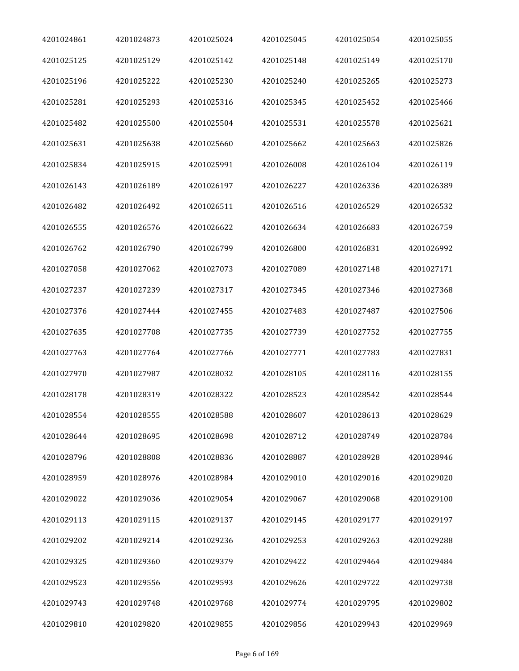| 4201024861 | 4201024873 | 4201025024 | 4201025045 | 4201025054 | 4201025055 |
|------------|------------|------------|------------|------------|------------|
| 4201025125 | 4201025129 | 4201025142 | 4201025148 | 4201025149 | 4201025170 |
| 4201025196 | 4201025222 | 4201025230 | 4201025240 | 4201025265 | 4201025273 |
| 4201025281 | 4201025293 | 4201025316 | 4201025345 | 4201025452 | 4201025466 |
| 4201025482 | 4201025500 | 4201025504 | 4201025531 | 4201025578 | 4201025621 |
| 4201025631 | 4201025638 | 4201025660 | 4201025662 | 4201025663 | 4201025826 |
| 4201025834 | 4201025915 | 4201025991 | 4201026008 | 4201026104 | 4201026119 |
| 4201026143 | 4201026189 | 4201026197 | 4201026227 | 4201026336 | 4201026389 |
| 4201026482 | 4201026492 | 4201026511 | 4201026516 | 4201026529 | 4201026532 |
| 4201026555 | 4201026576 | 4201026622 | 4201026634 | 4201026683 | 4201026759 |
| 4201026762 | 4201026790 | 4201026799 | 4201026800 | 4201026831 | 4201026992 |
| 4201027058 | 4201027062 | 4201027073 | 4201027089 | 4201027148 | 4201027171 |
| 4201027237 | 4201027239 | 4201027317 | 4201027345 | 4201027346 | 4201027368 |
| 4201027376 | 4201027444 | 4201027455 | 4201027483 | 4201027487 | 4201027506 |
| 4201027635 | 4201027708 | 4201027735 | 4201027739 | 4201027752 | 4201027755 |
| 4201027763 | 4201027764 | 4201027766 | 4201027771 | 4201027783 | 4201027831 |
| 4201027970 | 4201027987 | 4201028032 | 4201028105 | 4201028116 | 4201028155 |
| 4201028178 | 4201028319 | 4201028322 | 4201028523 | 4201028542 | 4201028544 |
| 4201028554 | 4201028555 | 4201028588 | 4201028607 | 4201028613 | 4201028629 |
| 4201028644 | 4201028695 | 4201028698 | 4201028712 | 4201028749 | 4201028784 |
| 4201028796 | 4201028808 | 4201028836 | 4201028887 | 4201028928 | 4201028946 |
| 4201028959 | 4201028976 | 4201028984 | 4201029010 | 4201029016 | 4201029020 |
| 4201029022 | 4201029036 | 4201029054 | 4201029067 | 4201029068 | 4201029100 |
| 4201029113 | 4201029115 | 4201029137 | 4201029145 | 4201029177 | 4201029197 |
| 4201029202 | 4201029214 | 4201029236 | 4201029253 | 4201029263 | 4201029288 |
| 4201029325 | 4201029360 | 4201029379 | 4201029422 | 4201029464 | 4201029484 |
| 4201029523 | 4201029556 | 4201029593 | 4201029626 | 4201029722 | 4201029738 |
| 4201029743 | 4201029748 | 4201029768 | 4201029774 | 4201029795 | 4201029802 |
| 4201029810 | 4201029820 | 4201029855 | 4201029856 | 4201029943 | 4201029969 |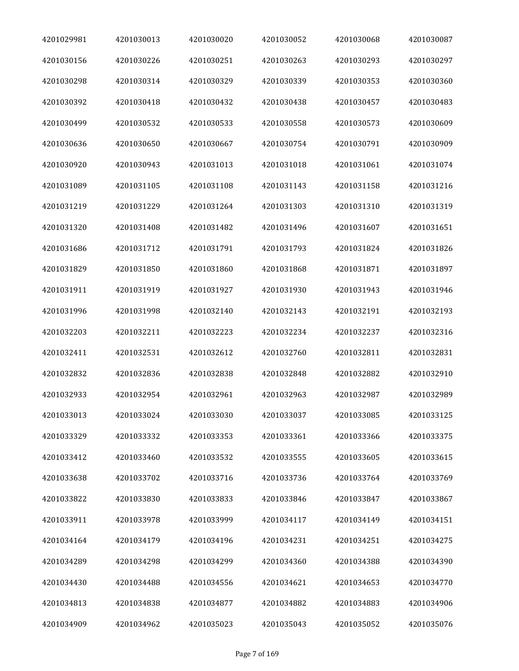| 4201029981 | 4201030013 | 4201030020 | 4201030052 | 4201030068 | 4201030087 |
|------------|------------|------------|------------|------------|------------|
| 4201030156 | 4201030226 | 4201030251 | 4201030263 | 4201030293 | 4201030297 |
| 4201030298 | 4201030314 | 4201030329 | 4201030339 | 4201030353 | 4201030360 |
| 4201030392 | 4201030418 | 4201030432 | 4201030438 | 4201030457 | 4201030483 |
| 4201030499 | 4201030532 | 4201030533 | 4201030558 | 4201030573 | 4201030609 |
| 4201030636 | 4201030650 | 4201030667 | 4201030754 | 4201030791 | 4201030909 |
| 4201030920 | 4201030943 | 4201031013 | 4201031018 | 4201031061 | 4201031074 |
| 4201031089 | 4201031105 | 4201031108 | 4201031143 | 4201031158 | 4201031216 |
| 4201031219 | 4201031229 | 4201031264 | 4201031303 | 4201031310 | 4201031319 |
| 4201031320 | 4201031408 | 4201031482 | 4201031496 | 4201031607 | 4201031651 |
| 4201031686 | 4201031712 | 4201031791 | 4201031793 | 4201031824 | 4201031826 |
| 4201031829 | 4201031850 | 4201031860 | 4201031868 | 4201031871 | 4201031897 |
| 4201031911 | 4201031919 | 4201031927 | 4201031930 | 4201031943 | 4201031946 |
| 4201031996 | 4201031998 | 4201032140 | 4201032143 | 4201032191 | 4201032193 |
| 4201032203 | 4201032211 | 4201032223 | 4201032234 | 4201032237 | 4201032316 |
| 4201032411 | 4201032531 | 4201032612 | 4201032760 | 4201032811 | 4201032831 |
| 4201032832 | 4201032836 | 4201032838 | 4201032848 | 4201032882 | 4201032910 |
| 4201032933 | 4201032954 | 4201032961 | 4201032963 | 4201032987 | 4201032989 |
| 4201033013 | 4201033024 | 4201033030 | 4201033037 | 4201033085 | 4201033125 |
| 4201033329 | 4201033332 | 4201033353 | 4201033361 | 4201033366 | 4201033375 |
| 4201033412 | 4201033460 | 4201033532 | 4201033555 | 4201033605 | 4201033615 |
| 4201033638 | 4201033702 | 4201033716 | 4201033736 | 4201033764 | 4201033769 |
| 4201033822 | 4201033830 | 4201033833 | 4201033846 | 4201033847 | 4201033867 |
| 4201033911 | 4201033978 | 4201033999 | 4201034117 | 4201034149 | 4201034151 |
| 4201034164 | 4201034179 | 4201034196 | 4201034231 | 4201034251 | 4201034275 |
| 4201034289 | 4201034298 | 4201034299 | 4201034360 | 4201034388 | 4201034390 |
| 4201034430 | 4201034488 | 4201034556 | 4201034621 | 4201034653 | 4201034770 |
| 4201034813 | 4201034838 | 4201034877 | 4201034882 | 4201034883 | 4201034906 |
| 4201034909 | 4201034962 | 4201035023 | 4201035043 | 4201035052 | 4201035076 |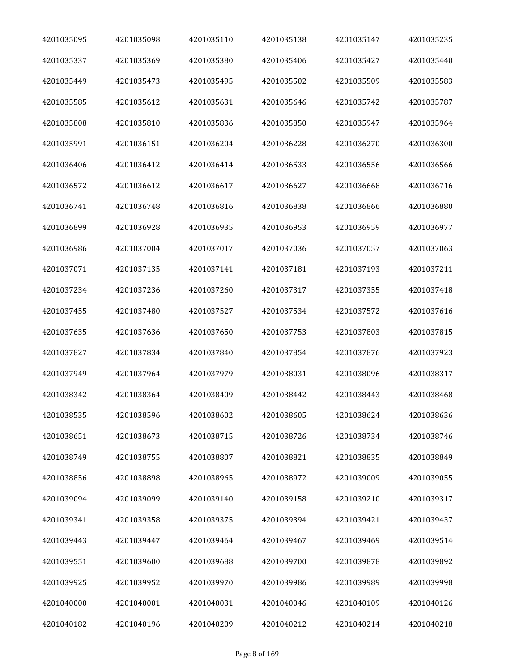| 4201035095 | 4201035098 | 4201035110 | 4201035138 | 4201035147 | 4201035235 |
|------------|------------|------------|------------|------------|------------|
| 4201035337 | 4201035369 | 4201035380 | 4201035406 | 4201035427 | 4201035440 |
| 4201035449 | 4201035473 | 4201035495 | 4201035502 | 4201035509 | 4201035583 |
| 4201035585 | 4201035612 | 4201035631 | 4201035646 | 4201035742 | 4201035787 |
| 4201035808 | 4201035810 | 4201035836 | 4201035850 | 4201035947 | 4201035964 |
| 4201035991 | 4201036151 | 4201036204 | 4201036228 | 4201036270 | 4201036300 |
| 4201036406 | 4201036412 | 4201036414 | 4201036533 | 4201036556 | 4201036566 |
| 4201036572 | 4201036612 | 4201036617 | 4201036627 | 4201036668 | 4201036716 |
| 4201036741 | 4201036748 | 4201036816 | 4201036838 | 4201036866 | 4201036880 |
| 4201036899 | 4201036928 | 4201036935 | 4201036953 | 4201036959 | 4201036977 |
| 4201036986 | 4201037004 | 4201037017 | 4201037036 | 4201037057 | 4201037063 |
| 4201037071 | 4201037135 | 4201037141 | 4201037181 | 4201037193 | 4201037211 |
| 4201037234 | 4201037236 | 4201037260 | 4201037317 | 4201037355 | 4201037418 |
| 4201037455 | 4201037480 | 4201037527 | 4201037534 | 4201037572 | 4201037616 |
| 4201037635 | 4201037636 | 4201037650 | 4201037753 | 4201037803 | 4201037815 |
| 4201037827 | 4201037834 | 4201037840 | 4201037854 | 4201037876 | 4201037923 |
| 4201037949 | 4201037964 | 4201037979 | 4201038031 | 4201038096 | 4201038317 |
| 4201038342 | 4201038364 | 4201038409 | 4201038442 | 4201038443 | 4201038468 |
| 4201038535 | 4201038596 | 4201038602 | 4201038605 | 4201038624 | 4201038636 |
| 4201038651 | 4201038673 | 4201038715 | 4201038726 | 4201038734 | 4201038746 |
| 4201038749 | 4201038755 | 4201038807 | 4201038821 | 4201038835 | 4201038849 |
| 4201038856 | 4201038898 | 4201038965 | 4201038972 | 4201039009 | 4201039055 |
| 4201039094 | 4201039099 | 4201039140 | 4201039158 | 4201039210 | 4201039317 |
| 4201039341 | 4201039358 | 4201039375 | 4201039394 | 4201039421 | 4201039437 |
| 4201039443 | 4201039447 | 4201039464 | 4201039467 | 4201039469 | 4201039514 |
| 4201039551 | 4201039600 | 4201039688 | 4201039700 | 4201039878 | 4201039892 |
| 4201039925 | 4201039952 | 4201039970 | 4201039986 | 4201039989 | 4201039998 |
| 4201040000 | 4201040001 | 4201040031 | 4201040046 | 4201040109 | 4201040126 |
| 4201040182 | 4201040196 | 4201040209 | 4201040212 | 4201040214 | 4201040218 |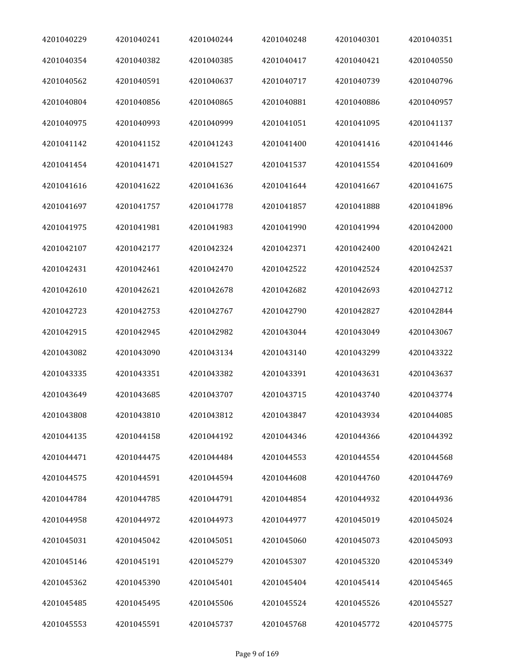| 4201040229 | 4201040241 | 4201040244 | 4201040248 | 4201040301 | 4201040351 |
|------------|------------|------------|------------|------------|------------|
| 4201040354 | 4201040382 | 4201040385 | 4201040417 | 4201040421 | 4201040550 |
| 4201040562 | 4201040591 | 4201040637 | 4201040717 | 4201040739 | 4201040796 |
| 4201040804 | 4201040856 | 4201040865 | 4201040881 | 4201040886 | 4201040957 |
| 4201040975 | 4201040993 | 4201040999 | 4201041051 | 4201041095 | 4201041137 |
| 4201041142 | 4201041152 | 4201041243 | 4201041400 | 4201041416 | 4201041446 |
| 4201041454 | 4201041471 | 4201041527 | 4201041537 | 4201041554 | 4201041609 |
| 4201041616 | 4201041622 | 4201041636 | 4201041644 | 4201041667 | 4201041675 |
| 4201041697 | 4201041757 | 4201041778 | 4201041857 | 4201041888 | 4201041896 |
| 4201041975 | 4201041981 | 4201041983 | 4201041990 | 4201041994 | 4201042000 |
| 4201042107 | 4201042177 | 4201042324 | 4201042371 | 4201042400 | 4201042421 |
| 4201042431 | 4201042461 | 4201042470 | 4201042522 | 4201042524 | 4201042537 |
| 4201042610 | 4201042621 | 4201042678 | 4201042682 | 4201042693 | 4201042712 |
| 4201042723 | 4201042753 | 4201042767 | 4201042790 | 4201042827 | 4201042844 |
| 4201042915 | 4201042945 | 4201042982 | 4201043044 | 4201043049 | 4201043067 |
| 4201043082 | 4201043090 | 4201043134 | 4201043140 | 4201043299 | 4201043322 |
| 4201043335 | 4201043351 | 4201043382 | 4201043391 | 4201043631 | 4201043637 |
| 4201043649 | 4201043685 | 4201043707 | 4201043715 | 4201043740 | 4201043774 |
| 4201043808 | 4201043810 | 4201043812 | 4201043847 | 4201043934 | 4201044085 |
| 4201044135 | 4201044158 | 4201044192 | 4201044346 | 4201044366 | 4201044392 |
| 4201044471 | 4201044475 | 4201044484 | 4201044553 | 4201044554 | 4201044568 |
| 4201044575 | 4201044591 | 4201044594 | 4201044608 | 4201044760 | 4201044769 |
| 4201044784 | 4201044785 | 4201044791 | 4201044854 | 4201044932 | 4201044936 |
| 4201044958 | 4201044972 | 4201044973 | 4201044977 | 4201045019 | 4201045024 |
| 4201045031 | 4201045042 | 4201045051 | 4201045060 | 4201045073 | 4201045093 |
| 4201045146 | 4201045191 | 4201045279 | 4201045307 | 4201045320 | 4201045349 |
| 4201045362 | 4201045390 | 4201045401 | 4201045404 | 4201045414 | 4201045465 |
| 4201045485 | 4201045495 | 4201045506 | 4201045524 | 4201045526 | 4201045527 |
| 4201045553 | 4201045591 | 4201045737 | 4201045768 | 4201045772 | 4201045775 |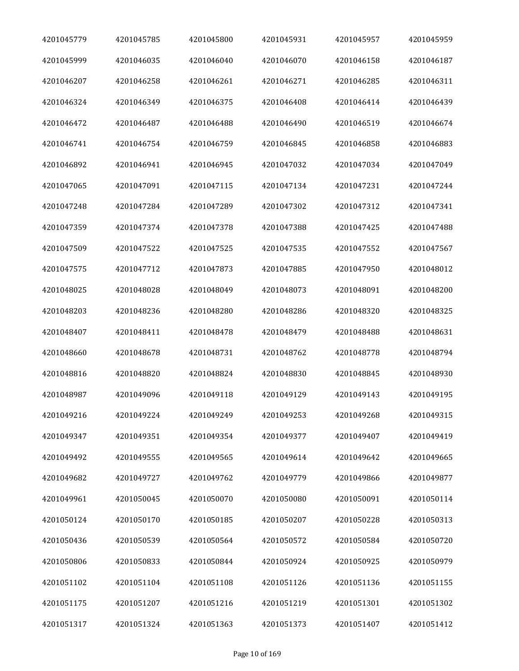| 4201045779 | 4201045785 | 4201045800 | 4201045931 | 4201045957 | 4201045959 |
|------------|------------|------------|------------|------------|------------|
| 4201045999 | 4201046035 | 4201046040 | 4201046070 | 4201046158 | 4201046187 |
| 4201046207 | 4201046258 | 4201046261 | 4201046271 | 4201046285 | 4201046311 |
| 4201046324 | 4201046349 | 4201046375 | 4201046408 | 4201046414 | 4201046439 |
| 4201046472 | 4201046487 | 4201046488 | 4201046490 | 4201046519 | 4201046674 |
| 4201046741 | 4201046754 | 4201046759 | 4201046845 | 4201046858 | 4201046883 |
| 4201046892 | 4201046941 | 4201046945 | 4201047032 | 4201047034 | 4201047049 |
| 4201047065 | 4201047091 | 4201047115 | 4201047134 | 4201047231 | 4201047244 |
| 4201047248 | 4201047284 | 4201047289 | 4201047302 | 4201047312 | 4201047341 |
| 4201047359 | 4201047374 | 4201047378 | 4201047388 | 4201047425 | 4201047488 |
| 4201047509 | 4201047522 | 4201047525 | 4201047535 | 4201047552 | 4201047567 |
| 4201047575 | 4201047712 | 4201047873 | 4201047885 | 4201047950 | 4201048012 |
| 4201048025 | 4201048028 | 4201048049 | 4201048073 | 4201048091 | 4201048200 |
| 4201048203 | 4201048236 | 4201048280 | 4201048286 | 4201048320 | 4201048325 |
| 4201048407 | 4201048411 | 4201048478 | 4201048479 | 4201048488 | 4201048631 |
| 4201048660 | 4201048678 | 4201048731 | 4201048762 | 4201048778 | 4201048794 |
| 4201048816 | 4201048820 | 4201048824 | 4201048830 | 4201048845 | 4201048930 |
| 4201048987 | 4201049096 | 4201049118 | 4201049129 | 4201049143 | 4201049195 |
| 4201049216 | 4201049224 | 4201049249 | 4201049253 | 4201049268 | 4201049315 |
| 4201049347 | 4201049351 | 4201049354 | 4201049377 | 4201049407 | 4201049419 |
| 4201049492 | 4201049555 | 4201049565 | 4201049614 | 4201049642 | 4201049665 |
| 4201049682 | 4201049727 | 4201049762 | 4201049779 | 4201049866 | 4201049877 |
| 4201049961 | 4201050045 | 4201050070 | 4201050080 | 4201050091 | 4201050114 |
| 4201050124 | 4201050170 | 4201050185 | 4201050207 | 4201050228 | 4201050313 |
| 4201050436 | 4201050539 | 4201050564 | 4201050572 | 4201050584 | 4201050720 |
| 4201050806 | 4201050833 | 4201050844 | 4201050924 | 4201050925 | 4201050979 |
| 4201051102 | 4201051104 | 4201051108 | 4201051126 | 4201051136 | 4201051155 |
| 4201051175 | 4201051207 | 4201051216 | 4201051219 | 4201051301 | 4201051302 |
| 4201051317 | 4201051324 | 4201051363 | 4201051373 | 4201051407 | 4201051412 |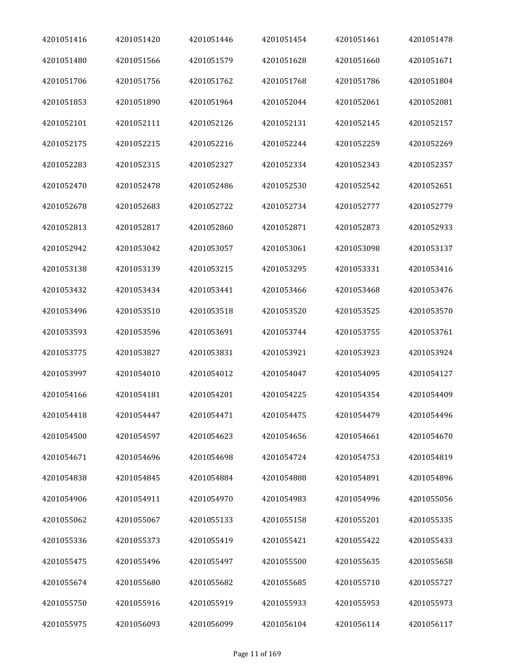| 4201051416 | 4201051420 | 4201051446 | 4201051454 | 4201051461 | 4201051478 |
|------------|------------|------------|------------|------------|------------|
| 4201051480 | 4201051566 | 4201051579 | 4201051628 | 4201051660 | 4201051671 |
| 4201051706 | 4201051756 | 4201051762 | 4201051768 | 4201051786 | 4201051804 |
| 4201051853 | 4201051890 | 4201051964 | 4201052044 | 4201052061 | 4201052081 |
| 4201052101 | 4201052111 | 4201052126 | 4201052131 | 4201052145 | 4201052157 |
| 4201052175 | 4201052215 | 4201052216 | 4201052244 | 4201052259 | 4201052269 |
| 4201052283 | 4201052315 | 4201052327 | 4201052334 | 4201052343 | 4201052357 |
| 4201052470 | 4201052478 | 4201052486 | 4201052530 | 4201052542 | 4201052651 |
| 4201052678 | 4201052683 | 4201052722 | 4201052734 | 4201052777 | 4201052779 |
| 4201052813 | 4201052817 | 4201052860 | 4201052871 | 4201052873 | 4201052933 |
| 4201052942 | 4201053042 | 4201053057 | 4201053061 | 4201053098 | 4201053137 |
| 4201053138 | 4201053139 | 4201053215 | 4201053295 | 4201053331 | 4201053416 |
| 4201053432 | 4201053434 | 4201053441 | 4201053466 | 4201053468 | 4201053476 |
| 4201053496 | 4201053510 | 4201053518 | 4201053520 | 4201053525 | 4201053570 |
| 4201053593 | 4201053596 | 4201053691 | 4201053744 | 4201053755 | 4201053761 |
| 4201053775 | 4201053827 | 4201053831 | 4201053921 | 4201053923 | 4201053924 |
| 4201053997 | 4201054010 | 4201054012 | 4201054047 | 4201054095 | 4201054127 |
| 4201054166 | 4201054181 | 4201054201 | 4201054225 | 4201054354 | 4201054409 |
| 4201054418 | 4201054447 | 4201054471 | 4201054475 | 4201054479 | 4201054496 |
| 4201054500 | 4201054597 | 4201054623 | 4201054656 | 4201054661 | 4201054670 |
| 4201054671 | 4201054696 | 4201054698 | 4201054724 | 4201054753 | 4201054819 |
| 4201054838 | 4201054845 | 4201054884 | 4201054888 | 4201054891 | 4201054896 |
| 4201054906 | 4201054911 | 4201054970 | 4201054983 | 4201054996 | 4201055056 |
| 4201055062 | 4201055067 | 4201055133 | 4201055158 | 4201055201 | 4201055335 |
| 4201055336 | 4201055373 | 4201055419 | 4201055421 | 4201055422 | 4201055433 |
| 4201055475 | 4201055496 | 4201055497 | 4201055500 | 4201055635 | 4201055658 |
| 4201055674 | 4201055680 | 4201055682 | 4201055685 | 4201055710 | 4201055727 |
| 4201055750 | 4201055916 | 4201055919 | 4201055933 | 4201055953 | 4201055973 |
| 4201055975 | 4201056093 | 4201056099 | 4201056104 | 4201056114 | 4201056117 |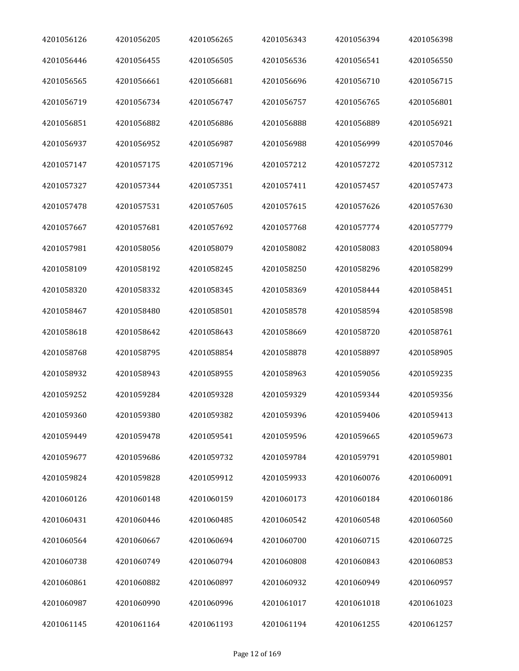| 4201056126 | 4201056205 | 4201056265 | 4201056343 | 4201056394 | 4201056398 |
|------------|------------|------------|------------|------------|------------|
| 4201056446 | 4201056455 | 4201056505 | 4201056536 | 4201056541 | 4201056550 |
| 4201056565 | 4201056661 | 4201056681 | 4201056696 | 4201056710 | 4201056715 |
| 4201056719 | 4201056734 | 4201056747 | 4201056757 | 4201056765 | 4201056801 |
| 4201056851 | 4201056882 | 4201056886 | 4201056888 | 4201056889 | 4201056921 |
| 4201056937 | 4201056952 | 4201056987 | 4201056988 | 4201056999 | 4201057046 |
| 4201057147 | 4201057175 | 4201057196 | 4201057212 | 4201057272 | 4201057312 |
| 4201057327 | 4201057344 | 4201057351 | 4201057411 | 4201057457 | 4201057473 |
| 4201057478 | 4201057531 | 4201057605 | 4201057615 | 4201057626 | 4201057630 |
| 4201057667 | 4201057681 | 4201057692 | 4201057768 | 4201057774 | 4201057779 |
| 4201057981 | 4201058056 | 4201058079 | 4201058082 | 4201058083 | 4201058094 |
| 4201058109 | 4201058192 | 4201058245 | 4201058250 | 4201058296 | 4201058299 |
| 4201058320 | 4201058332 | 4201058345 | 4201058369 | 4201058444 | 4201058451 |
| 4201058467 | 4201058480 | 4201058501 | 4201058578 | 4201058594 | 4201058598 |
| 4201058618 | 4201058642 | 4201058643 | 4201058669 | 4201058720 | 4201058761 |
| 4201058768 | 4201058795 | 4201058854 | 4201058878 | 4201058897 | 4201058905 |
| 4201058932 | 4201058943 | 4201058955 | 4201058963 | 4201059056 | 4201059235 |
| 4201059252 | 4201059284 | 4201059328 | 4201059329 | 4201059344 | 4201059356 |
| 4201059360 | 4201059380 | 4201059382 | 4201059396 | 4201059406 | 4201059413 |
| 4201059449 | 4201059478 | 4201059541 | 4201059596 | 4201059665 | 4201059673 |
| 4201059677 | 4201059686 | 4201059732 | 4201059784 | 4201059791 | 4201059801 |
| 4201059824 | 4201059828 | 4201059912 | 4201059933 | 4201060076 | 4201060091 |
| 4201060126 | 4201060148 | 4201060159 | 4201060173 | 4201060184 | 4201060186 |
| 4201060431 | 4201060446 | 4201060485 | 4201060542 | 4201060548 | 4201060560 |
| 4201060564 | 4201060667 | 4201060694 | 4201060700 | 4201060715 | 4201060725 |
| 4201060738 | 4201060749 | 4201060794 | 4201060808 | 4201060843 | 4201060853 |
| 4201060861 | 4201060882 | 4201060897 | 4201060932 | 4201060949 | 4201060957 |
| 4201060987 | 4201060990 | 4201060996 | 4201061017 | 4201061018 | 4201061023 |
| 4201061145 | 4201061164 | 4201061193 | 4201061194 | 4201061255 | 4201061257 |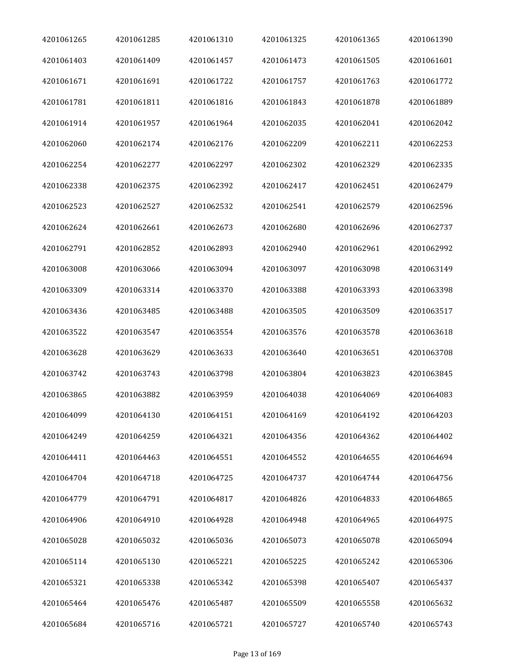| 4201061265 | 4201061285 | 4201061310 | 4201061325 | 4201061365 | 4201061390 |
|------------|------------|------------|------------|------------|------------|
| 4201061403 | 4201061409 | 4201061457 | 4201061473 | 4201061505 | 4201061601 |
| 4201061671 | 4201061691 | 4201061722 | 4201061757 | 4201061763 | 4201061772 |
| 4201061781 | 4201061811 | 4201061816 | 4201061843 | 4201061878 | 4201061889 |
| 4201061914 | 4201061957 | 4201061964 | 4201062035 | 4201062041 | 4201062042 |
| 4201062060 | 4201062174 | 4201062176 | 4201062209 | 4201062211 | 4201062253 |
| 4201062254 | 4201062277 | 4201062297 | 4201062302 | 4201062329 | 4201062335 |
| 4201062338 | 4201062375 | 4201062392 | 4201062417 | 4201062451 | 4201062479 |
| 4201062523 | 4201062527 | 4201062532 | 4201062541 | 4201062579 | 4201062596 |
| 4201062624 | 4201062661 | 4201062673 | 4201062680 | 4201062696 | 4201062737 |
| 4201062791 | 4201062852 | 4201062893 | 4201062940 | 4201062961 | 4201062992 |
| 4201063008 | 4201063066 | 4201063094 | 4201063097 | 4201063098 | 4201063149 |
| 4201063309 | 4201063314 | 4201063370 | 4201063388 | 4201063393 | 4201063398 |
| 4201063436 | 4201063485 | 4201063488 | 4201063505 | 4201063509 | 4201063517 |
| 4201063522 | 4201063547 | 4201063554 | 4201063576 | 4201063578 | 4201063618 |
| 4201063628 | 4201063629 | 4201063633 | 4201063640 | 4201063651 | 4201063708 |
| 4201063742 | 4201063743 | 4201063798 | 4201063804 | 4201063823 | 4201063845 |
| 4201063865 | 4201063882 | 4201063959 | 4201064038 | 4201064069 | 4201064083 |
| 4201064099 | 4201064130 | 4201064151 | 4201064169 | 4201064192 | 4201064203 |
| 4201064249 | 4201064259 | 4201064321 | 4201064356 | 4201064362 | 4201064402 |
| 4201064411 | 4201064463 | 4201064551 | 4201064552 | 4201064655 | 4201064694 |
| 4201064704 | 4201064718 | 4201064725 | 4201064737 | 4201064744 | 4201064756 |
| 4201064779 | 4201064791 | 4201064817 | 4201064826 | 4201064833 | 4201064865 |
| 4201064906 | 4201064910 | 4201064928 | 4201064948 | 4201064965 | 4201064975 |
| 4201065028 | 4201065032 | 4201065036 | 4201065073 | 4201065078 | 4201065094 |
| 4201065114 | 4201065130 | 4201065221 | 4201065225 | 4201065242 | 4201065306 |
| 4201065321 | 4201065338 | 4201065342 | 4201065398 | 4201065407 | 4201065437 |
| 4201065464 | 4201065476 | 4201065487 | 4201065509 | 4201065558 | 4201065632 |
| 4201065684 | 4201065716 | 4201065721 | 4201065727 | 4201065740 | 4201065743 |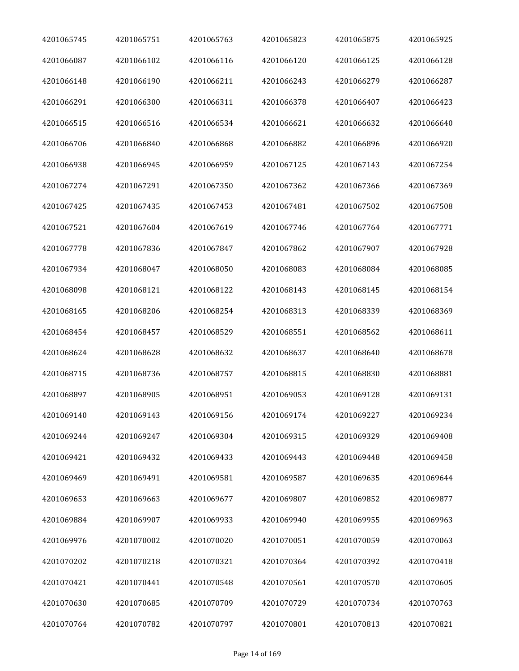| 4201065745 | 4201065751 | 4201065763 | 4201065823 | 4201065875 | 4201065925 |
|------------|------------|------------|------------|------------|------------|
| 4201066087 | 4201066102 | 4201066116 | 4201066120 | 4201066125 | 4201066128 |
| 4201066148 | 4201066190 | 4201066211 | 4201066243 | 4201066279 | 4201066287 |
| 4201066291 | 4201066300 | 4201066311 | 4201066378 | 4201066407 | 4201066423 |
| 4201066515 | 4201066516 | 4201066534 | 4201066621 | 4201066632 | 4201066640 |
| 4201066706 | 4201066840 | 4201066868 | 4201066882 | 4201066896 | 4201066920 |
| 4201066938 | 4201066945 | 4201066959 | 4201067125 | 4201067143 | 4201067254 |
| 4201067274 | 4201067291 | 4201067350 | 4201067362 | 4201067366 | 4201067369 |
| 4201067425 | 4201067435 | 4201067453 | 4201067481 | 4201067502 | 4201067508 |
| 4201067521 | 4201067604 | 4201067619 | 4201067746 | 4201067764 | 4201067771 |
| 4201067778 | 4201067836 | 4201067847 | 4201067862 | 4201067907 | 4201067928 |
| 4201067934 | 4201068047 | 4201068050 | 4201068083 | 4201068084 | 4201068085 |
| 4201068098 | 4201068121 | 4201068122 | 4201068143 | 4201068145 | 4201068154 |
| 4201068165 | 4201068206 | 4201068254 | 4201068313 | 4201068339 | 4201068369 |
| 4201068454 | 4201068457 | 4201068529 | 4201068551 | 4201068562 | 4201068611 |
| 4201068624 | 4201068628 | 4201068632 | 4201068637 | 4201068640 | 4201068678 |
| 4201068715 | 4201068736 | 4201068757 | 4201068815 | 4201068830 | 4201068881 |
| 4201068897 | 4201068905 | 4201068951 | 4201069053 | 4201069128 | 4201069131 |
| 4201069140 | 4201069143 | 4201069156 | 4201069174 | 4201069227 | 4201069234 |
| 4201069244 | 4201069247 | 4201069304 | 4201069315 | 4201069329 | 4201069408 |
| 4201069421 | 4201069432 | 4201069433 | 4201069443 | 4201069448 | 4201069458 |
| 4201069469 | 4201069491 | 4201069581 | 4201069587 | 4201069635 | 4201069644 |
| 4201069653 | 4201069663 | 4201069677 | 4201069807 | 4201069852 | 4201069877 |
| 4201069884 | 4201069907 | 4201069933 | 4201069940 | 4201069955 | 4201069963 |
| 4201069976 | 4201070002 | 4201070020 | 4201070051 | 4201070059 | 4201070063 |
| 4201070202 | 4201070218 | 4201070321 | 4201070364 | 4201070392 | 4201070418 |
| 4201070421 | 4201070441 | 4201070548 | 4201070561 | 4201070570 | 4201070605 |
| 4201070630 | 4201070685 | 4201070709 | 4201070729 | 4201070734 | 4201070763 |
| 4201070764 | 4201070782 | 4201070797 | 4201070801 | 4201070813 | 4201070821 |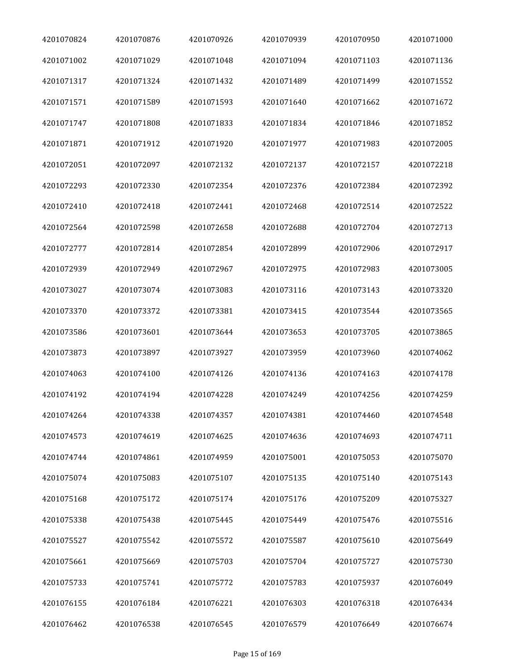| 4201070824 | 4201070876 | 4201070926 | 4201070939 | 4201070950 | 4201071000 |
|------------|------------|------------|------------|------------|------------|
| 4201071002 | 4201071029 | 4201071048 | 4201071094 | 4201071103 | 4201071136 |
| 4201071317 | 4201071324 | 4201071432 | 4201071489 | 4201071499 | 4201071552 |
| 4201071571 | 4201071589 | 4201071593 | 4201071640 | 4201071662 | 4201071672 |
| 4201071747 | 4201071808 | 4201071833 | 4201071834 | 4201071846 | 4201071852 |
| 4201071871 | 4201071912 | 4201071920 | 4201071977 | 4201071983 | 4201072005 |
| 4201072051 | 4201072097 | 4201072132 | 4201072137 | 4201072157 | 4201072218 |
| 4201072293 | 4201072330 | 4201072354 | 4201072376 | 4201072384 | 4201072392 |
| 4201072410 | 4201072418 | 4201072441 | 4201072468 | 4201072514 | 4201072522 |
| 4201072564 | 4201072598 | 4201072658 | 4201072688 | 4201072704 | 4201072713 |
| 4201072777 | 4201072814 | 4201072854 | 4201072899 | 4201072906 | 4201072917 |
| 4201072939 | 4201072949 | 4201072967 | 4201072975 | 4201072983 | 4201073005 |
| 4201073027 | 4201073074 | 4201073083 | 4201073116 | 4201073143 | 4201073320 |
| 4201073370 | 4201073372 | 4201073381 | 4201073415 | 4201073544 | 4201073565 |
| 4201073586 | 4201073601 | 4201073644 | 4201073653 | 4201073705 | 4201073865 |
| 4201073873 | 4201073897 | 4201073927 | 4201073959 | 4201073960 | 4201074062 |
| 4201074063 | 4201074100 | 4201074126 | 4201074136 | 4201074163 | 4201074178 |
| 4201074192 | 4201074194 | 4201074228 | 4201074249 | 4201074256 | 4201074259 |
| 4201074264 | 4201074338 | 4201074357 | 4201074381 | 4201074460 | 4201074548 |
| 4201074573 | 4201074619 | 4201074625 | 4201074636 | 4201074693 | 4201074711 |
| 4201074744 | 4201074861 | 4201074959 | 4201075001 | 4201075053 | 4201075070 |
| 4201075074 | 4201075083 | 4201075107 | 4201075135 | 4201075140 | 4201075143 |
| 4201075168 | 4201075172 | 4201075174 | 4201075176 | 4201075209 | 4201075327 |
| 4201075338 | 4201075438 | 4201075445 | 4201075449 | 4201075476 | 4201075516 |
| 4201075527 | 4201075542 | 4201075572 | 4201075587 | 4201075610 | 4201075649 |
| 4201075661 | 4201075669 | 4201075703 | 4201075704 | 4201075727 | 4201075730 |
| 4201075733 | 4201075741 | 4201075772 | 4201075783 | 4201075937 | 4201076049 |
| 4201076155 | 4201076184 | 4201076221 | 4201076303 | 4201076318 | 4201076434 |
| 4201076462 | 4201076538 | 4201076545 | 4201076579 | 4201076649 | 4201076674 |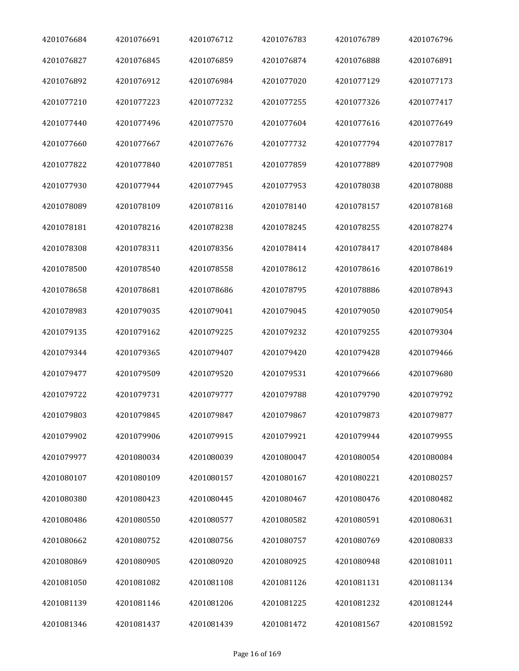| 4201076684 | 4201076691 | 4201076712 | 4201076783 | 4201076789 | 4201076796 |
|------------|------------|------------|------------|------------|------------|
| 4201076827 | 4201076845 | 4201076859 | 4201076874 | 4201076888 | 4201076891 |
| 4201076892 | 4201076912 | 4201076984 | 4201077020 | 4201077129 | 4201077173 |
| 4201077210 | 4201077223 | 4201077232 | 4201077255 | 4201077326 | 4201077417 |
| 4201077440 | 4201077496 | 4201077570 | 4201077604 | 4201077616 | 4201077649 |
| 4201077660 | 4201077667 | 4201077676 | 4201077732 | 4201077794 | 4201077817 |
| 4201077822 | 4201077840 | 4201077851 | 4201077859 | 4201077889 | 4201077908 |
| 4201077930 | 4201077944 | 4201077945 | 4201077953 | 4201078038 | 4201078088 |
| 4201078089 | 4201078109 | 4201078116 | 4201078140 | 4201078157 | 4201078168 |
| 4201078181 | 4201078216 | 4201078238 | 4201078245 | 4201078255 | 4201078274 |
| 4201078308 | 4201078311 | 4201078356 | 4201078414 | 4201078417 | 4201078484 |
| 4201078500 | 4201078540 | 4201078558 | 4201078612 | 4201078616 | 4201078619 |
| 4201078658 | 4201078681 | 4201078686 | 4201078795 | 4201078886 | 4201078943 |
| 4201078983 | 4201079035 | 4201079041 | 4201079045 | 4201079050 | 4201079054 |
| 4201079135 | 4201079162 | 4201079225 | 4201079232 | 4201079255 | 4201079304 |
| 4201079344 | 4201079365 | 4201079407 | 4201079420 | 4201079428 | 4201079466 |
| 4201079477 | 4201079509 | 4201079520 | 4201079531 | 4201079666 | 4201079680 |
| 4201079722 | 4201079731 | 4201079777 | 4201079788 | 4201079790 | 4201079792 |
| 4201079803 | 4201079845 | 4201079847 | 4201079867 | 4201079873 | 4201079877 |
| 4201079902 | 4201079906 | 4201079915 | 4201079921 | 4201079944 | 4201079955 |
| 4201079977 | 4201080034 | 4201080039 | 4201080047 | 4201080054 | 4201080084 |
| 4201080107 | 4201080109 | 4201080157 | 4201080167 | 4201080221 | 4201080257 |
| 4201080380 | 4201080423 | 4201080445 | 4201080467 | 4201080476 | 4201080482 |
| 4201080486 | 4201080550 | 4201080577 | 4201080582 | 4201080591 | 4201080631 |
| 4201080662 | 4201080752 | 4201080756 | 4201080757 | 4201080769 | 4201080833 |
| 4201080869 | 4201080905 | 4201080920 | 4201080925 | 4201080948 | 4201081011 |
| 4201081050 | 4201081082 | 4201081108 | 4201081126 | 4201081131 | 4201081134 |
| 4201081139 | 4201081146 | 4201081206 | 4201081225 | 4201081232 | 4201081244 |
| 4201081346 | 4201081437 | 4201081439 | 4201081472 | 4201081567 | 4201081592 |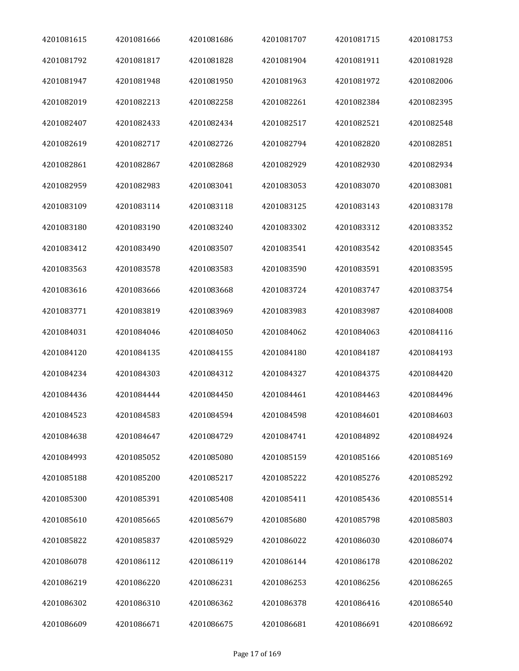| 4201081615 | 4201081666 | 4201081686 | 4201081707 | 4201081715 | 4201081753 |
|------------|------------|------------|------------|------------|------------|
| 4201081792 | 4201081817 | 4201081828 | 4201081904 | 4201081911 | 4201081928 |
| 4201081947 | 4201081948 | 4201081950 | 4201081963 | 4201081972 | 4201082006 |
| 4201082019 | 4201082213 | 4201082258 | 4201082261 | 4201082384 | 4201082395 |
| 4201082407 | 4201082433 | 4201082434 | 4201082517 | 4201082521 | 4201082548 |
| 4201082619 | 4201082717 | 4201082726 | 4201082794 | 4201082820 | 4201082851 |
| 4201082861 | 4201082867 | 4201082868 | 4201082929 | 4201082930 | 4201082934 |
| 4201082959 | 4201082983 | 4201083041 | 4201083053 | 4201083070 | 4201083081 |
| 4201083109 | 4201083114 | 4201083118 | 4201083125 | 4201083143 | 4201083178 |
| 4201083180 | 4201083190 | 4201083240 | 4201083302 | 4201083312 | 4201083352 |
| 4201083412 | 4201083490 | 4201083507 | 4201083541 | 4201083542 | 4201083545 |
| 4201083563 | 4201083578 | 4201083583 | 4201083590 | 4201083591 | 4201083595 |
| 4201083616 | 4201083666 | 4201083668 | 4201083724 | 4201083747 | 4201083754 |
| 4201083771 | 4201083819 | 4201083969 | 4201083983 | 4201083987 | 4201084008 |
| 4201084031 | 4201084046 | 4201084050 | 4201084062 | 4201084063 | 4201084116 |
| 4201084120 | 4201084135 | 4201084155 | 4201084180 | 4201084187 | 4201084193 |
| 4201084234 | 4201084303 | 4201084312 | 4201084327 | 4201084375 | 4201084420 |
| 4201084436 | 4201084444 | 4201084450 | 4201084461 | 4201084463 | 4201084496 |
| 4201084523 | 4201084583 | 4201084594 | 4201084598 | 4201084601 | 4201084603 |
| 4201084638 | 4201084647 | 4201084729 | 4201084741 | 4201084892 | 4201084924 |
| 4201084993 | 4201085052 | 4201085080 | 4201085159 | 4201085166 | 4201085169 |
| 4201085188 | 4201085200 | 4201085217 | 4201085222 | 4201085276 | 4201085292 |
| 4201085300 | 4201085391 | 4201085408 | 4201085411 | 4201085436 | 4201085514 |
| 4201085610 | 4201085665 | 4201085679 | 4201085680 | 4201085798 | 4201085803 |
| 4201085822 | 4201085837 | 4201085929 | 4201086022 | 4201086030 | 4201086074 |
| 4201086078 | 4201086112 | 4201086119 | 4201086144 | 4201086178 | 4201086202 |
| 4201086219 | 4201086220 | 4201086231 | 4201086253 | 4201086256 | 4201086265 |
| 4201086302 | 4201086310 | 4201086362 | 4201086378 | 4201086416 | 4201086540 |
| 4201086609 | 4201086671 | 4201086675 | 4201086681 | 4201086691 | 4201086692 |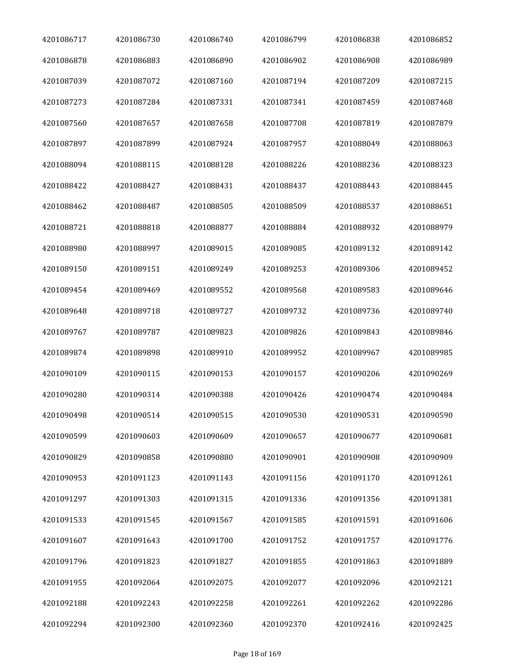| 4201086717 | 4201086730 | 4201086740 | 4201086799 | 4201086838 | 4201086852 |
|------------|------------|------------|------------|------------|------------|
| 4201086878 | 4201086883 | 4201086890 | 4201086902 | 4201086908 | 4201086989 |
| 4201087039 | 4201087072 | 4201087160 | 4201087194 | 4201087209 | 4201087215 |
| 4201087273 | 4201087284 | 4201087331 | 4201087341 | 4201087459 | 4201087468 |
| 4201087560 | 4201087657 | 4201087658 | 4201087708 | 4201087819 | 4201087879 |
| 4201087897 | 4201087899 | 4201087924 | 4201087957 | 4201088049 | 4201088063 |
| 4201088094 | 4201088115 | 4201088128 | 4201088226 | 4201088236 | 4201088323 |
| 4201088422 | 4201088427 | 4201088431 | 4201088437 | 4201088443 | 4201088445 |
| 4201088462 | 4201088487 | 4201088505 | 4201088509 | 4201088537 | 4201088651 |
| 4201088721 | 4201088818 | 4201088877 | 4201088884 | 4201088932 | 4201088979 |
| 4201088980 | 4201088997 | 4201089015 | 4201089085 | 4201089132 | 4201089142 |
| 4201089150 | 4201089151 | 4201089249 | 4201089253 | 4201089306 | 4201089452 |
| 4201089454 | 4201089469 | 4201089552 | 4201089568 | 4201089583 | 4201089646 |
| 4201089648 | 4201089718 | 4201089727 | 4201089732 | 4201089736 | 4201089740 |
| 4201089767 | 4201089787 | 4201089823 | 4201089826 | 4201089843 | 4201089846 |
| 4201089874 | 4201089898 | 4201089910 | 4201089952 | 4201089967 | 4201089985 |
| 4201090109 | 4201090115 | 4201090153 | 4201090157 | 4201090206 | 4201090269 |
| 4201090280 | 4201090314 | 4201090388 | 4201090426 | 4201090474 | 4201090484 |
| 4201090498 | 4201090514 | 4201090515 | 4201090530 | 4201090531 | 4201090590 |
| 4201090599 | 4201090603 | 4201090609 | 4201090657 | 4201090677 | 4201090681 |
| 4201090829 | 4201090858 | 4201090880 | 4201090901 | 4201090908 | 4201090909 |
| 4201090953 | 4201091123 | 4201091143 | 4201091156 | 4201091170 | 4201091261 |
| 4201091297 | 4201091303 | 4201091315 | 4201091336 | 4201091356 | 4201091381 |
| 4201091533 | 4201091545 | 4201091567 | 4201091585 | 4201091591 | 4201091606 |
| 4201091607 | 4201091643 | 4201091700 | 4201091752 | 4201091757 | 4201091776 |
| 4201091796 | 4201091823 | 4201091827 | 4201091855 | 4201091863 | 4201091889 |
| 4201091955 | 4201092064 | 4201092075 | 4201092077 | 4201092096 | 4201092121 |
| 4201092188 | 4201092243 | 4201092258 | 4201092261 | 4201092262 | 4201092286 |
| 4201092294 | 4201092300 | 4201092360 | 4201092370 | 4201092416 | 4201092425 |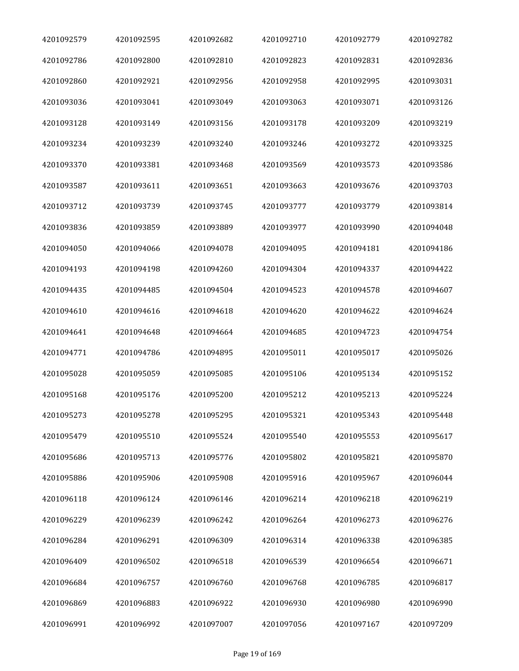| 4201092579 | 4201092595 | 4201092682 | 4201092710 | 4201092779 | 4201092782 |
|------------|------------|------------|------------|------------|------------|
| 4201092786 | 4201092800 | 4201092810 | 4201092823 | 4201092831 | 4201092836 |
| 4201092860 | 4201092921 | 4201092956 | 4201092958 | 4201092995 | 4201093031 |
| 4201093036 | 4201093041 | 4201093049 | 4201093063 | 4201093071 | 4201093126 |
| 4201093128 | 4201093149 | 4201093156 | 4201093178 | 4201093209 | 4201093219 |
| 4201093234 | 4201093239 | 4201093240 | 4201093246 | 4201093272 | 4201093325 |
| 4201093370 | 4201093381 | 4201093468 | 4201093569 | 4201093573 | 4201093586 |
| 4201093587 | 4201093611 | 4201093651 | 4201093663 | 4201093676 | 4201093703 |
| 4201093712 | 4201093739 | 4201093745 | 4201093777 | 4201093779 | 4201093814 |
| 4201093836 | 4201093859 | 4201093889 | 4201093977 | 4201093990 | 4201094048 |
| 4201094050 | 4201094066 | 4201094078 | 4201094095 | 4201094181 | 4201094186 |
| 4201094193 | 4201094198 | 4201094260 | 4201094304 | 4201094337 | 4201094422 |
| 4201094435 | 4201094485 | 4201094504 | 4201094523 | 4201094578 | 4201094607 |
| 4201094610 | 4201094616 | 4201094618 | 4201094620 | 4201094622 | 4201094624 |
| 4201094641 | 4201094648 | 4201094664 | 4201094685 | 4201094723 | 4201094754 |
| 4201094771 | 4201094786 | 4201094895 | 4201095011 | 4201095017 | 4201095026 |
| 4201095028 | 4201095059 | 4201095085 | 4201095106 | 4201095134 | 4201095152 |
| 4201095168 | 4201095176 | 4201095200 | 4201095212 | 4201095213 | 4201095224 |
| 4201095273 | 4201095278 | 4201095295 | 4201095321 | 4201095343 | 4201095448 |
| 4201095479 | 4201095510 | 4201095524 | 4201095540 | 4201095553 | 4201095617 |
| 4201095686 | 4201095713 | 4201095776 | 4201095802 | 4201095821 | 4201095870 |
| 4201095886 | 4201095906 | 4201095908 | 4201095916 | 4201095967 | 4201096044 |
| 4201096118 | 4201096124 | 4201096146 | 4201096214 | 4201096218 | 4201096219 |
| 4201096229 | 4201096239 | 4201096242 | 4201096264 | 4201096273 | 4201096276 |
| 4201096284 | 4201096291 | 4201096309 | 4201096314 | 4201096338 | 4201096385 |
| 4201096409 | 4201096502 | 4201096518 | 4201096539 | 4201096654 | 4201096671 |
| 4201096684 | 4201096757 | 4201096760 | 4201096768 | 4201096785 | 4201096817 |
| 4201096869 | 4201096883 | 4201096922 | 4201096930 | 4201096980 | 4201096990 |
| 4201096991 | 4201096992 | 4201097007 | 4201097056 | 4201097167 | 4201097209 |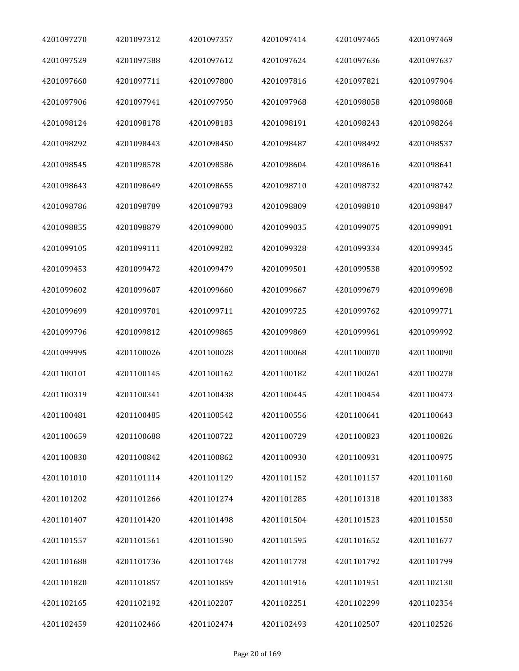| 4201097270 | 4201097312 | 4201097357 | 4201097414 | 4201097465 | 4201097469 |
|------------|------------|------------|------------|------------|------------|
| 4201097529 | 4201097588 | 4201097612 | 4201097624 | 4201097636 | 4201097637 |
| 4201097660 | 4201097711 | 4201097800 | 4201097816 | 4201097821 | 4201097904 |
| 4201097906 | 4201097941 | 4201097950 | 4201097968 | 4201098058 | 4201098068 |
| 4201098124 | 4201098178 | 4201098183 | 4201098191 | 4201098243 | 4201098264 |
| 4201098292 | 4201098443 | 4201098450 | 4201098487 | 4201098492 | 4201098537 |
| 4201098545 | 4201098578 | 4201098586 | 4201098604 | 4201098616 | 4201098641 |
| 4201098643 | 4201098649 | 4201098655 | 4201098710 | 4201098732 | 4201098742 |
| 4201098786 | 4201098789 | 4201098793 | 4201098809 | 4201098810 | 4201098847 |
| 4201098855 | 4201098879 | 4201099000 | 4201099035 | 4201099075 | 4201099091 |
| 4201099105 | 4201099111 | 4201099282 | 4201099328 | 4201099334 | 4201099345 |
| 4201099453 | 4201099472 | 4201099479 | 4201099501 | 4201099538 | 4201099592 |
| 4201099602 | 4201099607 | 4201099660 | 4201099667 | 4201099679 | 4201099698 |
| 4201099699 | 4201099701 | 4201099711 | 4201099725 | 4201099762 | 4201099771 |
| 4201099796 | 4201099812 | 4201099865 | 4201099869 | 4201099961 | 4201099992 |
| 4201099995 | 4201100026 | 4201100028 | 4201100068 | 4201100070 | 4201100090 |
| 4201100101 | 4201100145 | 4201100162 | 4201100182 | 4201100261 | 4201100278 |
| 4201100319 | 4201100341 | 4201100438 | 4201100445 | 4201100454 | 4201100473 |
| 4201100481 | 4201100485 | 4201100542 | 4201100556 | 4201100641 | 4201100643 |
| 4201100659 | 4201100688 | 4201100722 | 4201100729 | 4201100823 | 4201100826 |
| 4201100830 | 4201100842 | 4201100862 | 4201100930 | 4201100931 | 4201100975 |
| 4201101010 | 4201101114 | 4201101129 | 4201101152 | 4201101157 | 4201101160 |
| 4201101202 | 4201101266 | 4201101274 | 4201101285 | 4201101318 | 4201101383 |
| 4201101407 | 4201101420 | 4201101498 | 4201101504 | 4201101523 | 4201101550 |
| 4201101557 | 4201101561 | 4201101590 | 4201101595 | 4201101652 | 4201101677 |
| 4201101688 | 4201101736 | 4201101748 | 4201101778 | 4201101792 | 4201101799 |
| 4201101820 | 4201101857 | 4201101859 | 4201101916 | 4201101951 | 4201102130 |
| 4201102165 | 4201102192 | 4201102207 | 4201102251 | 4201102299 | 4201102354 |
| 4201102459 | 4201102466 | 4201102474 | 4201102493 | 4201102507 | 4201102526 |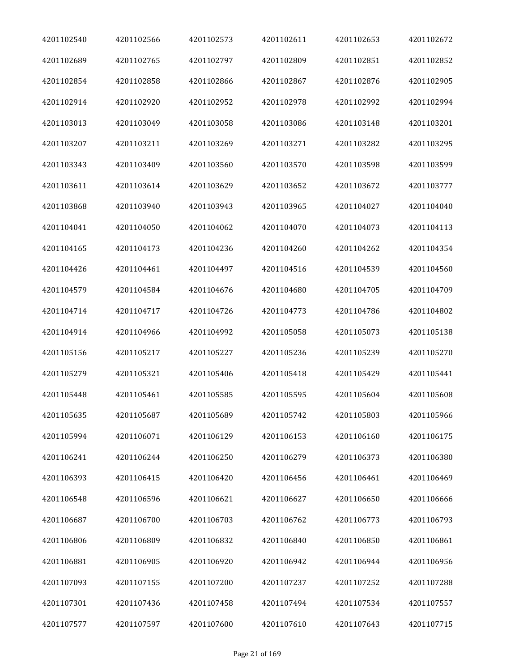| 4201102540 | 4201102566 | 4201102573 | 4201102611 | 4201102653 | 4201102672 |
|------------|------------|------------|------------|------------|------------|
| 4201102689 | 4201102765 | 4201102797 | 4201102809 | 4201102851 | 4201102852 |
| 4201102854 | 4201102858 | 4201102866 | 4201102867 | 4201102876 | 4201102905 |
| 4201102914 | 4201102920 | 4201102952 | 4201102978 | 4201102992 | 4201102994 |
| 4201103013 | 4201103049 | 4201103058 | 4201103086 | 4201103148 | 4201103201 |
| 4201103207 | 4201103211 | 4201103269 | 4201103271 | 4201103282 | 4201103295 |
| 4201103343 | 4201103409 | 4201103560 | 4201103570 | 4201103598 | 4201103599 |
| 4201103611 | 4201103614 | 4201103629 | 4201103652 | 4201103672 | 4201103777 |
| 4201103868 | 4201103940 | 4201103943 | 4201103965 | 4201104027 | 4201104040 |
| 4201104041 | 4201104050 | 4201104062 | 4201104070 | 4201104073 | 4201104113 |
| 4201104165 | 4201104173 | 4201104236 | 4201104260 | 4201104262 | 4201104354 |
| 4201104426 | 4201104461 | 4201104497 | 4201104516 | 4201104539 | 4201104560 |
| 4201104579 | 4201104584 | 4201104676 | 4201104680 | 4201104705 | 4201104709 |
| 4201104714 | 4201104717 | 4201104726 | 4201104773 | 4201104786 | 4201104802 |
| 4201104914 | 4201104966 | 4201104992 | 4201105058 | 4201105073 | 4201105138 |
| 4201105156 | 4201105217 | 4201105227 | 4201105236 | 4201105239 | 4201105270 |
| 4201105279 | 4201105321 | 4201105406 | 4201105418 | 4201105429 | 4201105441 |
| 4201105448 | 4201105461 | 4201105585 | 4201105595 | 4201105604 | 4201105608 |
| 4201105635 | 4201105687 | 4201105689 | 4201105742 | 4201105803 | 4201105966 |
| 4201105994 | 4201106071 | 4201106129 | 4201106153 | 4201106160 | 4201106175 |
| 4201106241 | 4201106244 | 4201106250 | 4201106279 | 4201106373 | 4201106380 |
| 4201106393 | 4201106415 | 4201106420 | 4201106456 | 4201106461 | 4201106469 |
| 4201106548 | 4201106596 | 4201106621 | 4201106627 | 4201106650 | 4201106666 |
| 4201106687 | 4201106700 | 4201106703 | 4201106762 | 4201106773 | 4201106793 |
| 4201106806 | 4201106809 | 4201106832 | 4201106840 | 4201106850 | 4201106861 |
| 4201106881 | 4201106905 | 4201106920 | 4201106942 | 4201106944 | 4201106956 |
| 4201107093 | 4201107155 | 4201107200 | 4201107237 | 4201107252 | 4201107288 |
| 4201107301 | 4201107436 | 4201107458 | 4201107494 | 4201107534 | 4201107557 |
| 4201107577 | 4201107597 | 4201107600 | 4201107610 | 4201107643 | 4201107715 |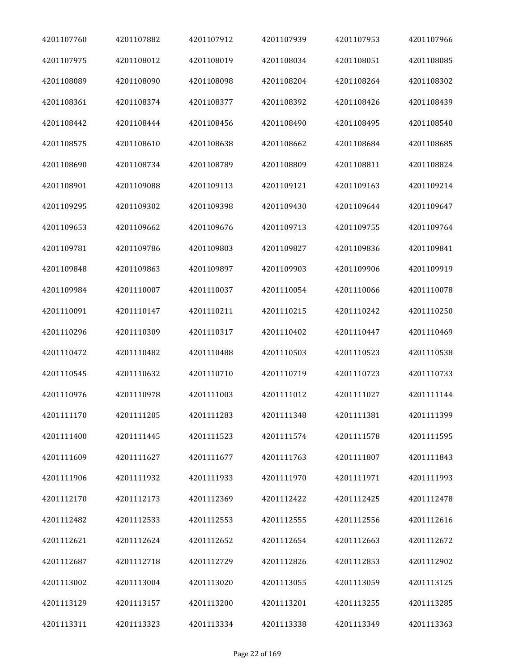| 4201107760 | 4201107882 | 4201107912 | 4201107939 | 4201107953 | 4201107966 |
|------------|------------|------------|------------|------------|------------|
| 4201107975 | 4201108012 | 4201108019 | 4201108034 | 4201108051 | 4201108085 |
| 4201108089 | 4201108090 | 4201108098 | 4201108204 | 4201108264 | 4201108302 |
| 4201108361 | 4201108374 | 4201108377 | 4201108392 | 4201108426 | 4201108439 |
| 4201108442 | 4201108444 | 4201108456 | 4201108490 | 4201108495 | 4201108540 |
| 4201108575 | 4201108610 | 4201108638 | 4201108662 | 4201108684 | 4201108685 |
| 4201108690 | 4201108734 | 4201108789 | 4201108809 | 4201108811 | 4201108824 |
| 4201108901 | 4201109088 | 4201109113 | 4201109121 | 4201109163 | 4201109214 |
| 4201109295 | 4201109302 | 4201109398 | 4201109430 | 4201109644 | 4201109647 |
| 4201109653 | 4201109662 | 4201109676 | 4201109713 | 4201109755 | 4201109764 |
| 4201109781 | 4201109786 | 4201109803 | 4201109827 | 4201109836 | 4201109841 |
| 4201109848 | 4201109863 | 4201109897 | 4201109903 | 4201109906 | 4201109919 |
| 4201109984 | 4201110007 | 4201110037 | 4201110054 | 4201110066 | 4201110078 |
| 4201110091 | 4201110147 | 4201110211 | 4201110215 | 4201110242 | 4201110250 |
| 4201110296 | 4201110309 | 4201110317 | 4201110402 | 4201110447 | 4201110469 |
| 4201110472 | 4201110482 | 4201110488 | 4201110503 | 4201110523 | 4201110538 |
| 4201110545 | 4201110632 | 4201110710 | 4201110719 | 4201110723 | 4201110733 |
| 4201110976 | 4201110978 | 4201111003 | 4201111012 | 4201111027 | 4201111144 |
| 4201111170 | 4201111205 | 4201111283 | 4201111348 | 4201111381 | 4201111399 |
| 4201111400 | 4201111445 | 4201111523 | 4201111574 | 4201111578 | 4201111595 |
| 4201111609 | 4201111627 | 4201111677 | 4201111763 | 4201111807 | 4201111843 |
| 4201111906 | 4201111932 | 4201111933 | 4201111970 | 4201111971 | 4201111993 |
| 4201112170 | 4201112173 | 4201112369 | 4201112422 | 4201112425 | 4201112478 |
| 4201112482 | 4201112533 | 4201112553 | 4201112555 | 4201112556 | 4201112616 |
| 4201112621 | 4201112624 | 4201112652 | 4201112654 | 4201112663 | 4201112672 |
| 4201112687 | 4201112718 | 4201112729 | 4201112826 | 4201112853 | 4201112902 |
| 4201113002 | 4201113004 | 4201113020 | 4201113055 | 4201113059 | 4201113125 |
| 4201113129 | 4201113157 | 4201113200 | 4201113201 | 4201113255 | 4201113285 |
| 4201113311 | 4201113323 | 4201113334 | 4201113338 | 4201113349 | 4201113363 |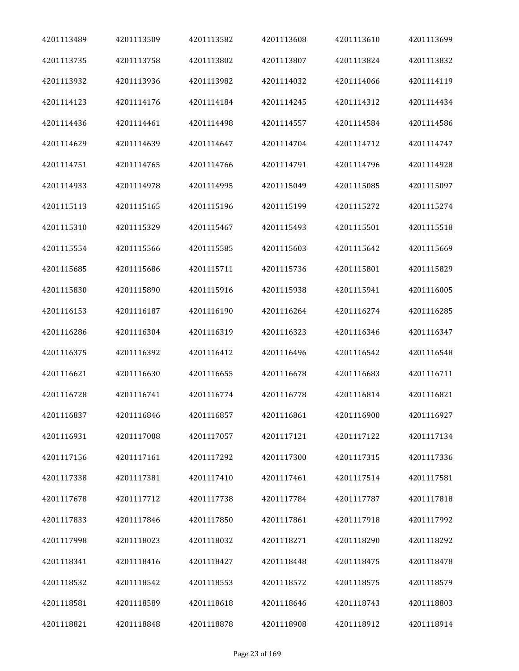| 4201113489 | 4201113509 | 4201113582 | 4201113608 | 4201113610 | 4201113699 |
|------------|------------|------------|------------|------------|------------|
| 4201113735 | 4201113758 | 4201113802 | 4201113807 | 4201113824 | 4201113832 |
| 4201113932 | 4201113936 | 4201113982 | 4201114032 | 4201114066 | 4201114119 |
| 4201114123 | 4201114176 | 4201114184 | 4201114245 | 4201114312 | 4201114434 |
| 4201114436 | 4201114461 | 4201114498 | 4201114557 | 4201114584 | 4201114586 |
| 4201114629 | 4201114639 | 4201114647 | 4201114704 | 4201114712 | 4201114747 |
| 4201114751 | 4201114765 | 4201114766 | 4201114791 | 4201114796 | 4201114928 |
| 4201114933 | 4201114978 | 4201114995 | 4201115049 | 4201115085 | 4201115097 |
| 4201115113 | 4201115165 | 4201115196 | 4201115199 | 4201115272 | 4201115274 |
| 4201115310 | 4201115329 | 4201115467 | 4201115493 | 4201115501 | 4201115518 |
| 4201115554 | 4201115566 | 4201115585 | 4201115603 | 4201115642 | 4201115669 |
| 4201115685 | 4201115686 | 4201115711 | 4201115736 | 4201115801 | 4201115829 |
| 4201115830 | 4201115890 | 4201115916 | 4201115938 | 4201115941 | 4201116005 |
| 4201116153 | 4201116187 | 4201116190 | 4201116264 | 4201116274 | 4201116285 |
| 4201116286 | 4201116304 | 4201116319 | 4201116323 | 4201116346 | 4201116347 |
| 4201116375 | 4201116392 | 4201116412 | 4201116496 | 4201116542 | 4201116548 |
| 4201116621 | 4201116630 | 4201116655 | 4201116678 | 4201116683 | 4201116711 |
| 4201116728 | 4201116741 | 4201116774 | 4201116778 | 4201116814 | 4201116821 |
| 4201116837 | 4201116846 | 4201116857 | 4201116861 | 4201116900 | 4201116927 |
| 4201116931 | 4201117008 | 4201117057 | 4201117121 | 4201117122 | 4201117134 |
| 4201117156 | 4201117161 | 4201117292 | 4201117300 | 4201117315 | 4201117336 |
| 4201117338 | 4201117381 | 4201117410 | 4201117461 | 4201117514 | 4201117581 |
| 4201117678 | 4201117712 | 4201117738 | 4201117784 | 4201117787 | 4201117818 |
| 4201117833 | 4201117846 | 4201117850 | 4201117861 | 4201117918 | 4201117992 |
| 4201117998 | 4201118023 | 4201118032 | 4201118271 | 4201118290 | 4201118292 |
| 4201118341 | 4201118416 | 4201118427 | 4201118448 | 4201118475 | 4201118478 |
| 4201118532 | 4201118542 | 4201118553 | 4201118572 | 4201118575 | 4201118579 |
| 4201118581 | 4201118589 | 4201118618 | 4201118646 | 4201118743 | 4201118803 |
| 4201118821 | 4201118848 | 4201118878 | 4201118908 | 4201118912 | 4201118914 |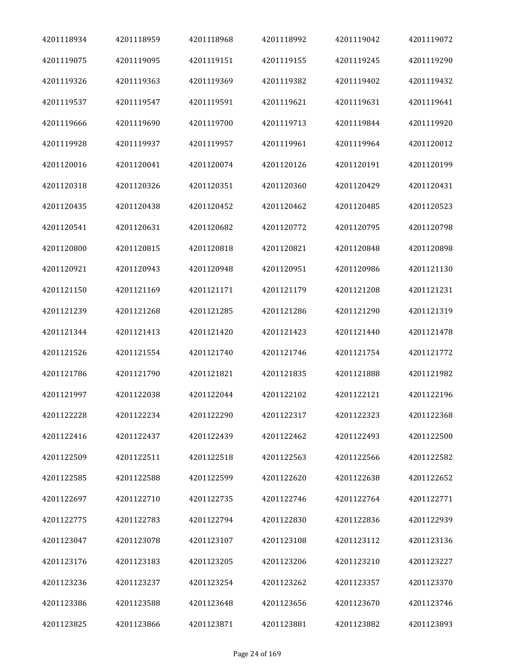| 4201118934 | 4201118959 | 4201118968 | 4201118992 | 4201119042 | 4201119072 |
|------------|------------|------------|------------|------------|------------|
| 4201119075 | 4201119095 | 4201119151 | 4201119155 | 4201119245 | 4201119290 |
| 4201119326 | 4201119363 | 4201119369 | 4201119382 | 4201119402 | 4201119432 |
| 4201119537 | 4201119547 | 4201119591 | 4201119621 | 4201119631 | 4201119641 |
| 4201119666 | 4201119690 | 4201119700 | 4201119713 | 4201119844 | 4201119920 |
| 4201119928 | 4201119937 | 4201119957 | 4201119961 | 4201119964 | 4201120012 |
| 4201120016 | 4201120041 | 4201120074 | 4201120126 | 4201120191 | 4201120199 |
| 4201120318 | 4201120326 | 4201120351 | 4201120360 | 4201120429 | 4201120431 |
| 4201120435 | 4201120438 | 4201120452 | 4201120462 | 4201120485 | 4201120523 |
| 4201120541 | 4201120631 | 4201120682 | 4201120772 | 4201120795 | 4201120798 |
| 4201120800 | 4201120815 | 4201120818 | 4201120821 | 4201120848 | 4201120898 |
| 4201120921 | 4201120943 | 4201120948 | 4201120951 | 4201120986 | 4201121130 |
| 4201121150 | 4201121169 | 4201121171 | 4201121179 | 4201121208 | 4201121231 |
| 4201121239 | 4201121268 | 4201121285 | 4201121286 | 4201121290 | 4201121319 |
| 4201121344 | 4201121413 | 4201121420 | 4201121423 | 4201121440 | 4201121478 |
| 4201121526 | 4201121554 | 4201121740 | 4201121746 | 4201121754 | 4201121772 |
| 4201121786 | 4201121790 | 4201121821 | 4201121835 | 4201121888 | 4201121982 |
| 4201121997 | 4201122038 | 4201122044 | 4201122102 | 4201122121 | 4201122196 |
| 4201122228 | 4201122234 | 4201122290 | 4201122317 | 4201122323 | 4201122368 |
| 4201122416 | 4201122437 | 4201122439 | 4201122462 | 4201122493 | 4201122500 |
| 4201122509 | 4201122511 | 4201122518 | 4201122563 | 4201122566 | 4201122582 |
| 4201122585 | 4201122588 | 4201122599 | 4201122620 | 4201122638 | 4201122652 |
| 4201122697 | 4201122710 | 4201122735 | 4201122746 | 4201122764 | 4201122771 |
| 4201122775 | 4201122783 | 4201122794 | 4201122830 | 4201122836 | 4201122939 |
| 4201123047 | 4201123078 | 4201123107 | 4201123108 | 4201123112 | 4201123136 |
| 4201123176 | 4201123183 | 4201123205 | 4201123206 | 4201123210 | 4201123227 |
| 4201123236 | 4201123237 | 4201123254 | 4201123262 | 4201123357 | 4201123370 |
| 4201123386 | 4201123588 | 4201123648 | 4201123656 | 4201123670 | 4201123746 |
| 4201123825 | 4201123866 | 4201123871 | 4201123881 | 4201123882 | 4201123893 |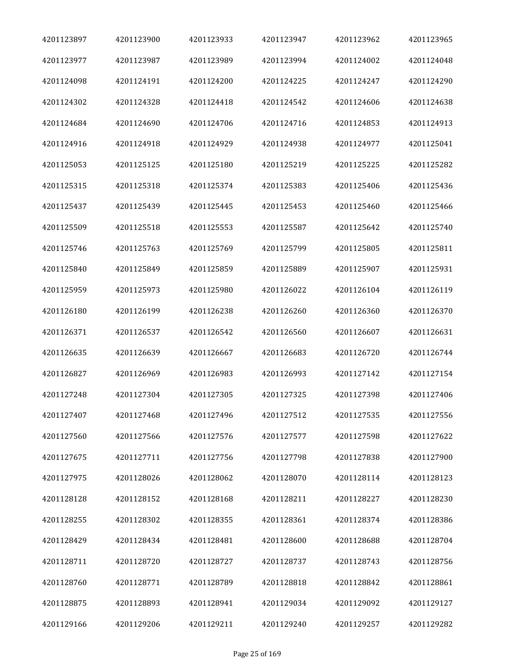| 4201123897 | 4201123900 | 4201123933 | 4201123947 | 4201123962 | 4201123965 |
|------------|------------|------------|------------|------------|------------|
| 4201123977 | 4201123987 | 4201123989 | 4201123994 | 4201124002 | 4201124048 |
| 4201124098 | 4201124191 | 4201124200 | 4201124225 | 4201124247 | 4201124290 |
| 4201124302 | 4201124328 | 4201124418 | 4201124542 | 4201124606 | 4201124638 |
| 4201124684 | 4201124690 | 4201124706 | 4201124716 | 4201124853 | 4201124913 |
| 4201124916 | 4201124918 | 4201124929 | 4201124938 | 4201124977 | 4201125041 |
| 4201125053 | 4201125125 | 4201125180 | 4201125219 | 4201125225 | 4201125282 |
| 4201125315 | 4201125318 | 4201125374 | 4201125383 | 4201125406 | 4201125436 |
| 4201125437 | 4201125439 | 4201125445 | 4201125453 | 4201125460 | 4201125466 |
| 4201125509 | 4201125518 | 4201125553 | 4201125587 | 4201125642 | 4201125740 |
| 4201125746 | 4201125763 | 4201125769 | 4201125799 | 4201125805 | 4201125811 |
| 4201125840 | 4201125849 | 4201125859 | 4201125889 | 4201125907 | 4201125931 |
| 4201125959 | 4201125973 | 4201125980 | 4201126022 | 4201126104 | 4201126119 |
| 4201126180 | 4201126199 | 4201126238 | 4201126260 | 4201126360 | 4201126370 |
| 4201126371 | 4201126537 | 4201126542 | 4201126560 | 4201126607 | 4201126631 |
| 4201126635 | 4201126639 | 4201126667 | 4201126683 | 4201126720 | 4201126744 |
| 4201126827 | 4201126969 | 4201126983 | 4201126993 | 4201127142 | 4201127154 |
| 4201127248 | 4201127304 | 4201127305 | 4201127325 | 4201127398 | 4201127406 |
| 4201127407 | 4201127468 | 4201127496 | 4201127512 | 4201127535 | 4201127556 |
| 4201127560 | 4201127566 | 4201127576 | 4201127577 | 4201127598 | 4201127622 |
| 4201127675 | 4201127711 | 4201127756 | 4201127798 | 4201127838 | 4201127900 |
| 4201127975 | 4201128026 | 4201128062 | 4201128070 | 4201128114 | 4201128123 |
| 4201128128 | 4201128152 | 4201128168 | 4201128211 | 4201128227 | 4201128230 |
| 4201128255 | 4201128302 | 4201128355 | 4201128361 | 4201128374 | 4201128386 |
| 4201128429 | 4201128434 | 4201128481 | 4201128600 | 4201128688 | 4201128704 |
| 4201128711 | 4201128720 | 4201128727 | 4201128737 | 4201128743 | 4201128756 |
| 4201128760 | 4201128771 | 4201128789 | 4201128818 | 4201128842 | 4201128861 |
| 4201128875 | 4201128893 | 4201128941 | 4201129034 | 4201129092 | 4201129127 |
| 4201129166 | 4201129206 | 4201129211 | 4201129240 | 4201129257 | 4201129282 |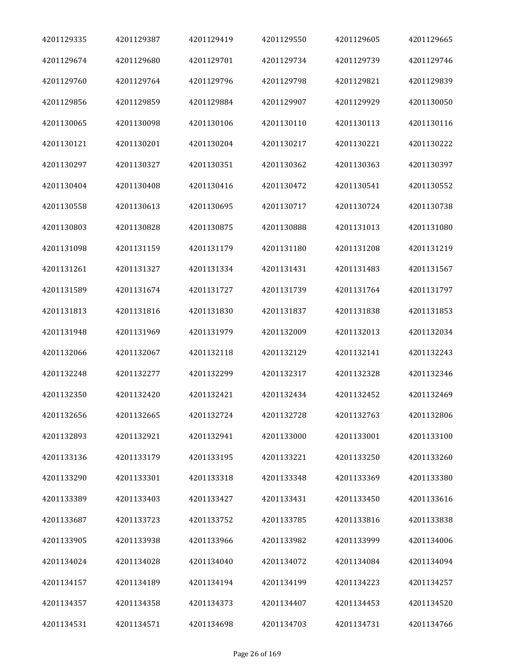| 4201129335 | 4201129387 | 4201129419 | 4201129550 | 4201129605 | 4201129665 |
|------------|------------|------------|------------|------------|------------|
| 4201129674 | 4201129680 | 4201129701 | 4201129734 | 4201129739 | 4201129746 |
| 4201129760 | 4201129764 | 4201129796 | 4201129798 | 4201129821 | 4201129839 |
| 4201129856 | 4201129859 | 4201129884 | 4201129907 | 4201129929 | 4201130050 |
| 4201130065 | 4201130098 | 4201130106 | 4201130110 | 4201130113 | 4201130116 |
| 4201130121 | 4201130201 | 4201130204 | 4201130217 | 4201130221 | 4201130222 |
| 4201130297 | 4201130327 | 4201130351 | 4201130362 | 4201130363 | 4201130397 |
| 4201130404 | 4201130408 | 4201130416 | 4201130472 | 4201130541 | 4201130552 |
| 4201130558 | 4201130613 | 4201130695 | 4201130717 | 4201130724 | 4201130738 |
| 4201130803 | 4201130828 | 4201130875 | 4201130888 | 4201131013 | 4201131080 |
| 4201131098 | 4201131159 | 4201131179 | 4201131180 | 4201131208 | 4201131219 |
| 4201131261 | 4201131327 | 4201131334 | 4201131431 | 4201131483 | 4201131567 |
| 4201131589 | 4201131674 | 4201131727 | 4201131739 | 4201131764 | 4201131797 |
| 4201131813 | 4201131816 | 4201131830 | 4201131837 | 4201131838 | 4201131853 |
| 4201131948 | 4201131969 | 4201131979 | 4201132009 | 4201132013 | 4201132034 |
| 4201132066 | 4201132067 | 4201132118 | 4201132129 | 4201132141 | 4201132243 |
| 4201132248 | 4201132277 | 4201132299 | 4201132317 | 4201132328 | 4201132346 |
| 4201132350 | 4201132420 | 4201132421 | 4201132434 | 4201132452 | 4201132469 |
| 4201132656 | 4201132665 | 4201132724 | 4201132728 | 4201132763 | 4201132806 |
| 4201132893 | 4201132921 | 4201132941 | 4201133000 | 4201133001 | 4201133100 |
| 4201133136 | 4201133179 | 4201133195 | 4201133221 | 4201133250 | 4201133260 |
| 4201133290 | 4201133301 | 4201133318 | 4201133348 | 4201133369 | 4201133380 |
| 4201133389 | 4201133403 | 4201133427 | 4201133431 | 4201133450 | 4201133616 |
| 4201133687 | 4201133723 | 4201133752 | 4201133785 | 4201133816 | 4201133838 |
| 4201133905 | 4201133938 | 4201133966 | 4201133982 | 4201133999 | 4201134006 |
| 4201134024 | 4201134028 | 4201134040 | 4201134072 | 4201134084 | 4201134094 |
| 4201134157 | 4201134189 | 4201134194 | 4201134199 | 4201134223 | 4201134257 |
| 4201134357 | 4201134358 | 4201134373 | 4201134407 | 4201134453 | 4201134520 |
| 4201134531 | 4201134571 | 4201134698 | 4201134703 | 4201134731 | 4201134766 |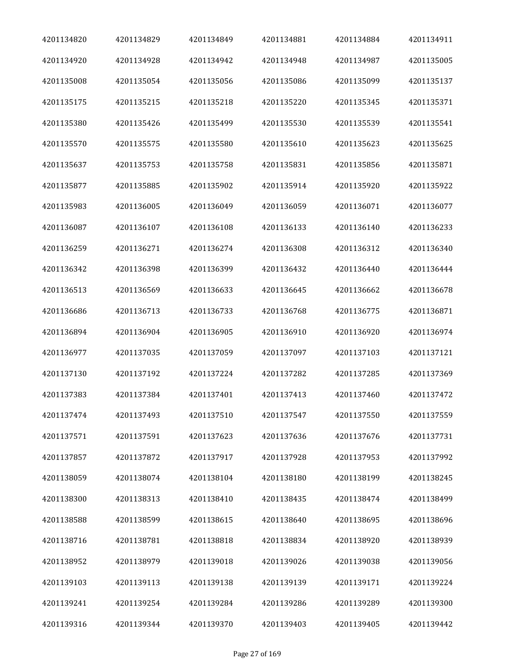| 4201134820 | 4201134829 | 4201134849 | 4201134881 | 4201134884 | 4201134911 |
|------------|------------|------------|------------|------------|------------|
| 4201134920 | 4201134928 | 4201134942 | 4201134948 | 4201134987 | 4201135005 |
| 4201135008 | 4201135054 | 4201135056 | 4201135086 | 4201135099 | 4201135137 |
| 4201135175 | 4201135215 | 4201135218 | 4201135220 | 4201135345 | 4201135371 |
| 4201135380 | 4201135426 | 4201135499 | 4201135530 | 4201135539 | 4201135541 |
| 4201135570 | 4201135575 | 4201135580 | 4201135610 | 4201135623 | 4201135625 |
| 4201135637 | 4201135753 | 4201135758 | 4201135831 | 4201135856 | 4201135871 |
| 4201135877 | 4201135885 | 4201135902 | 4201135914 | 4201135920 | 4201135922 |
| 4201135983 | 4201136005 | 4201136049 | 4201136059 | 4201136071 | 4201136077 |
| 4201136087 | 4201136107 | 4201136108 | 4201136133 | 4201136140 | 4201136233 |
| 4201136259 | 4201136271 | 4201136274 | 4201136308 | 4201136312 | 4201136340 |
| 4201136342 | 4201136398 | 4201136399 | 4201136432 | 4201136440 | 4201136444 |
| 4201136513 | 4201136569 | 4201136633 | 4201136645 | 4201136662 | 4201136678 |
| 4201136686 | 4201136713 | 4201136733 | 4201136768 | 4201136775 | 4201136871 |
| 4201136894 | 4201136904 | 4201136905 | 4201136910 | 4201136920 | 4201136974 |
| 4201136977 | 4201137035 | 4201137059 | 4201137097 | 4201137103 | 4201137121 |
| 4201137130 | 4201137192 | 4201137224 | 4201137282 | 4201137285 | 4201137369 |
| 4201137383 | 4201137384 | 4201137401 | 4201137413 | 4201137460 | 4201137472 |
| 4201137474 | 4201137493 | 4201137510 | 4201137547 | 4201137550 | 4201137559 |
| 4201137571 | 4201137591 | 4201137623 | 4201137636 | 4201137676 | 4201137731 |
| 4201137857 | 4201137872 | 4201137917 | 4201137928 | 4201137953 | 4201137992 |
| 4201138059 | 4201138074 | 4201138104 | 4201138180 | 4201138199 | 4201138245 |
| 4201138300 | 4201138313 | 4201138410 | 4201138435 | 4201138474 | 4201138499 |
| 4201138588 | 4201138599 | 4201138615 | 4201138640 | 4201138695 | 4201138696 |
| 4201138716 | 4201138781 | 4201138818 | 4201138834 | 4201138920 | 4201138939 |
| 4201138952 | 4201138979 | 4201139018 | 4201139026 | 4201139038 | 4201139056 |
| 4201139103 | 4201139113 | 4201139138 | 4201139139 | 4201139171 | 4201139224 |
| 4201139241 | 4201139254 | 4201139284 | 4201139286 | 4201139289 | 4201139300 |
| 4201139316 | 4201139344 | 4201139370 | 4201139403 | 4201139405 | 4201139442 |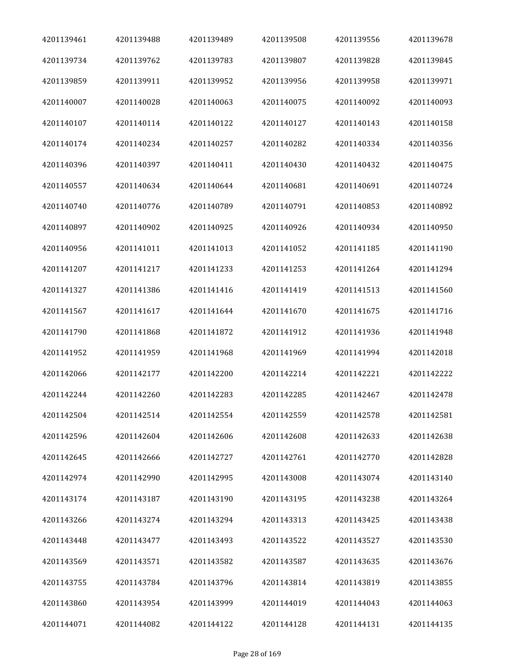| 4201139461 | 4201139488 | 4201139489 | 4201139508 | 4201139556 | 4201139678 |
|------------|------------|------------|------------|------------|------------|
| 4201139734 | 4201139762 | 4201139783 | 4201139807 | 4201139828 | 4201139845 |
| 4201139859 | 4201139911 | 4201139952 | 4201139956 | 4201139958 | 4201139971 |
| 4201140007 | 4201140028 | 4201140063 | 4201140075 | 4201140092 | 4201140093 |
| 4201140107 | 4201140114 | 4201140122 | 4201140127 | 4201140143 | 4201140158 |
| 4201140174 | 4201140234 | 4201140257 | 4201140282 | 4201140334 | 4201140356 |
| 4201140396 | 4201140397 | 4201140411 | 4201140430 | 4201140432 | 4201140475 |
| 4201140557 | 4201140634 | 4201140644 | 4201140681 | 4201140691 | 4201140724 |
| 4201140740 | 4201140776 | 4201140789 | 4201140791 | 4201140853 | 4201140892 |
| 4201140897 | 4201140902 | 4201140925 | 4201140926 | 4201140934 | 4201140950 |
| 4201140956 | 4201141011 | 4201141013 | 4201141052 | 4201141185 | 4201141190 |
| 4201141207 | 4201141217 | 4201141233 | 4201141253 | 4201141264 | 4201141294 |
| 4201141327 | 4201141386 | 4201141416 | 4201141419 | 4201141513 | 4201141560 |
| 4201141567 | 4201141617 | 4201141644 | 4201141670 | 4201141675 | 4201141716 |
| 4201141790 | 4201141868 | 4201141872 | 4201141912 | 4201141936 | 4201141948 |
| 4201141952 | 4201141959 | 4201141968 | 4201141969 | 4201141994 | 4201142018 |
| 4201142066 | 4201142177 | 4201142200 | 4201142214 | 4201142221 | 4201142222 |
| 4201142244 | 4201142260 | 4201142283 | 4201142285 | 4201142467 | 4201142478 |
| 4201142504 | 4201142514 | 4201142554 | 4201142559 | 4201142578 | 4201142581 |
| 4201142596 | 4201142604 | 4201142606 | 4201142608 | 4201142633 | 4201142638 |
| 4201142645 | 4201142666 | 4201142727 | 4201142761 | 4201142770 | 4201142828 |
| 4201142974 | 4201142990 | 4201142995 | 4201143008 | 4201143074 | 4201143140 |
| 4201143174 | 4201143187 | 4201143190 | 4201143195 | 4201143238 | 4201143264 |
| 4201143266 | 4201143274 | 4201143294 | 4201143313 | 4201143425 | 4201143438 |
| 4201143448 | 4201143477 | 4201143493 | 4201143522 | 4201143527 | 4201143530 |
| 4201143569 | 4201143571 | 4201143582 | 4201143587 | 4201143635 | 4201143676 |
| 4201143755 | 4201143784 | 4201143796 | 4201143814 | 4201143819 | 4201143855 |
| 4201143860 | 4201143954 | 4201143999 | 4201144019 | 4201144043 | 4201144063 |
| 4201144071 | 4201144082 | 4201144122 | 4201144128 | 4201144131 | 4201144135 |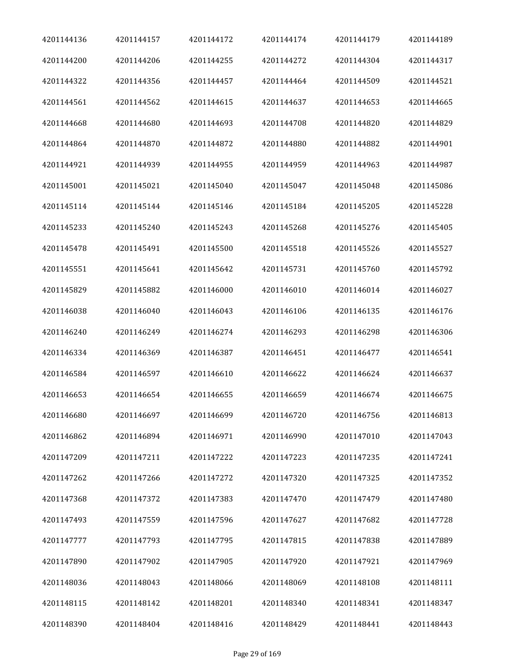| 4201144136 | 4201144157 | 4201144172 | 4201144174 | 4201144179 | 4201144189 |
|------------|------------|------------|------------|------------|------------|
| 4201144200 | 4201144206 | 4201144255 | 4201144272 | 4201144304 | 4201144317 |
| 4201144322 | 4201144356 | 4201144457 | 4201144464 | 4201144509 | 4201144521 |
| 4201144561 | 4201144562 | 4201144615 | 4201144637 | 4201144653 | 4201144665 |
| 4201144668 | 4201144680 | 4201144693 | 4201144708 | 4201144820 | 4201144829 |
| 4201144864 | 4201144870 | 4201144872 | 4201144880 | 4201144882 | 4201144901 |
| 4201144921 | 4201144939 | 4201144955 | 4201144959 | 4201144963 | 4201144987 |
| 4201145001 | 4201145021 | 4201145040 | 4201145047 | 4201145048 | 4201145086 |
| 4201145114 | 4201145144 | 4201145146 | 4201145184 | 4201145205 | 4201145228 |
| 4201145233 | 4201145240 | 4201145243 | 4201145268 | 4201145276 | 4201145405 |
| 4201145478 | 4201145491 | 4201145500 | 4201145518 | 4201145526 | 4201145527 |
| 4201145551 | 4201145641 | 4201145642 | 4201145731 | 4201145760 | 4201145792 |
| 4201145829 | 4201145882 | 4201146000 | 4201146010 | 4201146014 | 4201146027 |
| 4201146038 | 4201146040 | 4201146043 | 4201146106 | 4201146135 | 4201146176 |
| 4201146240 | 4201146249 | 4201146274 | 4201146293 | 4201146298 | 4201146306 |
| 4201146334 | 4201146369 | 4201146387 | 4201146451 | 4201146477 | 4201146541 |
| 4201146584 | 4201146597 | 4201146610 | 4201146622 | 4201146624 | 4201146637 |
| 4201146653 | 4201146654 | 4201146655 | 4201146659 | 4201146674 | 4201146675 |
| 4201146680 | 4201146697 | 4201146699 | 4201146720 | 4201146756 | 4201146813 |
| 4201146862 | 4201146894 | 4201146971 | 4201146990 | 4201147010 | 4201147043 |
| 4201147209 | 4201147211 | 4201147222 | 4201147223 | 4201147235 | 4201147241 |
| 4201147262 | 4201147266 | 4201147272 | 4201147320 | 4201147325 | 4201147352 |
| 4201147368 | 4201147372 | 4201147383 | 4201147470 | 4201147479 | 4201147480 |
| 4201147493 | 4201147559 | 4201147596 | 4201147627 | 4201147682 | 4201147728 |
| 4201147777 | 4201147793 | 4201147795 | 4201147815 | 4201147838 | 4201147889 |
| 4201147890 | 4201147902 | 4201147905 | 4201147920 | 4201147921 | 4201147969 |
| 4201148036 | 4201148043 | 4201148066 | 4201148069 | 4201148108 | 4201148111 |
| 4201148115 | 4201148142 | 4201148201 | 4201148340 | 4201148341 | 4201148347 |
| 4201148390 | 4201148404 | 4201148416 | 4201148429 | 4201148441 | 4201148443 |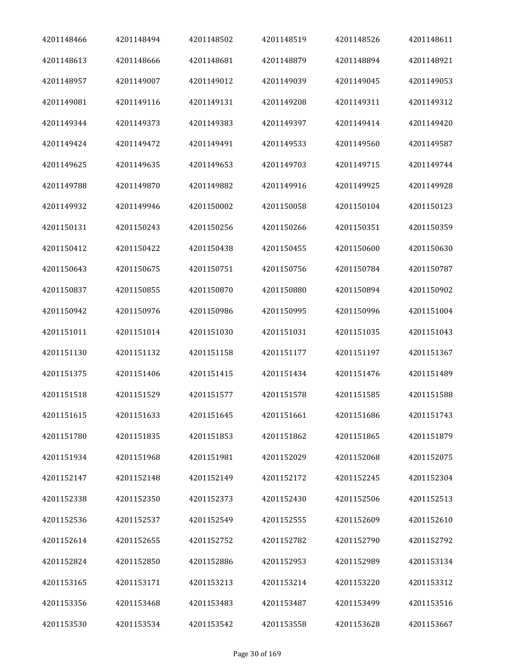| 4201148466 | 4201148494 | 4201148502 | 4201148519 | 4201148526 | 4201148611 |
|------------|------------|------------|------------|------------|------------|
| 4201148613 | 4201148666 | 4201148681 | 4201148879 | 4201148894 | 4201148921 |
| 4201148957 | 4201149007 | 4201149012 | 4201149039 | 4201149045 | 4201149053 |
| 4201149081 | 4201149116 | 4201149131 | 4201149208 | 4201149311 | 4201149312 |
| 4201149344 | 4201149373 | 4201149383 | 4201149397 | 4201149414 | 4201149420 |
| 4201149424 | 4201149472 | 4201149491 | 4201149533 | 4201149560 | 4201149587 |
| 4201149625 | 4201149635 | 4201149653 | 4201149703 | 4201149715 | 4201149744 |
| 4201149788 | 4201149870 | 4201149882 | 4201149916 | 4201149925 | 4201149928 |
| 4201149932 | 4201149946 | 4201150002 | 4201150058 | 4201150104 | 4201150123 |
| 4201150131 | 4201150243 | 4201150256 | 4201150266 | 4201150351 | 4201150359 |
| 4201150412 | 4201150422 | 4201150438 | 4201150455 | 4201150600 | 4201150630 |
| 4201150643 | 4201150675 | 4201150751 | 4201150756 | 4201150784 | 4201150787 |
| 4201150837 | 4201150855 | 4201150870 | 4201150880 | 4201150894 | 4201150902 |
| 4201150942 | 4201150976 | 4201150986 | 4201150995 | 4201150996 | 4201151004 |
| 4201151011 | 4201151014 | 4201151030 | 4201151031 | 4201151035 | 4201151043 |
| 4201151130 | 4201151132 | 4201151158 | 4201151177 | 4201151197 | 4201151367 |
| 4201151375 | 4201151406 | 4201151415 | 4201151434 | 4201151476 | 4201151489 |
| 4201151518 | 4201151529 | 4201151577 | 4201151578 | 4201151585 | 4201151588 |
| 4201151615 | 4201151633 | 4201151645 | 4201151661 | 4201151686 | 4201151743 |
| 4201151780 | 4201151835 | 4201151853 | 4201151862 | 4201151865 | 4201151879 |
| 4201151934 | 4201151968 | 4201151981 | 4201152029 | 4201152068 | 4201152075 |
| 4201152147 | 4201152148 | 4201152149 | 4201152172 | 4201152245 | 4201152304 |
| 4201152338 | 4201152350 | 4201152373 | 4201152430 | 4201152506 | 4201152513 |
| 4201152536 | 4201152537 | 4201152549 | 4201152555 | 4201152609 | 4201152610 |
| 4201152614 | 4201152655 | 4201152752 | 4201152782 | 4201152790 | 4201152792 |
| 4201152824 | 4201152850 | 4201152886 | 4201152953 | 4201152989 | 4201153134 |
| 4201153165 | 4201153171 | 4201153213 | 4201153214 | 4201153220 | 4201153312 |
| 4201153356 | 4201153468 | 4201153483 | 4201153487 | 4201153499 | 4201153516 |
| 4201153530 | 4201153534 | 4201153542 | 4201153558 | 4201153628 | 4201153667 |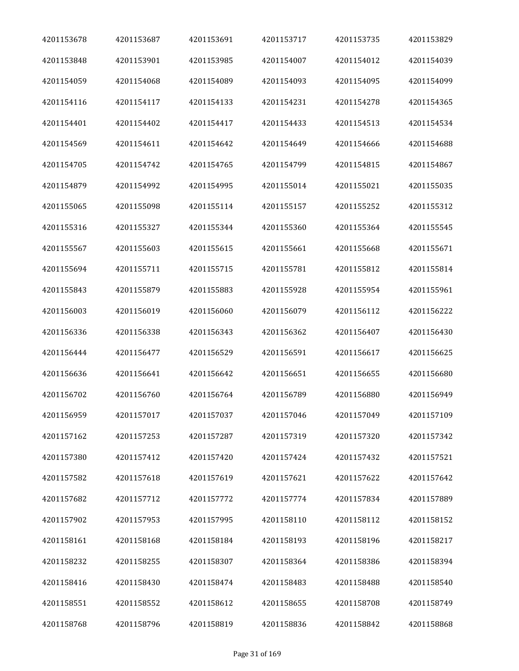| 4201153678 | 4201153687 | 4201153691 | 4201153717 | 4201153735 | 4201153829 |
|------------|------------|------------|------------|------------|------------|
| 4201153848 | 4201153901 | 4201153985 | 4201154007 | 4201154012 | 4201154039 |
| 4201154059 | 4201154068 | 4201154089 | 4201154093 | 4201154095 | 4201154099 |
| 4201154116 | 4201154117 | 4201154133 | 4201154231 | 4201154278 | 4201154365 |
| 4201154401 | 4201154402 | 4201154417 | 4201154433 | 4201154513 | 4201154534 |
| 4201154569 | 4201154611 | 4201154642 | 4201154649 | 4201154666 | 4201154688 |
| 4201154705 | 4201154742 | 4201154765 | 4201154799 | 4201154815 | 4201154867 |
| 4201154879 | 4201154992 | 4201154995 | 4201155014 | 4201155021 | 4201155035 |
| 4201155065 | 4201155098 | 4201155114 | 4201155157 | 4201155252 | 4201155312 |
| 4201155316 | 4201155327 | 4201155344 | 4201155360 | 4201155364 | 4201155545 |
| 4201155567 | 4201155603 | 4201155615 | 4201155661 | 4201155668 | 4201155671 |
| 4201155694 | 4201155711 | 4201155715 | 4201155781 | 4201155812 | 4201155814 |
| 4201155843 | 4201155879 | 4201155883 | 4201155928 | 4201155954 | 4201155961 |
| 4201156003 | 4201156019 | 4201156060 | 4201156079 | 4201156112 | 4201156222 |
| 4201156336 | 4201156338 | 4201156343 | 4201156362 | 4201156407 | 4201156430 |
| 4201156444 | 4201156477 | 4201156529 | 4201156591 | 4201156617 | 4201156625 |
| 4201156636 | 4201156641 | 4201156642 | 4201156651 | 4201156655 | 4201156680 |
| 4201156702 | 4201156760 | 4201156764 | 4201156789 | 4201156880 | 4201156949 |
| 4201156959 | 4201157017 | 4201157037 | 4201157046 | 4201157049 | 4201157109 |
| 4201157162 | 4201157253 | 4201157287 | 4201157319 | 4201157320 | 4201157342 |
| 4201157380 | 4201157412 | 4201157420 | 4201157424 | 4201157432 | 4201157521 |
| 4201157582 | 4201157618 | 4201157619 | 4201157621 | 4201157622 | 4201157642 |
| 4201157682 | 4201157712 | 4201157772 | 4201157774 | 4201157834 | 4201157889 |
| 4201157902 | 4201157953 | 4201157995 | 4201158110 | 4201158112 | 4201158152 |
| 4201158161 | 4201158168 | 4201158184 | 4201158193 | 4201158196 | 4201158217 |
| 4201158232 | 4201158255 | 4201158307 | 4201158364 | 4201158386 | 4201158394 |
| 4201158416 | 4201158430 | 4201158474 | 4201158483 | 4201158488 | 4201158540 |
| 4201158551 | 4201158552 | 4201158612 | 4201158655 | 4201158708 | 4201158749 |
| 4201158768 | 4201158796 | 4201158819 | 4201158836 | 4201158842 | 4201158868 |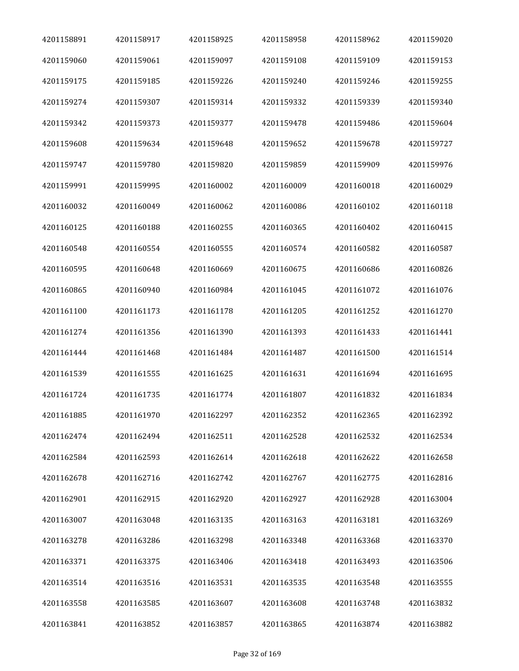| 4201158891 | 4201158917 | 4201158925 | 4201158958 | 4201158962 | 4201159020 |
|------------|------------|------------|------------|------------|------------|
| 4201159060 | 4201159061 | 4201159097 | 4201159108 | 4201159109 | 4201159153 |
| 4201159175 | 4201159185 | 4201159226 | 4201159240 | 4201159246 | 4201159255 |
| 4201159274 | 4201159307 | 4201159314 | 4201159332 | 4201159339 | 4201159340 |
| 4201159342 | 4201159373 | 4201159377 | 4201159478 | 4201159486 | 4201159604 |
| 4201159608 | 4201159634 | 4201159648 | 4201159652 | 4201159678 | 4201159727 |
| 4201159747 | 4201159780 | 4201159820 | 4201159859 | 4201159909 | 4201159976 |
| 4201159991 | 4201159995 | 4201160002 | 4201160009 | 4201160018 | 4201160029 |
| 4201160032 | 4201160049 | 4201160062 | 4201160086 | 4201160102 | 4201160118 |
| 4201160125 | 4201160188 | 4201160255 | 4201160365 | 4201160402 | 4201160415 |
| 4201160548 | 4201160554 | 4201160555 | 4201160574 | 4201160582 | 4201160587 |
| 4201160595 | 4201160648 | 4201160669 | 4201160675 | 4201160686 | 4201160826 |
| 4201160865 | 4201160940 | 4201160984 | 4201161045 | 4201161072 | 4201161076 |
| 4201161100 | 4201161173 | 4201161178 | 4201161205 | 4201161252 | 4201161270 |
| 4201161274 | 4201161356 | 4201161390 | 4201161393 | 4201161433 | 4201161441 |
| 4201161444 | 4201161468 | 4201161484 | 4201161487 | 4201161500 | 4201161514 |
| 4201161539 | 4201161555 | 4201161625 | 4201161631 | 4201161694 | 4201161695 |
| 4201161724 | 4201161735 | 4201161774 | 4201161807 | 4201161832 | 4201161834 |
| 4201161885 | 4201161970 | 4201162297 | 4201162352 | 4201162365 | 4201162392 |
| 4201162474 | 4201162494 | 4201162511 | 4201162528 | 4201162532 | 4201162534 |
| 4201162584 | 4201162593 | 4201162614 | 4201162618 | 4201162622 | 4201162658 |
| 4201162678 | 4201162716 | 4201162742 | 4201162767 | 4201162775 | 4201162816 |
| 4201162901 | 4201162915 | 4201162920 | 4201162927 | 4201162928 | 4201163004 |
| 4201163007 | 4201163048 | 4201163135 | 4201163163 | 4201163181 | 4201163269 |
| 4201163278 | 4201163286 | 4201163298 | 4201163348 | 4201163368 | 4201163370 |
| 4201163371 | 4201163375 | 4201163406 | 4201163418 | 4201163493 | 4201163506 |
| 4201163514 | 4201163516 | 4201163531 | 4201163535 | 4201163548 | 4201163555 |
| 4201163558 | 4201163585 | 4201163607 | 4201163608 | 4201163748 | 4201163832 |
| 4201163841 | 4201163852 | 4201163857 | 4201163865 | 4201163874 | 4201163882 |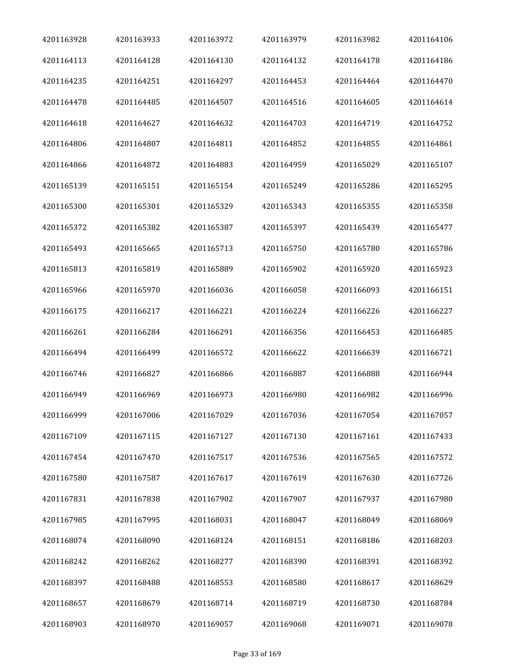| 4201163928 | 4201163933 | 4201163972 | 4201163979 | 4201163982 | 4201164106 |
|------------|------------|------------|------------|------------|------------|
| 4201164113 | 4201164128 | 4201164130 | 4201164132 | 4201164178 | 4201164186 |
| 4201164235 | 4201164251 | 4201164297 | 4201164453 | 4201164464 | 4201164470 |
| 4201164478 | 4201164485 | 4201164507 | 4201164516 | 4201164605 | 4201164614 |
| 4201164618 | 4201164627 | 4201164632 | 4201164703 | 4201164719 | 4201164752 |
| 4201164806 | 4201164807 | 4201164811 | 4201164852 | 4201164855 | 4201164861 |
| 4201164866 | 4201164872 | 4201164883 | 4201164959 | 4201165029 | 4201165107 |
| 4201165139 | 4201165151 | 4201165154 | 4201165249 | 4201165286 | 4201165295 |
| 4201165300 | 4201165301 | 4201165329 | 4201165343 | 4201165355 | 4201165358 |
| 4201165372 | 4201165382 | 4201165387 | 4201165397 | 4201165439 | 4201165477 |
| 4201165493 | 4201165665 | 4201165713 | 4201165750 | 4201165780 | 4201165786 |
| 4201165813 | 4201165819 | 4201165889 | 4201165902 | 4201165920 | 4201165923 |
| 4201165966 | 4201165970 | 4201166036 | 4201166058 | 4201166093 | 4201166151 |
| 4201166175 | 4201166217 | 4201166221 | 4201166224 | 4201166226 | 4201166227 |
| 4201166261 | 4201166284 | 4201166291 | 4201166356 | 4201166453 | 4201166485 |
| 4201166494 | 4201166499 | 4201166572 | 4201166622 | 4201166639 | 4201166721 |
| 4201166746 | 4201166827 | 4201166866 | 4201166887 | 4201166888 | 4201166944 |
| 4201166949 | 4201166969 | 4201166973 | 4201166980 | 4201166982 | 4201166996 |
| 4201166999 | 4201167006 | 4201167029 | 4201167036 | 4201167054 | 4201167057 |
| 4201167109 | 4201167115 | 4201167127 | 4201167130 | 4201167161 | 4201167433 |
| 4201167454 | 4201167470 | 4201167517 | 4201167536 | 4201167565 | 4201167572 |
| 4201167580 | 4201167587 | 4201167617 | 4201167619 | 4201167630 | 4201167726 |
| 4201167831 | 4201167838 | 4201167902 | 4201167907 | 4201167937 | 4201167980 |
| 4201167985 | 4201167995 | 4201168031 | 4201168047 | 4201168049 | 4201168069 |
| 4201168074 | 4201168090 | 4201168124 | 4201168151 | 4201168186 | 4201168203 |
| 4201168242 | 4201168262 | 4201168277 | 4201168390 | 4201168391 | 4201168392 |
| 4201168397 | 4201168488 | 4201168553 | 4201168580 | 4201168617 | 4201168629 |
| 4201168657 | 4201168679 | 4201168714 | 4201168719 | 4201168730 | 4201168784 |
| 4201168903 | 4201168970 | 4201169057 | 4201169068 | 4201169071 | 4201169078 |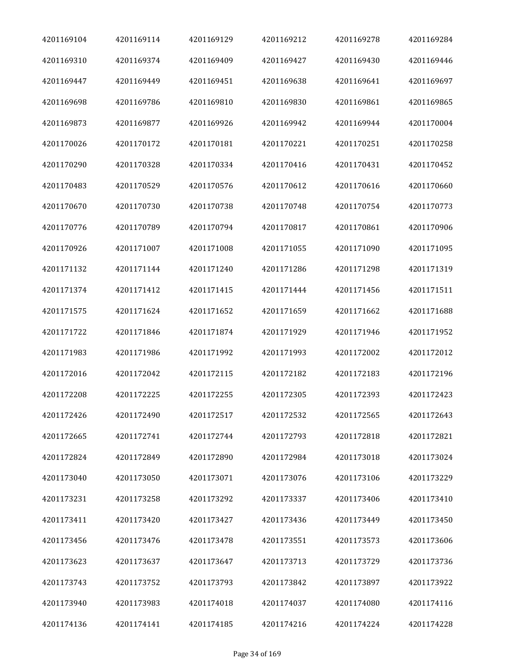| 4201169104 | 4201169114 | 4201169129 | 4201169212 | 4201169278 | 4201169284 |
|------------|------------|------------|------------|------------|------------|
| 4201169310 | 4201169374 | 4201169409 | 4201169427 | 4201169430 | 4201169446 |
| 4201169447 | 4201169449 | 4201169451 | 4201169638 | 4201169641 | 4201169697 |
| 4201169698 | 4201169786 | 4201169810 | 4201169830 | 4201169861 | 4201169865 |
| 4201169873 | 4201169877 | 4201169926 | 4201169942 | 4201169944 | 4201170004 |
| 4201170026 | 4201170172 | 4201170181 | 4201170221 | 4201170251 | 4201170258 |
| 4201170290 | 4201170328 | 4201170334 | 4201170416 | 4201170431 | 4201170452 |
| 4201170483 | 4201170529 | 4201170576 | 4201170612 | 4201170616 | 4201170660 |
| 4201170670 | 4201170730 | 4201170738 | 4201170748 | 4201170754 | 4201170773 |
| 4201170776 | 4201170789 | 4201170794 | 4201170817 | 4201170861 | 4201170906 |
| 4201170926 | 4201171007 | 4201171008 | 4201171055 | 4201171090 | 4201171095 |
| 4201171132 | 4201171144 | 4201171240 | 4201171286 | 4201171298 | 4201171319 |
| 4201171374 | 4201171412 | 4201171415 | 4201171444 | 4201171456 | 4201171511 |
| 4201171575 | 4201171624 | 4201171652 | 4201171659 | 4201171662 | 4201171688 |
| 4201171722 | 4201171846 | 4201171874 | 4201171929 | 4201171946 | 4201171952 |
| 4201171983 | 4201171986 | 4201171992 | 4201171993 | 4201172002 | 4201172012 |
| 4201172016 | 4201172042 | 4201172115 | 4201172182 | 4201172183 | 4201172196 |
| 4201172208 | 4201172225 | 4201172255 | 4201172305 | 4201172393 | 4201172423 |
| 4201172426 | 4201172490 | 4201172517 | 4201172532 | 4201172565 | 4201172643 |
| 4201172665 | 4201172741 | 4201172744 | 4201172793 | 4201172818 | 4201172821 |
| 4201172824 | 4201172849 | 4201172890 | 4201172984 | 4201173018 | 4201173024 |
| 4201173040 | 4201173050 | 4201173071 | 4201173076 | 4201173106 | 4201173229 |
| 4201173231 | 4201173258 | 4201173292 | 4201173337 | 4201173406 | 4201173410 |
| 4201173411 | 4201173420 | 4201173427 | 4201173436 | 4201173449 | 4201173450 |
| 4201173456 | 4201173476 | 4201173478 | 4201173551 | 4201173573 | 4201173606 |
| 4201173623 | 4201173637 | 4201173647 | 4201173713 | 4201173729 | 4201173736 |
| 4201173743 | 4201173752 | 4201173793 | 4201173842 | 4201173897 | 4201173922 |
| 4201173940 | 4201173983 | 4201174018 | 4201174037 | 4201174080 | 4201174116 |
| 4201174136 | 4201174141 | 4201174185 | 4201174216 | 4201174224 | 4201174228 |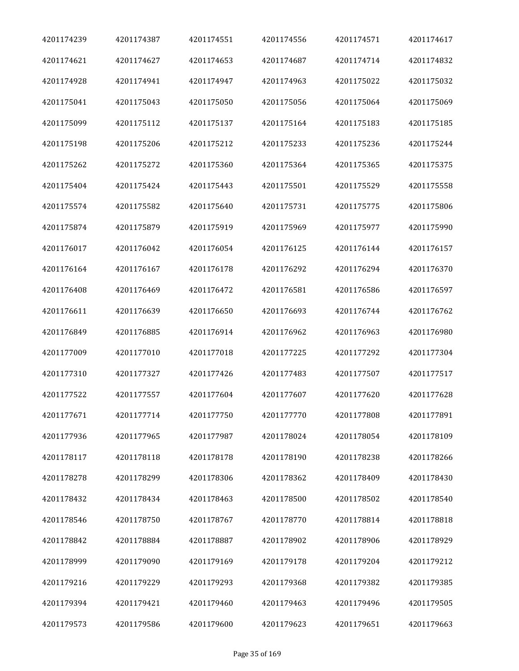| 4201174239 | 4201174387 | 4201174551 | 4201174556 | 4201174571 | 4201174617 |
|------------|------------|------------|------------|------------|------------|
| 4201174621 | 4201174627 | 4201174653 | 4201174687 | 4201174714 | 4201174832 |
| 4201174928 | 4201174941 | 4201174947 | 4201174963 | 4201175022 | 4201175032 |
| 4201175041 | 4201175043 | 4201175050 | 4201175056 | 4201175064 | 4201175069 |
| 4201175099 | 4201175112 | 4201175137 | 4201175164 | 4201175183 | 4201175185 |
| 4201175198 | 4201175206 | 4201175212 | 4201175233 | 4201175236 | 4201175244 |
| 4201175262 | 4201175272 | 4201175360 | 4201175364 | 4201175365 | 4201175375 |
| 4201175404 | 4201175424 | 4201175443 | 4201175501 | 4201175529 | 4201175558 |
| 4201175574 | 4201175582 | 4201175640 | 4201175731 | 4201175775 | 4201175806 |
| 4201175874 | 4201175879 | 4201175919 | 4201175969 | 4201175977 | 4201175990 |
| 4201176017 | 4201176042 | 4201176054 | 4201176125 | 4201176144 | 4201176157 |
| 4201176164 | 4201176167 | 4201176178 | 4201176292 | 4201176294 | 4201176370 |
| 4201176408 | 4201176469 | 4201176472 | 4201176581 | 4201176586 | 4201176597 |
| 4201176611 | 4201176639 | 4201176650 | 4201176693 | 4201176744 | 4201176762 |
| 4201176849 | 4201176885 | 4201176914 | 4201176962 | 4201176963 | 4201176980 |
| 4201177009 | 4201177010 | 4201177018 | 4201177225 | 4201177292 | 4201177304 |
| 4201177310 | 4201177327 | 4201177426 | 4201177483 | 4201177507 | 4201177517 |
| 4201177522 | 4201177557 | 4201177604 | 4201177607 | 4201177620 | 4201177628 |
| 4201177671 | 4201177714 | 4201177750 | 4201177770 | 4201177808 | 4201177891 |
| 4201177936 | 4201177965 | 4201177987 | 4201178024 | 4201178054 | 4201178109 |
| 4201178117 | 4201178118 | 4201178178 | 4201178190 | 4201178238 | 4201178266 |
| 4201178278 | 4201178299 | 4201178306 | 4201178362 | 4201178409 | 4201178430 |
| 4201178432 | 4201178434 | 4201178463 | 4201178500 | 4201178502 | 4201178540 |
| 4201178546 | 4201178750 | 4201178767 | 4201178770 | 4201178814 | 4201178818 |
| 4201178842 | 4201178884 | 4201178887 | 4201178902 | 4201178906 | 4201178929 |
| 4201178999 | 4201179090 | 4201179169 | 4201179178 | 4201179204 | 4201179212 |
| 4201179216 | 4201179229 | 4201179293 | 4201179368 | 4201179382 | 4201179385 |
| 4201179394 | 4201179421 | 4201179460 | 4201179463 | 4201179496 | 4201179505 |
| 4201179573 | 4201179586 | 4201179600 | 4201179623 | 4201179651 | 4201179663 |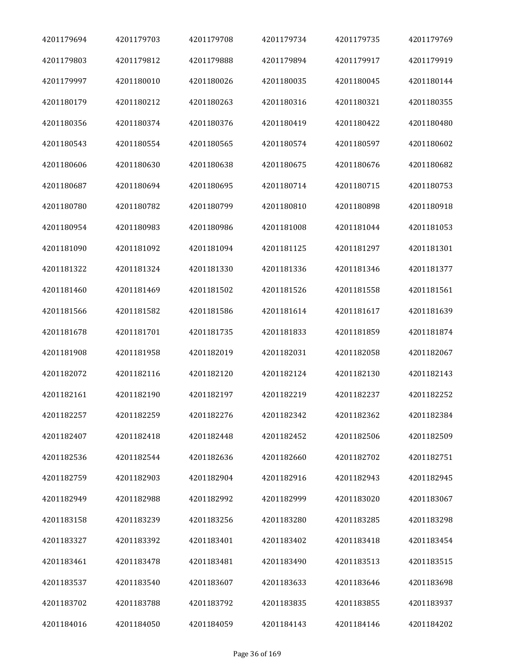| 4201179694 | 4201179703 | 4201179708 | 4201179734 | 4201179735 | 4201179769 |
|------------|------------|------------|------------|------------|------------|
| 4201179803 | 4201179812 | 4201179888 | 4201179894 | 4201179917 | 4201179919 |
| 4201179997 | 4201180010 | 4201180026 | 4201180035 | 4201180045 | 4201180144 |
| 4201180179 | 4201180212 | 4201180263 | 4201180316 | 4201180321 | 4201180355 |
| 4201180356 | 4201180374 | 4201180376 | 4201180419 | 4201180422 | 4201180480 |
| 4201180543 | 4201180554 | 4201180565 | 4201180574 | 4201180597 | 4201180602 |
| 4201180606 | 4201180630 | 4201180638 | 4201180675 | 4201180676 | 4201180682 |
| 4201180687 | 4201180694 | 4201180695 | 4201180714 | 4201180715 | 4201180753 |
| 4201180780 | 4201180782 | 4201180799 | 4201180810 | 4201180898 | 4201180918 |
| 4201180954 | 4201180983 | 4201180986 | 4201181008 | 4201181044 | 4201181053 |
| 4201181090 | 4201181092 | 4201181094 | 4201181125 | 4201181297 | 4201181301 |
| 4201181322 | 4201181324 | 4201181330 | 4201181336 | 4201181346 | 4201181377 |
| 4201181460 | 4201181469 | 4201181502 | 4201181526 | 4201181558 | 4201181561 |
| 4201181566 | 4201181582 | 4201181586 | 4201181614 | 4201181617 | 4201181639 |
| 4201181678 | 4201181701 | 4201181735 | 4201181833 | 4201181859 | 4201181874 |
| 4201181908 | 4201181958 | 4201182019 | 4201182031 | 4201182058 | 4201182067 |
| 4201182072 | 4201182116 | 4201182120 | 4201182124 | 4201182130 | 4201182143 |
| 4201182161 | 4201182190 | 4201182197 | 4201182219 | 4201182237 | 4201182252 |
| 4201182257 | 4201182259 | 4201182276 | 4201182342 | 4201182362 | 4201182384 |
| 4201182407 | 4201182418 | 4201182448 | 4201182452 | 4201182506 | 4201182509 |
| 4201182536 | 4201182544 | 4201182636 | 4201182660 | 4201182702 | 4201182751 |
| 4201182759 | 4201182903 | 4201182904 | 4201182916 | 4201182943 | 4201182945 |
| 4201182949 | 4201182988 | 4201182992 | 4201182999 | 4201183020 | 4201183067 |
| 4201183158 | 4201183239 | 4201183256 | 4201183280 | 4201183285 | 4201183298 |
| 4201183327 | 4201183392 | 4201183401 | 4201183402 | 4201183418 | 4201183454 |
| 4201183461 | 4201183478 | 4201183481 | 4201183490 | 4201183513 | 4201183515 |
| 4201183537 | 4201183540 | 4201183607 | 4201183633 | 4201183646 | 4201183698 |
| 4201183702 | 4201183788 | 4201183792 | 4201183835 | 4201183855 | 4201183937 |
| 4201184016 | 4201184050 | 4201184059 | 4201184143 | 4201184146 | 4201184202 |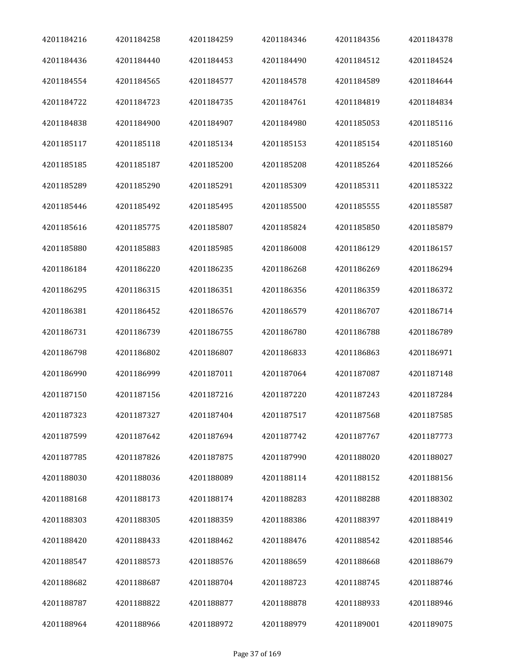| 4201184216 | 4201184258 | 4201184259 | 4201184346 | 4201184356 | 4201184378 |
|------------|------------|------------|------------|------------|------------|
| 4201184436 | 4201184440 | 4201184453 | 4201184490 | 4201184512 | 4201184524 |
| 4201184554 | 4201184565 | 4201184577 | 4201184578 | 4201184589 | 4201184644 |
| 4201184722 | 4201184723 | 4201184735 | 4201184761 | 4201184819 | 4201184834 |
| 4201184838 | 4201184900 | 4201184907 | 4201184980 | 4201185053 | 4201185116 |
| 4201185117 | 4201185118 | 4201185134 | 4201185153 | 4201185154 | 4201185160 |
| 4201185185 | 4201185187 | 4201185200 | 4201185208 | 4201185264 | 4201185266 |
| 4201185289 | 4201185290 | 4201185291 | 4201185309 | 4201185311 | 4201185322 |
| 4201185446 | 4201185492 | 4201185495 | 4201185500 | 4201185555 | 4201185587 |
| 4201185616 | 4201185775 | 4201185807 | 4201185824 | 4201185850 | 4201185879 |
| 4201185880 | 4201185883 | 4201185985 | 4201186008 | 4201186129 | 4201186157 |
| 4201186184 | 4201186220 | 4201186235 | 4201186268 | 4201186269 | 4201186294 |
| 4201186295 | 4201186315 | 4201186351 | 4201186356 | 4201186359 | 4201186372 |
| 4201186381 | 4201186452 | 4201186576 | 4201186579 | 4201186707 | 4201186714 |
| 4201186731 | 4201186739 | 4201186755 | 4201186780 | 4201186788 | 4201186789 |
| 4201186798 | 4201186802 | 4201186807 | 4201186833 | 4201186863 | 4201186971 |
| 4201186990 | 4201186999 | 4201187011 | 4201187064 | 4201187087 | 4201187148 |
| 4201187150 | 4201187156 | 4201187216 | 4201187220 | 4201187243 | 4201187284 |
| 4201187323 | 4201187327 | 4201187404 | 4201187517 | 4201187568 | 4201187585 |
| 4201187599 | 4201187642 | 4201187694 | 4201187742 | 4201187767 | 4201187773 |
| 4201187785 | 4201187826 | 4201187875 | 4201187990 | 4201188020 | 4201188027 |
| 4201188030 | 4201188036 | 4201188089 | 4201188114 | 4201188152 | 4201188156 |
| 4201188168 | 4201188173 | 4201188174 | 4201188283 | 4201188288 | 4201188302 |
| 4201188303 | 4201188305 | 4201188359 | 4201188386 | 4201188397 | 4201188419 |
| 4201188420 | 4201188433 | 4201188462 | 4201188476 | 4201188542 | 4201188546 |
| 4201188547 | 4201188573 | 4201188576 | 4201188659 | 4201188668 | 4201188679 |
| 4201188682 | 4201188687 | 4201188704 | 4201188723 | 4201188745 | 4201188746 |
| 4201188787 | 4201188822 | 4201188877 | 4201188878 | 4201188933 | 4201188946 |
| 4201188964 | 4201188966 | 4201188972 | 4201188979 | 4201189001 | 4201189075 |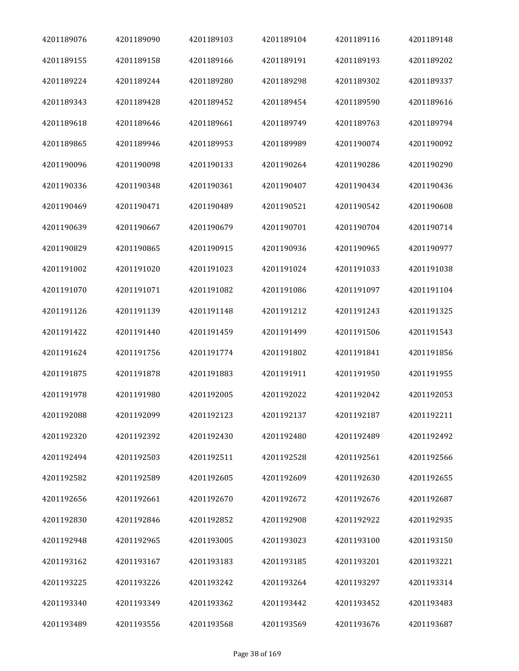| 4201189076 | 4201189090 | 4201189103 | 4201189104 | 4201189116 | 4201189148 |
|------------|------------|------------|------------|------------|------------|
| 4201189155 | 4201189158 | 4201189166 | 4201189191 | 4201189193 | 4201189202 |
| 4201189224 | 4201189244 | 4201189280 | 4201189298 | 4201189302 | 4201189337 |
| 4201189343 | 4201189428 | 4201189452 | 4201189454 | 4201189590 | 4201189616 |
| 4201189618 | 4201189646 | 4201189661 | 4201189749 | 4201189763 | 4201189794 |
| 4201189865 | 4201189946 | 4201189953 | 4201189989 | 4201190074 | 4201190092 |
| 4201190096 | 4201190098 | 4201190133 | 4201190264 | 4201190286 | 4201190290 |
| 4201190336 | 4201190348 | 4201190361 | 4201190407 | 4201190434 | 4201190436 |
| 4201190469 | 4201190471 | 4201190489 | 4201190521 | 4201190542 | 4201190608 |
| 4201190639 | 4201190667 | 4201190679 | 4201190701 | 4201190704 | 4201190714 |
| 4201190829 | 4201190865 | 4201190915 | 4201190936 | 4201190965 | 4201190977 |
| 4201191002 | 4201191020 | 4201191023 | 4201191024 | 4201191033 | 4201191038 |
| 4201191070 | 4201191071 | 4201191082 | 4201191086 | 4201191097 | 4201191104 |
| 4201191126 | 4201191139 | 4201191148 | 4201191212 | 4201191243 | 4201191325 |
| 4201191422 | 4201191440 | 4201191459 | 4201191499 | 4201191506 | 4201191543 |
| 4201191624 | 4201191756 | 4201191774 | 4201191802 | 4201191841 | 4201191856 |
| 4201191875 | 4201191878 | 4201191883 | 4201191911 | 4201191950 | 4201191955 |
| 4201191978 | 4201191980 | 4201192005 | 4201192022 | 4201192042 | 4201192053 |
| 4201192088 | 4201192099 | 4201192123 | 4201192137 | 4201192187 | 4201192211 |
| 4201192320 | 4201192392 | 4201192430 | 4201192480 | 4201192489 | 4201192492 |
| 4201192494 | 4201192503 | 4201192511 | 4201192528 | 4201192561 | 4201192566 |
| 4201192582 | 4201192589 | 4201192605 | 4201192609 | 4201192630 | 4201192655 |
| 4201192656 | 4201192661 | 4201192670 | 4201192672 | 4201192676 | 4201192687 |
| 4201192830 | 4201192846 | 4201192852 | 4201192908 | 4201192922 | 4201192935 |
| 4201192948 | 4201192965 | 4201193005 | 4201193023 | 4201193100 | 4201193150 |
| 4201193162 | 4201193167 | 4201193183 | 4201193185 | 4201193201 | 4201193221 |
| 4201193225 | 4201193226 | 4201193242 | 4201193264 | 4201193297 | 4201193314 |
| 4201193340 | 4201193349 | 4201193362 | 4201193442 | 4201193452 | 4201193483 |
| 4201193489 | 4201193556 | 4201193568 | 4201193569 | 4201193676 | 4201193687 |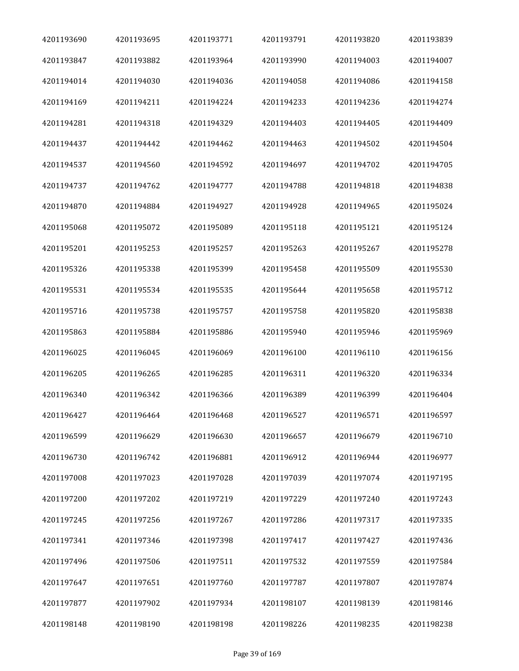| 4201193690 | 4201193695 | 4201193771 | 4201193791 | 4201193820 | 4201193839 |
|------------|------------|------------|------------|------------|------------|
| 4201193847 | 4201193882 | 4201193964 | 4201193990 | 4201194003 | 4201194007 |
| 4201194014 | 4201194030 | 4201194036 | 4201194058 | 4201194086 | 4201194158 |
| 4201194169 | 4201194211 | 4201194224 | 4201194233 | 4201194236 | 4201194274 |
| 4201194281 | 4201194318 | 4201194329 | 4201194403 | 4201194405 | 4201194409 |
| 4201194437 | 4201194442 | 4201194462 | 4201194463 | 4201194502 | 4201194504 |
| 4201194537 | 4201194560 | 4201194592 | 4201194697 | 4201194702 | 4201194705 |
| 4201194737 | 4201194762 | 4201194777 | 4201194788 | 4201194818 | 4201194838 |
| 4201194870 | 4201194884 | 4201194927 | 4201194928 | 4201194965 | 4201195024 |
| 4201195068 | 4201195072 | 4201195089 | 4201195118 | 4201195121 | 4201195124 |
| 4201195201 | 4201195253 | 4201195257 | 4201195263 | 4201195267 | 4201195278 |
| 4201195326 | 4201195338 | 4201195399 | 4201195458 | 4201195509 | 4201195530 |
| 4201195531 | 4201195534 | 4201195535 | 4201195644 | 4201195658 | 4201195712 |
| 4201195716 | 4201195738 | 4201195757 | 4201195758 | 4201195820 | 4201195838 |
| 4201195863 | 4201195884 | 4201195886 | 4201195940 | 4201195946 | 4201195969 |
| 4201196025 | 4201196045 | 4201196069 | 4201196100 | 4201196110 | 4201196156 |
| 4201196205 | 4201196265 | 4201196285 | 4201196311 | 4201196320 | 4201196334 |
| 4201196340 | 4201196342 | 4201196366 | 4201196389 | 4201196399 | 4201196404 |
| 4201196427 | 4201196464 | 4201196468 | 4201196527 | 4201196571 | 4201196597 |
| 4201196599 | 4201196629 | 4201196630 | 4201196657 | 4201196679 | 4201196710 |
| 4201196730 | 4201196742 | 4201196881 | 4201196912 | 4201196944 | 4201196977 |
| 4201197008 | 4201197023 | 4201197028 | 4201197039 | 4201197074 | 4201197195 |
| 4201197200 | 4201197202 | 4201197219 | 4201197229 | 4201197240 | 4201197243 |
| 4201197245 | 4201197256 | 4201197267 | 4201197286 | 4201197317 | 4201197335 |
| 4201197341 | 4201197346 | 4201197398 | 4201197417 | 4201197427 | 4201197436 |
| 4201197496 | 4201197506 | 4201197511 | 4201197532 | 4201197559 | 4201197584 |
| 4201197647 | 4201197651 | 4201197760 | 4201197787 | 4201197807 | 4201197874 |
| 4201197877 | 4201197902 | 4201197934 | 4201198107 | 4201198139 | 4201198146 |
| 4201198148 | 4201198190 | 4201198198 | 4201198226 | 4201198235 | 4201198238 |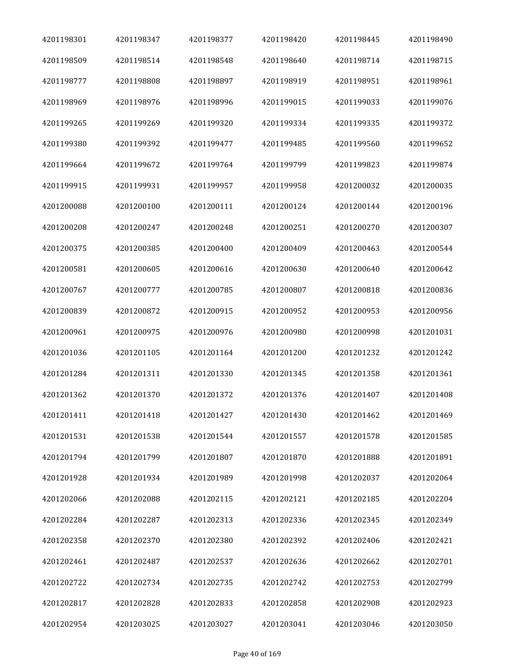| 4201198301 | 4201198347 | 4201198377 | 4201198420 | 4201198445 | 4201198490 |
|------------|------------|------------|------------|------------|------------|
| 4201198509 | 4201198514 | 4201198548 | 4201198640 | 4201198714 | 4201198715 |
| 4201198777 | 4201198808 | 4201198897 | 4201198919 | 4201198951 | 4201198961 |
| 4201198969 | 4201198976 | 4201198996 | 4201199015 | 4201199033 | 4201199076 |
| 4201199265 | 4201199269 | 4201199320 | 4201199334 | 4201199335 | 4201199372 |
| 4201199380 | 4201199392 | 4201199477 | 4201199485 | 4201199560 | 4201199652 |
| 4201199664 | 4201199672 | 4201199764 | 4201199799 | 4201199823 | 4201199874 |
| 4201199915 | 4201199931 | 4201199957 | 4201199958 | 4201200032 | 4201200035 |
| 4201200088 | 4201200100 | 4201200111 | 4201200124 | 4201200144 | 4201200196 |
| 4201200208 | 4201200247 | 4201200248 | 4201200251 | 4201200270 | 4201200307 |
| 4201200375 | 4201200385 | 4201200400 | 4201200409 | 4201200463 | 4201200544 |
| 4201200581 | 4201200605 | 4201200616 | 4201200630 | 4201200640 | 4201200642 |
| 4201200767 | 4201200777 | 4201200785 | 4201200807 | 4201200818 | 4201200836 |
| 4201200839 | 4201200872 | 4201200915 | 4201200952 | 4201200953 | 4201200956 |
| 4201200961 | 4201200975 | 4201200976 | 4201200980 | 4201200998 | 4201201031 |
| 4201201036 | 4201201105 | 4201201164 | 4201201200 | 4201201232 | 4201201242 |
| 4201201284 | 4201201311 | 4201201330 | 4201201345 | 4201201358 | 4201201361 |
| 4201201362 | 4201201370 | 4201201372 | 4201201376 | 4201201407 | 4201201408 |
| 4201201411 | 4201201418 | 4201201427 | 4201201430 | 4201201462 | 4201201469 |
| 4201201531 | 4201201538 | 4201201544 | 4201201557 | 4201201578 | 4201201585 |
| 4201201794 | 4201201799 | 4201201807 | 4201201870 | 4201201888 | 4201201891 |
| 4201201928 | 4201201934 | 4201201989 | 4201201998 | 4201202037 | 4201202064 |
| 4201202066 | 4201202088 | 4201202115 | 4201202121 | 4201202185 | 4201202204 |
| 4201202284 | 4201202287 | 4201202313 | 4201202336 | 4201202345 | 4201202349 |
| 4201202358 | 4201202370 | 4201202380 | 4201202392 | 4201202406 | 4201202421 |
| 4201202461 | 4201202487 | 4201202537 | 4201202636 | 4201202662 | 4201202701 |
| 4201202722 | 4201202734 | 4201202735 | 4201202742 | 4201202753 | 4201202799 |
| 4201202817 | 4201202828 | 4201202833 | 4201202858 | 4201202908 | 4201202923 |
| 4201202954 | 4201203025 | 4201203027 | 4201203041 | 4201203046 | 4201203050 |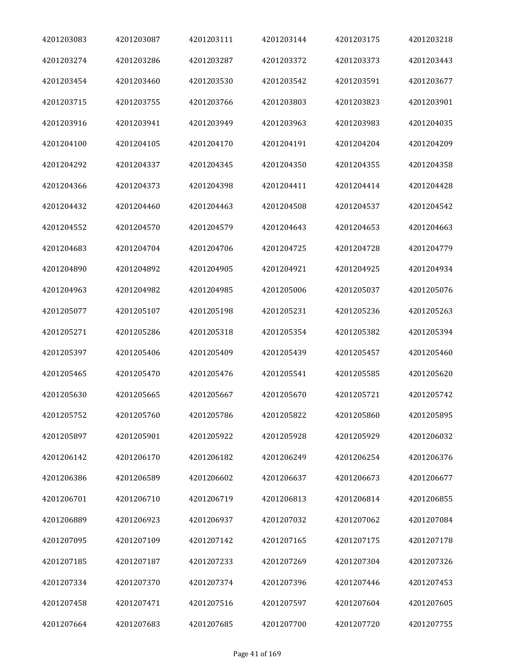| 4201203083 | 4201203087 | 4201203111 | 4201203144 | 4201203175 | 4201203218 |
|------------|------------|------------|------------|------------|------------|
| 4201203274 | 4201203286 | 4201203287 | 4201203372 | 4201203373 | 4201203443 |
| 4201203454 | 4201203460 | 4201203530 | 4201203542 | 4201203591 | 4201203677 |
| 4201203715 | 4201203755 | 4201203766 | 4201203803 | 4201203823 | 4201203901 |
| 4201203916 | 4201203941 | 4201203949 | 4201203963 | 4201203983 | 4201204035 |
| 4201204100 | 4201204105 | 4201204170 | 4201204191 | 4201204204 | 4201204209 |
| 4201204292 | 4201204337 | 4201204345 | 4201204350 | 4201204355 | 4201204358 |
| 4201204366 | 4201204373 | 4201204398 | 4201204411 | 4201204414 | 4201204428 |
| 4201204432 | 4201204460 | 4201204463 | 4201204508 | 4201204537 | 4201204542 |
| 4201204552 | 4201204570 | 4201204579 | 4201204643 | 4201204653 | 4201204663 |
| 4201204683 | 4201204704 | 4201204706 | 4201204725 | 4201204728 | 4201204779 |
| 4201204890 | 4201204892 | 4201204905 | 4201204921 | 4201204925 | 4201204934 |
| 4201204963 | 4201204982 | 4201204985 | 4201205006 | 4201205037 | 4201205076 |
| 4201205077 | 4201205107 | 4201205198 | 4201205231 | 4201205236 | 4201205263 |
| 4201205271 | 4201205286 | 4201205318 | 4201205354 | 4201205382 | 4201205394 |
| 4201205397 | 4201205406 | 4201205409 | 4201205439 | 4201205457 | 4201205460 |
| 4201205465 | 4201205470 | 4201205476 | 4201205541 | 4201205585 | 4201205620 |
| 4201205630 | 4201205665 | 4201205667 | 4201205670 | 4201205721 | 4201205742 |
| 4201205752 | 4201205760 | 4201205786 | 4201205822 | 4201205860 | 4201205895 |
| 4201205897 | 4201205901 | 4201205922 | 4201205928 | 4201205929 | 4201206032 |
| 4201206142 | 4201206170 | 4201206182 | 4201206249 | 4201206254 | 4201206376 |
| 4201206386 | 4201206589 | 4201206602 | 4201206637 | 4201206673 | 4201206677 |
| 4201206701 | 4201206710 | 4201206719 | 4201206813 | 4201206814 | 4201206855 |
| 4201206889 | 4201206923 | 4201206937 | 4201207032 | 4201207062 | 4201207084 |
| 4201207095 | 4201207109 | 4201207142 | 4201207165 | 4201207175 | 4201207178 |
| 4201207185 | 4201207187 | 4201207233 | 4201207269 | 4201207304 | 4201207326 |
| 4201207334 | 4201207370 | 4201207374 | 4201207396 | 4201207446 | 4201207453 |
| 4201207458 | 4201207471 | 4201207516 | 4201207597 | 4201207604 | 4201207605 |
| 4201207664 | 4201207683 | 4201207685 | 4201207700 | 4201207720 | 4201207755 |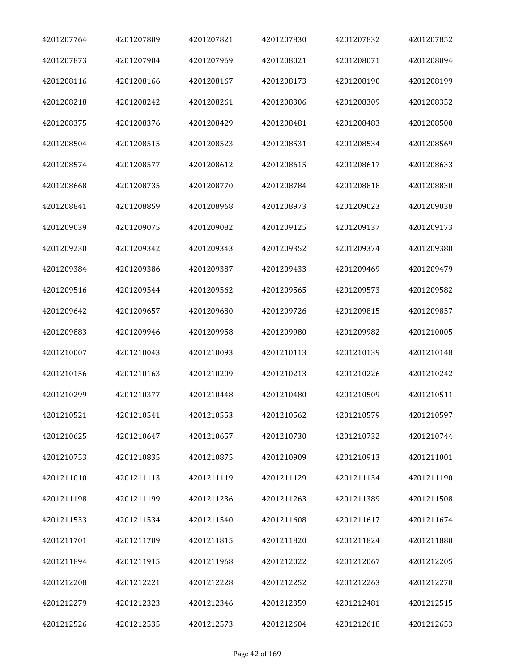| 4201207764 | 4201207809 | 4201207821 | 4201207830 | 4201207832 | 4201207852 |
|------------|------------|------------|------------|------------|------------|
| 4201207873 | 4201207904 | 4201207969 | 4201208021 | 4201208071 | 4201208094 |
| 4201208116 | 4201208166 | 4201208167 | 4201208173 | 4201208190 | 4201208199 |
| 4201208218 | 4201208242 | 4201208261 | 4201208306 | 4201208309 | 4201208352 |
| 4201208375 | 4201208376 | 4201208429 | 4201208481 | 4201208483 | 4201208500 |
| 4201208504 | 4201208515 | 4201208523 | 4201208531 | 4201208534 | 4201208569 |
| 4201208574 | 4201208577 | 4201208612 | 4201208615 | 4201208617 | 4201208633 |
| 4201208668 | 4201208735 | 4201208770 | 4201208784 | 4201208818 | 4201208830 |
| 4201208841 | 4201208859 | 4201208968 | 4201208973 | 4201209023 | 4201209038 |
| 4201209039 | 4201209075 | 4201209082 | 4201209125 | 4201209137 | 4201209173 |
| 4201209230 | 4201209342 | 4201209343 | 4201209352 | 4201209374 | 4201209380 |
| 4201209384 | 4201209386 | 4201209387 | 4201209433 | 4201209469 | 4201209479 |
| 4201209516 | 4201209544 | 4201209562 | 4201209565 | 4201209573 | 4201209582 |
| 4201209642 | 4201209657 | 4201209680 | 4201209726 | 4201209815 | 4201209857 |
| 4201209883 | 4201209946 | 4201209958 | 4201209980 | 4201209982 | 4201210005 |
| 4201210007 | 4201210043 | 4201210093 | 4201210113 | 4201210139 | 4201210148 |
| 4201210156 | 4201210163 | 4201210209 | 4201210213 | 4201210226 | 4201210242 |
| 4201210299 | 4201210377 | 4201210448 | 4201210480 | 4201210509 | 4201210511 |
| 4201210521 | 4201210541 | 4201210553 | 4201210562 | 4201210579 | 4201210597 |
| 4201210625 | 4201210647 | 4201210657 | 4201210730 | 4201210732 | 4201210744 |
| 4201210753 | 4201210835 | 4201210875 | 4201210909 | 4201210913 | 4201211001 |
| 4201211010 | 4201211113 | 4201211119 | 4201211129 | 4201211134 | 4201211190 |
| 4201211198 | 4201211199 | 4201211236 | 4201211263 | 4201211389 | 4201211508 |
| 4201211533 | 4201211534 | 4201211540 | 4201211608 | 4201211617 | 4201211674 |
| 4201211701 | 4201211709 | 4201211815 | 4201211820 | 4201211824 | 4201211880 |
| 4201211894 | 4201211915 | 4201211968 | 4201212022 | 4201212067 | 4201212205 |
| 4201212208 | 4201212221 | 4201212228 | 4201212252 | 4201212263 | 4201212270 |
| 4201212279 | 4201212323 | 4201212346 | 4201212359 | 4201212481 | 4201212515 |
| 4201212526 | 4201212535 | 4201212573 | 4201212604 | 4201212618 | 4201212653 |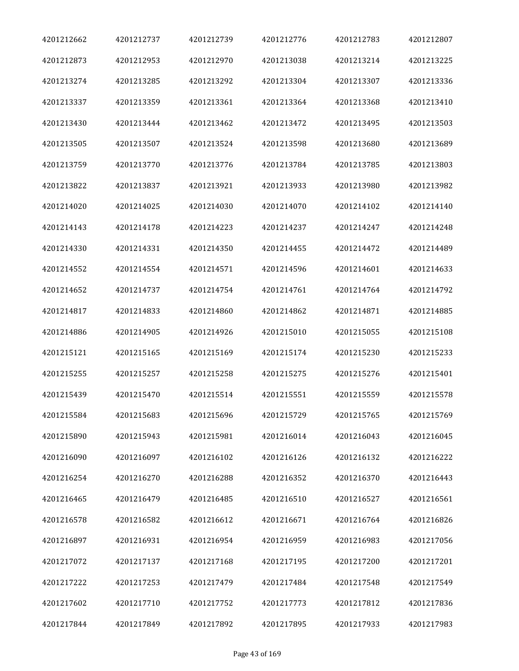| 4201212662 | 4201212737 | 4201212739 | 4201212776 | 4201212783 | 4201212807 |
|------------|------------|------------|------------|------------|------------|
| 4201212873 | 4201212953 | 4201212970 | 4201213038 | 4201213214 | 4201213225 |
| 4201213274 | 4201213285 | 4201213292 | 4201213304 | 4201213307 | 4201213336 |
| 4201213337 | 4201213359 | 4201213361 | 4201213364 | 4201213368 | 4201213410 |
| 4201213430 | 4201213444 | 4201213462 | 4201213472 | 4201213495 | 4201213503 |
| 4201213505 | 4201213507 | 4201213524 | 4201213598 | 4201213680 | 4201213689 |
| 4201213759 | 4201213770 | 4201213776 | 4201213784 | 4201213785 | 4201213803 |
| 4201213822 | 4201213837 | 4201213921 | 4201213933 | 4201213980 | 4201213982 |
| 4201214020 | 4201214025 | 4201214030 | 4201214070 | 4201214102 | 4201214140 |
| 4201214143 | 4201214178 | 4201214223 | 4201214237 | 4201214247 | 4201214248 |
| 4201214330 | 4201214331 | 4201214350 | 4201214455 | 4201214472 | 4201214489 |
| 4201214552 | 4201214554 | 4201214571 | 4201214596 | 4201214601 | 4201214633 |
| 4201214652 | 4201214737 | 4201214754 | 4201214761 | 4201214764 | 4201214792 |
| 4201214817 | 4201214833 | 4201214860 | 4201214862 | 4201214871 | 4201214885 |
| 4201214886 | 4201214905 | 4201214926 | 4201215010 | 4201215055 | 4201215108 |
| 4201215121 | 4201215165 | 4201215169 | 4201215174 | 4201215230 | 4201215233 |
| 4201215255 | 4201215257 | 4201215258 | 4201215275 | 4201215276 | 4201215401 |
| 4201215439 | 4201215470 | 4201215514 | 4201215551 | 4201215559 | 4201215578 |
| 4201215584 | 4201215683 | 4201215696 | 4201215729 | 4201215765 | 4201215769 |
| 4201215890 | 4201215943 | 4201215981 | 4201216014 | 4201216043 | 4201216045 |
| 4201216090 | 4201216097 | 4201216102 | 4201216126 | 4201216132 | 4201216222 |
| 4201216254 | 4201216270 | 4201216288 | 4201216352 | 4201216370 | 4201216443 |
| 4201216465 | 4201216479 | 4201216485 | 4201216510 | 4201216527 | 4201216561 |
| 4201216578 | 4201216582 | 4201216612 | 4201216671 | 4201216764 | 4201216826 |
| 4201216897 | 4201216931 | 4201216954 | 4201216959 | 4201216983 | 4201217056 |
| 4201217072 | 4201217137 | 4201217168 | 4201217195 | 4201217200 | 4201217201 |
| 4201217222 | 4201217253 | 4201217479 | 4201217484 | 4201217548 | 4201217549 |
| 4201217602 | 4201217710 | 4201217752 | 4201217773 | 4201217812 | 4201217836 |
| 4201217844 | 4201217849 | 4201217892 | 4201217895 | 4201217933 | 4201217983 |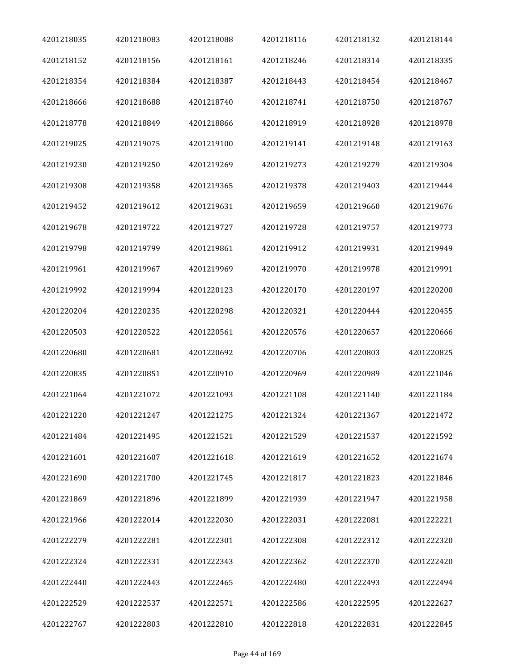| 4201218035 | 4201218083 | 4201218088 | 4201218116 | 4201218132 | 4201218144 |
|------------|------------|------------|------------|------------|------------|
| 4201218152 | 4201218156 | 4201218161 | 4201218246 | 4201218314 | 4201218335 |
| 4201218354 | 4201218384 | 4201218387 | 4201218443 | 4201218454 | 4201218467 |
| 4201218666 | 4201218688 | 4201218740 | 4201218741 | 4201218750 | 4201218767 |
| 4201218778 | 4201218849 | 4201218866 | 4201218919 | 4201218928 | 4201218978 |
| 4201219025 | 4201219075 | 4201219100 | 4201219141 | 4201219148 | 4201219163 |
| 4201219230 | 4201219250 | 4201219269 | 4201219273 | 4201219279 | 4201219304 |
| 4201219308 | 4201219358 | 4201219365 | 4201219378 | 4201219403 | 4201219444 |
| 4201219452 | 4201219612 | 4201219631 | 4201219659 | 4201219660 | 4201219676 |
| 4201219678 | 4201219722 | 4201219727 | 4201219728 | 4201219757 | 4201219773 |
| 4201219798 | 4201219799 | 4201219861 | 4201219912 | 4201219931 | 4201219949 |
| 4201219961 | 4201219967 | 4201219969 | 4201219970 | 4201219978 | 4201219991 |
| 4201219992 | 4201219994 | 4201220123 | 4201220170 | 4201220197 | 4201220200 |
| 4201220204 | 4201220235 | 4201220298 | 4201220321 | 4201220444 | 4201220455 |
| 4201220503 | 4201220522 | 4201220561 | 4201220576 | 4201220657 | 4201220666 |
| 4201220680 | 4201220681 | 4201220692 | 4201220706 | 4201220803 | 4201220825 |
| 4201220835 | 4201220851 | 4201220910 | 4201220969 | 4201220989 | 4201221046 |
| 4201221064 | 4201221072 | 4201221093 | 4201221108 | 4201221140 | 4201221184 |
| 4201221220 | 4201221247 | 4201221275 | 4201221324 | 4201221367 | 4201221472 |
| 4201221484 | 4201221495 | 4201221521 | 4201221529 | 4201221537 | 4201221592 |
| 4201221601 | 4201221607 | 4201221618 | 4201221619 | 4201221652 | 4201221674 |
| 4201221690 | 4201221700 | 4201221745 | 4201221817 | 4201221823 | 4201221846 |
| 4201221869 | 4201221896 | 4201221899 | 4201221939 | 4201221947 | 4201221958 |
| 4201221966 | 4201222014 | 4201222030 | 4201222031 | 4201222081 | 4201222221 |
| 4201222279 | 4201222281 | 4201222301 | 4201222308 | 4201222312 | 4201222320 |
| 4201222324 | 4201222331 | 4201222343 | 4201222362 | 4201222370 | 4201222420 |
| 4201222440 | 4201222443 | 4201222465 | 4201222480 | 4201222493 | 4201222494 |
| 4201222529 | 4201222537 | 4201222571 | 4201222586 | 4201222595 | 4201222627 |
| 4201222767 | 4201222803 | 4201222810 | 4201222818 | 4201222831 | 4201222845 |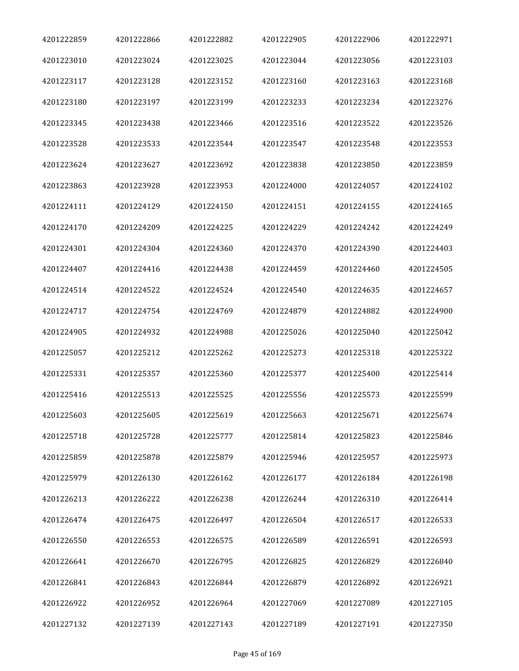| 4201222859 | 4201222866 | 4201222882 | 4201222905 | 4201222906 | 4201222971 |
|------------|------------|------------|------------|------------|------------|
| 4201223010 | 4201223024 | 4201223025 | 4201223044 | 4201223056 | 4201223103 |
| 4201223117 | 4201223128 | 4201223152 | 4201223160 | 4201223163 | 4201223168 |
| 4201223180 | 4201223197 | 4201223199 | 4201223233 | 4201223234 | 4201223276 |
| 4201223345 | 4201223438 | 4201223466 | 4201223516 | 4201223522 | 4201223526 |
| 4201223528 | 4201223533 | 4201223544 | 4201223547 | 4201223548 | 4201223553 |
| 4201223624 | 4201223627 | 4201223692 | 4201223838 | 4201223850 | 4201223859 |
| 4201223863 | 4201223928 | 4201223953 | 4201224000 | 4201224057 | 4201224102 |
| 4201224111 | 4201224129 | 4201224150 | 4201224151 | 4201224155 | 4201224165 |
| 4201224170 | 4201224209 | 4201224225 | 4201224229 | 4201224242 | 4201224249 |
| 4201224301 | 4201224304 | 4201224360 | 4201224370 | 4201224390 | 4201224403 |
| 4201224407 | 4201224416 | 4201224438 | 4201224459 | 4201224460 | 4201224505 |
| 4201224514 | 4201224522 | 4201224524 | 4201224540 | 4201224635 | 4201224657 |
| 4201224717 | 4201224754 | 4201224769 | 4201224879 | 4201224882 | 4201224900 |
| 4201224905 | 4201224932 | 4201224988 | 4201225026 | 4201225040 | 4201225042 |
| 4201225057 | 4201225212 | 4201225262 | 4201225273 | 4201225318 | 4201225322 |
| 4201225331 | 4201225357 | 4201225360 | 4201225377 | 4201225400 | 4201225414 |
| 4201225416 | 4201225513 | 4201225525 | 4201225556 | 4201225573 | 4201225599 |
| 4201225603 | 4201225605 | 4201225619 | 4201225663 | 4201225671 | 4201225674 |
| 4201225718 | 4201225728 | 4201225777 | 4201225814 | 4201225823 | 4201225846 |
| 4201225859 | 4201225878 | 4201225879 | 4201225946 | 4201225957 | 4201225973 |
| 4201225979 | 4201226130 | 4201226162 | 4201226177 | 4201226184 | 4201226198 |
| 4201226213 | 4201226222 | 4201226238 | 4201226244 | 4201226310 | 4201226414 |
| 4201226474 | 4201226475 | 4201226497 | 4201226504 | 4201226517 | 4201226533 |
| 4201226550 | 4201226553 | 4201226575 | 4201226589 | 4201226591 | 4201226593 |
| 4201226641 | 4201226670 | 4201226795 | 4201226825 | 4201226829 | 4201226840 |
| 4201226841 | 4201226843 | 4201226844 | 4201226879 | 4201226892 | 4201226921 |
| 4201226922 | 4201226952 | 4201226964 | 4201227069 | 4201227089 | 4201227105 |
| 4201227132 | 4201227139 | 4201227143 | 4201227189 | 4201227191 | 4201227350 |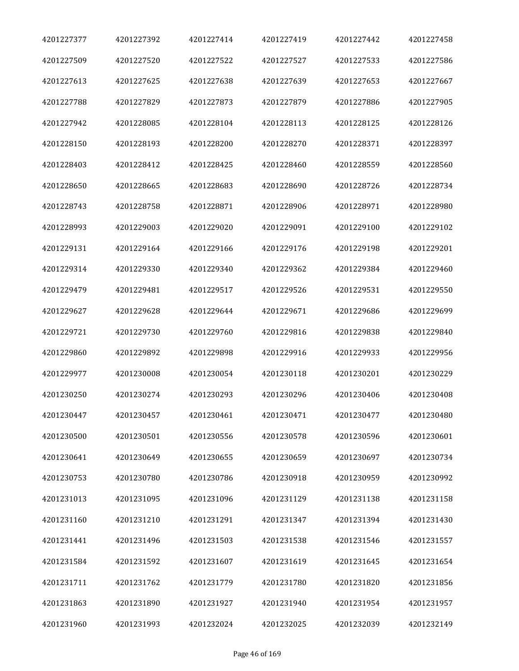| 4201227377 | 4201227392 | 4201227414 | 4201227419 | 4201227442 | 4201227458 |
|------------|------------|------------|------------|------------|------------|
| 4201227509 | 4201227520 | 4201227522 | 4201227527 | 4201227533 | 4201227586 |
| 4201227613 | 4201227625 | 4201227638 | 4201227639 | 4201227653 | 4201227667 |
| 4201227788 | 4201227829 | 4201227873 | 4201227879 | 4201227886 | 4201227905 |
| 4201227942 | 4201228085 | 4201228104 | 4201228113 | 4201228125 | 4201228126 |
| 4201228150 | 4201228193 | 4201228200 | 4201228270 | 4201228371 | 4201228397 |
| 4201228403 | 4201228412 | 4201228425 | 4201228460 | 4201228559 | 4201228560 |
| 4201228650 | 4201228665 | 4201228683 | 4201228690 | 4201228726 | 4201228734 |
| 4201228743 | 4201228758 | 4201228871 | 4201228906 | 4201228971 | 4201228980 |
| 4201228993 | 4201229003 | 4201229020 | 4201229091 | 4201229100 | 4201229102 |
| 4201229131 | 4201229164 | 4201229166 | 4201229176 | 4201229198 | 4201229201 |
| 4201229314 | 4201229330 | 4201229340 | 4201229362 | 4201229384 | 4201229460 |
| 4201229479 | 4201229481 | 4201229517 | 4201229526 | 4201229531 | 4201229550 |
| 4201229627 | 4201229628 | 4201229644 | 4201229671 | 4201229686 | 4201229699 |
| 4201229721 | 4201229730 | 4201229760 | 4201229816 | 4201229838 | 4201229840 |
| 4201229860 | 4201229892 | 4201229898 | 4201229916 | 4201229933 | 4201229956 |
| 4201229977 | 4201230008 | 4201230054 | 4201230118 | 4201230201 | 4201230229 |
| 4201230250 | 4201230274 | 4201230293 | 4201230296 | 4201230406 | 4201230408 |
| 4201230447 | 4201230457 | 4201230461 | 4201230471 | 4201230477 | 4201230480 |
| 4201230500 | 4201230501 | 4201230556 | 4201230578 | 4201230596 | 4201230601 |
| 4201230641 | 4201230649 | 4201230655 | 4201230659 | 4201230697 | 4201230734 |
| 4201230753 | 4201230780 | 4201230786 | 4201230918 | 4201230959 | 4201230992 |
| 4201231013 | 4201231095 | 4201231096 | 4201231129 | 4201231138 | 4201231158 |
| 4201231160 | 4201231210 | 4201231291 | 4201231347 | 4201231394 | 4201231430 |
| 4201231441 | 4201231496 | 4201231503 | 4201231538 | 4201231546 | 4201231557 |
| 4201231584 | 4201231592 | 4201231607 | 4201231619 | 4201231645 | 4201231654 |
| 4201231711 | 4201231762 | 4201231779 | 4201231780 | 4201231820 | 4201231856 |
| 4201231863 | 4201231890 | 4201231927 | 4201231940 | 4201231954 | 4201231957 |
| 4201231960 | 4201231993 | 4201232024 | 4201232025 | 4201232039 | 4201232149 |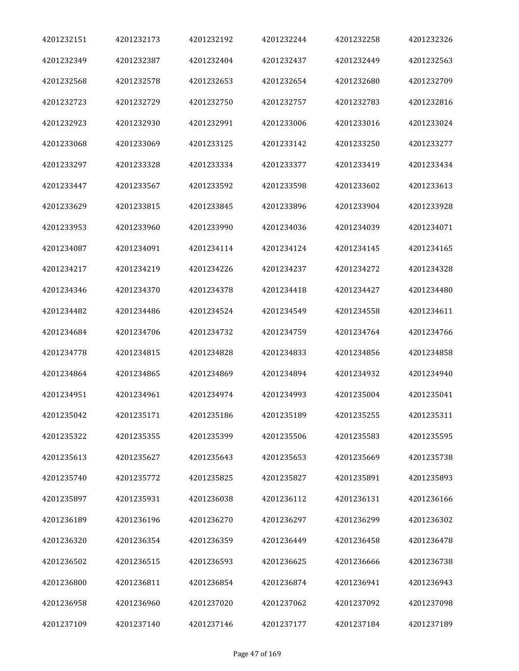| 4201232151 | 4201232173 | 4201232192 | 4201232244 | 4201232258 | 4201232326 |
|------------|------------|------------|------------|------------|------------|
| 4201232349 | 4201232387 | 4201232404 | 4201232437 | 4201232449 | 4201232563 |
| 4201232568 | 4201232578 | 4201232653 | 4201232654 | 4201232680 | 4201232709 |
| 4201232723 | 4201232729 | 4201232750 | 4201232757 | 4201232783 | 4201232816 |
| 4201232923 | 4201232930 | 4201232991 | 4201233006 | 4201233016 | 4201233024 |
| 4201233068 | 4201233069 | 4201233125 | 4201233142 | 4201233250 | 4201233277 |
| 4201233297 | 4201233328 | 4201233334 | 4201233377 | 4201233419 | 4201233434 |
| 4201233447 | 4201233567 | 4201233592 | 4201233598 | 4201233602 | 4201233613 |
| 4201233629 | 4201233815 | 4201233845 | 4201233896 | 4201233904 | 4201233928 |
| 4201233953 | 4201233960 | 4201233990 | 4201234036 | 4201234039 | 4201234071 |
| 4201234087 | 4201234091 | 4201234114 | 4201234124 | 4201234145 | 4201234165 |
| 4201234217 | 4201234219 | 4201234226 | 4201234237 | 4201234272 | 4201234328 |
| 4201234346 | 4201234370 | 4201234378 | 4201234418 | 4201234427 | 4201234480 |
| 4201234482 | 4201234486 | 4201234524 | 4201234549 | 4201234558 | 4201234611 |
| 4201234684 | 4201234706 | 4201234732 | 4201234759 | 4201234764 | 4201234766 |
| 4201234778 | 4201234815 | 4201234828 | 4201234833 | 4201234856 | 4201234858 |
| 4201234864 | 4201234865 | 4201234869 | 4201234894 | 4201234932 | 4201234940 |
| 4201234951 | 4201234961 | 4201234974 | 4201234993 | 4201235004 | 4201235041 |
| 4201235042 | 4201235171 | 4201235186 | 4201235189 | 4201235255 | 4201235311 |
| 4201235322 | 4201235355 | 4201235399 | 4201235506 | 4201235583 | 4201235595 |
| 4201235613 | 4201235627 | 4201235643 | 4201235653 | 4201235669 | 4201235738 |
| 4201235740 | 4201235772 | 4201235825 | 4201235827 | 4201235891 | 4201235893 |
| 4201235897 | 4201235931 | 4201236038 | 4201236112 | 4201236131 | 4201236166 |
| 4201236189 | 4201236196 | 4201236270 | 4201236297 | 4201236299 | 4201236302 |
| 4201236320 | 4201236354 | 4201236359 | 4201236449 | 4201236458 | 4201236478 |
| 4201236502 | 4201236515 | 4201236593 | 4201236625 | 4201236666 | 4201236738 |
| 4201236800 | 4201236811 | 4201236854 | 4201236874 | 4201236941 | 4201236943 |
| 4201236958 | 4201236960 | 4201237020 | 4201237062 | 4201237092 | 4201237098 |
| 4201237109 | 4201237140 | 4201237146 | 4201237177 | 4201237184 | 4201237189 |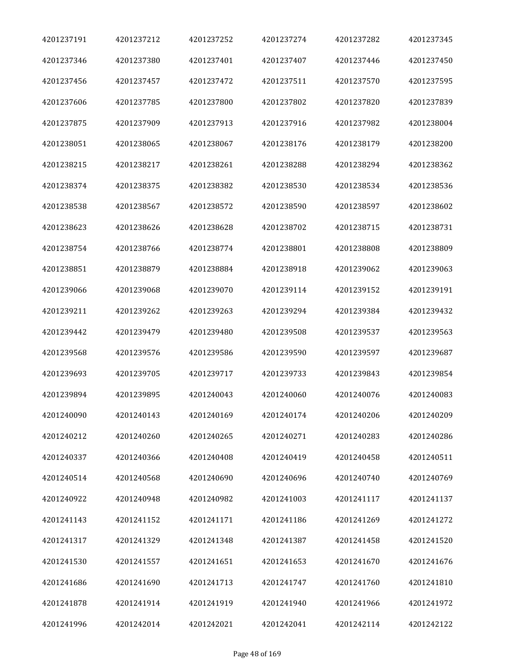| 4201237191 | 4201237212 | 4201237252 | 4201237274 | 4201237282 | 4201237345 |
|------------|------------|------------|------------|------------|------------|
| 4201237346 | 4201237380 | 4201237401 | 4201237407 | 4201237446 | 4201237450 |
| 4201237456 | 4201237457 | 4201237472 | 4201237511 | 4201237570 | 4201237595 |
| 4201237606 | 4201237785 | 4201237800 | 4201237802 | 4201237820 | 4201237839 |
| 4201237875 | 4201237909 | 4201237913 | 4201237916 | 4201237982 | 4201238004 |
| 4201238051 | 4201238065 | 4201238067 | 4201238176 | 4201238179 | 4201238200 |
| 4201238215 | 4201238217 | 4201238261 | 4201238288 | 4201238294 | 4201238362 |
| 4201238374 | 4201238375 | 4201238382 | 4201238530 | 4201238534 | 4201238536 |
| 4201238538 | 4201238567 | 4201238572 | 4201238590 | 4201238597 | 4201238602 |
| 4201238623 | 4201238626 | 4201238628 | 4201238702 | 4201238715 | 4201238731 |
| 4201238754 | 4201238766 | 4201238774 | 4201238801 | 4201238808 | 4201238809 |
| 4201238851 | 4201238879 | 4201238884 | 4201238918 | 4201239062 | 4201239063 |
| 4201239066 | 4201239068 | 4201239070 | 4201239114 | 4201239152 | 4201239191 |
| 4201239211 | 4201239262 | 4201239263 | 4201239294 | 4201239384 | 4201239432 |
| 4201239442 | 4201239479 | 4201239480 | 4201239508 | 4201239537 | 4201239563 |
| 4201239568 | 4201239576 | 4201239586 | 4201239590 | 4201239597 | 4201239687 |
| 4201239693 | 4201239705 | 4201239717 | 4201239733 | 4201239843 | 4201239854 |
| 4201239894 | 4201239895 | 4201240043 | 4201240060 | 4201240076 | 4201240083 |
| 4201240090 | 4201240143 | 4201240169 | 4201240174 | 4201240206 | 4201240209 |
| 4201240212 | 4201240260 | 4201240265 | 4201240271 | 4201240283 | 4201240286 |
| 4201240337 | 4201240366 | 4201240408 | 4201240419 | 4201240458 | 4201240511 |
| 4201240514 | 4201240568 | 4201240690 | 4201240696 | 4201240740 | 4201240769 |
| 4201240922 | 4201240948 | 4201240982 | 4201241003 | 4201241117 | 4201241137 |
| 4201241143 | 4201241152 | 4201241171 | 4201241186 | 4201241269 | 4201241272 |
| 4201241317 | 4201241329 | 4201241348 | 4201241387 | 4201241458 | 4201241520 |
| 4201241530 | 4201241557 | 4201241651 | 4201241653 | 4201241670 | 4201241676 |
| 4201241686 | 4201241690 | 4201241713 | 4201241747 | 4201241760 | 4201241810 |
| 4201241878 | 4201241914 | 4201241919 | 4201241940 | 4201241966 | 4201241972 |
| 4201241996 | 4201242014 | 4201242021 | 4201242041 | 4201242114 | 4201242122 |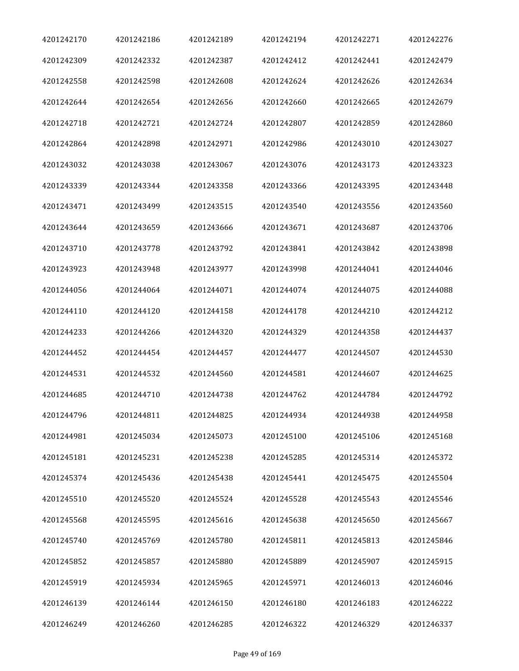| 4201242170 | 4201242186 | 4201242189 | 4201242194 | 4201242271 | 4201242276 |
|------------|------------|------------|------------|------------|------------|
| 4201242309 | 4201242332 | 4201242387 | 4201242412 | 4201242441 | 4201242479 |
| 4201242558 | 4201242598 | 4201242608 | 4201242624 | 4201242626 | 4201242634 |
| 4201242644 | 4201242654 | 4201242656 | 4201242660 | 4201242665 | 4201242679 |
| 4201242718 | 4201242721 | 4201242724 | 4201242807 | 4201242859 | 4201242860 |
| 4201242864 | 4201242898 | 4201242971 | 4201242986 | 4201243010 | 4201243027 |
| 4201243032 | 4201243038 | 4201243067 | 4201243076 | 4201243173 | 4201243323 |
| 4201243339 | 4201243344 | 4201243358 | 4201243366 | 4201243395 | 4201243448 |
| 4201243471 | 4201243499 | 4201243515 | 4201243540 | 4201243556 | 4201243560 |
| 4201243644 | 4201243659 | 4201243666 | 4201243671 | 4201243687 | 4201243706 |
| 4201243710 | 4201243778 | 4201243792 | 4201243841 | 4201243842 | 4201243898 |
| 4201243923 | 4201243948 | 4201243977 | 4201243998 | 4201244041 | 4201244046 |
| 4201244056 | 4201244064 | 4201244071 | 4201244074 | 4201244075 | 4201244088 |
| 4201244110 | 4201244120 | 4201244158 | 4201244178 | 4201244210 | 4201244212 |
| 4201244233 | 4201244266 | 4201244320 | 4201244329 | 4201244358 | 4201244437 |
| 4201244452 | 4201244454 | 4201244457 | 4201244477 | 4201244507 | 4201244530 |
| 4201244531 | 4201244532 | 4201244560 | 4201244581 | 4201244607 | 4201244625 |
| 4201244685 | 4201244710 | 4201244738 | 4201244762 | 4201244784 | 4201244792 |
| 4201244796 | 4201244811 | 4201244825 | 4201244934 | 4201244938 | 4201244958 |
| 4201244981 | 4201245034 | 4201245073 | 4201245100 | 4201245106 | 4201245168 |
| 4201245181 | 4201245231 | 4201245238 | 4201245285 | 4201245314 | 4201245372 |
| 4201245374 | 4201245436 | 4201245438 | 4201245441 | 4201245475 | 4201245504 |
| 4201245510 | 4201245520 | 4201245524 | 4201245528 | 4201245543 | 4201245546 |
| 4201245568 | 4201245595 | 4201245616 | 4201245638 | 4201245650 | 4201245667 |
| 4201245740 | 4201245769 | 4201245780 | 4201245811 | 4201245813 | 4201245846 |
| 4201245852 | 4201245857 | 4201245880 | 4201245889 | 4201245907 | 4201245915 |
| 4201245919 | 4201245934 | 4201245965 | 4201245971 | 4201246013 | 4201246046 |
| 4201246139 | 4201246144 | 4201246150 | 4201246180 | 4201246183 | 4201246222 |
| 4201246249 | 4201246260 | 4201246285 | 4201246322 | 4201246329 | 4201246337 |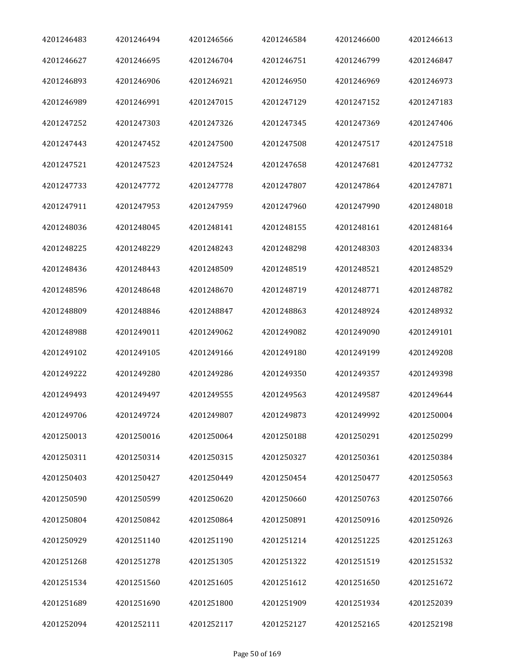| 4201246483 | 4201246494 | 4201246566 | 4201246584 | 4201246600 | 4201246613 |
|------------|------------|------------|------------|------------|------------|
| 4201246627 | 4201246695 | 4201246704 | 4201246751 | 4201246799 | 4201246847 |
| 4201246893 | 4201246906 | 4201246921 | 4201246950 | 4201246969 | 4201246973 |
| 4201246989 | 4201246991 | 4201247015 | 4201247129 | 4201247152 | 4201247183 |
| 4201247252 | 4201247303 | 4201247326 | 4201247345 | 4201247369 | 4201247406 |
| 4201247443 | 4201247452 | 4201247500 | 4201247508 | 4201247517 | 4201247518 |
| 4201247521 | 4201247523 | 4201247524 | 4201247658 | 4201247681 | 4201247732 |
| 4201247733 | 4201247772 | 4201247778 | 4201247807 | 4201247864 | 4201247871 |
| 4201247911 | 4201247953 | 4201247959 | 4201247960 | 4201247990 | 4201248018 |
| 4201248036 | 4201248045 | 4201248141 | 4201248155 | 4201248161 | 4201248164 |
| 4201248225 | 4201248229 | 4201248243 | 4201248298 | 4201248303 | 4201248334 |
| 4201248436 | 4201248443 | 4201248509 | 4201248519 | 4201248521 | 4201248529 |
| 4201248596 | 4201248648 | 4201248670 | 4201248719 | 4201248771 | 4201248782 |
| 4201248809 | 4201248846 | 4201248847 | 4201248863 | 4201248924 | 4201248932 |
| 4201248988 | 4201249011 | 4201249062 | 4201249082 | 4201249090 | 4201249101 |
| 4201249102 | 4201249105 | 4201249166 | 4201249180 | 4201249199 | 4201249208 |
| 4201249222 | 4201249280 | 4201249286 | 4201249350 | 4201249357 | 4201249398 |
| 4201249493 | 4201249497 | 4201249555 | 4201249563 | 4201249587 | 4201249644 |
| 4201249706 | 4201249724 | 4201249807 | 4201249873 | 4201249992 | 4201250004 |
| 4201250013 | 4201250016 | 4201250064 | 4201250188 | 4201250291 | 4201250299 |
| 4201250311 | 4201250314 | 4201250315 | 4201250327 | 4201250361 | 4201250384 |
| 4201250403 | 4201250427 | 4201250449 | 4201250454 | 4201250477 | 4201250563 |
| 4201250590 | 4201250599 | 4201250620 | 4201250660 | 4201250763 | 4201250766 |
| 4201250804 | 4201250842 | 4201250864 | 4201250891 | 4201250916 | 4201250926 |
| 4201250929 | 4201251140 | 4201251190 | 4201251214 | 4201251225 | 4201251263 |
| 4201251268 | 4201251278 | 4201251305 | 4201251322 | 4201251519 | 4201251532 |
| 4201251534 | 4201251560 | 4201251605 | 4201251612 | 4201251650 | 4201251672 |
| 4201251689 | 4201251690 | 4201251800 | 4201251909 | 4201251934 | 4201252039 |
| 4201252094 | 4201252111 | 4201252117 | 4201252127 | 4201252165 | 4201252198 |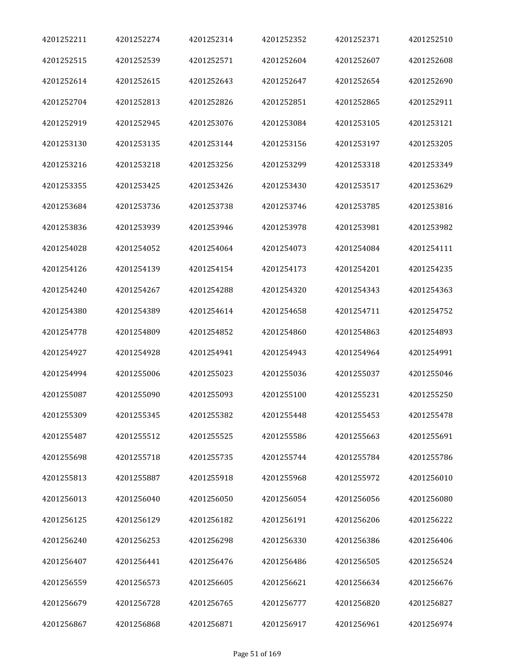| 4201252211 | 4201252274 | 4201252314 | 4201252352 | 4201252371 | 4201252510 |
|------------|------------|------------|------------|------------|------------|
| 4201252515 | 4201252539 | 4201252571 | 4201252604 | 4201252607 | 4201252608 |
| 4201252614 | 4201252615 | 4201252643 | 4201252647 | 4201252654 | 4201252690 |
| 4201252704 | 4201252813 | 4201252826 | 4201252851 | 4201252865 | 4201252911 |
| 4201252919 | 4201252945 | 4201253076 | 4201253084 | 4201253105 | 4201253121 |
| 4201253130 | 4201253135 | 4201253144 | 4201253156 | 4201253197 | 4201253205 |
| 4201253216 | 4201253218 | 4201253256 | 4201253299 | 4201253318 | 4201253349 |
| 4201253355 | 4201253425 | 4201253426 | 4201253430 | 4201253517 | 4201253629 |
| 4201253684 | 4201253736 | 4201253738 | 4201253746 | 4201253785 | 4201253816 |
| 4201253836 | 4201253939 | 4201253946 | 4201253978 | 4201253981 | 4201253982 |
| 4201254028 | 4201254052 | 4201254064 | 4201254073 | 4201254084 | 4201254111 |
| 4201254126 | 4201254139 | 4201254154 | 4201254173 | 4201254201 | 4201254235 |
| 4201254240 | 4201254267 | 4201254288 | 4201254320 | 4201254343 | 4201254363 |
| 4201254380 | 4201254389 | 4201254614 | 4201254658 | 4201254711 | 4201254752 |
| 4201254778 | 4201254809 | 4201254852 | 4201254860 | 4201254863 | 4201254893 |
| 4201254927 | 4201254928 | 4201254941 | 4201254943 | 4201254964 | 4201254991 |
| 4201254994 | 4201255006 | 4201255023 | 4201255036 | 4201255037 | 4201255046 |
| 4201255087 | 4201255090 | 4201255093 | 4201255100 | 4201255231 | 4201255250 |
| 4201255309 | 4201255345 | 4201255382 | 4201255448 | 4201255453 | 4201255478 |
| 4201255487 | 4201255512 | 4201255525 | 4201255586 | 4201255663 | 4201255691 |
| 4201255698 | 4201255718 | 4201255735 | 4201255744 | 4201255784 | 4201255786 |
| 4201255813 | 4201255887 | 4201255918 | 4201255968 | 4201255972 | 4201256010 |
| 4201256013 | 4201256040 | 4201256050 | 4201256054 | 4201256056 | 4201256080 |
| 4201256125 | 4201256129 | 4201256182 | 4201256191 | 4201256206 | 4201256222 |
| 4201256240 | 4201256253 | 4201256298 | 4201256330 | 4201256386 | 4201256406 |
| 4201256407 | 4201256441 | 4201256476 | 4201256486 | 4201256505 | 4201256524 |
| 4201256559 | 4201256573 | 4201256605 | 4201256621 | 4201256634 | 4201256676 |
| 4201256679 | 4201256728 | 4201256765 | 4201256777 | 4201256820 | 4201256827 |
| 4201256867 | 4201256868 | 4201256871 | 4201256917 | 4201256961 | 4201256974 |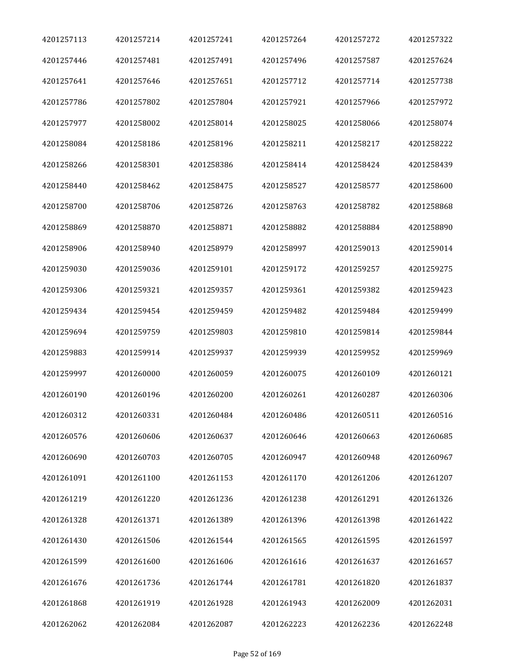| 4201257113 | 4201257214 | 4201257241 | 4201257264 | 4201257272 | 4201257322 |
|------------|------------|------------|------------|------------|------------|
| 4201257446 | 4201257481 | 4201257491 | 4201257496 | 4201257587 | 4201257624 |
| 4201257641 | 4201257646 | 4201257651 | 4201257712 | 4201257714 | 4201257738 |
| 4201257786 | 4201257802 | 4201257804 | 4201257921 | 4201257966 | 4201257972 |
| 4201257977 | 4201258002 | 4201258014 | 4201258025 | 4201258066 | 4201258074 |
| 4201258084 | 4201258186 | 4201258196 | 4201258211 | 4201258217 | 4201258222 |
| 4201258266 | 4201258301 | 4201258386 | 4201258414 | 4201258424 | 4201258439 |
| 4201258440 | 4201258462 | 4201258475 | 4201258527 | 4201258577 | 4201258600 |
| 4201258700 | 4201258706 | 4201258726 | 4201258763 | 4201258782 | 4201258868 |
| 4201258869 | 4201258870 | 4201258871 | 4201258882 | 4201258884 | 4201258890 |
| 4201258906 | 4201258940 | 4201258979 | 4201258997 | 4201259013 | 4201259014 |
| 4201259030 | 4201259036 | 4201259101 | 4201259172 | 4201259257 | 4201259275 |
| 4201259306 | 4201259321 | 4201259357 | 4201259361 | 4201259382 | 4201259423 |
| 4201259434 | 4201259454 | 4201259459 | 4201259482 | 4201259484 | 4201259499 |
| 4201259694 | 4201259759 | 4201259803 | 4201259810 | 4201259814 | 4201259844 |
| 4201259883 | 4201259914 | 4201259937 | 4201259939 | 4201259952 | 4201259969 |
| 4201259997 | 4201260000 | 4201260059 | 4201260075 | 4201260109 | 4201260121 |
| 4201260190 | 4201260196 | 4201260200 | 4201260261 | 4201260287 | 4201260306 |
| 4201260312 | 4201260331 | 4201260484 | 4201260486 | 4201260511 | 4201260516 |
| 4201260576 | 4201260606 | 4201260637 | 4201260646 | 4201260663 | 4201260685 |
| 4201260690 | 4201260703 | 4201260705 | 4201260947 | 4201260948 | 4201260967 |
| 4201261091 | 4201261100 | 4201261153 | 4201261170 | 4201261206 | 4201261207 |
| 4201261219 | 4201261220 | 4201261236 | 4201261238 | 4201261291 | 4201261326 |
| 4201261328 | 4201261371 | 4201261389 | 4201261396 | 4201261398 | 4201261422 |
| 4201261430 | 4201261506 | 4201261544 | 4201261565 | 4201261595 | 4201261597 |
| 4201261599 | 4201261600 | 4201261606 | 4201261616 | 4201261637 | 4201261657 |
| 4201261676 | 4201261736 | 4201261744 | 4201261781 | 4201261820 | 4201261837 |
| 4201261868 | 4201261919 | 4201261928 | 4201261943 | 4201262009 | 4201262031 |
| 4201262062 | 4201262084 | 4201262087 | 4201262223 | 4201262236 | 4201262248 |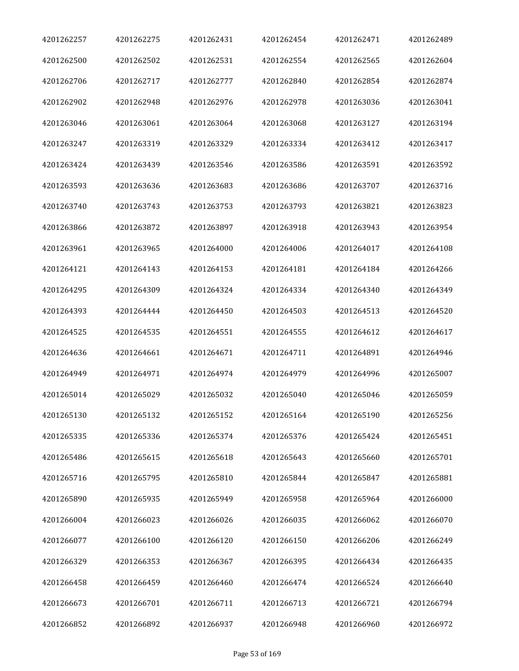| 4201262257 | 4201262275 | 4201262431 | 4201262454 | 4201262471 | 4201262489 |
|------------|------------|------------|------------|------------|------------|
| 4201262500 | 4201262502 | 4201262531 | 4201262554 | 4201262565 | 4201262604 |
| 4201262706 | 4201262717 | 4201262777 | 4201262840 | 4201262854 | 4201262874 |
| 4201262902 | 4201262948 | 4201262976 | 4201262978 | 4201263036 | 4201263041 |
| 4201263046 | 4201263061 | 4201263064 | 4201263068 | 4201263127 | 4201263194 |
| 4201263247 | 4201263319 | 4201263329 | 4201263334 | 4201263412 | 4201263417 |
| 4201263424 | 4201263439 | 4201263546 | 4201263586 | 4201263591 | 4201263592 |
| 4201263593 | 4201263636 | 4201263683 | 4201263686 | 4201263707 | 4201263716 |
| 4201263740 | 4201263743 | 4201263753 | 4201263793 | 4201263821 | 4201263823 |
| 4201263866 | 4201263872 | 4201263897 | 4201263918 | 4201263943 | 4201263954 |
| 4201263961 | 4201263965 | 4201264000 | 4201264006 | 4201264017 | 4201264108 |
| 4201264121 | 4201264143 | 4201264153 | 4201264181 | 4201264184 | 4201264266 |
| 4201264295 | 4201264309 | 4201264324 | 4201264334 | 4201264340 | 4201264349 |
| 4201264393 | 4201264444 | 4201264450 | 4201264503 | 4201264513 | 4201264520 |
| 4201264525 | 4201264535 | 4201264551 | 4201264555 | 4201264612 | 4201264617 |
| 4201264636 | 4201264661 | 4201264671 | 4201264711 | 4201264891 | 4201264946 |
| 4201264949 | 4201264971 | 4201264974 | 4201264979 | 4201264996 | 4201265007 |
| 4201265014 | 4201265029 | 4201265032 | 4201265040 | 4201265046 | 4201265059 |
| 4201265130 | 4201265132 | 4201265152 | 4201265164 | 4201265190 | 4201265256 |
| 4201265335 | 4201265336 | 4201265374 | 4201265376 | 4201265424 | 4201265451 |
| 4201265486 | 4201265615 | 4201265618 | 4201265643 | 4201265660 | 4201265701 |
| 4201265716 | 4201265795 | 4201265810 | 4201265844 | 4201265847 | 4201265881 |
| 4201265890 | 4201265935 | 4201265949 | 4201265958 | 4201265964 | 4201266000 |
| 4201266004 | 4201266023 | 4201266026 | 4201266035 | 4201266062 | 4201266070 |
| 4201266077 | 4201266100 | 4201266120 | 4201266150 | 4201266206 | 4201266249 |
| 4201266329 | 4201266353 | 4201266367 | 4201266395 | 4201266434 | 4201266435 |
| 4201266458 | 4201266459 | 4201266460 | 4201266474 | 4201266524 | 4201266640 |
| 4201266673 | 4201266701 | 4201266711 | 4201266713 | 4201266721 | 4201266794 |
| 4201266852 | 4201266892 | 4201266937 | 4201266948 | 4201266960 | 4201266972 |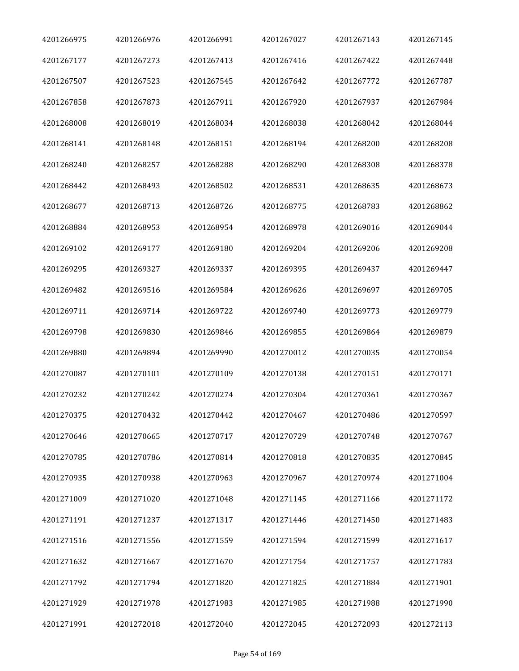| 4201266975 | 4201266976 | 4201266991 | 4201267027 | 4201267143 | 4201267145 |
|------------|------------|------------|------------|------------|------------|
| 4201267177 | 4201267273 | 4201267413 | 4201267416 | 4201267422 | 4201267448 |
| 4201267507 | 4201267523 | 4201267545 | 4201267642 | 4201267772 | 4201267787 |
| 4201267858 | 4201267873 | 4201267911 | 4201267920 | 4201267937 | 4201267984 |
| 4201268008 | 4201268019 | 4201268034 | 4201268038 | 4201268042 | 4201268044 |
| 4201268141 | 4201268148 | 4201268151 | 4201268194 | 4201268200 | 4201268208 |
| 4201268240 | 4201268257 | 4201268288 | 4201268290 | 4201268308 | 4201268378 |
| 4201268442 | 4201268493 | 4201268502 | 4201268531 | 4201268635 | 4201268673 |
| 4201268677 | 4201268713 | 4201268726 | 4201268775 | 4201268783 | 4201268862 |
| 4201268884 | 4201268953 | 4201268954 | 4201268978 | 4201269016 | 4201269044 |
| 4201269102 | 4201269177 | 4201269180 | 4201269204 | 4201269206 | 4201269208 |
| 4201269295 | 4201269327 | 4201269337 | 4201269395 | 4201269437 | 4201269447 |
| 4201269482 | 4201269516 | 4201269584 | 4201269626 | 4201269697 | 4201269705 |
| 4201269711 | 4201269714 | 4201269722 | 4201269740 | 4201269773 | 4201269779 |
| 4201269798 | 4201269830 | 4201269846 | 4201269855 | 4201269864 | 4201269879 |
| 4201269880 | 4201269894 | 4201269990 | 4201270012 | 4201270035 | 4201270054 |
| 4201270087 | 4201270101 | 4201270109 | 4201270138 | 4201270151 | 4201270171 |
| 4201270232 | 4201270242 | 4201270274 | 4201270304 | 4201270361 | 4201270367 |
| 4201270375 | 4201270432 | 4201270442 | 4201270467 | 4201270486 | 4201270597 |
| 4201270646 | 4201270665 | 4201270717 | 4201270729 | 4201270748 | 4201270767 |
| 4201270785 | 4201270786 | 4201270814 | 4201270818 | 4201270835 | 4201270845 |
| 4201270935 | 4201270938 | 4201270963 | 4201270967 | 4201270974 | 4201271004 |
| 4201271009 | 4201271020 | 4201271048 | 4201271145 | 4201271166 | 4201271172 |
| 4201271191 | 4201271237 | 4201271317 | 4201271446 | 4201271450 | 4201271483 |
| 4201271516 | 4201271556 | 4201271559 | 4201271594 | 4201271599 | 4201271617 |
| 4201271632 | 4201271667 | 4201271670 | 4201271754 | 4201271757 | 4201271783 |
| 4201271792 | 4201271794 | 4201271820 | 4201271825 | 4201271884 | 4201271901 |
| 4201271929 | 4201271978 | 4201271983 | 4201271985 | 4201271988 | 4201271990 |
| 4201271991 | 4201272018 | 4201272040 | 4201272045 | 4201272093 | 4201272113 |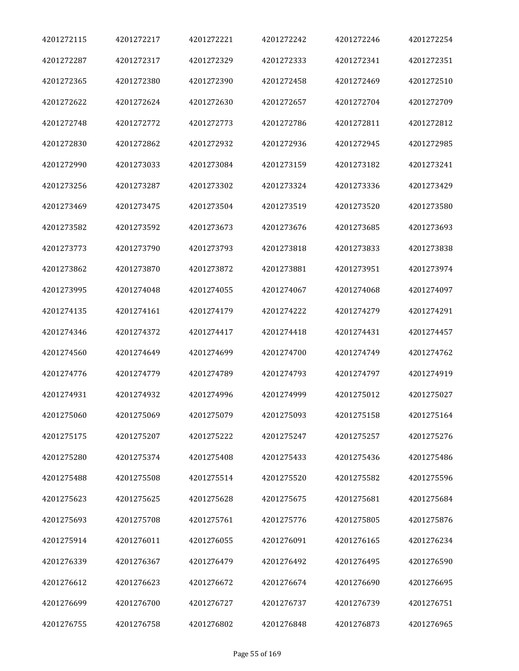| 4201272115 | 4201272217 | 4201272221 | 4201272242 | 4201272246 | 4201272254 |
|------------|------------|------------|------------|------------|------------|
| 4201272287 | 4201272317 | 4201272329 | 4201272333 | 4201272341 | 4201272351 |
| 4201272365 | 4201272380 | 4201272390 | 4201272458 | 4201272469 | 4201272510 |
| 4201272622 | 4201272624 | 4201272630 | 4201272657 | 4201272704 | 4201272709 |
| 4201272748 | 4201272772 | 4201272773 | 4201272786 | 4201272811 | 4201272812 |
| 4201272830 | 4201272862 | 4201272932 | 4201272936 | 4201272945 | 4201272985 |
| 4201272990 | 4201273033 | 4201273084 | 4201273159 | 4201273182 | 4201273241 |
| 4201273256 | 4201273287 | 4201273302 | 4201273324 | 4201273336 | 4201273429 |
| 4201273469 | 4201273475 | 4201273504 | 4201273519 | 4201273520 | 4201273580 |
| 4201273582 | 4201273592 | 4201273673 | 4201273676 | 4201273685 | 4201273693 |
| 4201273773 | 4201273790 | 4201273793 | 4201273818 | 4201273833 | 4201273838 |
| 4201273862 | 4201273870 | 4201273872 | 4201273881 | 4201273951 | 4201273974 |
| 4201273995 | 4201274048 | 4201274055 | 4201274067 | 4201274068 | 4201274097 |
| 4201274135 | 4201274161 | 4201274179 | 4201274222 | 4201274279 | 4201274291 |
| 4201274346 | 4201274372 | 4201274417 | 4201274418 | 4201274431 | 4201274457 |
| 4201274560 | 4201274649 | 4201274699 | 4201274700 | 4201274749 | 4201274762 |
| 4201274776 | 4201274779 | 4201274789 | 4201274793 | 4201274797 | 4201274919 |
| 4201274931 | 4201274932 | 4201274996 | 4201274999 | 4201275012 | 4201275027 |
| 4201275060 | 4201275069 | 4201275079 | 4201275093 | 4201275158 | 4201275164 |
| 4201275175 | 4201275207 | 4201275222 | 4201275247 | 4201275257 | 4201275276 |
| 4201275280 | 4201275374 | 4201275408 | 4201275433 | 4201275436 | 4201275486 |
| 4201275488 | 4201275508 | 4201275514 | 4201275520 | 4201275582 | 4201275596 |
| 4201275623 | 4201275625 | 4201275628 | 4201275675 | 4201275681 | 4201275684 |
| 4201275693 | 4201275708 | 4201275761 | 4201275776 | 4201275805 | 4201275876 |
| 4201275914 | 4201276011 | 4201276055 | 4201276091 | 4201276165 | 4201276234 |
| 4201276339 | 4201276367 | 4201276479 | 4201276492 | 4201276495 | 4201276590 |
| 4201276612 | 4201276623 | 4201276672 | 4201276674 | 4201276690 | 4201276695 |
| 4201276699 | 4201276700 | 4201276727 | 4201276737 | 4201276739 | 4201276751 |
| 4201276755 | 4201276758 | 4201276802 | 4201276848 | 4201276873 | 4201276965 |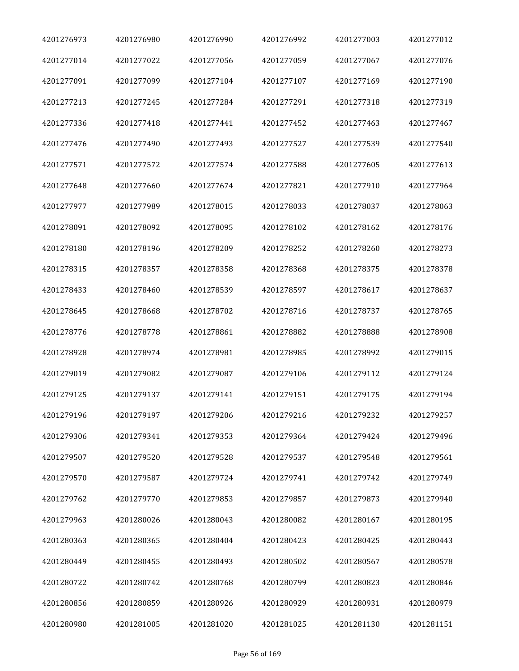| 4201276973 | 4201276980 | 4201276990 | 4201276992 | 4201277003 | 4201277012 |
|------------|------------|------------|------------|------------|------------|
| 4201277014 | 4201277022 | 4201277056 | 4201277059 | 4201277067 | 4201277076 |
| 4201277091 | 4201277099 | 4201277104 | 4201277107 | 4201277169 | 4201277190 |
| 4201277213 | 4201277245 | 4201277284 | 4201277291 | 4201277318 | 4201277319 |
| 4201277336 | 4201277418 | 4201277441 | 4201277452 | 4201277463 | 4201277467 |
| 4201277476 | 4201277490 | 4201277493 | 4201277527 | 4201277539 | 4201277540 |
| 4201277571 | 4201277572 | 4201277574 | 4201277588 | 4201277605 | 4201277613 |
| 4201277648 | 4201277660 | 4201277674 | 4201277821 | 4201277910 | 4201277964 |
| 4201277977 | 4201277989 | 4201278015 | 4201278033 | 4201278037 | 4201278063 |
| 4201278091 | 4201278092 | 4201278095 | 4201278102 | 4201278162 | 4201278176 |
| 4201278180 | 4201278196 | 4201278209 | 4201278252 | 4201278260 | 4201278273 |
| 4201278315 | 4201278357 | 4201278358 | 4201278368 | 4201278375 | 4201278378 |
| 4201278433 | 4201278460 | 4201278539 | 4201278597 | 4201278617 | 4201278637 |
| 4201278645 | 4201278668 | 4201278702 | 4201278716 | 4201278737 | 4201278765 |
| 4201278776 | 4201278778 | 4201278861 | 4201278882 | 4201278888 | 4201278908 |
| 4201278928 | 4201278974 | 4201278981 | 4201278985 | 4201278992 | 4201279015 |
| 4201279019 | 4201279082 | 4201279087 | 4201279106 | 4201279112 | 4201279124 |
| 4201279125 | 4201279137 | 4201279141 | 4201279151 | 4201279175 | 4201279194 |
| 4201279196 | 4201279197 | 4201279206 | 4201279216 | 4201279232 | 4201279257 |
| 4201279306 | 4201279341 | 4201279353 | 4201279364 | 4201279424 | 4201279496 |
| 4201279507 | 4201279520 | 4201279528 | 4201279537 | 4201279548 | 4201279561 |
| 4201279570 | 4201279587 | 4201279724 | 4201279741 | 4201279742 | 4201279749 |
| 4201279762 | 4201279770 | 4201279853 | 4201279857 | 4201279873 | 4201279940 |
| 4201279963 | 4201280026 | 4201280043 | 4201280082 | 4201280167 | 4201280195 |
| 4201280363 | 4201280365 | 4201280404 | 4201280423 | 4201280425 | 4201280443 |
| 4201280449 | 4201280455 | 4201280493 | 4201280502 | 4201280567 | 4201280578 |
| 4201280722 | 4201280742 | 4201280768 | 4201280799 | 4201280823 | 4201280846 |
| 4201280856 | 4201280859 | 4201280926 | 4201280929 | 4201280931 | 4201280979 |
| 4201280980 | 4201281005 | 4201281020 | 4201281025 | 4201281130 | 4201281151 |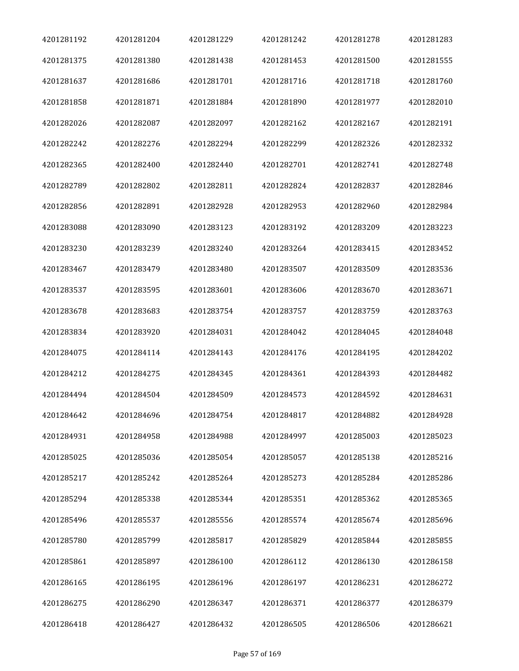| 4201281192 | 4201281204 | 4201281229 | 4201281242 | 4201281278 | 4201281283 |
|------------|------------|------------|------------|------------|------------|
| 4201281375 | 4201281380 | 4201281438 | 4201281453 | 4201281500 | 4201281555 |
| 4201281637 | 4201281686 | 4201281701 | 4201281716 | 4201281718 | 4201281760 |
| 4201281858 | 4201281871 | 4201281884 | 4201281890 | 4201281977 | 4201282010 |
| 4201282026 | 4201282087 | 4201282097 | 4201282162 | 4201282167 | 4201282191 |
| 4201282242 | 4201282276 | 4201282294 | 4201282299 | 4201282326 | 4201282332 |
| 4201282365 | 4201282400 | 4201282440 | 4201282701 | 4201282741 | 4201282748 |
| 4201282789 | 4201282802 | 4201282811 | 4201282824 | 4201282837 | 4201282846 |
| 4201282856 | 4201282891 | 4201282928 | 4201282953 | 4201282960 | 4201282984 |
| 4201283088 | 4201283090 | 4201283123 | 4201283192 | 4201283209 | 4201283223 |
| 4201283230 | 4201283239 | 4201283240 | 4201283264 | 4201283415 | 4201283452 |
| 4201283467 | 4201283479 | 4201283480 | 4201283507 | 4201283509 | 4201283536 |
| 4201283537 | 4201283595 | 4201283601 | 4201283606 | 4201283670 | 4201283671 |
| 4201283678 | 4201283683 | 4201283754 | 4201283757 | 4201283759 | 4201283763 |
| 4201283834 | 4201283920 | 4201284031 | 4201284042 | 4201284045 | 4201284048 |
| 4201284075 | 4201284114 | 4201284143 | 4201284176 | 4201284195 | 4201284202 |
| 4201284212 | 4201284275 | 4201284345 | 4201284361 | 4201284393 | 4201284482 |
| 4201284494 | 4201284504 | 4201284509 | 4201284573 | 4201284592 | 4201284631 |
| 4201284642 | 4201284696 | 4201284754 | 4201284817 | 4201284882 | 4201284928 |
| 4201284931 | 4201284958 | 4201284988 | 4201284997 | 4201285003 | 4201285023 |
| 4201285025 | 4201285036 | 4201285054 | 4201285057 | 4201285138 | 4201285216 |
| 4201285217 | 4201285242 | 4201285264 | 4201285273 | 4201285284 | 4201285286 |
| 4201285294 | 4201285338 | 4201285344 | 4201285351 | 4201285362 | 4201285365 |
| 4201285496 | 4201285537 | 4201285556 | 4201285574 | 4201285674 | 4201285696 |
| 4201285780 | 4201285799 | 4201285817 | 4201285829 | 4201285844 | 4201285855 |
| 4201285861 | 4201285897 | 4201286100 | 4201286112 | 4201286130 | 4201286158 |
| 4201286165 | 4201286195 | 4201286196 | 4201286197 | 4201286231 | 4201286272 |
| 4201286275 | 4201286290 | 4201286347 | 4201286371 | 4201286377 | 4201286379 |
| 4201286418 | 4201286427 | 4201286432 | 4201286505 | 4201286506 | 4201286621 |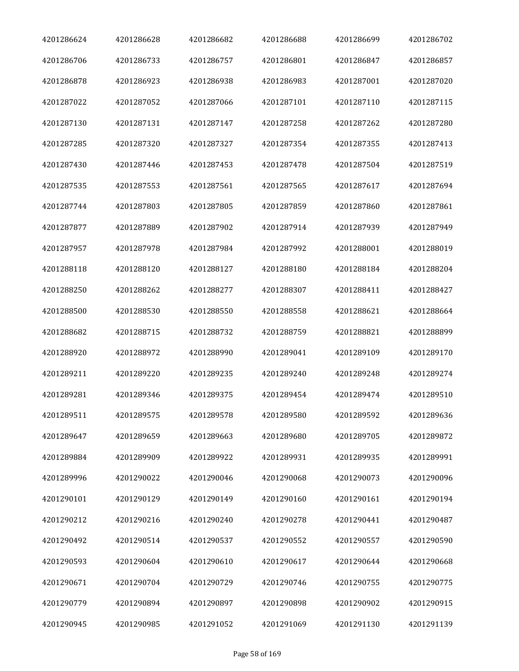| 4201286624 | 4201286628 | 4201286682 | 4201286688 | 4201286699 | 4201286702 |
|------------|------------|------------|------------|------------|------------|
| 4201286706 | 4201286733 | 4201286757 | 4201286801 | 4201286847 | 4201286857 |
| 4201286878 | 4201286923 | 4201286938 | 4201286983 | 4201287001 | 4201287020 |
| 4201287022 | 4201287052 | 4201287066 | 4201287101 | 4201287110 | 4201287115 |
| 4201287130 | 4201287131 | 4201287147 | 4201287258 | 4201287262 | 4201287280 |
| 4201287285 | 4201287320 | 4201287327 | 4201287354 | 4201287355 | 4201287413 |
| 4201287430 | 4201287446 | 4201287453 | 4201287478 | 4201287504 | 4201287519 |
| 4201287535 | 4201287553 | 4201287561 | 4201287565 | 4201287617 | 4201287694 |
| 4201287744 | 4201287803 | 4201287805 | 4201287859 | 4201287860 | 4201287861 |
| 4201287877 | 4201287889 | 4201287902 | 4201287914 | 4201287939 | 4201287949 |
| 4201287957 | 4201287978 | 4201287984 | 4201287992 | 4201288001 | 4201288019 |
| 4201288118 | 4201288120 | 4201288127 | 4201288180 | 4201288184 | 4201288204 |
| 4201288250 | 4201288262 | 4201288277 | 4201288307 | 4201288411 | 4201288427 |
| 4201288500 | 4201288530 | 4201288550 | 4201288558 | 4201288621 | 4201288664 |
| 4201288682 | 4201288715 | 4201288732 | 4201288759 | 4201288821 | 4201288899 |
| 4201288920 | 4201288972 | 4201288990 | 4201289041 | 4201289109 | 4201289170 |
| 4201289211 | 4201289220 | 4201289235 | 4201289240 | 4201289248 | 4201289274 |
| 4201289281 | 4201289346 | 4201289375 | 4201289454 | 4201289474 | 4201289510 |
| 4201289511 | 4201289575 | 4201289578 | 4201289580 | 4201289592 | 4201289636 |
| 4201289647 | 4201289659 | 4201289663 | 4201289680 | 4201289705 | 4201289872 |
| 4201289884 | 4201289909 | 4201289922 | 4201289931 | 4201289935 | 4201289991 |
| 4201289996 | 4201290022 | 4201290046 | 4201290068 | 4201290073 | 4201290096 |
| 4201290101 | 4201290129 | 4201290149 | 4201290160 | 4201290161 | 4201290194 |
| 4201290212 | 4201290216 | 4201290240 | 4201290278 | 4201290441 | 4201290487 |
| 4201290492 | 4201290514 | 4201290537 | 4201290552 | 4201290557 | 4201290590 |
| 4201290593 | 4201290604 | 4201290610 | 4201290617 | 4201290644 | 4201290668 |
| 4201290671 | 4201290704 | 4201290729 | 4201290746 | 4201290755 | 4201290775 |
| 4201290779 | 4201290894 | 4201290897 | 4201290898 | 4201290902 | 4201290915 |
| 4201290945 | 4201290985 | 4201291052 | 4201291069 | 4201291130 | 4201291139 |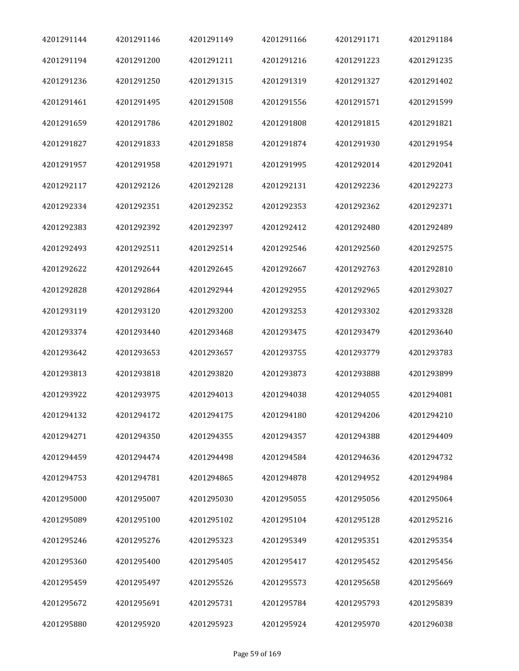| 4201291144 | 4201291146 | 4201291149 | 4201291166 | 4201291171 | 4201291184 |
|------------|------------|------------|------------|------------|------------|
| 4201291194 | 4201291200 | 4201291211 | 4201291216 | 4201291223 | 4201291235 |
| 4201291236 | 4201291250 | 4201291315 | 4201291319 | 4201291327 | 4201291402 |
| 4201291461 | 4201291495 | 4201291508 | 4201291556 | 4201291571 | 4201291599 |
| 4201291659 | 4201291786 | 4201291802 | 4201291808 | 4201291815 | 4201291821 |
| 4201291827 | 4201291833 | 4201291858 | 4201291874 | 4201291930 | 4201291954 |
| 4201291957 | 4201291958 | 4201291971 | 4201291995 | 4201292014 | 4201292041 |
| 4201292117 | 4201292126 | 4201292128 | 4201292131 | 4201292236 | 4201292273 |
| 4201292334 | 4201292351 | 4201292352 | 4201292353 | 4201292362 | 4201292371 |
| 4201292383 | 4201292392 | 4201292397 | 4201292412 | 4201292480 | 4201292489 |
| 4201292493 | 4201292511 | 4201292514 | 4201292546 | 4201292560 | 4201292575 |
| 4201292622 | 4201292644 | 4201292645 | 4201292667 | 4201292763 | 4201292810 |
| 4201292828 | 4201292864 | 4201292944 | 4201292955 | 4201292965 | 4201293027 |
| 4201293119 | 4201293120 | 4201293200 | 4201293253 | 4201293302 | 4201293328 |
| 4201293374 | 4201293440 | 4201293468 | 4201293475 | 4201293479 | 4201293640 |
| 4201293642 | 4201293653 | 4201293657 | 4201293755 | 4201293779 | 4201293783 |
| 4201293813 | 4201293818 | 4201293820 | 4201293873 | 4201293888 | 4201293899 |
| 4201293922 | 4201293975 | 4201294013 | 4201294038 | 4201294055 | 4201294081 |
| 4201294132 | 4201294172 | 4201294175 | 4201294180 | 4201294206 | 4201294210 |
| 4201294271 | 4201294350 | 4201294355 | 4201294357 | 4201294388 | 4201294409 |
| 4201294459 | 4201294474 | 4201294498 | 4201294584 | 4201294636 | 4201294732 |
| 4201294753 | 4201294781 | 4201294865 | 4201294878 | 4201294952 | 4201294984 |
| 4201295000 | 4201295007 | 4201295030 | 4201295055 | 4201295056 | 4201295064 |
| 4201295089 | 4201295100 | 4201295102 | 4201295104 | 4201295128 | 4201295216 |
| 4201295246 | 4201295276 | 4201295323 | 4201295349 | 4201295351 | 4201295354 |
| 4201295360 | 4201295400 | 4201295405 | 4201295417 | 4201295452 | 4201295456 |
| 4201295459 | 4201295497 | 4201295526 | 4201295573 | 4201295658 | 4201295669 |
| 4201295672 | 4201295691 | 4201295731 | 4201295784 | 4201295793 | 4201295839 |
| 4201295880 | 4201295920 | 4201295923 | 4201295924 | 4201295970 | 4201296038 |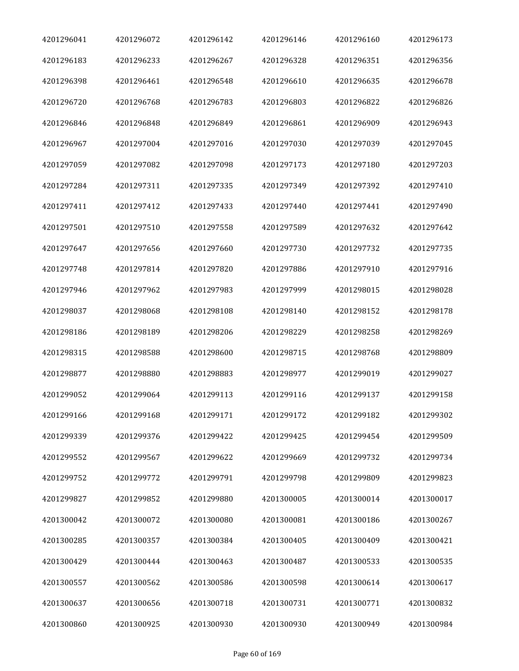| 4201296041 | 4201296072 | 4201296142 | 4201296146 | 4201296160 | 4201296173 |
|------------|------------|------------|------------|------------|------------|
| 4201296183 | 4201296233 | 4201296267 | 4201296328 | 4201296351 | 4201296356 |
| 4201296398 | 4201296461 | 4201296548 | 4201296610 | 4201296635 | 4201296678 |
| 4201296720 | 4201296768 | 4201296783 | 4201296803 | 4201296822 | 4201296826 |
| 4201296846 | 4201296848 | 4201296849 | 4201296861 | 4201296909 | 4201296943 |
| 4201296967 | 4201297004 | 4201297016 | 4201297030 | 4201297039 | 4201297045 |
| 4201297059 | 4201297082 | 4201297098 | 4201297173 | 4201297180 | 4201297203 |
| 4201297284 | 4201297311 | 4201297335 | 4201297349 | 4201297392 | 4201297410 |
| 4201297411 | 4201297412 | 4201297433 | 4201297440 | 4201297441 | 4201297490 |
| 4201297501 | 4201297510 | 4201297558 | 4201297589 | 4201297632 | 4201297642 |
| 4201297647 | 4201297656 | 4201297660 | 4201297730 | 4201297732 | 4201297735 |
| 4201297748 | 4201297814 | 4201297820 | 4201297886 | 4201297910 | 4201297916 |
| 4201297946 | 4201297962 | 4201297983 | 4201297999 | 4201298015 | 4201298028 |
| 4201298037 | 4201298068 | 4201298108 | 4201298140 | 4201298152 | 4201298178 |
| 4201298186 | 4201298189 | 4201298206 | 4201298229 | 4201298258 | 4201298269 |
| 4201298315 | 4201298588 | 4201298600 | 4201298715 | 4201298768 | 4201298809 |
| 4201298877 | 4201298880 | 4201298883 | 4201298977 | 4201299019 | 4201299027 |
| 4201299052 | 4201299064 | 4201299113 | 4201299116 | 4201299137 | 4201299158 |
| 4201299166 | 4201299168 | 4201299171 | 4201299172 | 4201299182 | 4201299302 |
| 4201299339 | 4201299376 | 4201299422 | 4201299425 | 4201299454 | 4201299509 |
| 4201299552 | 4201299567 | 4201299622 | 4201299669 | 4201299732 | 4201299734 |
| 4201299752 | 4201299772 | 4201299791 | 4201299798 | 4201299809 | 4201299823 |
| 4201299827 | 4201299852 | 4201299880 | 4201300005 | 4201300014 | 4201300017 |
| 4201300042 | 4201300072 | 4201300080 | 4201300081 | 4201300186 | 4201300267 |
| 4201300285 | 4201300357 | 4201300384 | 4201300405 | 4201300409 | 4201300421 |
| 4201300429 | 4201300444 | 4201300463 | 4201300487 | 4201300533 | 4201300535 |
| 4201300557 | 4201300562 | 4201300586 | 4201300598 | 4201300614 | 4201300617 |
| 4201300637 | 4201300656 | 4201300718 | 4201300731 | 4201300771 | 4201300832 |
| 4201300860 | 4201300925 | 4201300930 | 4201300930 | 4201300949 | 4201300984 |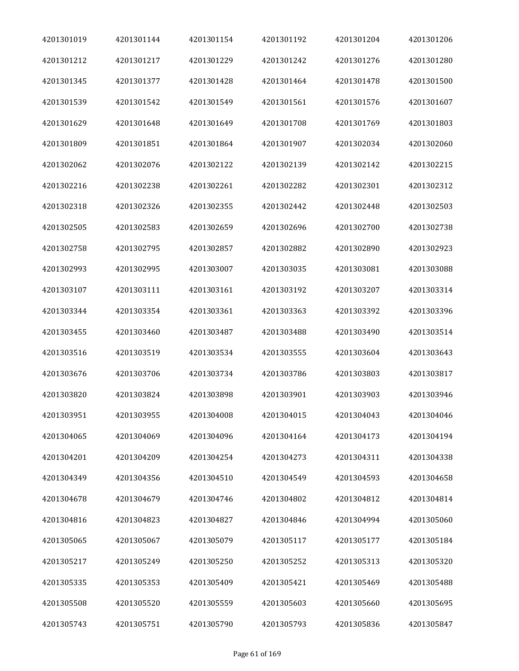| 4201301019 | 4201301144 | 4201301154 | 4201301192 | 4201301204 | 4201301206 |
|------------|------------|------------|------------|------------|------------|
| 4201301212 | 4201301217 | 4201301229 | 4201301242 | 4201301276 | 4201301280 |
| 4201301345 | 4201301377 | 4201301428 | 4201301464 | 4201301478 | 4201301500 |
| 4201301539 | 4201301542 | 4201301549 | 4201301561 | 4201301576 | 4201301607 |
| 4201301629 | 4201301648 | 4201301649 | 4201301708 | 4201301769 | 4201301803 |
| 4201301809 | 4201301851 | 4201301864 | 4201301907 | 4201302034 | 4201302060 |
| 4201302062 | 4201302076 | 4201302122 | 4201302139 | 4201302142 | 4201302215 |
| 4201302216 | 4201302238 | 4201302261 | 4201302282 | 4201302301 | 4201302312 |
| 4201302318 | 4201302326 | 4201302355 | 4201302442 | 4201302448 | 4201302503 |
| 4201302505 | 4201302583 | 4201302659 | 4201302696 | 4201302700 | 4201302738 |
| 4201302758 | 4201302795 | 4201302857 | 4201302882 | 4201302890 | 4201302923 |
| 4201302993 | 4201302995 | 4201303007 | 4201303035 | 4201303081 | 4201303088 |
| 4201303107 | 4201303111 | 4201303161 | 4201303192 | 4201303207 | 4201303314 |
| 4201303344 | 4201303354 | 4201303361 | 4201303363 | 4201303392 | 4201303396 |
| 4201303455 | 4201303460 | 4201303487 | 4201303488 | 4201303490 | 4201303514 |
| 4201303516 | 4201303519 | 4201303534 | 4201303555 | 4201303604 | 4201303643 |
| 4201303676 | 4201303706 | 4201303734 | 4201303786 | 4201303803 | 4201303817 |
| 4201303820 | 4201303824 | 4201303898 | 4201303901 | 4201303903 | 4201303946 |
| 4201303951 | 4201303955 | 4201304008 | 4201304015 | 4201304043 | 4201304046 |
| 4201304065 | 4201304069 | 4201304096 | 4201304164 | 4201304173 | 4201304194 |
| 4201304201 | 4201304209 | 4201304254 | 4201304273 | 4201304311 | 4201304338 |
| 4201304349 | 4201304356 | 4201304510 | 4201304549 | 4201304593 | 4201304658 |
| 4201304678 | 4201304679 | 4201304746 | 4201304802 | 4201304812 | 4201304814 |
| 4201304816 | 4201304823 | 4201304827 | 4201304846 | 4201304994 | 4201305060 |
| 4201305065 | 4201305067 | 4201305079 | 4201305117 | 4201305177 | 4201305184 |
| 4201305217 | 4201305249 | 4201305250 | 4201305252 | 4201305313 | 4201305320 |
| 4201305335 | 4201305353 | 4201305409 | 4201305421 | 4201305469 | 4201305488 |
| 4201305508 | 4201305520 | 4201305559 | 4201305603 | 4201305660 | 4201305695 |
| 4201305743 | 4201305751 | 4201305790 | 4201305793 | 4201305836 | 4201305847 |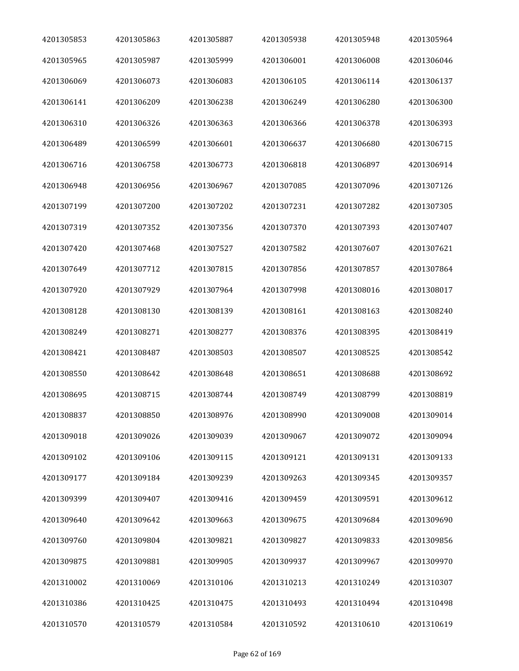| 4201305853 | 4201305863 | 4201305887 | 4201305938 | 4201305948 | 4201305964 |
|------------|------------|------------|------------|------------|------------|
| 4201305965 | 4201305987 | 4201305999 | 4201306001 | 4201306008 | 4201306046 |
| 4201306069 | 4201306073 | 4201306083 | 4201306105 | 4201306114 | 4201306137 |
| 4201306141 | 4201306209 | 4201306238 | 4201306249 | 4201306280 | 4201306300 |
| 4201306310 | 4201306326 | 4201306363 | 4201306366 | 4201306378 | 4201306393 |
| 4201306489 | 4201306599 | 4201306601 | 4201306637 | 4201306680 | 4201306715 |
| 4201306716 | 4201306758 | 4201306773 | 4201306818 | 4201306897 | 4201306914 |
| 4201306948 | 4201306956 | 4201306967 | 4201307085 | 4201307096 | 4201307126 |
| 4201307199 | 4201307200 | 4201307202 | 4201307231 | 4201307282 | 4201307305 |
| 4201307319 | 4201307352 | 4201307356 | 4201307370 | 4201307393 | 4201307407 |
| 4201307420 | 4201307468 | 4201307527 | 4201307582 | 4201307607 | 4201307621 |
| 4201307649 | 4201307712 | 4201307815 | 4201307856 | 4201307857 | 4201307864 |
| 4201307920 | 4201307929 | 4201307964 | 4201307998 | 4201308016 | 4201308017 |
| 4201308128 | 4201308130 | 4201308139 | 4201308161 | 4201308163 | 4201308240 |
| 4201308249 | 4201308271 | 4201308277 | 4201308376 | 4201308395 | 4201308419 |
| 4201308421 | 4201308487 | 4201308503 | 4201308507 | 4201308525 | 4201308542 |
| 4201308550 | 4201308642 | 4201308648 | 4201308651 | 4201308688 | 4201308692 |
| 4201308695 | 4201308715 | 4201308744 | 4201308749 | 4201308799 | 4201308819 |
| 4201308837 | 4201308850 | 4201308976 | 4201308990 | 4201309008 | 4201309014 |
| 4201309018 | 4201309026 | 4201309039 | 4201309067 | 4201309072 | 4201309094 |
| 4201309102 | 4201309106 | 4201309115 | 4201309121 | 4201309131 | 4201309133 |
| 4201309177 | 4201309184 | 4201309239 | 4201309263 | 4201309345 | 4201309357 |
| 4201309399 | 4201309407 | 4201309416 | 4201309459 | 4201309591 | 4201309612 |
| 4201309640 | 4201309642 | 4201309663 | 4201309675 | 4201309684 | 4201309690 |
| 4201309760 | 4201309804 | 4201309821 | 4201309827 | 4201309833 | 4201309856 |
| 4201309875 | 4201309881 | 4201309905 | 4201309937 | 4201309967 | 4201309970 |
| 4201310002 | 4201310069 | 4201310106 | 4201310213 | 4201310249 | 4201310307 |
| 4201310386 | 4201310425 | 4201310475 | 4201310493 | 4201310494 | 4201310498 |
| 4201310570 | 4201310579 | 4201310584 | 4201310592 | 4201310610 | 4201310619 |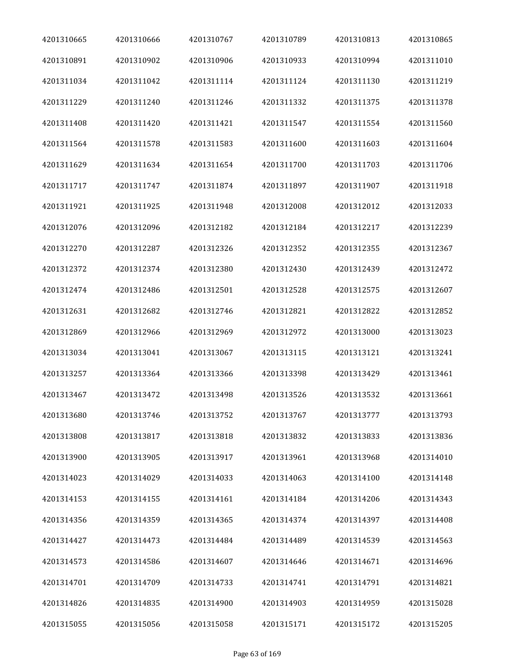| 4201310665 | 4201310666 | 4201310767 | 4201310789 | 4201310813 | 4201310865 |
|------------|------------|------------|------------|------------|------------|
| 4201310891 | 4201310902 | 4201310906 | 4201310933 | 4201310994 | 4201311010 |
| 4201311034 | 4201311042 | 4201311114 | 4201311124 | 4201311130 | 4201311219 |
| 4201311229 | 4201311240 | 4201311246 | 4201311332 | 4201311375 | 4201311378 |
| 4201311408 | 4201311420 | 4201311421 | 4201311547 | 4201311554 | 4201311560 |
| 4201311564 | 4201311578 | 4201311583 | 4201311600 | 4201311603 | 4201311604 |
| 4201311629 | 4201311634 | 4201311654 | 4201311700 | 4201311703 | 4201311706 |
| 4201311717 | 4201311747 | 4201311874 | 4201311897 | 4201311907 | 4201311918 |
| 4201311921 | 4201311925 | 4201311948 | 4201312008 | 4201312012 | 4201312033 |
| 4201312076 | 4201312096 | 4201312182 | 4201312184 | 4201312217 | 4201312239 |
| 4201312270 | 4201312287 | 4201312326 | 4201312352 | 4201312355 | 4201312367 |
| 4201312372 | 4201312374 | 4201312380 | 4201312430 | 4201312439 | 4201312472 |
| 4201312474 | 4201312486 | 4201312501 | 4201312528 | 4201312575 | 4201312607 |
| 4201312631 | 4201312682 | 4201312746 | 4201312821 | 4201312822 | 4201312852 |
| 4201312869 | 4201312966 | 4201312969 | 4201312972 | 4201313000 | 4201313023 |
| 4201313034 | 4201313041 | 4201313067 | 4201313115 | 4201313121 | 4201313241 |
| 4201313257 | 4201313364 | 4201313366 | 4201313398 | 4201313429 | 4201313461 |
| 4201313467 | 4201313472 | 4201313498 | 4201313526 | 4201313532 | 4201313661 |
| 4201313680 | 4201313746 | 4201313752 | 4201313767 | 4201313777 | 4201313793 |
| 4201313808 | 4201313817 | 4201313818 | 4201313832 | 4201313833 | 4201313836 |
| 4201313900 | 4201313905 | 4201313917 | 4201313961 | 4201313968 | 4201314010 |
| 4201314023 | 4201314029 | 4201314033 | 4201314063 | 4201314100 | 4201314148 |
| 4201314153 | 4201314155 | 4201314161 | 4201314184 | 4201314206 | 4201314343 |
| 4201314356 | 4201314359 | 4201314365 | 4201314374 | 4201314397 | 4201314408 |
| 4201314427 | 4201314473 | 4201314484 | 4201314489 | 4201314539 | 4201314563 |
| 4201314573 | 4201314586 | 4201314607 | 4201314646 | 4201314671 | 4201314696 |
| 4201314701 | 4201314709 | 4201314733 | 4201314741 | 4201314791 | 4201314821 |
| 4201314826 | 4201314835 | 4201314900 | 4201314903 | 4201314959 | 4201315028 |
| 4201315055 | 4201315056 | 4201315058 | 4201315171 | 4201315172 | 4201315205 |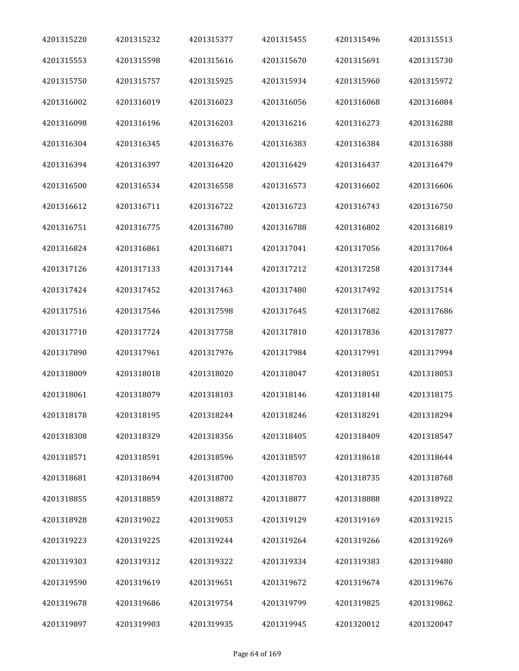| 4201315220 | 4201315232 | 4201315377 | 4201315455 | 4201315496 | 4201315513 |
|------------|------------|------------|------------|------------|------------|
| 4201315553 | 4201315598 | 4201315616 | 4201315670 | 4201315691 | 4201315730 |
| 4201315750 | 4201315757 | 4201315925 | 4201315934 | 4201315960 | 4201315972 |
| 4201316002 | 4201316019 | 4201316023 | 4201316056 | 4201316068 | 4201316084 |
| 4201316098 | 4201316196 | 4201316203 | 4201316216 | 4201316273 | 4201316288 |
| 4201316304 | 4201316345 | 4201316376 | 4201316383 | 4201316384 | 4201316388 |
| 4201316394 | 4201316397 | 4201316420 | 4201316429 | 4201316437 | 4201316479 |
| 4201316500 | 4201316534 | 4201316558 | 4201316573 | 4201316602 | 4201316606 |
| 4201316612 | 4201316711 | 4201316722 | 4201316723 | 4201316743 | 4201316750 |
| 4201316751 | 4201316775 | 4201316780 | 4201316788 | 4201316802 | 4201316819 |
| 4201316824 | 4201316861 | 4201316871 | 4201317041 | 4201317056 | 4201317064 |
| 4201317126 | 4201317133 | 4201317144 | 4201317212 | 4201317258 | 4201317344 |
| 4201317424 | 4201317452 | 4201317463 | 4201317480 | 4201317492 | 4201317514 |
| 4201317516 | 4201317546 | 4201317598 | 4201317645 | 4201317682 | 4201317686 |
| 4201317710 | 4201317724 | 4201317758 | 4201317810 | 4201317836 | 4201317877 |
| 4201317890 | 4201317961 | 4201317976 | 4201317984 | 4201317991 | 4201317994 |
| 4201318009 | 4201318018 | 4201318020 | 4201318047 | 4201318051 | 4201318053 |
| 4201318061 | 4201318079 | 4201318103 | 4201318146 | 4201318148 | 4201318175 |
| 4201318178 | 4201318195 | 4201318244 | 4201318246 | 4201318291 | 4201318294 |
| 4201318308 | 4201318329 | 4201318356 | 4201318405 | 4201318409 | 4201318547 |
| 4201318571 | 4201318591 | 4201318596 | 4201318597 | 4201318618 | 4201318644 |
| 4201318681 | 4201318694 | 4201318700 | 4201318703 | 4201318735 | 4201318768 |
| 4201318855 | 4201318859 | 4201318872 | 4201318877 | 4201318888 | 4201318922 |
| 4201318928 | 4201319022 | 4201319053 | 4201319129 | 4201319169 | 4201319215 |
| 4201319223 | 4201319225 | 4201319244 | 4201319264 | 4201319266 | 4201319269 |
| 4201319303 | 4201319312 | 4201319322 | 4201319334 | 4201319383 | 4201319480 |
| 4201319590 | 4201319619 | 4201319651 | 4201319672 | 4201319674 | 4201319676 |
| 4201319678 | 4201319686 | 4201319754 | 4201319799 | 4201319825 | 4201319862 |
| 4201319897 | 4201319903 | 4201319935 | 4201319945 | 4201320012 | 4201320047 |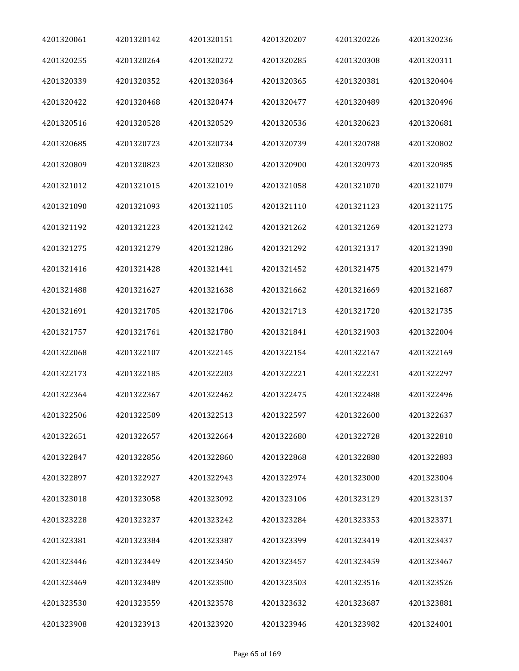| 4201320061 | 4201320142 | 4201320151 | 4201320207 | 4201320226 | 4201320236 |
|------------|------------|------------|------------|------------|------------|
| 4201320255 | 4201320264 | 4201320272 | 4201320285 | 4201320308 | 4201320311 |
| 4201320339 | 4201320352 | 4201320364 | 4201320365 | 4201320381 | 4201320404 |
| 4201320422 | 4201320468 | 4201320474 | 4201320477 | 4201320489 | 4201320496 |
| 4201320516 | 4201320528 | 4201320529 | 4201320536 | 4201320623 | 4201320681 |
| 4201320685 | 4201320723 | 4201320734 | 4201320739 | 4201320788 | 4201320802 |
| 4201320809 | 4201320823 | 4201320830 | 4201320900 | 4201320973 | 4201320985 |
| 4201321012 | 4201321015 | 4201321019 | 4201321058 | 4201321070 | 4201321079 |
| 4201321090 | 4201321093 | 4201321105 | 4201321110 | 4201321123 | 4201321175 |
| 4201321192 | 4201321223 | 4201321242 | 4201321262 | 4201321269 | 4201321273 |
| 4201321275 | 4201321279 | 4201321286 | 4201321292 | 4201321317 | 4201321390 |
| 4201321416 | 4201321428 | 4201321441 | 4201321452 | 4201321475 | 4201321479 |
| 4201321488 | 4201321627 | 4201321638 | 4201321662 | 4201321669 | 4201321687 |
| 4201321691 | 4201321705 | 4201321706 | 4201321713 | 4201321720 | 4201321735 |
| 4201321757 | 4201321761 | 4201321780 | 4201321841 | 4201321903 | 4201322004 |
| 4201322068 | 4201322107 | 4201322145 | 4201322154 | 4201322167 | 4201322169 |
| 4201322173 | 4201322185 | 4201322203 | 4201322221 | 4201322231 | 4201322297 |
| 4201322364 | 4201322367 | 4201322462 | 4201322475 | 4201322488 | 4201322496 |
| 4201322506 | 4201322509 | 4201322513 | 4201322597 | 4201322600 | 4201322637 |
| 4201322651 | 4201322657 | 4201322664 | 4201322680 | 4201322728 | 4201322810 |
| 4201322847 | 4201322856 | 4201322860 | 4201322868 | 4201322880 | 4201322883 |
| 4201322897 | 4201322927 | 4201322943 | 4201322974 | 4201323000 | 4201323004 |
| 4201323018 | 4201323058 | 4201323092 | 4201323106 | 4201323129 | 4201323137 |
| 4201323228 | 4201323237 | 4201323242 | 4201323284 | 4201323353 | 4201323371 |
| 4201323381 | 4201323384 | 4201323387 | 4201323399 | 4201323419 | 4201323437 |
| 4201323446 | 4201323449 | 4201323450 | 4201323457 | 4201323459 | 4201323467 |
| 4201323469 | 4201323489 | 4201323500 | 4201323503 | 4201323516 | 4201323526 |
| 4201323530 | 4201323559 | 4201323578 | 4201323632 | 4201323687 | 4201323881 |
| 4201323908 | 4201323913 | 4201323920 | 4201323946 | 4201323982 | 4201324001 |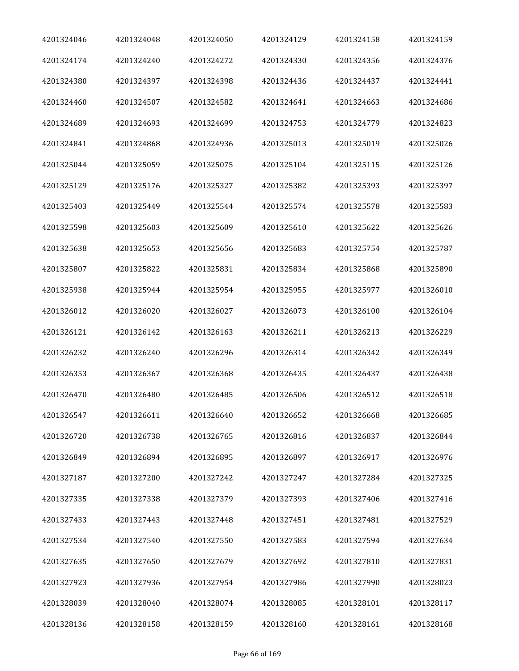| 4201324046 | 4201324048 | 4201324050 | 4201324129 | 4201324158 | 4201324159 |
|------------|------------|------------|------------|------------|------------|
| 4201324174 | 4201324240 | 4201324272 | 4201324330 | 4201324356 | 4201324376 |
| 4201324380 | 4201324397 | 4201324398 | 4201324436 | 4201324437 | 4201324441 |
| 4201324460 | 4201324507 | 4201324582 | 4201324641 | 4201324663 | 4201324686 |
| 4201324689 | 4201324693 | 4201324699 | 4201324753 | 4201324779 | 4201324823 |
| 4201324841 | 4201324868 | 4201324936 | 4201325013 | 4201325019 | 4201325026 |
| 4201325044 | 4201325059 | 4201325075 | 4201325104 | 4201325115 | 4201325126 |
| 4201325129 | 4201325176 | 4201325327 | 4201325382 | 4201325393 | 4201325397 |
| 4201325403 | 4201325449 | 4201325544 | 4201325574 | 4201325578 | 4201325583 |
| 4201325598 | 4201325603 | 4201325609 | 4201325610 | 4201325622 | 4201325626 |
| 4201325638 | 4201325653 | 4201325656 | 4201325683 | 4201325754 | 4201325787 |
| 4201325807 | 4201325822 | 4201325831 | 4201325834 | 4201325868 | 4201325890 |
| 4201325938 | 4201325944 | 4201325954 | 4201325955 | 4201325977 | 4201326010 |
| 4201326012 | 4201326020 | 4201326027 | 4201326073 | 4201326100 | 4201326104 |
| 4201326121 | 4201326142 | 4201326163 | 4201326211 | 4201326213 | 4201326229 |
| 4201326232 | 4201326240 | 4201326296 | 4201326314 | 4201326342 | 4201326349 |
| 4201326353 | 4201326367 | 4201326368 | 4201326435 | 4201326437 | 4201326438 |
| 4201326470 | 4201326480 | 4201326485 | 4201326506 | 4201326512 | 4201326518 |
| 4201326547 | 4201326611 | 4201326640 | 4201326652 | 4201326668 | 4201326685 |
| 4201326720 | 4201326738 | 4201326765 | 4201326816 | 4201326837 | 4201326844 |
| 4201326849 | 4201326894 | 4201326895 | 4201326897 | 4201326917 | 4201326976 |
| 4201327187 | 4201327200 | 4201327242 | 4201327247 | 4201327284 | 4201327325 |
| 4201327335 | 4201327338 | 4201327379 | 4201327393 | 4201327406 | 4201327416 |
| 4201327433 | 4201327443 | 4201327448 | 4201327451 | 4201327481 | 4201327529 |
| 4201327534 | 4201327540 | 4201327550 | 4201327583 | 4201327594 | 4201327634 |
| 4201327635 | 4201327650 | 4201327679 | 4201327692 | 4201327810 | 4201327831 |
| 4201327923 | 4201327936 | 4201327954 | 4201327986 | 4201327990 | 4201328023 |
| 4201328039 | 4201328040 | 4201328074 | 4201328085 | 4201328101 | 4201328117 |
| 4201328136 | 4201328158 | 4201328159 | 4201328160 | 4201328161 | 4201328168 |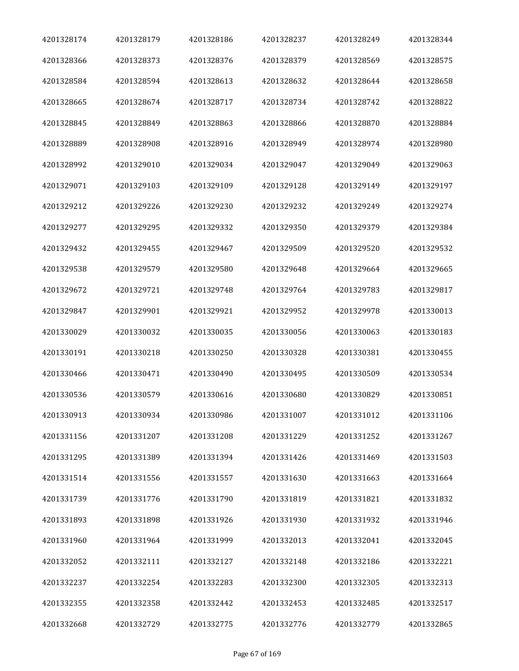| 4201328174 | 4201328179 | 4201328186 | 4201328237 | 4201328249 | 4201328344 |
|------------|------------|------------|------------|------------|------------|
| 4201328366 | 4201328373 | 4201328376 | 4201328379 | 4201328569 | 4201328575 |
| 4201328584 | 4201328594 | 4201328613 | 4201328632 | 4201328644 | 4201328658 |
| 4201328665 | 4201328674 | 4201328717 | 4201328734 | 4201328742 | 4201328822 |
| 4201328845 | 4201328849 | 4201328863 | 4201328866 | 4201328870 | 4201328884 |
| 4201328889 | 4201328908 | 4201328916 | 4201328949 | 4201328974 | 4201328980 |
| 4201328992 | 4201329010 | 4201329034 | 4201329047 | 4201329049 | 4201329063 |
| 4201329071 | 4201329103 | 4201329109 | 4201329128 | 4201329149 | 4201329197 |
| 4201329212 | 4201329226 | 4201329230 | 4201329232 | 4201329249 | 4201329274 |
| 4201329277 | 4201329295 | 4201329332 | 4201329350 | 4201329379 | 4201329384 |
| 4201329432 | 4201329455 | 4201329467 | 4201329509 | 4201329520 | 4201329532 |
| 4201329538 | 4201329579 | 4201329580 | 4201329648 | 4201329664 | 4201329665 |
| 4201329672 | 4201329721 | 4201329748 | 4201329764 | 4201329783 | 4201329817 |
| 4201329847 | 4201329901 | 4201329921 | 4201329952 | 4201329978 | 4201330013 |
| 4201330029 | 4201330032 | 4201330035 | 4201330056 | 4201330063 | 4201330183 |
| 4201330191 | 4201330218 | 4201330250 | 4201330328 | 4201330381 | 4201330455 |
| 4201330466 | 4201330471 | 4201330490 | 4201330495 | 4201330509 | 4201330534 |
| 4201330536 | 4201330579 | 4201330616 | 4201330680 | 4201330829 | 4201330851 |
| 4201330913 | 4201330934 | 4201330986 | 4201331007 | 4201331012 | 4201331106 |
| 4201331156 | 4201331207 | 4201331208 | 4201331229 | 4201331252 | 4201331267 |
| 4201331295 | 4201331389 | 4201331394 | 4201331426 | 4201331469 | 4201331503 |
| 4201331514 | 4201331556 | 4201331557 | 4201331630 | 4201331663 | 4201331664 |
| 4201331739 | 4201331776 | 4201331790 | 4201331819 | 4201331821 | 4201331832 |
| 4201331893 | 4201331898 | 4201331926 | 4201331930 | 4201331932 | 4201331946 |
| 4201331960 | 4201331964 | 4201331999 | 4201332013 | 4201332041 | 4201332045 |
| 4201332052 | 4201332111 | 4201332127 | 4201332148 | 4201332186 | 4201332221 |
| 4201332237 | 4201332254 | 4201332283 | 4201332300 | 4201332305 | 4201332313 |
| 4201332355 | 4201332358 | 4201332442 | 4201332453 | 4201332485 | 4201332517 |
| 4201332668 | 4201332729 | 4201332775 | 4201332776 | 4201332779 | 4201332865 |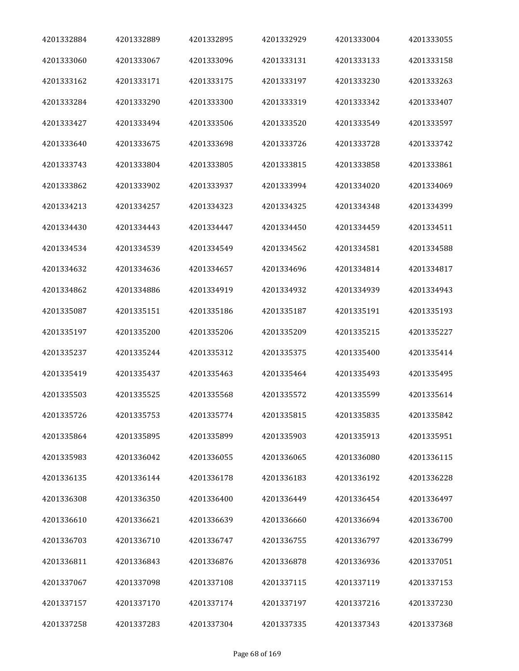| 4201332884 | 4201332889 | 4201332895 | 4201332929 | 4201333004 | 4201333055 |
|------------|------------|------------|------------|------------|------------|
| 4201333060 | 4201333067 | 4201333096 | 4201333131 | 4201333133 | 4201333158 |
| 4201333162 | 4201333171 | 4201333175 | 4201333197 | 4201333230 | 4201333263 |
| 4201333284 | 4201333290 | 4201333300 | 4201333319 | 4201333342 | 4201333407 |
| 4201333427 | 4201333494 | 4201333506 | 4201333520 | 4201333549 | 4201333597 |
| 4201333640 | 4201333675 | 4201333698 | 4201333726 | 4201333728 | 4201333742 |
| 4201333743 | 4201333804 | 4201333805 | 4201333815 | 4201333858 | 4201333861 |
| 4201333862 | 4201333902 | 4201333937 | 4201333994 | 4201334020 | 4201334069 |
| 4201334213 | 4201334257 | 4201334323 | 4201334325 | 4201334348 | 4201334399 |
| 4201334430 | 4201334443 | 4201334447 | 4201334450 | 4201334459 | 4201334511 |
| 4201334534 | 4201334539 | 4201334549 | 4201334562 | 4201334581 | 4201334588 |
| 4201334632 | 4201334636 | 4201334657 | 4201334696 | 4201334814 | 4201334817 |
| 4201334862 | 4201334886 | 4201334919 | 4201334932 | 4201334939 | 4201334943 |
| 4201335087 | 4201335151 | 4201335186 | 4201335187 | 4201335191 | 4201335193 |
| 4201335197 | 4201335200 | 4201335206 | 4201335209 | 4201335215 | 4201335227 |
| 4201335237 | 4201335244 | 4201335312 | 4201335375 | 4201335400 | 4201335414 |
| 4201335419 | 4201335437 | 4201335463 | 4201335464 | 4201335493 | 4201335495 |
| 4201335503 | 4201335525 | 4201335568 | 4201335572 | 4201335599 | 4201335614 |
| 4201335726 | 4201335753 | 4201335774 | 4201335815 | 4201335835 | 4201335842 |
| 4201335864 | 4201335895 | 4201335899 | 4201335903 | 4201335913 | 4201335951 |
| 4201335983 | 4201336042 | 4201336055 | 4201336065 | 4201336080 | 4201336115 |
| 4201336135 | 4201336144 | 4201336178 | 4201336183 | 4201336192 | 4201336228 |
| 4201336308 | 4201336350 | 4201336400 | 4201336449 | 4201336454 | 4201336497 |
| 4201336610 | 4201336621 | 4201336639 | 4201336660 | 4201336694 | 4201336700 |
| 4201336703 | 4201336710 | 4201336747 | 4201336755 | 4201336797 | 4201336799 |
| 4201336811 | 4201336843 | 4201336876 | 4201336878 | 4201336936 | 4201337051 |
| 4201337067 | 4201337098 | 4201337108 | 4201337115 | 4201337119 | 4201337153 |
| 4201337157 | 4201337170 | 4201337174 | 4201337197 | 4201337216 | 4201337230 |
| 4201337258 | 4201337283 | 4201337304 | 4201337335 | 4201337343 | 4201337368 |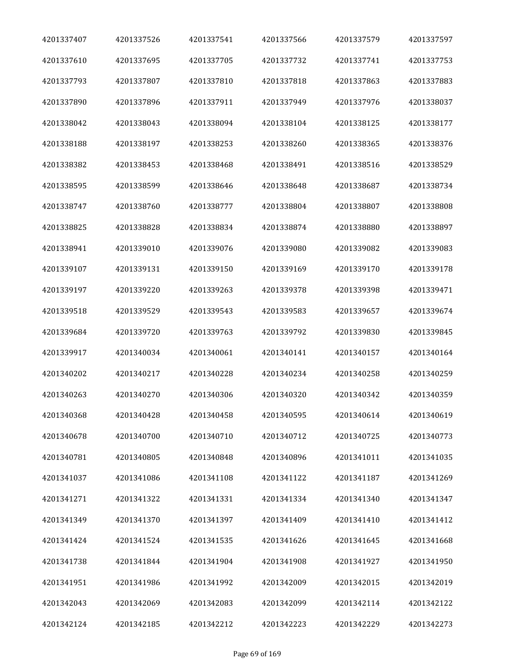| 4201337407 | 4201337526 | 4201337541 | 4201337566 | 4201337579 | 4201337597 |
|------------|------------|------------|------------|------------|------------|
| 4201337610 | 4201337695 | 4201337705 | 4201337732 | 4201337741 | 4201337753 |
| 4201337793 | 4201337807 | 4201337810 | 4201337818 | 4201337863 | 4201337883 |
| 4201337890 | 4201337896 | 4201337911 | 4201337949 | 4201337976 | 4201338037 |
| 4201338042 | 4201338043 | 4201338094 | 4201338104 | 4201338125 | 4201338177 |
| 4201338188 | 4201338197 | 4201338253 | 4201338260 | 4201338365 | 4201338376 |
| 4201338382 | 4201338453 | 4201338468 | 4201338491 | 4201338516 | 4201338529 |
| 4201338595 | 4201338599 | 4201338646 | 4201338648 | 4201338687 | 4201338734 |
| 4201338747 | 4201338760 | 4201338777 | 4201338804 | 4201338807 | 4201338808 |
| 4201338825 | 4201338828 | 4201338834 | 4201338874 | 4201338880 | 4201338897 |
| 4201338941 | 4201339010 | 4201339076 | 4201339080 | 4201339082 | 4201339083 |
| 4201339107 | 4201339131 | 4201339150 | 4201339169 | 4201339170 | 4201339178 |
| 4201339197 | 4201339220 | 4201339263 | 4201339378 | 4201339398 | 4201339471 |
| 4201339518 | 4201339529 | 4201339543 | 4201339583 | 4201339657 | 4201339674 |
| 4201339684 | 4201339720 | 4201339763 | 4201339792 | 4201339830 | 4201339845 |
| 4201339917 | 4201340034 | 4201340061 | 4201340141 | 4201340157 | 4201340164 |
| 4201340202 | 4201340217 | 4201340228 | 4201340234 | 4201340258 | 4201340259 |
| 4201340263 | 4201340270 | 4201340306 | 4201340320 | 4201340342 | 4201340359 |
| 4201340368 | 4201340428 | 4201340458 | 4201340595 | 4201340614 | 4201340619 |
| 4201340678 | 4201340700 | 4201340710 | 4201340712 | 4201340725 | 4201340773 |
| 4201340781 | 4201340805 | 4201340848 | 4201340896 | 4201341011 | 4201341035 |
| 4201341037 | 4201341086 | 4201341108 | 4201341122 | 4201341187 | 4201341269 |
| 4201341271 | 4201341322 | 4201341331 | 4201341334 | 4201341340 | 4201341347 |
| 4201341349 | 4201341370 | 4201341397 | 4201341409 | 4201341410 | 4201341412 |
| 4201341424 | 4201341524 | 4201341535 | 4201341626 | 4201341645 | 4201341668 |
| 4201341738 | 4201341844 | 4201341904 | 4201341908 | 4201341927 | 4201341950 |
| 4201341951 | 4201341986 | 4201341992 | 4201342009 | 4201342015 | 4201342019 |
| 4201342043 | 4201342069 | 4201342083 | 4201342099 | 4201342114 | 4201342122 |
| 4201342124 | 4201342185 | 4201342212 | 4201342223 | 4201342229 | 4201342273 |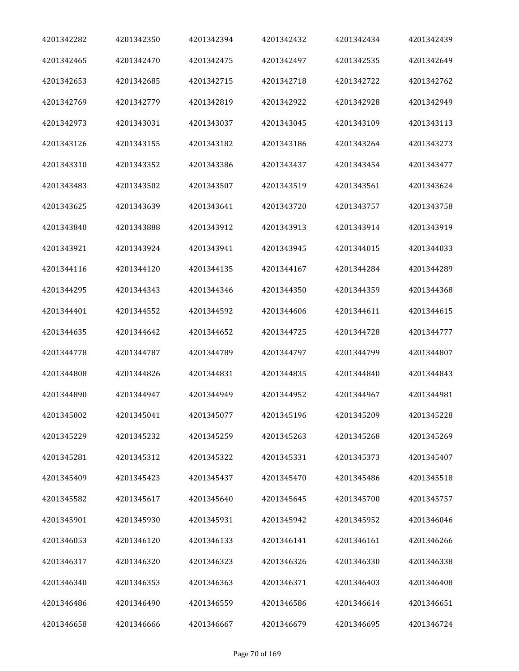| 4201342282 | 4201342350 | 4201342394 | 4201342432 | 4201342434 | 4201342439 |
|------------|------------|------------|------------|------------|------------|
| 4201342465 | 4201342470 | 4201342475 | 4201342497 | 4201342535 | 4201342649 |
| 4201342653 | 4201342685 | 4201342715 | 4201342718 | 4201342722 | 4201342762 |
| 4201342769 | 4201342779 | 4201342819 | 4201342922 | 4201342928 | 4201342949 |
| 4201342973 | 4201343031 | 4201343037 | 4201343045 | 4201343109 | 4201343113 |
| 4201343126 | 4201343155 | 4201343182 | 4201343186 | 4201343264 | 4201343273 |
| 4201343310 | 4201343352 | 4201343386 | 4201343437 | 4201343454 | 4201343477 |
| 4201343483 | 4201343502 | 4201343507 | 4201343519 | 4201343561 | 4201343624 |
| 4201343625 | 4201343639 | 4201343641 | 4201343720 | 4201343757 | 4201343758 |
| 4201343840 | 4201343888 | 4201343912 | 4201343913 | 4201343914 | 4201343919 |
| 4201343921 | 4201343924 | 4201343941 | 4201343945 | 4201344015 | 4201344033 |
| 4201344116 | 4201344120 | 4201344135 | 4201344167 | 4201344284 | 4201344289 |
| 4201344295 | 4201344343 | 4201344346 | 4201344350 | 4201344359 | 4201344368 |
| 4201344401 | 4201344552 | 4201344592 | 4201344606 | 4201344611 | 4201344615 |
| 4201344635 | 4201344642 | 4201344652 | 4201344725 | 4201344728 | 4201344777 |
| 4201344778 | 4201344787 | 4201344789 | 4201344797 | 4201344799 | 4201344807 |
| 4201344808 | 4201344826 | 4201344831 | 4201344835 | 4201344840 | 4201344843 |
| 4201344890 | 4201344947 | 4201344949 | 4201344952 | 4201344967 | 4201344981 |
| 4201345002 | 4201345041 | 4201345077 | 4201345196 | 4201345209 | 4201345228 |
| 4201345229 | 4201345232 | 4201345259 | 4201345263 | 4201345268 | 4201345269 |
| 4201345281 | 4201345312 | 4201345322 | 4201345331 | 4201345373 | 4201345407 |
| 4201345409 | 4201345423 | 4201345437 | 4201345470 | 4201345486 | 4201345518 |
| 4201345582 | 4201345617 | 4201345640 | 4201345645 | 4201345700 | 4201345757 |
| 4201345901 | 4201345930 | 4201345931 | 4201345942 | 4201345952 | 4201346046 |
| 4201346053 | 4201346120 | 4201346133 | 4201346141 | 4201346161 | 4201346266 |
| 4201346317 | 4201346320 | 4201346323 | 4201346326 | 4201346330 | 4201346338 |
| 4201346340 | 4201346353 | 4201346363 | 4201346371 | 4201346403 | 4201346408 |
| 4201346486 | 4201346490 | 4201346559 | 4201346586 | 4201346614 | 4201346651 |
| 4201346658 | 4201346666 | 4201346667 | 4201346679 | 4201346695 | 4201346724 |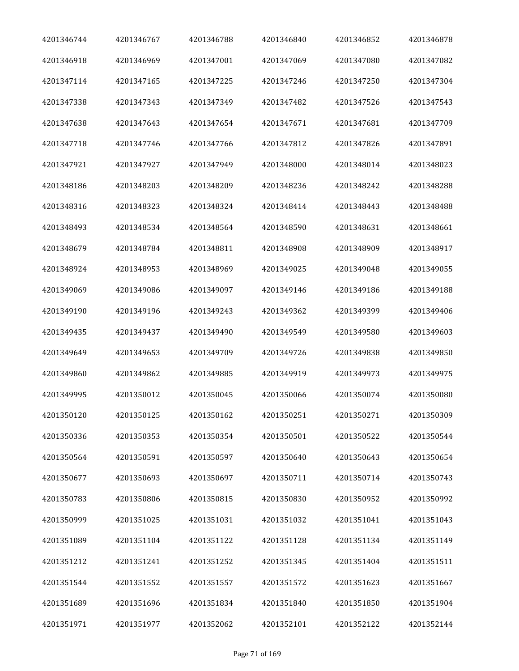| 4201346744 | 4201346767 | 4201346788 | 4201346840 | 4201346852 | 4201346878 |
|------------|------------|------------|------------|------------|------------|
| 4201346918 | 4201346969 | 4201347001 | 4201347069 | 4201347080 | 4201347082 |
| 4201347114 | 4201347165 | 4201347225 | 4201347246 | 4201347250 | 4201347304 |
| 4201347338 | 4201347343 | 4201347349 | 4201347482 | 4201347526 | 4201347543 |
| 4201347638 | 4201347643 | 4201347654 | 4201347671 | 4201347681 | 4201347709 |
| 4201347718 | 4201347746 | 4201347766 | 4201347812 | 4201347826 | 4201347891 |
| 4201347921 | 4201347927 | 4201347949 | 4201348000 | 4201348014 | 4201348023 |
| 4201348186 | 4201348203 | 4201348209 | 4201348236 | 4201348242 | 4201348288 |
| 4201348316 | 4201348323 | 4201348324 | 4201348414 | 4201348443 | 4201348488 |
| 4201348493 | 4201348534 | 4201348564 | 4201348590 | 4201348631 | 4201348661 |
| 4201348679 | 4201348784 | 4201348811 | 4201348908 | 4201348909 | 4201348917 |
| 4201348924 | 4201348953 | 4201348969 | 4201349025 | 4201349048 | 4201349055 |
| 4201349069 | 4201349086 | 4201349097 | 4201349146 | 4201349186 | 4201349188 |
| 4201349190 | 4201349196 | 4201349243 | 4201349362 | 4201349399 | 4201349406 |
| 4201349435 | 4201349437 | 4201349490 | 4201349549 | 4201349580 | 4201349603 |
| 4201349649 | 4201349653 | 4201349709 | 4201349726 | 4201349838 | 4201349850 |
| 4201349860 | 4201349862 | 4201349885 | 4201349919 | 4201349973 | 4201349975 |
| 4201349995 | 4201350012 | 4201350045 | 4201350066 | 4201350074 | 4201350080 |
| 4201350120 | 4201350125 | 4201350162 | 4201350251 | 4201350271 | 4201350309 |
| 4201350336 | 4201350353 | 4201350354 | 4201350501 | 4201350522 | 4201350544 |
| 4201350564 | 4201350591 | 4201350597 | 4201350640 | 4201350643 | 4201350654 |
| 4201350677 | 4201350693 | 4201350697 | 4201350711 | 4201350714 | 4201350743 |
| 4201350783 | 4201350806 | 4201350815 | 4201350830 | 4201350952 | 4201350992 |
| 4201350999 | 4201351025 | 4201351031 | 4201351032 | 4201351041 | 4201351043 |
| 4201351089 | 4201351104 | 4201351122 | 4201351128 | 4201351134 | 4201351149 |
| 4201351212 | 4201351241 | 4201351252 | 4201351345 | 4201351404 | 4201351511 |
| 4201351544 | 4201351552 | 4201351557 | 4201351572 | 4201351623 | 4201351667 |
| 4201351689 | 4201351696 | 4201351834 | 4201351840 | 4201351850 | 4201351904 |
| 4201351971 | 4201351977 | 4201352062 | 4201352101 | 4201352122 | 4201352144 |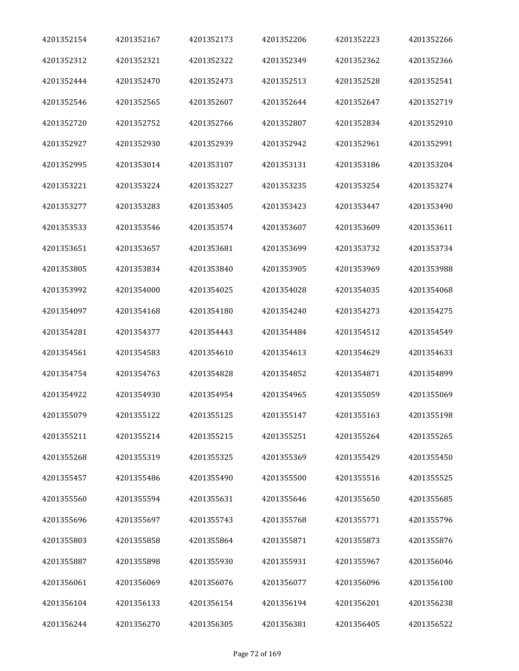| 4201352154 | 4201352167 | 4201352173 | 4201352206 | 4201352223 | 4201352266 |
|------------|------------|------------|------------|------------|------------|
| 4201352312 | 4201352321 | 4201352322 | 4201352349 | 4201352362 | 4201352366 |
| 4201352444 | 4201352470 | 4201352473 | 4201352513 | 4201352528 | 4201352541 |
| 4201352546 | 4201352565 | 4201352607 | 4201352644 | 4201352647 | 4201352719 |
| 4201352720 | 4201352752 | 4201352766 | 4201352807 | 4201352834 | 4201352910 |
| 4201352927 | 4201352930 | 4201352939 | 4201352942 | 4201352961 | 4201352991 |
| 4201352995 | 4201353014 | 4201353107 | 4201353131 | 4201353186 | 4201353204 |
| 4201353221 | 4201353224 | 4201353227 | 4201353235 | 4201353254 | 4201353274 |
| 4201353277 | 4201353283 | 4201353405 | 4201353423 | 4201353447 | 4201353490 |
| 4201353533 | 4201353546 | 4201353574 | 4201353607 | 4201353609 | 4201353611 |
| 4201353651 | 4201353657 | 4201353681 | 4201353699 | 4201353732 | 4201353734 |
| 4201353805 | 4201353834 | 4201353840 | 4201353905 | 4201353969 | 4201353988 |
| 4201353992 | 4201354000 | 4201354025 | 4201354028 | 4201354035 | 4201354068 |
| 4201354097 | 4201354168 | 4201354180 | 4201354240 | 4201354273 | 4201354275 |
| 4201354281 | 4201354377 | 4201354443 | 4201354484 | 4201354512 | 4201354549 |
| 4201354561 | 4201354583 | 4201354610 | 4201354613 | 4201354629 | 4201354633 |
| 4201354754 | 4201354763 | 4201354828 | 4201354852 | 4201354871 | 4201354899 |
| 4201354922 | 4201354930 | 4201354954 | 4201354965 | 4201355059 | 4201355069 |
| 4201355079 | 4201355122 | 4201355125 | 4201355147 | 4201355163 | 4201355198 |
| 4201355211 | 4201355214 | 4201355215 | 4201355251 | 4201355264 | 4201355265 |
| 4201355268 | 4201355319 | 4201355325 | 4201355369 | 4201355429 | 4201355450 |
| 4201355457 | 4201355486 | 4201355490 | 4201355500 | 4201355516 | 4201355525 |
| 4201355560 | 4201355594 | 4201355631 | 4201355646 | 4201355650 | 4201355685 |
| 4201355696 | 4201355697 | 4201355743 | 4201355768 | 4201355771 | 4201355796 |
| 4201355803 | 4201355858 | 4201355864 | 4201355871 | 4201355873 | 4201355876 |
| 4201355887 | 4201355898 | 4201355930 | 4201355931 | 4201355967 | 4201356046 |
| 4201356061 | 4201356069 | 4201356076 | 4201356077 | 4201356096 | 4201356100 |
| 4201356104 | 4201356133 | 4201356154 | 4201356194 | 4201356201 | 4201356238 |
| 4201356244 | 4201356270 | 4201356305 | 4201356381 | 4201356405 | 4201356522 |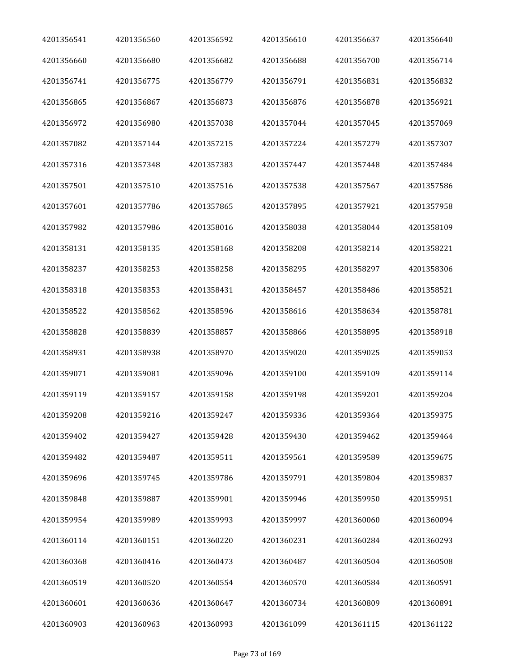| 4201356541 | 4201356560 | 4201356592 | 4201356610 | 4201356637 | 4201356640 |
|------------|------------|------------|------------|------------|------------|
| 4201356660 | 4201356680 | 4201356682 | 4201356688 | 4201356700 | 4201356714 |
| 4201356741 | 4201356775 | 4201356779 | 4201356791 | 4201356831 | 4201356832 |
| 4201356865 | 4201356867 | 4201356873 | 4201356876 | 4201356878 | 4201356921 |
| 4201356972 | 4201356980 | 4201357038 | 4201357044 | 4201357045 | 4201357069 |
| 4201357082 | 4201357144 | 4201357215 | 4201357224 | 4201357279 | 4201357307 |
| 4201357316 | 4201357348 | 4201357383 | 4201357447 | 4201357448 | 4201357484 |
| 4201357501 | 4201357510 | 4201357516 | 4201357538 | 4201357567 | 4201357586 |
| 4201357601 | 4201357786 | 4201357865 | 4201357895 | 4201357921 | 4201357958 |
| 4201357982 | 4201357986 | 4201358016 | 4201358038 | 4201358044 | 4201358109 |
| 4201358131 | 4201358135 | 4201358168 | 4201358208 | 4201358214 | 4201358221 |
| 4201358237 | 4201358253 | 4201358258 | 4201358295 | 4201358297 | 4201358306 |
| 4201358318 | 4201358353 | 4201358431 | 4201358457 | 4201358486 | 4201358521 |
| 4201358522 | 4201358562 | 4201358596 | 4201358616 | 4201358634 | 4201358781 |
| 4201358828 | 4201358839 | 4201358857 | 4201358866 | 4201358895 | 4201358918 |
| 4201358931 | 4201358938 | 4201358970 | 4201359020 | 4201359025 | 4201359053 |
| 4201359071 | 4201359081 | 4201359096 | 4201359100 | 4201359109 | 4201359114 |
| 4201359119 | 4201359157 | 4201359158 | 4201359198 | 4201359201 | 4201359204 |
| 4201359208 | 4201359216 | 4201359247 | 4201359336 | 4201359364 | 4201359375 |
| 4201359402 | 4201359427 | 4201359428 | 4201359430 | 4201359462 | 4201359464 |
| 4201359482 | 4201359487 | 4201359511 | 4201359561 | 4201359589 | 4201359675 |
| 4201359696 | 4201359745 | 4201359786 | 4201359791 | 4201359804 | 4201359837 |
| 4201359848 | 4201359887 | 4201359901 | 4201359946 | 4201359950 | 4201359951 |
| 4201359954 | 4201359989 | 4201359993 | 4201359997 | 4201360060 | 4201360094 |
| 4201360114 | 4201360151 | 4201360220 | 4201360231 | 4201360284 | 4201360293 |
| 4201360368 | 4201360416 | 4201360473 | 4201360487 | 4201360504 | 4201360508 |
| 4201360519 | 4201360520 | 4201360554 | 4201360570 | 4201360584 | 4201360591 |
| 4201360601 | 4201360636 | 4201360647 | 4201360734 | 4201360809 | 4201360891 |
| 4201360903 | 4201360963 | 4201360993 | 4201361099 | 4201361115 | 4201361122 |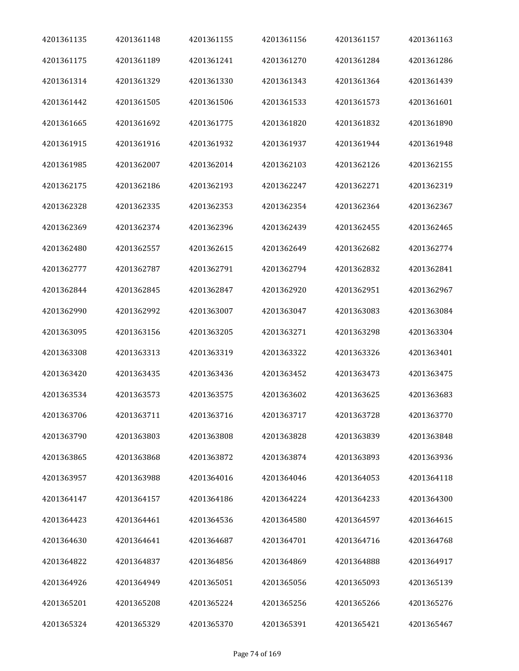| 4201361135 | 4201361148 | 4201361155 | 4201361156 | 4201361157 | 4201361163 |
|------------|------------|------------|------------|------------|------------|
| 4201361175 | 4201361189 | 4201361241 | 4201361270 | 4201361284 | 4201361286 |
| 4201361314 | 4201361329 | 4201361330 | 4201361343 | 4201361364 | 4201361439 |
| 4201361442 | 4201361505 | 4201361506 | 4201361533 | 4201361573 | 4201361601 |
| 4201361665 | 4201361692 | 4201361775 | 4201361820 | 4201361832 | 4201361890 |
| 4201361915 | 4201361916 | 4201361932 | 4201361937 | 4201361944 | 4201361948 |
| 4201361985 | 4201362007 | 4201362014 | 4201362103 | 4201362126 | 4201362155 |
| 4201362175 | 4201362186 | 4201362193 | 4201362247 | 4201362271 | 4201362319 |
| 4201362328 | 4201362335 | 4201362353 | 4201362354 | 4201362364 | 4201362367 |
| 4201362369 | 4201362374 | 4201362396 | 4201362439 | 4201362455 | 4201362465 |
| 4201362480 | 4201362557 | 4201362615 | 4201362649 | 4201362682 | 4201362774 |
| 4201362777 | 4201362787 | 4201362791 | 4201362794 | 4201362832 | 4201362841 |
| 4201362844 | 4201362845 | 4201362847 | 4201362920 | 4201362951 | 4201362967 |
| 4201362990 | 4201362992 | 4201363007 | 4201363047 | 4201363083 | 4201363084 |
| 4201363095 | 4201363156 | 4201363205 | 4201363271 | 4201363298 | 4201363304 |
| 4201363308 | 4201363313 | 4201363319 | 4201363322 | 4201363326 | 4201363401 |
| 4201363420 | 4201363435 | 4201363436 | 4201363452 | 4201363473 | 4201363475 |
| 4201363534 | 4201363573 | 4201363575 | 4201363602 | 4201363625 | 4201363683 |
| 4201363706 | 4201363711 | 4201363716 | 4201363717 | 4201363728 | 4201363770 |
| 4201363790 | 4201363803 | 4201363808 | 4201363828 | 4201363839 | 4201363848 |
| 4201363865 | 4201363868 | 4201363872 | 4201363874 | 4201363893 | 4201363936 |
| 4201363957 | 4201363988 | 4201364016 | 4201364046 | 4201364053 | 4201364118 |
| 4201364147 | 4201364157 | 4201364186 | 4201364224 | 4201364233 | 4201364300 |
| 4201364423 | 4201364461 | 4201364536 | 4201364580 | 4201364597 | 4201364615 |
| 4201364630 | 4201364641 | 4201364687 | 4201364701 | 4201364716 | 4201364768 |
| 4201364822 | 4201364837 | 4201364856 | 4201364869 | 4201364888 | 4201364917 |
| 4201364926 | 4201364949 | 4201365051 | 4201365056 | 4201365093 | 4201365139 |
| 4201365201 | 4201365208 | 4201365224 | 4201365256 | 4201365266 | 4201365276 |
| 4201365324 | 4201365329 | 4201365370 | 4201365391 | 4201365421 | 4201365467 |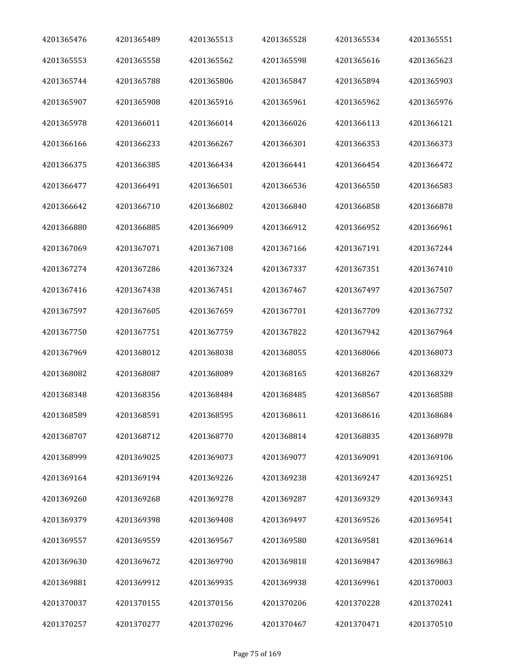| 4201365476 | 4201365489 | 4201365513 | 4201365528 | 4201365534 | 4201365551 |
|------------|------------|------------|------------|------------|------------|
| 4201365553 | 4201365558 | 4201365562 | 4201365598 | 4201365616 | 4201365623 |
| 4201365744 | 4201365788 | 4201365806 | 4201365847 | 4201365894 | 4201365903 |
| 4201365907 | 4201365908 | 4201365916 | 4201365961 | 4201365962 | 4201365976 |
| 4201365978 | 4201366011 | 4201366014 | 4201366026 | 4201366113 | 4201366121 |
| 4201366166 | 4201366233 | 4201366267 | 4201366301 | 4201366353 | 4201366373 |
| 4201366375 | 4201366385 | 4201366434 | 4201366441 | 4201366454 | 4201366472 |
| 4201366477 | 4201366491 | 4201366501 | 4201366536 | 4201366550 | 4201366583 |
| 4201366642 | 4201366710 | 4201366802 | 4201366840 | 4201366858 | 4201366878 |
| 4201366880 | 4201366885 | 4201366909 | 4201366912 | 4201366952 | 4201366961 |
| 4201367069 | 4201367071 | 4201367108 | 4201367166 | 4201367191 | 4201367244 |
| 4201367274 | 4201367286 | 4201367324 | 4201367337 | 4201367351 | 4201367410 |
| 4201367416 | 4201367438 | 4201367451 | 4201367467 | 4201367497 | 4201367507 |
| 4201367597 | 4201367605 | 4201367659 | 4201367701 | 4201367709 | 4201367732 |
| 4201367750 | 4201367751 | 4201367759 | 4201367822 | 4201367942 | 4201367964 |
| 4201367969 | 4201368012 | 4201368038 | 4201368055 | 4201368066 | 4201368073 |
| 4201368082 | 4201368087 | 4201368089 | 4201368165 | 4201368267 | 4201368329 |
| 4201368348 | 4201368356 | 4201368484 | 4201368485 | 4201368567 | 4201368588 |
| 4201368589 | 4201368591 | 4201368595 | 4201368611 | 4201368616 | 4201368684 |
| 4201368707 | 4201368712 | 4201368770 | 4201368814 | 4201368835 | 4201368978 |
| 4201368999 | 4201369025 | 4201369073 | 4201369077 | 4201369091 | 4201369106 |
| 4201369164 | 4201369194 | 4201369226 | 4201369238 | 4201369247 | 4201369251 |
| 4201369260 | 4201369268 | 4201369278 | 4201369287 | 4201369329 | 4201369343 |
| 4201369379 | 4201369398 | 4201369408 | 4201369497 | 4201369526 | 4201369541 |
| 4201369557 | 4201369559 | 4201369567 | 4201369580 | 4201369581 | 4201369614 |
| 4201369630 | 4201369672 | 4201369790 | 4201369818 | 4201369847 | 4201369863 |
| 4201369881 | 4201369912 | 4201369935 | 4201369938 | 4201369961 | 4201370003 |
| 4201370037 | 4201370155 | 4201370156 | 4201370206 | 4201370228 | 4201370241 |
| 4201370257 | 4201370277 | 4201370296 | 4201370467 | 4201370471 | 4201370510 |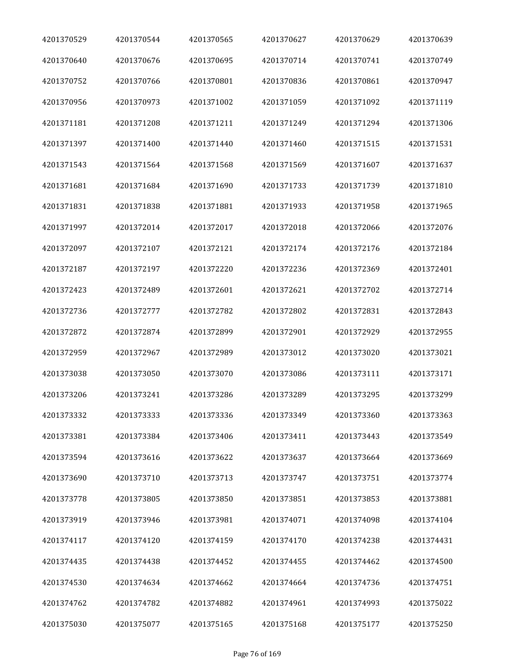| 4201370529 | 4201370544 | 4201370565 | 4201370627 | 4201370629 | 4201370639 |
|------------|------------|------------|------------|------------|------------|
| 4201370640 | 4201370676 | 4201370695 | 4201370714 | 4201370741 | 4201370749 |
| 4201370752 | 4201370766 | 4201370801 | 4201370836 | 4201370861 | 4201370947 |
| 4201370956 | 4201370973 | 4201371002 | 4201371059 | 4201371092 | 4201371119 |
| 4201371181 | 4201371208 | 4201371211 | 4201371249 | 4201371294 | 4201371306 |
| 4201371397 | 4201371400 | 4201371440 | 4201371460 | 4201371515 | 4201371531 |
| 4201371543 | 4201371564 | 4201371568 | 4201371569 | 4201371607 | 4201371637 |
| 4201371681 | 4201371684 | 4201371690 | 4201371733 | 4201371739 | 4201371810 |
| 4201371831 | 4201371838 | 4201371881 | 4201371933 | 4201371958 | 4201371965 |
| 4201371997 | 4201372014 | 4201372017 | 4201372018 | 4201372066 | 4201372076 |
| 4201372097 | 4201372107 | 4201372121 | 4201372174 | 4201372176 | 4201372184 |
| 4201372187 | 4201372197 | 4201372220 | 4201372236 | 4201372369 | 4201372401 |
| 4201372423 | 4201372489 | 4201372601 | 4201372621 | 4201372702 | 4201372714 |
| 4201372736 | 4201372777 | 4201372782 | 4201372802 | 4201372831 | 4201372843 |
| 4201372872 | 4201372874 | 4201372899 | 4201372901 | 4201372929 | 4201372955 |
| 4201372959 | 4201372967 | 4201372989 | 4201373012 | 4201373020 | 4201373021 |
| 4201373038 | 4201373050 | 4201373070 | 4201373086 | 4201373111 | 4201373171 |
| 4201373206 | 4201373241 | 4201373286 | 4201373289 | 4201373295 | 4201373299 |
| 4201373332 | 4201373333 | 4201373336 | 4201373349 | 4201373360 | 4201373363 |
| 4201373381 | 4201373384 | 4201373406 | 4201373411 | 4201373443 | 4201373549 |
| 4201373594 | 4201373616 | 4201373622 | 4201373637 | 4201373664 | 4201373669 |
| 4201373690 | 4201373710 | 4201373713 | 4201373747 | 4201373751 | 4201373774 |
| 4201373778 | 4201373805 | 4201373850 | 4201373851 | 4201373853 | 4201373881 |
| 4201373919 | 4201373946 | 4201373981 | 4201374071 | 4201374098 | 4201374104 |
| 4201374117 | 4201374120 | 4201374159 | 4201374170 | 4201374238 | 4201374431 |
| 4201374435 | 4201374438 | 4201374452 | 4201374455 | 4201374462 | 4201374500 |
| 4201374530 | 4201374634 | 4201374662 | 4201374664 | 4201374736 | 4201374751 |
| 4201374762 | 4201374782 | 4201374882 | 4201374961 | 4201374993 | 4201375022 |
| 4201375030 | 4201375077 | 4201375165 | 4201375168 | 4201375177 | 4201375250 |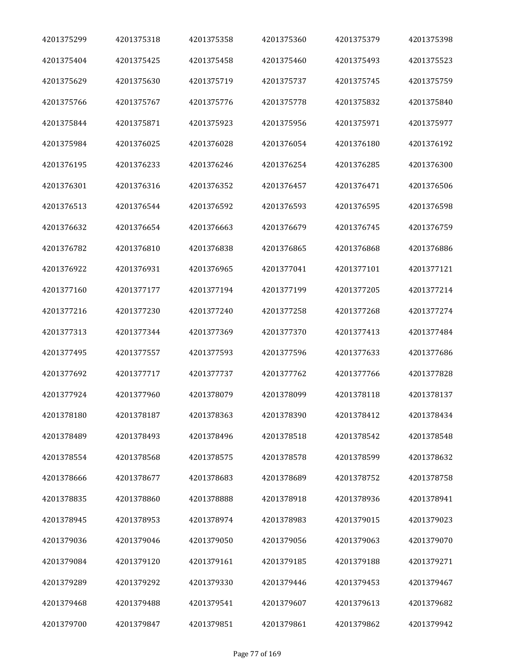| 4201375299 | 4201375318 | 4201375358 | 4201375360 | 4201375379 | 4201375398 |
|------------|------------|------------|------------|------------|------------|
| 4201375404 | 4201375425 | 4201375458 | 4201375460 | 4201375493 | 4201375523 |
| 4201375629 | 4201375630 | 4201375719 | 4201375737 | 4201375745 | 4201375759 |
| 4201375766 | 4201375767 | 4201375776 | 4201375778 | 4201375832 | 4201375840 |
| 4201375844 | 4201375871 | 4201375923 | 4201375956 | 4201375971 | 4201375977 |
| 4201375984 | 4201376025 | 4201376028 | 4201376054 | 4201376180 | 4201376192 |
| 4201376195 | 4201376233 | 4201376246 | 4201376254 | 4201376285 | 4201376300 |
| 4201376301 | 4201376316 | 4201376352 | 4201376457 | 4201376471 | 4201376506 |
| 4201376513 | 4201376544 | 4201376592 | 4201376593 | 4201376595 | 4201376598 |
| 4201376632 | 4201376654 | 4201376663 | 4201376679 | 4201376745 | 4201376759 |
| 4201376782 | 4201376810 | 4201376838 | 4201376865 | 4201376868 | 4201376886 |
| 4201376922 | 4201376931 | 4201376965 | 4201377041 | 4201377101 | 4201377121 |
| 4201377160 | 4201377177 | 4201377194 | 4201377199 | 4201377205 | 4201377214 |
| 4201377216 | 4201377230 | 4201377240 | 4201377258 | 4201377268 | 4201377274 |
| 4201377313 | 4201377344 | 4201377369 | 4201377370 | 4201377413 | 4201377484 |
| 4201377495 | 4201377557 | 4201377593 | 4201377596 | 4201377633 | 4201377686 |
| 4201377692 | 4201377717 | 4201377737 | 4201377762 | 4201377766 | 4201377828 |
| 4201377924 | 4201377960 | 4201378079 | 4201378099 | 4201378118 | 4201378137 |
| 4201378180 | 4201378187 | 4201378363 | 4201378390 | 4201378412 | 4201378434 |
| 4201378489 | 4201378493 | 4201378496 | 4201378518 | 4201378542 | 4201378548 |
| 4201378554 | 4201378568 | 4201378575 | 4201378578 | 4201378599 | 4201378632 |
| 4201378666 | 4201378677 | 4201378683 | 4201378689 | 4201378752 | 4201378758 |
| 4201378835 | 4201378860 | 4201378888 | 4201378918 | 4201378936 | 4201378941 |
| 4201378945 | 4201378953 | 4201378974 | 4201378983 | 4201379015 | 4201379023 |
| 4201379036 | 4201379046 | 4201379050 | 4201379056 | 4201379063 | 4201379070 |
| 4201379084 | 4201379120 | 4201379161 | 4201379185 | 4201379188 | 4201379271 |
| 4201379289 | 4201379292 | 4201379330 | 4201379446 | 4201379453 | 4201379467 |
| 4201379468 | 4201379488 | 4201379541 | 4201379607 | 4201379613 | 4201379682 |
| 4201379700 | 4201379847 | 4201379851 | 4201379861 | 4201379862 | 4201379942 |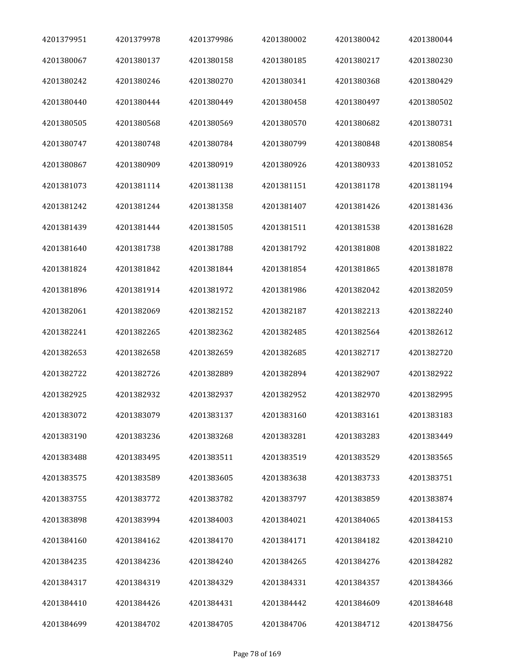| 4201379951 | 4201379978 | 4201379986 | 4201380002 | 4201380042 | 4201380044 |
|------------|------------|------------|------------|------------|------------|
| 4201380067 | 4201380137 | 4201380158 | 4201380185 | 4201380217 | 4201380230 |
| 4201380242 | 4201380246 | 4201380270 | 4201380341 | 4201380368 | 4201380429 |
| 4201380440 | 4201380444 | 4201380449 | 4201380458 | 4201380497 | 4201380502 |
| 4201380505 | 4201380568 | 4201380569 | 4201380570 | 4201380682 | 4201380731 |
| 4201380747 | 4201380748 | 4201380784 | 4201380799 | 4201380848 | 4201380854 |
| 4201380867 | 4201380909 | 4201380919 | 4201380926 | 4201380933 | 4201381052 |
| 4201381073 | 4201381114 | 4201381138 | 4201381151 | 4201381178 | 4201381194 |
| 4201381242 | 4201381244 | 4201381358 | 4201381407 | 4201381426 | 4201381436 |
| 4201381439 | 4201381444 | 4201381505 | 4201381511 | 4201381538 | 4201381628 |
| 4201381640 | 4201381738 | 4201381788 | 4201381792 | 4201381808 | 4201381822 |
| 4201381824 | 4201381842 | 4201381844 | 4201381854 | 4201381865 | 4201381878 |
| 4201381896 | 4201381914 | 4201381972 | 4201381986 | 4201382042 | 4201382059 |
| 4201382061 | 4201382069 | 4201382152 | 4201382187 | 4201382213 | 4201382240 |
| 4201382241 | 4201382265 | 4201382362 | 4201382485 | 4201382564 | 4201382612 |
| 4201382653 | 4201382658 | 4201382659 | 4201382685 | 4201382717 | 4201382720 |
| 4201382722 | 4201382726 | 4201382889 | 4201382894 | 4201382907 | 4201382922 |
| 4201382925 | 4201382932 | 4201382937 | 4201382952 | 4201382970 | 4201382995 |
| 4201383072 | 4201383079 | 4201383137 | 4201383160 | 4201383161 | 4201383183 |
| 4201383190 | 4201383236 | 4201383268 | 4201383281 | 4201383283 | 4201383449 |
| 4201383488 | 4201383495 | 4201383511 | 4201383519 | 4201383529 | 4201383565 |
| 4201383575 | 4201383589 | 4201383605 | 4201383638 | 4201383733 | 4201383751 |
| 4201383755 | 4201383772 | 4201383782 | 4201383797 | 4201383859 | 4201383874 |
| 4201383898 | 4201383994 | 4201384003 | 4201384021 | 4201384065 | 4201384153 |
| 4201384160 | 4201384162 | 4201384170 | 4201384171 | 4201384182 | 4201384210 |
| 4201384235 | 4201384236 | 4201384240 | 4201384265 | 4201384276 | 4201384282 |
| 4201384317 | 4201384319 | 4201384329 | 4201384331 | 4201384357 | 4201384366 |
| 4201384410 | 4201384426 | 4201384431 | 4201384442 | 4201384609 | 4201384648 |
| 4201384699 | 4201384702 | 4201384705 | 4201384706 | 4201384712 | 4201384756 |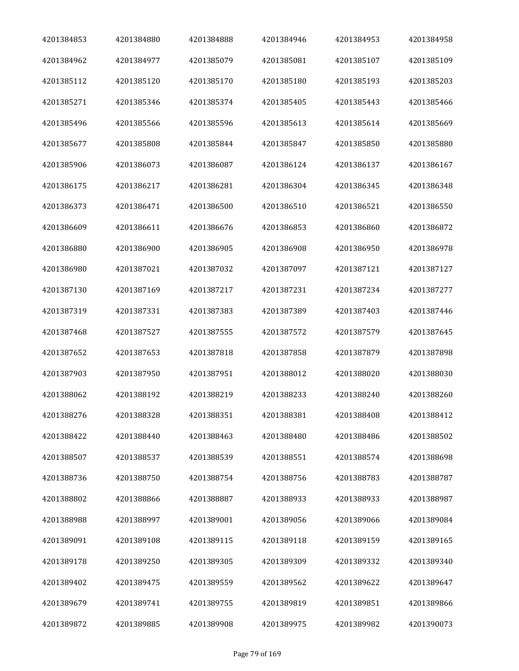| 4201384853 | 4201384880 | 4201384888 | 4201384946 | 4201384953 | 4201384958 |
|------------|------------|------------|------------|------------|------------|
| 4201384962 | 4201384977 | 4201385079 | 4201385081 | 4201385107 | 4201385109 |
| 4201385112 | 4201385120 | 4201385170 | 4201385180 | 4201385193 | 4201385203 |
| 4201385271 | 4201385346 | 4201385374 | 4201385405 | 4201385443 | 4201385466 |
| 4201385496 | 4201385566 | 4201385596 | 4201385613 | 4201385614 | 4201385669 |
| 4201385677 | 4201385808 | 4201385844 | 4201385847 | 4201385850 | 4201385880 |
| 4201385906 | 4201386073 | 4201386087 | 4201386124 | 4201386137 | 4201386167 |
| 4201386175 | 4201386217 | 4201386281 | 4201386304 | 4201386345 | 4201386348 |
| 4201386373 | 4201386471 | 4201386500 | 4201386510 | 4201386521 | 4201386550 |
| 4201386609 | 4201386611 | 4201386676 | 4201386853 | 4201386860 | 4201386872 |
| 4201386880 | 4201386900 | 4201386905 | 4201386908 | 4201386950 | 4201386978 |
| 4201386980 | 4201387021 | 4201387032 | 4201387097 | 4201387121 | 4201387127 |
| 4201387130 | 4201387169 | 4201387217 | 4201387231 | 4201387234 | 4201387277 |
| 4201387319 | 4201387331 | 4201387383 | 4201387389 | 4201387403 | 4201387446 |
| 4201387468 | 4201387527 | 4201387555 | 4201387572 | 4201387579 | 4201387645 |
| 4201387652 | 4201387653 | 4201387818 | 4201387858 | 4201387879 | 4201387898 |
| 4201387903 | 4201387950 | 4201387951 | 4201388012 | 4201388020 | 4201388030 |
| 4201388062 | 4201388192 | 4201388219 | 4201388233 | 4201388240 | 4201388260 |
| 4201388276 | 4201388328 | 4201388351 | 4201388381 | 4201388408 | 4201388412 |
| 4201388422 | 4201388440 | 4201388463 | 4201388480 | 4201388486 | 4201388502 |
| 4201388507 | 4201388537 | 4201388539 | 4201388551 | 4201388574 | 4201388698 |
| 4201388736 | 4201388750 | 4201388754 | 4201388756 | 4201388783 | 4201388787 |
| 4201388802 | 4201388866 | 4201388887 | 4201388933 | 4201388933 | 4201388987 |
| 4201388988 | 4201388997 | 4201389001 | 4201389056 | 4201389066 | 4201389084 |
| 4201389091 | 4201389108 | 4201389115 | 4201389118 | 4201389159 | 4201389165 |
| 4201389178 | 4201389250 | 4201389305 | 4201389309 | 4201389332 | 4201389340 |
| 4201389402 | 4201389475 | 4201389559 | 4201389562 | 4201389622 | 4201389647 |
| 4201389679 | 4201389741 | 4201389755 | 4201389819 | 4201389851 | 4201389866 |
| 4201389872 | 4201389885 | 4201389908 | 4201389975 | 4201389982 | 4201390073 |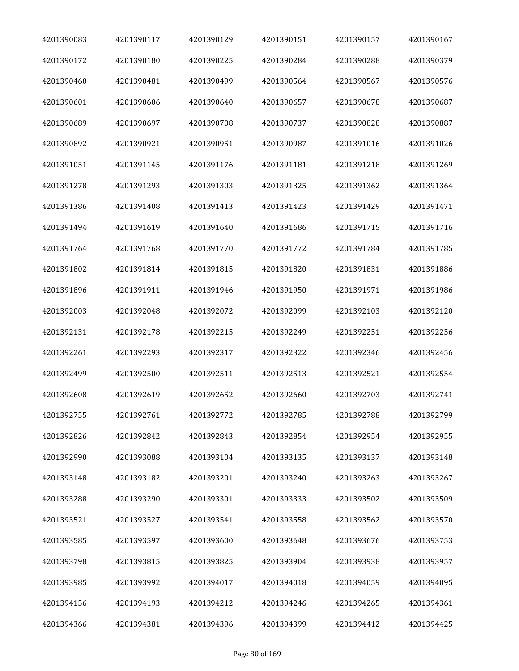| 4201390083 | 4201390117 | 4201390129 | 4201390151 | 4201390157 | 4201390167 |
|------------|------------|------------|------------|------------|------------|
| 4201390172 | 4201390180 | 4201390225 | 4201390284 | 4201390288 | 4201390379 |
| 4201390460 | 4201390481 | 4201390499 | 4201390564 | 4201390567 | 4201390576 |
| 4201390601 | 4201390606 | 4201390640 | 4201390657 | 4201390678 | 4201390687 |
| 4201390689 | 4201390697 | 4201390708 | 4201390737 | 4201390828 | 4201390887 |
| 4201390892 | 4201390921 | 4201390951 | 4201390987 | 4201391016 | 4201391026 |
| 4201391051 | 4201391145 | 4201391176 | 4201391181 | 4201391218 | 4201391269 |
| 4201391278 | 4201391293 | 4201391303 | 4201391325 | 4201391362 | 4201391364 |
| 4201391386 | 4201391408 | 4201391413 | 4201391423 | 4201391429 | 4201391471 |
| 4201391494 | 4201391619 | 4201391640 | 4201391686 | 4201391715 | 4201391716 |
| 4201391764 | 4201391768 | 4201391770 | 4201391772 | 4201391784 | 4201391785 |
| 4201391802 | 4201391814 | 4201391815 | 4201391820 | 4201391831 | 4201391886 |
| 4201391896 | 4201391911 | 4201391946 | 4201391950 | 4201391971 | 4201391986 |
| 4201392003 | 4201392048 | 4201392072 | 4201392099 | 4201392103 | 4201392120 |
| 4201392131 | 4201392178 | 4201392215 | 4201392249 | 4201392251 | 4201392256 |
| 4201392261 | 4201392293 | 4201392317 | 4201392322 | 4201392346 | 4201392456 |
| 4201392499 | 4201392500 | 4201392511 | 4201392513 | 4201392521 | 4201392554 |
| 4201392608 | 4201392619 | 4201392652 | 4201392660 | 4201392703 | 4201392741 |
| 4201392755 | 4201392761 | 4201392772 | 4201392785 | 4201392788 | 4201392799 |
| 4201392826 | 4201392842 | 4201392843 | 4201392854 | 4201392954 | 4201392955 |
| 4201392990 | 4201393088 | 4201393104 | 4201393135 | 4201393137 | 4201393148 |
| 4201393148 | 4201393182 | 4201393201 | 4201393240 | 4201393263 | 4201393267 |
| 4201393288 | 4201393290 | 4201393301 | 4201393333 | 4201393502 | 4201393509 |
| 4201393521 | 4201393527 | 4201393541 | 4201393558 | 4201393562 | 4201393570 |
| 4201393585 | 4201393597 | 4201393600 | 4201393648 | 4201393676 | 4201393753 |
| 4201393798 | 4201393815 | 4201393825 | 4201393904 | 4201393938 | 4201393957 |
| 4201393985 | 4201393992 | 4201394017 | 4201394018 | 4201394059 | 4201394095 |
| 4201394156 | 4201394193 | 4201394212 | 4201394246 | 4201394265 | 4201394361 |
| 4201394366 | 4201394381 | 4201394396 | 4201394399 | 4201394412 | 4201394425 |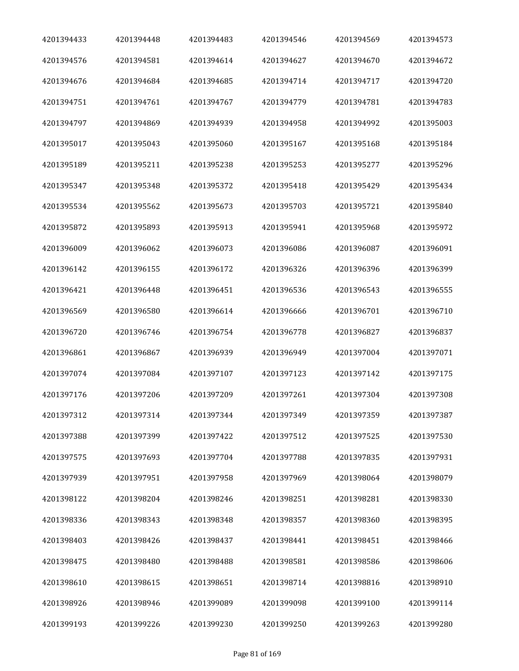| 4201394433 | 4201394448 | 4201394483 | 4201394546 | 4201394569 | 4201394573 |
|------------|------------|------------|------------|------------|------------|
| 4201394576 | 4201394581 | 4201394614 | 4201394627 | 4201394670 | 4201394672 |
| 4201394676 | 4201394684 | 4201394685 | 4201394714 | 4201394717 | 4201394720 |
| 4201394751 | 4201394761 | 4201394767 | 4201394779 | 4201394781 | 4201394783 |
| 4201394797 | 4201394869 | 4201394939 | 4201394958 | 4201394992 | 4201395003 |
| 4201395017 | 4201395043 | 4201395060 | 4201395167 | 4201395168 | 4201395184 |
| 4201395189 | 4201395211 | 4201395238 | 4201395253 | 4201395277 | 4201395296 |
| 4201395347 | 4201395348 | 4201395372 | 4201395418 | 4201395429 | 4201395434 |
| 4201395534 | 4201395562 | 4201395673 | 4201395703 | 4201395721 | 4201395840 |
| 4201395872 | 4201395893 | 4201395913 | 4201395941 | 4201395968 | 4201395972 |
| 4201396009 | 4201396062 | 4201396073 | 4201396086 | 4201396087 | 4201396091 |
| 4201396142 | 4201396155 | 4201396172 | 4201396326 | 4201396396 | 4201396399 |
| 4201396421 | 4201396448 | 4201396451 | 4201396536 | 4201396543 | 4201396555 |
| 4201396569 | 4201396580 | 4201396614 | 4201396666 | 4201396701 | 4201396710 |
| 4201396720 | 4201396746 | 4201396754 | 4201396778 | 4201396827 | 4201396837 |
| 4201396861 | 4201396867 | 4201396939 | 4201396949 | 4201397004 | 4201397071 |
| 4201397074 | 4201397084 | 4201397107 | 4201397123 | 4201397142 | 4201397175 |
| 4201397176 | 4201397206 | 4201397209 | 4201397261 | 4201397304 | 4201397308 |
| 4201397312 | 4201397314 | 4201397344 | 4201397349 | 4201397359 | 4201397387 |
| 4201397388 | 4201397399 | 4201397422 | 4201397512 | 4201397525 | 4201397530 |
| 4201397575 | 4201397693 | 4201397704 | 4201397788 | 4201397835 | 4201397931 |
| 4201397939 | 4201397951 | 4201397958 | 4201397969 | 4201398064 | 4201398079 |
| 4201398122 | 4201398204 | 4201398246 | 4201398251 | 4201398281 | 4201398330 |
| 4201398336 | 4201398343 | 4201398348 | 4201398357 | 4201398360 | 4201398395 |
| 4201398403 | 4201398426 | 4201398437 | 4201398441 | 4201398451 | 4201398466 |
| 4201398475 | 4201398480 | 4201398488 | 4201398581 | 4201398586 | 4201398606 |
| 4201398610 | 4201398615 | 4201398651 | 4201398714 | 4201398816 | 4201398910 |
| 4201398926 | 4201398946 | 4201399089 | 4201399098 | 4201399100 | 4201399114 |
| 4201399193 | 4201399226 | 4201399230 | 4201399250 | 4201399263 | 4201399280 |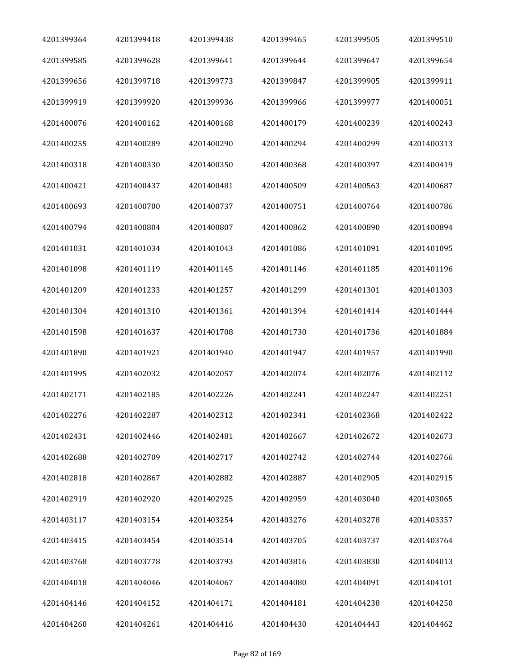| 4201399364 | 4201399418 | 4201399438 | 4201399465 | 4201399505 | 4201399510 |
|------------|------------|------------|------------|------------|------------|
| 4201399585 | 4201399628 | 4201399641 | 4201399644 | 4201399647 | 4201399654 |
| 4201399656 | 4201399718 | 4201399773 | 4201399847 | 4201399905 | 4201399911 |
| 4201399919 | 4201399920 | 4201399936 | 4201399966 | 4201399977 | 4201400051 |
| 4201400076 | 4201400162 | 4201400168 | 4201400179 | 4201400239 | 4201400243 |
| 4201400255 | 4201400289 | 4201400290 | 4201400294 | 4201400299 | 4201400313 |
| 4201400318 | 4201400330 | 4201400350 | 4201400368 | 4201400397 | 4201400419 |
| 4201400421 | 4201400437 | 4201400481 | 4201400509 | 4201400563 | 4201400687 |
| 4201400693 | 4201400700 | 4201400737 | 4201400751 | 4201400764 | 4201400786 |
| 4201400794 | 4201400804 | 4201400807 | 4201400862 | 4201400890 | 4201400894 |
| 4201401031 | 4201401034 | 4201401043 | 4201401086 | 4201401091 | 4201401095 |
| 4201401098 | 4201401119 | 4201401145 | 4201401146 | 4201401185 | 4201401196 |
| 4201401209 | 4201401233 | 4201401257 | 4201401299 | 4201401301 | 4201401303 |
| 4201401304 | 4201401310 | 4201401361 | 4201401394 | 4201401414 | 4201401444 |
| 4201401598 | 4201401637 | 4201401708 | 4201401730 | 4201401736 | 4201401884 |
| 4201401890 | 4201401921 | 4201401940 | 4201401947 | 4201401957 | 4201401990 |
| 4201401995 | 4201402032 | 4201402057 | 4201402074 | 4201402076 | 4201402112 |
| 4201402171 | 4201402185 | 4201402226 | 4201402241 | 4201402247 | 4201402251 |
| 4201402276 | 4201402287 | 4201402312 | 4201402341 | 4201402368 | 4201402422 |
| 4201402431 | 4201402446 | 4201402481 | 4201402667 | 4201402672 | 4201402673 |
| 4201402688 | 4201402709 | 4201402717 | 4201402742 | 4201402744 | 4201402766 |
| 4201402818 | 4201402867 | 4201402882 | 4201402887 | 4201402905 | 4201402915 |
| 4201402919 | 4201402920 | 4201402925 | 4201402959 | 4201403040 | 4201403065 |
| 4201403117 | 4201403154 | 4201403254 | 4201403276 | 4201403278 | 4201403357 |
| 4201403415 | 4201403454 | 4201403514 | 4201403705 | 4201403737 | 4201403764 |
| 4201403768 | 4201403778 | 4201403793 | 4201403816 | 4201403830 | 4201404013 |
| 4201404018 | 4201404046 | 4201404067 | 4201404080 | 4201404091 | 4201404101 |
| 4201404146 | 4201404152 | 4201404171 | 4201404181 | 4201404238 | 4201404250 |
| 4201404260 | 4201404261 | 4201404416 | 4201404430 | 4201404443 | 4201404462 |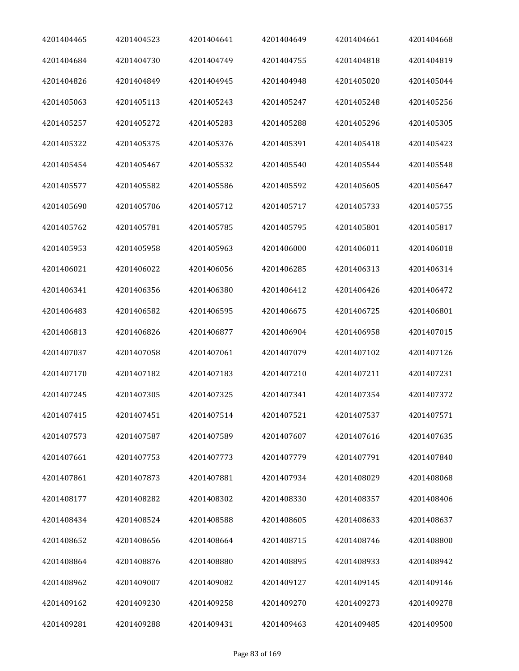| 4201404465 | 4201404523 | 4201404641 | 4201404649 | 4201404661 | 4201404668 |
|------------|------------|------------|------------|------------|------------|
| 4201404684 | 4201404730 | 4201404749 | 4201404755 | 4201404818 | 4201404819 |
| 4201404826 | 4201404849 | 4201404945 | 4201404948 | 4201405020 | 4201405044 |
| 4201405063 | 4201405113 | 4201405243 | 4201405247 | 4201405248 | 4201405256 |
| 4201405257 | 4201405272 | 4201405283 | 4201405288 | 4201405296 | 4201405305 |
| 4201405322 | 4201405375 | 4201405376 | 4201405391 | 4201405418 | 4201405423 |
| 4201405454 | 4201405467 | 4201405532 | 4201405540 | 4201405544 | 4201405548 |
| 4201405577 | 4201405582 | 4201405586 | 4201405592 | 4201405605 | 4201405647 |
| 4201405690 | 4201405706 | 4201405712 | 4201405717 | 4201405733 | 4201405755 |
| 4201405762 | 4201405781 | 4201405785 | 4201405795 | 4201405801 | 4201405817 |
| 4201405953 | 4201405958 | 4201405963 | 4201406000 | 4201406011 | 4201406018 |
| 4201406021 | 4201406022 | 4201406056 | 4201406285 | 4201406313 | 4201406314 |
| 4201406341 | 4201406356 | 4201406380 | 4201406412 | 4201406426 | 4201406472 |
| 4201406483 | 4201406582 | 4201406595 | 4201406675 | 4201406725 | 4201406801 |
| 4201406813 | 4201406826 | 4201406877 | 4201406904 | 4201406958 | 4201407015 |
| 4201407037 | 4201407058 | 4201407061 | 4201407079 | 4201407102 | 4201407126 |
| 4201407170 | 4201407182 | 4201407183 | 4201407210 | 4201407211 | 4201407231 |
| 4201407245 | 4201407305 | 4201407325 | 4201407341 | 4201407354 | 4201407372 |
| 4201407415 | 4201407451 | 4201407514 | 4201407521 | 4201407537 | 4201407571 |
| 4201407573 | 4201407587 | 4201407589 | 4201407607 | 4201407616 | 4201407635 |
| 4201407661 | 4201407753 | 4201407773 | 4201407779 | 4201407791 | 4201407840 |
| 4201407861 | 4201407873 | 4201407881 | 4201407934 | 4201408029 | 4201408068 |
| 4201408177 | 4201408282 | 4201408302 | 4201408330 | 4201408357 | 4201408406 |
| 4201408434 | 4201408524 | 4201408588 | 4201408605 | 4201408633 | 4201408637 |
| 4201408652 | 4201408656 | 4201408664 | 4201408715 | 4201408746 | 4201408800 |
| 4201408864 | 4201408876 | 4201408880 | 4201408895 | 4201408933 | 4201408942 |
| 4201408962 | 4201409007 | 4201409082 | 4201409127 | 4201409145 | 4201409146 |
| 4201409162 | 4201409230 | 4201409258 | 4201409270 | 4201409273 | 4201409278 |
| 4201409281 | 4201409288 | 4201409431 | 4201409463 | 4201409485 | 4201409500 |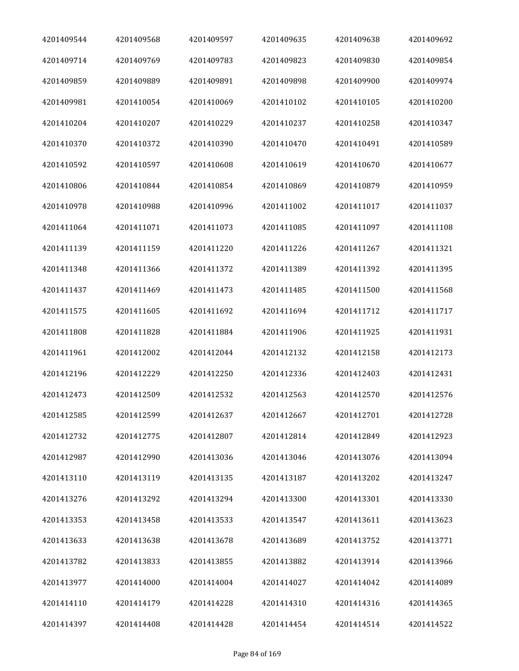| 4201409544 | 4201409568 | 4201409597 | 4201409635 | 4201409638 | 4201409692 |
|------------|------------|------------|------------|------------|------------|
| 4201409714 | 4201409769 | 4201409783 | 4201409823 | 4201409830 | 4201409854 |
| 4201409859 | 4201409889 | 4201409891 | 4201409898 | 4201409900 | 4201409974 |
| 4201409981 | 4201410054 | 4201410069 | 4201410102 | 4201410105 | 4201410200 |
| 4201410204 | 4201410207 | 4201410229 | 4201410237 | 4201410258 | 4201410347 |
| 4201410370 | 4201410372 | 4201410390 | 4201410470 | 4201410491 | 4201410589 |
| 4201410592 | 4201410597 | 4201410608 | 4201410619 | 4201410670 | 4201410677 |
| 4201410806 | 4201410844 | 4201410854 | 4201410869 | 4201410879 | 4201410959 |
| 4201410978 | 4201410988 | 4201410996 | 4201411002 | 4201411017 | 4201411037 |
| 4201411064 | 4201411071 | 4201411073 | 4201411085 | 4201411097 | 4201411108 |
| 4201411139 | 4201411159 | 4201411220 | 4201411226 | 4201411267 | 4201411321 |
| 4201411348 | 4201411366 | 4201411372 | 4201411389 | 4201411392 | 4201411395 |
| 4201411437 | 4201411469 | 4201411473 | 4201411485 | 4201411500 | 4201411568 |
| 4201411575 | 4201411605 | 4201411692 | 4201411694 | 4201411712 | 4201411717 |
| 4201411808 | 4201411828 | 4201411884 | 4201411906 | 4201411925 | 4201411931 |
| 4201411961 | 4201412002 | 4201412044 | 4201412132 | 4201412158 | 4201412173 |
| 4201412196 | 4201412229 | 4201412250 | 4201412336 | 4201412403 | 4201412431 |
| 4201412473 | 4201412509 | 4201412532 | 4201412563 | 4201412570 | 4201412576 |
| 4201412585 | 4201412599 | 4201412637 | 4201412667 | 4201412701 | 4201412728 |
| 4201412732 | 4201412775 | 4201412807 | 4201412814 | 4201412849 | 4201412923 |
| 4201412987 | 4201412990 | 4201413036 | 4201413046 | 4201413076 | 4201413094 |
| 4201413110 | 4201413119 | 4201413135 | 4201413187 | 4201413202 | 4201413247 |
| 4201413276 | 4201413292 | 4201413294 | 4201413300 | 4201413301 | 4201413330 |
| 4201413353 | 4201413458 | 4201413533 | 4201413547 | 4201413611 | 4201413623 |
| 4201413633 | 4201413638 | 4201413678 | 4201413689 | 4201413752 | 4201413771 |
| 4201413782 | 4201413833 | 4201413855 | 4201413882 | 4201413914 | 4201413966 |
| 4201413977 | 4201414000 | 4201414004 | 4201414027 | 4201414042 | 4201414089 |
| 4201414110 | 4201414179 | 4201414228 | 4201414310 | 4201414316 | 4201414365 |
| 4201414397 | 4201414408 | 4201414428 | 4201414454 | 4201414514 | 4201414522 |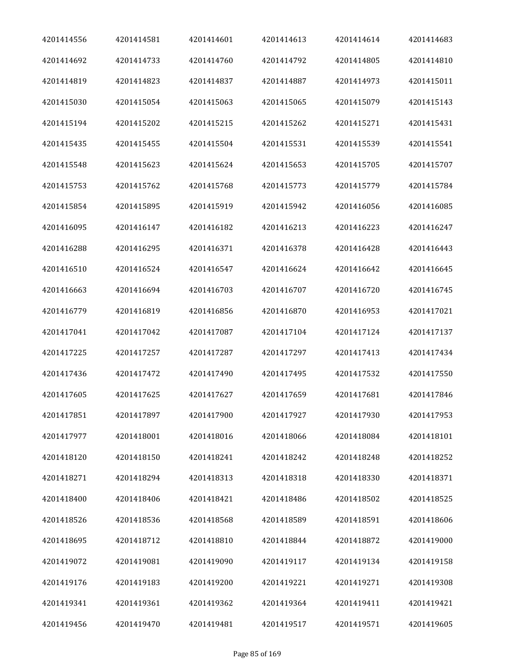| 4201414556 | 4201414581 | 4201414601 | 4201414613 | 4201414614 | 4201414683 |
|------------|------------|------------|------------|------------|------------|
| 4201414692 | 4201414733 | 4201414760 | 4201414792 | 4201414805 | 4201414810 |
| 4201414819 | 4201414823 | 4201414837 | 4201414887 | 4201414973 | 4201415011 |
| 4201415030 | 4201415054 | 4201415063 | 4201415065 | 4201415079 | 4201415143 |
| 4201415194 | 4201415202 | 4201415215 | 4201415262 | 4201415271 | 4201415431 |
| 4201415435 | 4201415455 | 4201415504 | 4201415531 | 4201415539 | 4201415541 |
| 4201415548 | 4201415623 | 4201415624 | 4201415653 | 4201415705 | 4201415707 |
| 4201415753 | 4201415762 | 4201415768 | 4201415773 | 4201415779 | 4201415784 |
| 4201415854 | 4201415895 | 4201415919 | 4201415942 | 4201416056 | 4201416085 |
| 4201416095 | 4201416147 | 4201416182 | 4201416213 | 4201416223 | 4201416247 |
| 4201416288 | 4201416295 | 4201416371 | 4201416378 | 4201416428 | 4201416443 |
| 4201416510 | 4201416524 | 4201416547 | 4201416624 | 4201416642 | 4201416645 |
| 4201416663 | 4201416694 | 4201416703 | 4201416707 | 4201416720 | 4201416745 |
| 4201416779 | 4201416819 | 4201416856 | 4201416870 | 4201416953 | 4201417021 |
| 4201417041 | 4201417042 | 4201417087 | 4201417104 | 4201417124 | 4201417137 |
| 4201417225 | 4201417257 | 4201417287 | 4201417297 | 4201417413 | 4201417434 |
| 4201417436 | 4201417472 | 4201417490 | 4201417495 | 4201417532 | 4201417550 |
| 4201417605 | 4201417625 | 4201417627 | 4201417659 | 4201417681 | 4201417846 |
| 4201417851 | 4201417897 | 4201417900 | 4201417927 | 4201417930 | 4201417953 |
| 4201417977 | 4201418001 | 4201418016 | 4201418066 | 4201418084 | 4201418101 |
| 4201418120 | 4201418150 | 4201418241 | 4201418242 | 4201418248 | 4201418252 |
| 4201418271 | 4201418294 | 4201418313 | 4201418318 | 4201418330 | 4201418371 |
| 4201418400 | 4201418406 | 4201418421 | 4201418486 | 4201418502 | 4201418525 |
| 4201418526 | 4201418536 | 4201418568 | 4201418589 | 4201418591 | 4201418606 |
| 4201418695 | 4201418712 | 4201418810 | 4201418844 | 4201418872 | 4201419000 |
| 4201419072 | 4201419081 | 4201419090 | 4201419117 | 4201419134 | 4201419158 |
| 4201419176 | 4201419183 | 4201419200 | 4201419221 | 4201419271 | 4201419308 |
| 4201419341 | 4201419361 | 4201419362 | 4201419364 | 4201419411 | 4201419421 |
| 4201419456 | 4201419470 | 4201419481 | 4201419517 | 4201419571 | 4201419605 |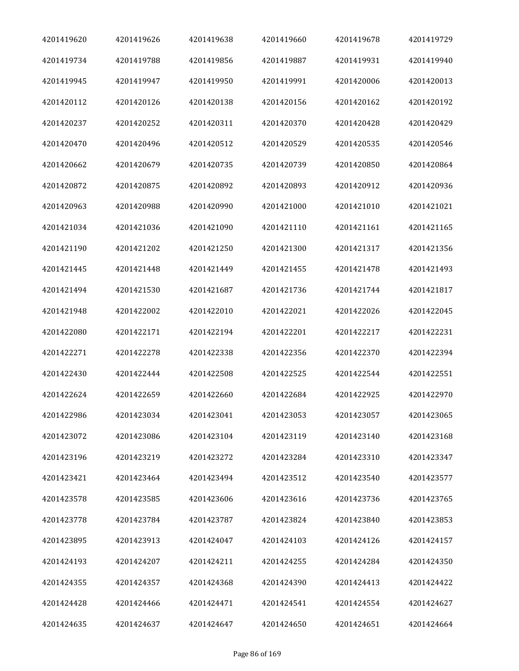| 4201419620 | 4201419626 | 4201419638 | 4201419660 | 4201419678 | 4201419729 |
|------------|------------|------------|------------|------------|------------|
| 4201419734 | 4201419788 | 4201419856 | 4201419887 | 4201419931 | 4201419940 |
| 4201419945 | 4201419947 | 4201419950 | 4201419991 | 4201420006 | 4201420013 |
| 4201420112 | 4201420126 | 4201420138 | 4201420156 | 4201420162 | 4201420192 |
| 4201420237 | 4201420252 | 4201420311 | 4201420370 | 4201420428 | 4201420429 |
| 4201420470 | 4201420496 | 4201420512 | 4201420529 | 4201420535 | 4201420546 |
| 4201420662 | 4201420679 | 4201420735 | 4201420739 | 4201420850 | 4201420864 |
| 4201420872 | 4201420875 | 4201420892 | 4201420893 | 4201420912 | 4201420936 |
| 4201420963 | 4201420988 | 4201420990 | 4201421000 | 4201421010 | 4201421021 |
| 4201421034 | 4201421036 | 4201421090 | 4201421110 | 4201421161 | 4201421165 |
| 4201421190 | 4201421202 | 4201421250 | 4201421300 | 4201421317 | 4201421356 |
| 4201421445 | 4201421448 | 4201421449 | 4201421455 | 4201421478 | 4201421493 |
| 4201421494 | 4201421530 | 4201421687 | 4201421736 | 4201421744 | 4201421817 |
| 4201421948 | 4201422002 | 4201422010 | 4201422021 | 4201422026 | 4201422045 |
| 4201422080 | 4201422171 | 4201422194 | 4201422201 | 4201422217 | 4201422231 |
| 4201422271 | 4201422278 | 4201422338 | 4201422356 | 4201422370 | 4201422394 |
| 4201422430 | 4201422444 | 4201422508 | 4201422525 | 4201422544 | 4201422551 |
| 4201422624 | 4201422659 | 4201422660 | 4201422684 | 4201422925 | 4201422970 |
| 4201422986 | 4201423034 | 4201423041 | 4201423053 | 4201423057 | 4201423065 |
| 4201423072 | 4201423086 | 4201423104 | 4201423119 | 4201423140 | 4201423168 |
| 4201423196 | 4201423219 | 4201423272 | 4201423284 | 4201423310 | 4201423347 |
| 4201423421 | 4201423464 | 4201423494 | 4201423512 | 4201423540 | 4201423577 |
| 4201423578 | 4201423585 | 4201423606 | 4201423616 | 4201423736 | 4201423765 |
| 4201423778 | 4201423784 | 4201423787 | 4201423824 | 4201423840 | 4201423853 |
| 4201423895 | 4201423913 | 4201424047 | 4201424103 | 4201424126 | 4201424157 |
| 4201424193 | 4201424207 | 4201424211 | 4201424255 | 4201424284 | 4201424350 |
| 4201424355 | 4201424357 | 4201424368 | 4201424390 | 4201424413 | 4201424422 |
| 4201424428 | 4201424466 | 4201424471 | 4201424541 | 4201424554 | 4201424627 |
| 4201424635 | 4201424637 | 4201424647 | 4201424650 | 4201424651 | 4201424664 |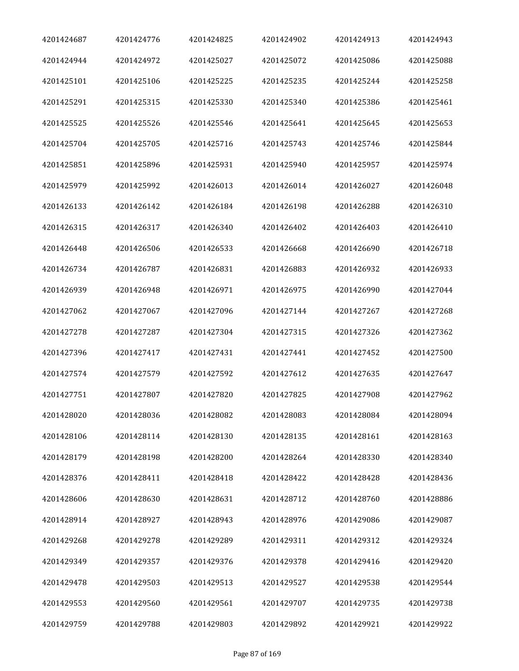| 4201424687 | 4201424776 | 4201424825 | 4201424902 | 4201424913 | 4201424943 |
|------------|------------|------------|------------|------------|------------|
| 4201424944 | 4201424972 | 4201425027 | 4201425072 | 4201425086 | 4201425088 |
| 4201425101 | 4201425106 | 4201425225 | 4201425235 | 4201425244 | 4201425258 |
| 4201425291 | 4201425315 | 4201425330 | 4201425340 | 4201425386 | 4201425461 |
| 4201425525 | 4201425526 | 4201425546 | 4201425641 | 4201425645 | 4201425653 |
| 4201425704 | 4201425705 | 4201425716 | 4201425743 | 4201425746 | 4201425844 |
| 4201425851 | 4201425896 | 4201425931 | 4201425940 | 4201425957 | 4201425974 |
| 4201425979 | 4201425992 | 4201426013 | 4201426014 | 4201426027 | 4201426048 |
| 4201426133 | 4201426142 | 4201426184 | 4201426198 | 4201426288 | 4201426310 |
| 4201426315 | 4201426317 | 4201426340 | 4201426402 | 4201426403 | 4201426410 |
| 4201426448 | 4201426506 | 4201426533 | 4201426668 | 4201426690 | 4201426718 |
| 4201426734 | 4201426787 | 4201426831 | 4201426883 | 4201426932 | 4201426933 |
| 4201426939 | 4201426948 | 4201426971 | 4201426975 | 4201426990 | 4201427044 |
| 4201427062 | 4201427067 | 4201427096 | 4201427144 | 4201427267 | 4201427268 |
| 4201427278 | 4201427287 | 4201427304 | 4201427315 | 4201427326 | 4201427362 |
| 4201427396 | 4201427417 | 4201427431 | 4201427441 | 4201427452 | 4201427500 |
| 4201427574 | 4201427579 | 4201427592 | 4201427612 | 4201427635 | 4201427647 |
| 4201427751 | 4201427807 | 4201427820 | 4201427825 | 4201427908 | 4201427962 |
| 4201428020 | 4201428036 | 4201428082 | 4201428083 | 4201428084 | 4201428094 |
| 4201428106 | 4201428114 | 4201428130 | 4201428135 | 4201428161 | 4201428163 |
| 4201428179 | 4201428198 | 4201428200 | 4201428264 | 4201428330 | 4201428340 |
| 4201428376 | 4201428411 | 4201428418 | 4201428422 | 4201428428 | 4201428436 |
| 4201428606 | 4201428630 | 4201428631 | 4201428712 | 4201428760 | 4201428886 |
| 4201428914 | 4201428927 | 4201428943 | 4201428976 | 4201429086 | 4201429087 |
| 4201429268 | 4201429278 | 4201429289 | 4201429311 | 4201429312 | 4201429324 |
| 4201429349 | 4201429357 | 4201429376 | 4201429378 | 4201429416 | 4201429420 |
| 4201429478 | 4201429503 | 4201429513 | 4201429527 | 4201429538 | 4201429544 |
| 4201429553 | 4201429560 | 4201429561 | 4201429707 | 4201429735 | 4201429738 |
| 4201429759 | 4201429788 | 4201429803 | 4201429892 | 4201429921 | 4201429922 |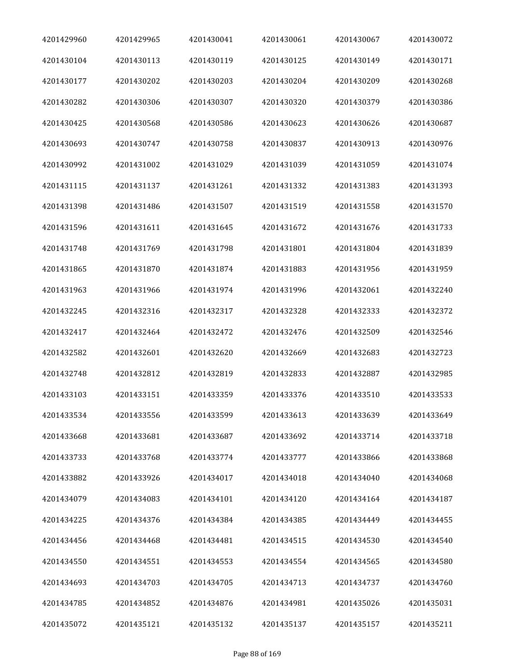| 4201429960 | 4201429965 | 4201430041 | 4201430061 | 4201430067 | 4201430072 |
|------------|------------|------------|------------|------------|------------|
| 4201430104 | 4201430113 | 4201430119 | 4201430125 | 4201430149 | 4201430171 |
| 4201430177 | 4201430202 | 4201430203 | 4201430204 | 4201430209 | 4201430268 |
| 4201430282 | 4201430306 | 4201430307 | 4201430320 | 4201430379 | 4201430386 |
| 4201430425 | 4201430568 | 4201430586 | 4201430623 | 4201430626 | 4201430687 |
| 4201430693 | 4201430747 | 4201430758 | 4201430837 | 4201430913 | 4201430976 |
| 4201430992 | 4201431002 | 4201431029 | 4201431039 | 4201431059 | 4201431074 |
| 4201431115 | 4201431137 | 4201431261 | 4201431332 | 4201431383 | 4201431393 |
| 4201431398 | 4201431486 | 4201431507 | 4201431519 | 4201431558 | 4201431570 |
| 4201431596 | 4201431611 | 4201431645 | 4201431672 | 4201431676 | 4201431733 |
| 4201431748 | 4201431769 | 4201431798 | 4201431801 | 4201431804 | 4201431839 |
| 4201431865 | 4201431870 | 4201431874 | 4201431883 | 4201431956 | 4201431959 |
| 4201431963 | 4201431966 | 4201431974 | 4201431996 | 4201432061 | 4201432240 |
| 4201432245 | 4201432316 | 4201432317 | 4201432328 | 4201432333 | 4201432372 |
| 4201432417 | 4201432464 | 4201432472 | 4201432476 | 4201432509 | 4201432546 |
| 4201432582 | 4201432601 | 4201432620 | 4201432669 | 4201432683 | 4201432723 |
| 4201432748 | 4201432812 | 4201432819 | 4201432833 | 4201432887 | 4201432985 |
| 4201433103 | 4201433151 | 4201433359 | 4201433376 | 4201433510 | 4201433533 |
| 4201433534 | 4201433556 | 4201433599 | 4201433613 | 4201433639 | 4201433649 |
| 4201433668 | 4201433681 | 4201433687 | 4201433692 | 4201433714 | 4201433718 |
| 4201433733 | 4201433768 | 4201433774 | 4201433777 | 4201433866 | 4201433868 |
| 4201433882 | 4201433926 | 4201434017 | 4201434018 | 4201434040 | 4201434068 |
| 4201434079 | 4201434083 | 4201434101 | 4201434120 | 4201434164 | 4201434187 |
| 4201434225 | 4201434376 | 4201434384 | 4201434385 | 4201434449 | 4201434455 |
| 4201434456 | 4201434468 | 4201434481 | 4201434515 | 4201434530 | 4201434540 |
| 4201434550 | 4201434551 | 4201434553 | 4201434554 | 4201434565 | 4201434580 |
| 4201434693 | 4201434703 | 4201434705 | 4201434713 | 4201434737 | 4201434760 |
| 4201434785 | 4201434852 | 4201434876 | 4201434981 | 4201435026 | 4201435031 |
| 4201435072 | 4201435121 | 4201435132 | 4201435137 | 4201435157 | 4201435211 |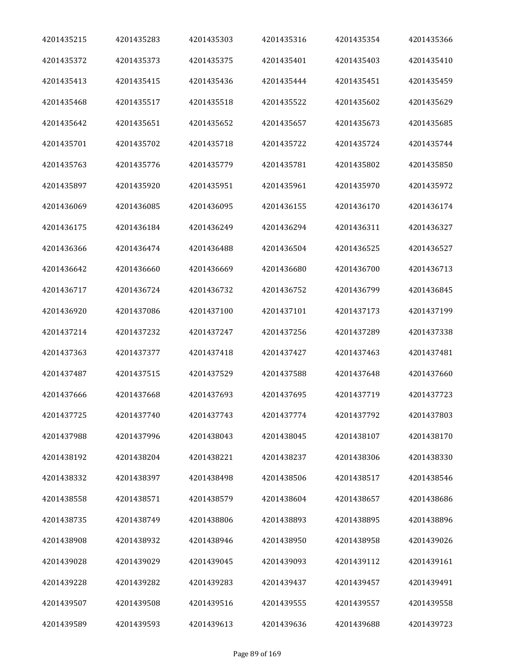| 4201435215 | 4201435283 | 4201435303 | 4201435316 | 4201435354 | 4201435366 |
|------------|------------|------------|------------|------------|------------|
| 4201435372 | 4201435373 | 4201435375 | 4201435401 | 4201435403 | 4201435410 |
| 4201435413 | 4201435415 | 4201435436 | 4201435444 | 4201435451 | 4201435459 |
| 4201435468 | 4201435517 | 4201435518 | 4201435522 | 4201435602 | 4201435629 |
| 4201435642 | 4201435651 | 4201435652 | 4201435657 | 4201435673 | 4201435685 |
| 4201435701 | 4201435702 | 4201435718 | 4201435722 | 4201435724 | 4201435744 |
| 4201435763 | 4201435776 | 4201435779 | 4201435781 | 4201435802 | 4201435850 |
| 4201435897 | 4201435920 | 4201435951 | 4201435961 | 4201435970 | 4201435972 |
| 4201436069 | 4201436085 | 4201436095 | 4201436155 | 4201436170 | 4201436174 |
| 4201436175 | 4201436184 | 4201436249 | 4201436294 | 4201436311 | 4201436327 |
| 4201436366 | 4201436474 | 4201436488 | 4201436504 | 4201436525 | 4201436527 |
| 4201436642 | 4201436660 | 4201436669 | 4201436680 | 4201436700 | 4201436713 |
| 4201436717 | 4201436724 | 4201436732 | 4201436752 | 4201436799 | 4201436845 |
| 4201436920 | 4201437086 | 4201437100 | 4201437101 | 4201437173 | 4201437199 |
| 4201437214 | 4201437232 | 4201437247 | 4201437256 | 4201437289 | 4201437338 |
| 4201437363 | 4201437377 | 4201437418 | 4201437427 | 4201437463 | 4201437481 |
| 4201437487 | 4201437515 | 4201437529 | 4201437588 | 4201437648 | 4201437660 |
| 4201437666 | 4201437668 | 4201437693 | 4201437695 | 4201437719 | 4201437723 |
| 4201437725 | 4201437740 | 4201437743 | 4201437774 | 4201437792 | 4201437803 |
| 4201437988 | 4201437996 | 4201438043 | 4201438045 | 4201438107 | 4201438170 |
| 4201438192 | 4201438204 | 4201438221 | 4201438237 | 4201438306 | 4201438330 |
| 4201438332 | 4201438397 | 4201438498 | 4201438506 | 4201438517 | 4201438546 |
| 4201438558 | 4201438571 | 4201438579 | 4201438604 | 4201438657 | 4201438686 |
| 4201438735 | 4201438749 | 4201438806 | 4201438893 | 4201438895 | 4201438896 |
| 4201438908 | 4201438932 | 4201438946 | 4201438950 | 4201438958 | 4201439026 |
| 4201439028 | 4201439029 | 4201439045 | 4201439093 | 4201439112 | 4201439161 |
| 4201439228 | 4201439282 | 4201439283 | 4201439437 | 4201439457 | 4201439491 |
| 4201439507 | 4201439508 | 4201439516 | 4201439555 | 4201439557 | 4201439558 |
| 4201439589 | 4201439593 | 4201439613 | 4201439636 | 4201439688 | 4201439723 |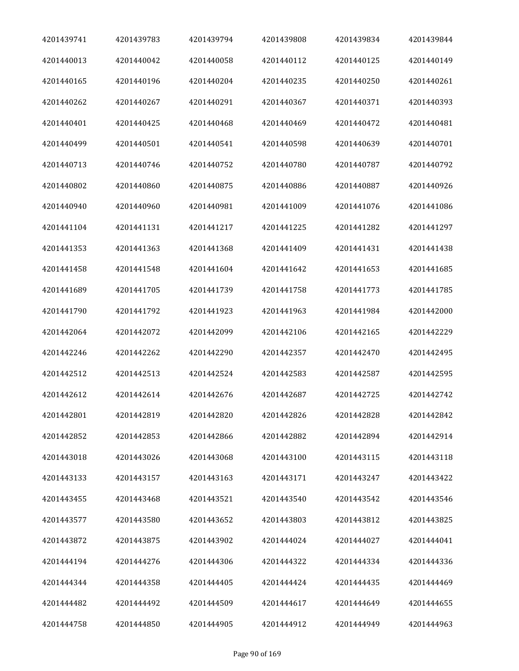| 4201439741 | 4201439783 | 4201439794 | 4201439808 | 4201439834 | 4201439844 |
|------------|------------|------------|------------|------------|------------|
| 4201440013 | 4201440042 | 4201440058 | 4201440112 | 4201440125 | 4201440149 |
| 4201440165 | 4201440196 | 4201440204 | 4201440235 | 4201440250 | 4201440261 |
| 4201440262 | 4201440267 | 4201440291 | 4201440367 | 4201440371 | 4201440393 |
| 4201440401 | 4201440425 | 4201440468 | 4201440469 | 4201440472 | 4201440481 |
| 4201440499 | 4201440501 | 4201440541 | 4201440598 | 4201440639 | 4201440701 |
| 4201440713 | 4201440746 | 4201440752 | 4201440780 | 4201440787 | 4201440792 |
| 4201440802 | 4201440860 | 4201440875 | 4201440886 | 4201440887 | 4201440926 |
| 4201440940 | 4201440960 | 4201440981 | 4201441009 | 4201441076 | 4201441086 |
| 4201441104 | 4201441131 | 4201441217 | 4201441225 | 4201441282 | 4201441297 |
| 4201441353 | 4201441363 | 4201441368 | 4201441409 | 4201441431 | 4201441438 |
| 4201441458 | 4201441548 | 4201441604 | 4201441642 | 4201441653 | 4201441685 |
| 4201441689 | 4201441705 | 4201441739 | 4201441758 | 4201441773 | 4201441785 |
| 4201441790 | 4201441792 | 4201441923 | 4201441963 | 4201441984 | 4201442000 |
| 4201442064 | 4201442072 | 4201442099 | 4201442106 | 4201442165 | 4201442229 |
| 4201442246 | 4201442262 | 4201442290 | 4201442357 | 4201442470 | 4201442495 |
| 4201442512 | 4201442513 | 4201442524 | 4201442583 | 4201442587 | 4201442595 |
| 4201442612 | 4201442614 | 4201442676 | 4201442687 | 4201442725 | 4201442742 |
| 4201442801 | 4201442819 | 4201442820 | 4201442826 | 4201442828 | 4201442842 |
| 4201442852 | 4201442853 | 4201442866 | 4201442882 | 4201442894 | 4201442914 |
| 4201443018 | 4201443026 | 4201443068 | 4201443100 | 4201443115 | 4201443118 |
| 4201443133 | 4201443157 | 4201443163 | 4201443171 | 4201443247 | 4201443422 |
| 4201443455 | 4201443468 | 4201443521 | 4201443540 | 4201443542 | 4201443546 |
| 4201443577 | 4201443580 | 4201443652 | 4201443803 | 4201443812 | 4201443825 |
| 4201443872 | 4201443875 | 4201443902 | 4201444024 | 4201444027 | 4201444041 |
| 4201444194 | 4201444276 | 4201444306 | 4201444322 | 4201444334 | 4201444336 |
| 4201444344 | 4201444358 | 4201444405 | 4201444424 | 4201444435 | 4201444469 |
| 4201444482 | 4201444492 | 4201444509 | 4201444617 | 4201444649 | 4201444655 |
| 4201444758 | 4201444850 | 4201444905 | 4201444912 | 4201444949 | 4201444963 |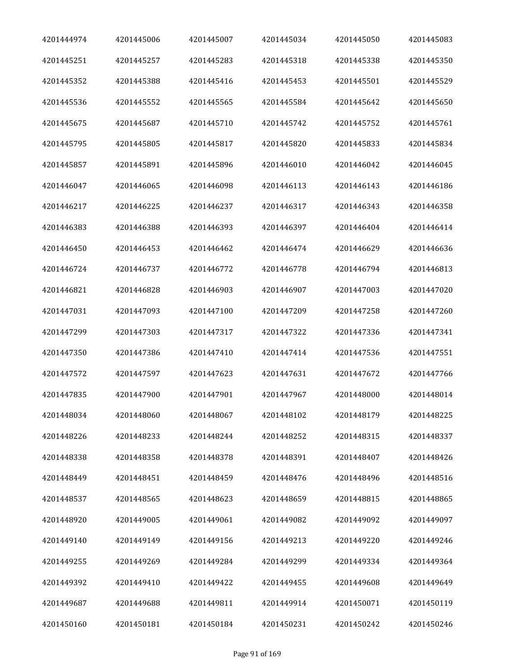| 4201444974 | 4201445006 | 4201445007 | 4201445034 | 4201445050 | 4201445083 |
|------------|------------|------------|------------|------------|------------|
| 4201445251 | 4201445257 | 4201445283 | 4201445318 | 4201445338 | 4201445350 |
| 4201445352 | 4201445388 | 4201445416 | 4201445453 | 4201445501 | 4201445529 |
| 4201445536 | 4201445552 | 4201445565 | 4201445584 | 4201445642 | 4201445650 |
| 4201445675 | 4201445687 | 4201445710 | 4201445742 | 4201445752 | 4201445761 |
| 4201445795 | 4201445805 | 4201445817 | 4201445820 | 4201445833 | 4201445834 |
| 4201445857 | 4201445891 | 4201445896 | 4201446010 | 4201446042 | 4201446045 |
| 4201446047 | 4201446065 | 4201446098 | 4201446113 | 4201446143 | 4201446186 |
| 4201446217 | 4201446225 | 4201446237 | 4201446317 | 4201446343 | 4201446358 |
| 4201446383 | 4201446388 | 4201446393 | 4201446397 | 4201446404 | 4201446414 |
| 4201446450 | 4201446453 | 4201446462 | 4201446474 | 4201446629 | 4201446636 |
| 4201446724 | 4201446737 | 4201446772 | 4201446778 | 4201446794 | 4201446813 |
| 4201446821 | 4201446828 | 4201446903 | 4201446907 | 4201447003 | 4201447020 |
| 4201447031 | 4201447093 | 4201447100 | 4201447209 | 4201447258 | 4201447260 |
| 4201447299 | 4201447303 | 4201447317 | 4201447322 | 4201447336 | 4201447341 |
| 4201447350 | 4201447386 | 4201447410 | 4201447414 | 4201447536 | 4201447551 |
| 4201447572 | 4201447597 | 4201447623 | 4201447631 | 4201447672 | 4201447766 |
| 4201447835 | 4201447900 | 4201447901 | 4201447967 | 4201448000 | 4201448014 |
| 4201448034 | 4201448060 | 4201448067 | 4201448102 | 4201448179 | 4201448225 |
| 4201448226 | 4201448233 | 4201448244 | 4201448252 | 4201448315 | 4201448337 |
| 4201448338 | 4201448358 | 4201448378 | 4201448391 | 4201448407 | 4201448426 |
| 4201448449 | 4201448451 | 4201448459 | 4201448476 | 4201448496 | 4201448516 |
| 4201448537 | 4201448565 | 4201448623 | 4201448659 | 4201448815 | 4201448865 |
| 4201448920 | 4201449005 | 4201449061 | 4201449082 | 4201449092 | 4201449097 |
| 4201449140 | 4201449149 | 4201449156 | 4201449213 | 4201449220 | 4201449246 |
| 4201449255 | 4201449269 | 4201449284 | 4201449299 | 4201449334 | 4201449364 |
| 4201449392 | 4201449410 | 4201449422 | 4201449455 | 4201449608 | 4201449649 |
| 4201449687 | 4201449688 | 4201449811 | 4201449914 | 4201450071 | 4201450119 |
| 4201450160 | 4201450181 | 4201450184 | 4201450231 | 4201450242 | 4201450246 |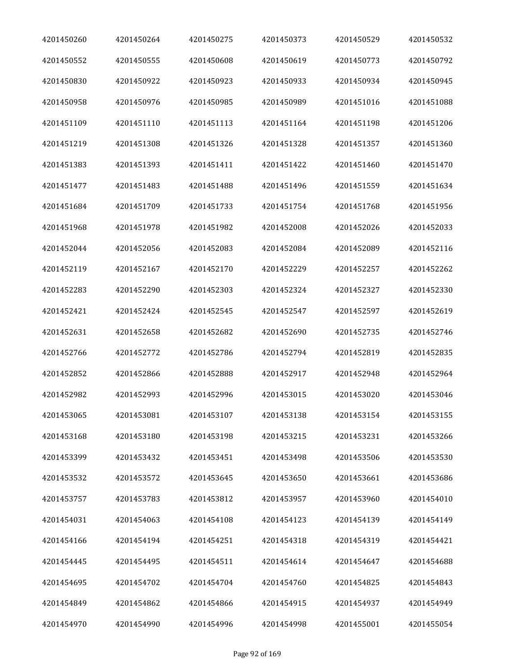| 4201450260 | 4201450264 | 4201450275 | 4201450373 | 4201450529 | 4201450532 |
|------------|------------|------------|------------|------------|------------|
| 4201450552 | 4201450555 | 4201450608 | 4201450619 | 4201450773 | 4201450792 |
| 4201450830 | 4201450922 | 4201450923 | 4201450933 | 4201450934 | 4201450945 |
| 4201450958 | 4201450976 | 4201450985 | 4201450989 | 4201451016 | 4201451088 |
| 4201451109 | 4201451110 | 4201451113 | 4201451164 | 4201451198 | 4201451206 |
| 4201451219 | 4201451308 | 4201451326 | 4201451328 | 4201451357 | 4201451360 |
| 4201451383 | 4201451393 | 4201451411 | 4201451422 | 4201451460 | 4201451470 |
| 4201451477 | 4201451483 | 4201451488 | 4201451496 | 4201451559 | 4201451634 |
| 4201451684 | 4201451709 | 4201451733 | 4201451754 | 4201451768 | 4201451956 |
| 4201451968 | 4201451978 | 4201451982 | 4201452008 | 4201452026 | 4201452033 |
| 4201452044 | 4201452056 | 4201452083 | 4201452084 | 4201452089 | 4201452116 |
| 4201452119 | 4201452167 | 4201452170 | 4201452229 | 4201452257 | 4201452262 |
| 4201452283 | 4201452290 | 4201452303 | 4201452324 | 4201452327 | 4201452330 |
| 4201452421 | 4201452424 | 4201452545 | 4201452547 | 4201452597 | 4201452619 |
| 4201452631 | 4201452658 | 4201452682 | 4201452690 | 4201452735 | 4201452746 |
| 4201452766 | 4201452772 | 4201452786 | 4201452794 | 4201452819 | 4201452835 |
| 4201452852 | 4201452866 | 4201452888 | 4201452917 | 4201452948 | 4201452964 |
| 4201452982 | 4201452993 | 4201452996 | 4201453015 | 4201453020 | 4201453046 |
| 4201453065 | 4201453081 | 4201453107 | 4201453138 | 4201453154 | 4201453155 |
| 4201453168 | 4201453180 | 4201453198 | 4201453215 | 4201453231 | 4201453266 |
| 4201453399 | 4201453432 | 4201453451 | 4201453498 | 4201453506 | 4201453530 |
| 4201453532 | 4201453572 | 4201453645 | 4201453650 | 4201453661 | 4201453686 |
| 4201453757 | 4201453783 | 4201453812 | 4201453957 | 4201453960 | 4201454010 |
| 4201454031 | 4201454063 | 4201454108 | 4201454123 | 4201454139 | 4201454149 |
| 4201454166 | 4201454194 | 4201454251 | 4201454318 | 4201454319 | 4201454421 |
| 4201454445 | 4201454495 | 4201454511 | 4201454614 | 4201454647 | 4201454688 |
| 4201454695 | 4201454702 | 4201454704 | 4201454760 | 4201454825 | 4201454843 |
| 4201454849 | 4201454862 | 4201454866 | 4201454915 | 4201454937 | 4201454949 |
| 4201454970 | 4201454990 | 4201454996 | 4201454998 | 4201455001 | 4201455054 |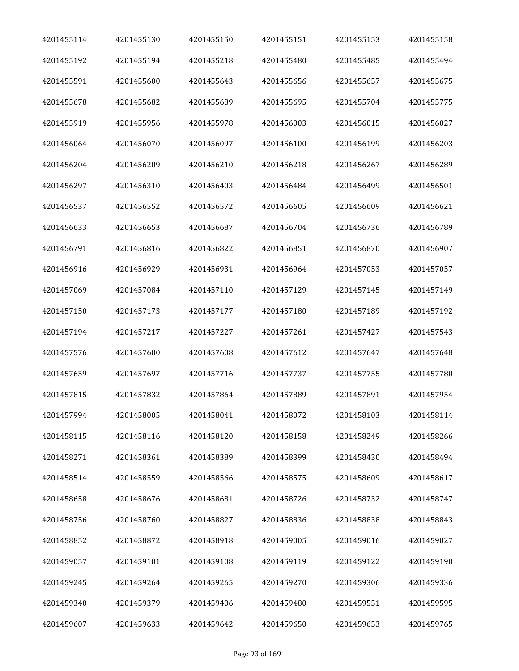| 4201455114 | 4201455130 | 4201455150 | 4201455151 | 4201455153 | 4201455158 |
|------------|------------|------------|------------|------------|------------|
| 4201455192 | 4201455194 | 4201455218 | 4201455480 | 4201455485 | 4201455494 |
| 4201455591 | 4201455600 | 4201455643 | 4201455656 | 4201455657 | 4201455675 |
| 4201455678 | 4201455682 | 4201455689 | 4201455695 | 4201455704 | 4201455775 |
| 4201455919 | 4201455956 | 4201455978 | 4201456003 | 4201456015 | 4201456027 |
| 4201456064 | 4201456070 | 4201456097 | 4201456100 | 4201456199 | 4201456203 |
| 4201456204 | 4201456209 | 4201456210 | 4201456218 | 4201456267 | 4201456289 |
| 4201456297 | 4201456310 | 4201456403 | 4201456484 | 4201456499 | 4201456501 |
| 4201456537 | 4201456552 | 4201456572 | 4201456605 | 4201456609 | 4201456621 |
| 4201456633 | 4201456653 | 4201456687 | 4201456704 | 4201456736 | 4201456789 |
| 4201456791 | 4201456816 | 4201456822 | 4201456851 | 4201456870 | 4201456907 |
| 4201456916 | 4201456929 | 4201456931 | 4201456964 | 4201457053 | 4201457057 |
| 4201457069 | 4201457084 | 4201457110 | 4201457129 | 4201457145 | 4201457149 |
| 4201457150 | 4201457173 | 4201457177 | 4201457180 | 4201457189 | 4201457192 |
| 4201457194 | 4201457217 | 4201457227 | 4201457261 | 4201457427 | 4201457543 |
| 4201457576 | 4201457600 | 4201457608 | 4201457612 | 4201457647 | 4201457648 |
| 4201457659 | 4201457697 | 4201457716 | 4201457737 | 4201457755 | 4201457780 |
| 4201457815 | 4201457832 | 4201457864 | 4201457889 | 4201457891 | 4201457954 |
| 4201457994 | 4201458005 | 4201458041 | 4201458072 | 4201458103 | 4201458114 |
| 4201458115 | 4201458116 | 4201458120 | 4201458158 | 4201458249 | 4201458266 |
| 4201458271 | 4201458361 | 4201458389 | 4201458399 | 4201458430 | 4201458494 |
| 4201458514 | 4201458559 | 4201458566 | 4201458575 | 4201458609 | 4201458617 |
| 4201458658 | 4201458676 | 4201458681 | 4201458726 | 4201458732 | 4201458747 |
| 4201458756 | 4201458760 | 4201458827 | 4201458836 | 4201458838 | 4201458843 |
| 4201458852 | 4201458872 | 4201458918 | 4201459005 | 4201459016 | 4201459027 |
| 4201459057 | 4201459101 | 4201459108 | 4201459119 | 4201459122 | 4201459190 |
| 4201459245 | 4201459264 | 4201459265 | 4201459270 | 4201459306 | 4201459336 |
| 4201459340 | 4201459379 | 4201459406 | 4201459480 | 4201459551 | 4201459595 |
| 4201459607 | 4201459633 | 4201459642 | 4201459650 | 4201459653 | 4201459765 |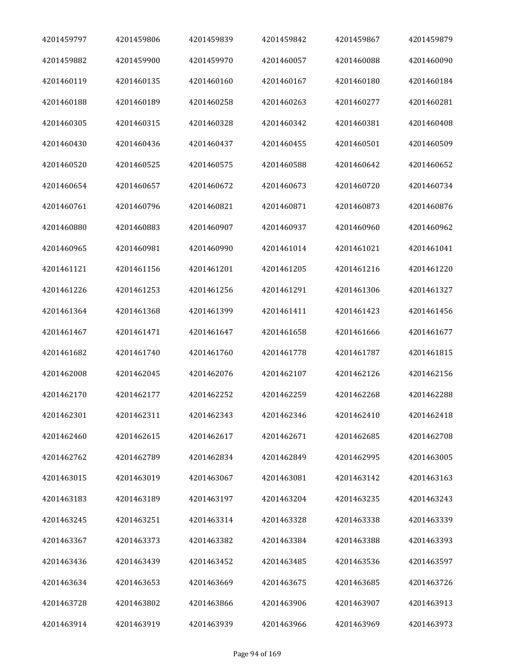| 4201459797 | 4201459806 | 4201459839 | 4201459842 | 4201459867 | 4201459879 |
|------------|------------|------------|------------|------------|------------|
| 4201459882 | 4201459900 | 4201459970 | 4201460057 | 4201460088 | 4201460090 |
| 4201460119 | 4201460135 | 4201460160 | 4201460167 | 4201460180 | 4201460184 |
| 4201460188 | 4201460189 | 4201460258 | 4201460263 | 4201460277 | 4201460281 |
| 4201460305 | 4201460315 | 4201460328 | 4201460342 | 4201460381 | 4201460408 |
| 4201460430 | 4201460436 | 4201460437 | 4201460455 | 4201460501 | 4201460509 |
| 4201460520 | 4201460525 | 4201460575 | 4201460588 | 4201460642 | 4201460652 |
| 4201460654 | 4201460657 | 4201460672 | 4201460673 | 4201460720 | 4201460734 |
| 4201460761 | 4201460796 | 4201460821 | 4201460871 | 4201460873 | 4201460876 |
| 4201460880 | 4201460883 | 4201460907 | 4201460937 | 4201460960 | 4201460962 |
| 4201460965 | 4201460981 | 4201460990 | 4201461014 | 4201461021 | 4201461041 |
| 4201461121 | 4201461156 | 4201461201 | 4201461205 | 4201461216 | 4201461220 |
| 4201461226 | 4201461253 | 4201461256 | 4201461291 | 4201461306 | 4201461327 |
| 4201461364 | 4201461368 | 4201461399 | 4201461411 | 4201461423 | 4201461456 |
| 4201461467 | 4201461471 | 4201461647 | 4201461658 | 4201461666 | 4201461677 |
| 4201461682 | 4201461740 | 4201461760 | 4201461778 | 4201461787 | 4201461815 |
| 4201462008 | 4201462045 | 4201462076 | 4201462107 | 4201462126 | 4201462156 |
| 4201462170 | 4201462177 | 4201462252 | 4201462259 | 4201462268 | 4201462288 |
| 4201462301 | 4201462311 | 4201462343 | 4201462346 | 4201462410 | 4201462418 |
| 4201462460 | 4201462615 | 4201462617 | 4201462671 | 4201462685 | 4201462708 |
| 4201462762 | 4201462789 | 4201462834 | 4201462849 | 4201462995 | 4201463005 |
| 4201463015 | 4201463019 | 4201463067 | 4201463081 | 4201463142 | 4201463163 |
| 4201463183 | 4201463189 | 4201463197 | 4201463204 | 4201463235 | 4201463243 |
| 4201463245 | 4201463251 | 4201463314 | 4201463328 | 4201463338 | 4201463339 |
| 4201463367 | 4201463373 | 4201463382 | 4201463384 | 4201463388 | 4201463393 |
| 4201463436 | 4201463439 | 4201463452 | 4201463485 | 4201463536 | 4201463597 |
| 4201463634 | 4201463653 | 4201463669 | 4201463675 | 4201463685 | 4201463726 |
| 4201463728 | 4201463802 | 4201463866 | 4201463906 | 4201463907 | 4201463913 |
| 4201463914 | 4201463919 | 4201463939 | 4201463966 | 4201463969 | 4201463973 |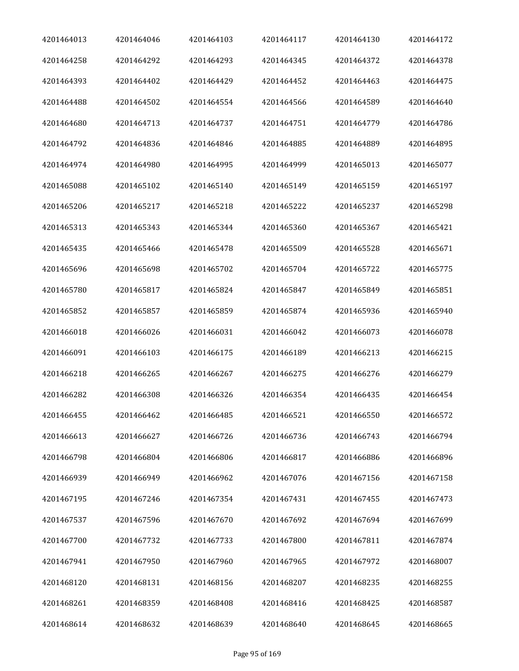| 4201464013 | 4201464046 | 4201464103 | 4201464117 | 4201464130 | 4201464172 |
|------------|------------|------------|------------|------------|------------|
| 4201464258 | 4201464292 | 4201464293 | 4201464345 | 4201464372 | 4201464378 |
| 4201464393 | 4201464402 | 4201464429 | 4201464452 | 4201464463 | 4201464475 |
| 4201464488 | 4201464502 | 4201464554 | 4201464566 | 4201464589 | 4201464640 |
| 4201464680 | 4201464713 | 4201464737 | 4201464751 | 4201464779 | 4201464786 |
| 4201464792 | 4201464836 | 4201464846 | 4201464885 | 4201464889 | 4201464895 |
| 4201464974 | 4201464980 | 4201464995 | 4201464999 | 4201465013 | 4201465077 |
| 4201465088 | 4201465102 | 4201465140 | 4201465149 | 4201465159 | 4201465197 |
| 4201465206 | 4201465217 | 4201465218 | 4201465222 | 4201465237 | 4201465298 |
| 4201465313 | 4201465343 | 4201465344 | 4201465360 | 4201465367 | 4201465421 |
| 4201465435 | 4201465466 | 4201465478 | 4201465509 | 4201465528 | 4201465671 |
| 4201465696 | 4201465698 | 4201465702 | 4201465704 | 4201465722 | 4201465775 |
| 4201465780 | 4201465817 | 4201465824 | 4201465847 | 4201465849 | 4201465851 |
| 4201465852 | 4201465857 | 4201465859 | 4201465874 | 4201465936 | 4201465940 |
| 4201466018 | 4201466026 | 4201466031 | 4201466042 | 4201466073 | 4201466078 |
| 4201466091 | 4201466103 | 4201466175 | 4201466189 | 4201466213 | 4201466215 |
| 4201466218 | 4201466265 | 4201466267 | 4201466275 | 4201466276 | 4201466279 |
| 4201466282 | 4201466308 | 4201466326 | 4201466354 | 4201466435 | 4201466454 |
| 4201466455 | 4201466462 | 4201466485 | 4201466521 | 4201466550 | 4201466572 |
| 4201466613 | 4201466627 | 4201466726 | 4201466736 | 4201466743 | 4201466794 |
| 4201466798 | 4201466804 | 4201466806 | 4201466817 | 4201466886 | 4201466896 |
| 4201466939 | 4201466949 | 4201466962 | 4201467076 | 4201467156 | 4201467158 |
| 4201467195 | 4201467246 | 4201467354 | 4201467431 | 4201467455 | 4201467473 |
| 4201467537 | 4201467596 | 4201467670 | 4201467692 | 4201467694 | 4201467699 |
| 4201467700 | 4201467732 | 4201467733 | 4201467800 | 4201467811 | 4201467874 |
| 4201467941 | 4201467950 | 4201467960 | 4201467965 | 4201467972 | 4201468007 |
| 4201468120 | 4201468131 | 4201468156 | 4201468207 | 4201468235 | 4201468255 |
| 4201468261 | 4201468359 | 4201468408 | 4201468416 | 4201468425 | 4201468587 |
| 4201468614 | 4201468632 | 4201468639 | 4201468640 | 4201468645 | 4201468665 |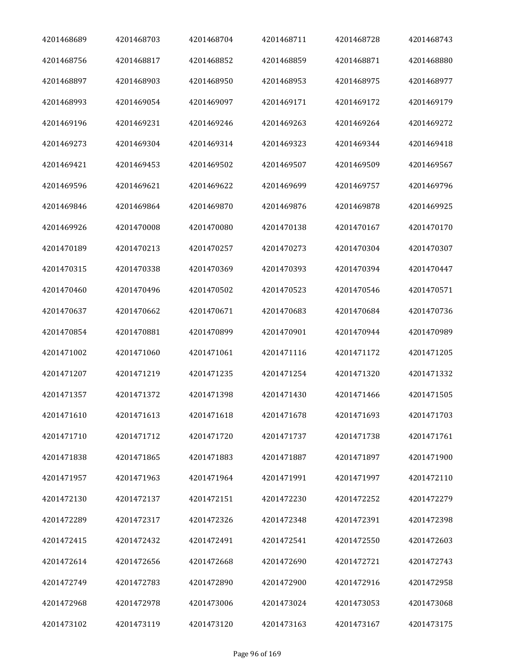| 4201468689 | 4201468703 | 4201468704 | 4201468711 | 4201468728 | 4201468743 |
|------------|------------|------------|------------|------------|------------|
| 4201468756 | 4201468817 | 4201468852 | 4201468859 | 4201468871 | 4201468880 |
| 4201468897 | 4201468903 | 4201468950 | 4201468953 | 4201468975 | 4201468977 |
| 4201468993 | 4201469054 | 4201469097 | 4201469171 | 4201469172 | 4201469179 |
| 4201469196 | 4201469231 | 4201469246 | 4201469263 | 4201469264 | 4201469272 |
| 4201469273 | 4201469304 | 4201469314 | 4201469323 | 4201469344 | 4201469418 |
| 4201469421 | 4201469453 | 4201469502 | 4201469507 | 4201469509 | 4201469567 |
| 4201469596 | 4201469621 | 4201469622 | 4201469699 | 4201469757 | 4201469796 |
| 4201469846 | 4201469864 | 4201469870 | 4201469876 | 4201469878 | 4201469925 |
| 4201469926 | 4201470008 | 4201470080 | 4201470138 | 4201470167 | 4201470170 |
| 4201470189 | 4201470213 | 4201470257 | 4201470273 | 4201470304 | 4201470307 |
| 4201470315 | 4201470338 | 4201470369 | 4201470393 | 4201470394 | 4201470447 |
| 4201470460 | 4201470496 | 4201470502 | 4201470523 | 4201470546 | 4201470571 |
| 4201470637 | 4201470662 | 4201470671 | 4201470683 | 4201470684 | 4201470736 |
| 4201470854 | 4201470881 | 4201470899 | 4201470901 | 4201470944 | 4201470989 |
| 4201471002 | 4201471060 | 4201471061 | 4201471116 | 4201471172 | 4201471205 |
| 4201471207 | 4201471219 | 4201471235 | 4201471254 | 4201471320 | 4201471332 |
| 4201471357 | 4201471372 | 4201471398 | 4201471430 | 4201471466 | 4201471505 |
| 4201471610 | 4201471613 | 4201471618 | 4201471678 | 4201471693 | 4201471703 |
| 4201471710 | 4201471712 | 4201471720 | 4201471737 | 4201471738 | 4201471761 |
| 4201471838 | 4201471865 | 4201471883 | 4201471887 | 4201471897 | 4201471900 |
| 4201471957 | 4201471963 | 4201471964 | 4201471991 | 4201471997 | 4201472110 |
| 4201472130 | 4201472137 | 4201472151 | 4201472230 | 4201472252 | 4201472279 |
| 4201472289 | 4201472317 | 4201472326 | 4201472348 | 4201472391 | 4201472398 |
| 4201472415 | 4201472432 | 4201472491 | 4201472541 | 4201472550 | 4201472603 |
| 4201472614 | 4201472656 | 4201472668 | 4201472690 | 4201472721 | 4201472743 |
| 4201472749 | 4201472783 | 4201472890 | 4201472900 | 4201472916 | 4201472958 |
| 4201472968 | 4201472978 | 4201473006 | 4201473024 | 4201473053 | 4201473068 |
| 4201473102 | 4201473119 | 4201473120 | 4201473163 | 4201473167 | 4201473175 |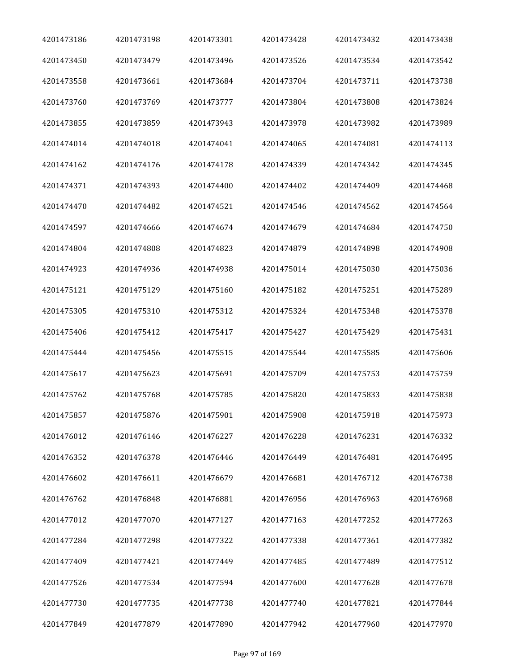| 4201473186 | 4201473198 | 4201473301 | 4201473428 | 4201473432 | 4201473438 |
|------------|------------|------------|------------|------------|------------|
| 4201473450 | 4201473479 | 4201473496 | 4201473526 | 4201473534 | 4201473542 |
| 4201473558 | 4201473661 | 4201473684 | 4201473704 | 4201473711 | 4201473738 |
| 4201473760 | 4201473769 | 4201473777 | 4201473804 | 4201473808 | 4201473824 |
| 4201473855 | 4201473859 | 4201473943 | 4201473978 | 4201473982 | 4201473989 |
| 4201474014 | 4201474018 | 4201474041 | 4201474065 | 4201474081 | 4201474113 |
| 4201474162 | 4201474176 | 4201474178 | 4201474339 | 4201474342 | 4201474345 |
| 4201474371 | 4201474393 | 4201474400 | 4201474402 | 4201474409 | 4201474468 |
| 4201474470 | 4201474482 | 4201474521 | 4201474546 | 4201474562 | 4201474564 |
| 4201474597 | 4201474666 | 4201474674 | 4201474679 | 4201474684 | 4201474750 |
| 4201474804 | 4201474808 | 4201474823 | 4201474879 | 4201474898 | 4201474908 |
| 4201474923 | 4201474936 | 4201474938 | 4201475014 | 4201475030 | 4201475036 |
| 4201475121 | 4201475129 | 4201475160 | 4201475182 | 4201475251 | 4201475289 |
| 4201475305 | 4201475310 | 4201475312 | 4201475324 | 4201475348 | 4201475378 |
| 4201475406 | 4201475412 | 4201475417 | 4201475427 | 4201475429 | 4201475431 |
| 4201475444 | 4201475456 | 4201475515 | 4201475544 | 4201475585 | 4201475606 |
| 4201475617 | 4201475623 | 4201475691 | 4201475709 | 4201475753 | 4201475759 |
| 4201475762 | 4201475768 | 4201475785 | 4201475820 | 4201475833 | 4201475838 |
| 4201475857 | 4201475876 | 4201475901 | 4201475908 | 4201475918 | 4201475973 |
| 4201476012 | 4201476146 | 4201476227 | 4201476228 | 4201476231 | 4201476332 |
| 4201476352 | 4201476378 | 4201476446 | 4201476449 | 4201476481 | 4201476495 |
| 4201476602 | 4201476611 | 4201476679 | 4201476681 | 4201476712 | 4201476738 |
| 4201476762 | 4201476848 | 4201476881 | 4201476956 | 4201476963 | 4201476968 |
| 4201477012 | 4201477070 | 4201477127 | 4201477163 | 4201477252 | 4201477263 |
| 4201477284 | 4201477298 | 4201477322 | 4201477338 | 4201477361 | 4201477382 |
| 4201477409 | 4201477421 | 4201477449 | 4201477485 | 4201477489 | 4201477512 |
| 4201477526 | 4201477534 | 4201477594 | 4201477600 | 4201477628 | 4201477678 |
| 4201477730 | 4201477735 | 4201477738 | 4201477740 | 4201477821 | 4201477844 |
| 4201477849 | 4201477879 | 4201477890 | 4201477942 | 4201477960 | 4201477970 |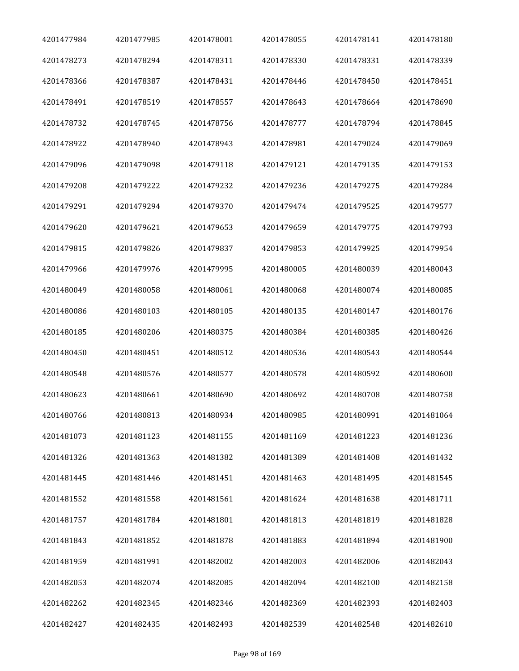| 4201477984 | 4201477985 | 4201478001 | 4201478055 | 4201478141 | 4201478180 |
|------------|------------|------------|------------|------------|------------|
| 4201478273 | 4201478294 | 4201478311 | 4201478330 | 4201478331 | 4201478339 |
| 4201478366 | 4201478387 | 4201478431 | 4201478446 | 4201478450 | 4201478451 |
| 4201478491 | 4201478519 | 4201478557 | 4201478643 | 4201478664 | 4201478690 |
| 4201478732 | 4201478745 | 4201478756 | 4201478777 | 4201478794 | 4201478845 |
| 4201478922 | 4201478940 | 4201478943 | 4201478981 | 4201479024 | 4201479069 |
| 4201479096 | 4201479098 | 4201479118 | 4201479121 | 4201479135 | 4201479153 |
| 4201479208 | 4201479222 | 4201479232 | 4201479236 | 4201479275 | 4201479284 |
| 4201479291 | 4201479294 | 4201479370 | 4201479474 | 4201479525 | 4201479577 |
| 4201479620 | 4201479621 | 4201479653 | 4201479659 | 4201479775 | 4201479793 |
| 4201479815 | 4201479826 | 4201479837 | 4201479853 | 4201479925 | 4201479954 |
| 4201479966 | 4201479976 | 4201479995 | 4201480005 | 4201480039 | 4201480043 |
| 4201480049 | 4201480058 | 4201480061 | 4201480068 | 4201480074 | 4201480085 |
| 4201480086 | 4201480103 | 4201480105 | 4201480135 | 4201480147 | 4201480176 |
| 4201480185 | 4201480206 | 4201480375 | 4201480384 | 4201480385 | 4201480426 |
| 4201480450 | 4201480451 | 4201480512 | 4201480536 | 4201480543 | 4201480544 |
| 4201480548 | 4201480576 | 4201480577 | 4201480578 | 4201480592 | 4201480600 |
| 4201480623 | 4201480661 | 4201480690 | 4201480692 | 4201480708 | 4201480758 |
| 4201480766 | 4201480813 | 4201480934 | 4201480985 | 4201480991 | 4201481064 |
| 4201481073 | 4201481123 | 4201481155 | 4201481169 | 4201481223 | 4201481236 |
| 4201481326 | 4201481363 | 4201481382 | 4201481389 | 4201481408 | 4201481432 |
| 4201481445 | 4201481446 | 4201481451 | 4201481463 | 4201481495 | 4201481545 |
| 4201481552 | 4201481558 | 4201481561 | 4201481624 | 4201481638 | 4201481711 |
| 4201481757 | 4201481784 | 4201481801 | 4201481813 | 4201481819 | 4201481828 |
| 4201481843 | 4201481852 | 4201481878 | 4201481883 | 4201481894 | 4201481900 |
| 4201481959 | 4201481991 | 4201482002 | 4201482003 | 4201482006 | 4201482043 |
| 4201482053 | 4201482074 | 4201482085 | 4201482094 | 4201482100 | 4201482158 |
| 4201482262 | 4201482345 | 4201482346 | 4201482369 | 4201482393 | 4201482403 |
| 4201482427 | 4201482435 | 4201482493 | 4201482539 | 4201482548 | 4201482610 |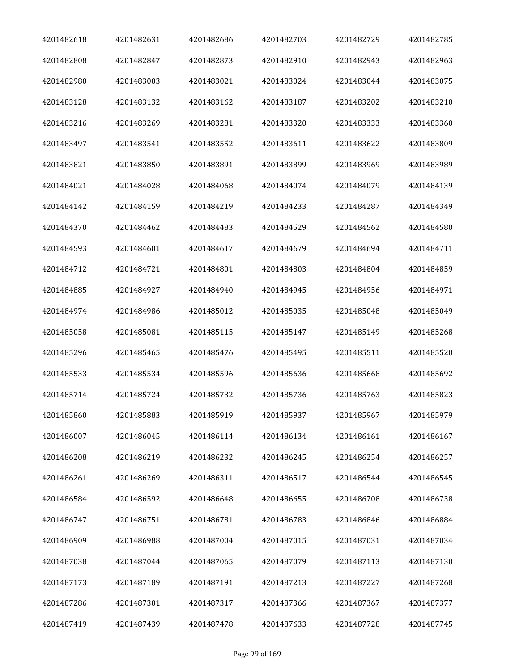| 4201482618 | 4201482631 | 4201482686 | 4201482703 | 4201482729 | 4201482785 |
|------------|------------|------------|------------|------------|------------|
| 4201482808 | 4201482847 | 4201482873 | 4201482910 | 4201482943 | 4201482963 |
| 4201482980 | 4201483003 | 4201483021 | 4201483024 | 4201483044 | 4201483075 |
| 4201483128 | 4201483132 | 4201483162 | 4201483187 | 4201483202 | 4201483210 |
| 4201483216 | 4201483269 | 4201483281 | 4201483320 | 4201483333 | 4201483360 |
| 4201483497 | 4201483541 | 4201483552 | 4201483611 | 4201483622 | 4201483809 |
| 4201483821 | 4201483850 | 4201483891 | 4201483899 | 4201483969 | 4201483989 |
| 4201484021 | 4201484028 | 4201484068 | 4201484074 | 4201484079 | 4201484139 |
| 4201484142 | 4201484159 | 4201484219 | 4201484233 | 4201484287 | 4201484349 |
| 4201484370 | 4201484462 | 4201484483 | 4201484529 | 4201484562 | 4201484580 |
| 4201484593 | 4201484601 | 4201484617 | 4201484679 | 4201484694 | 4201484711 |
| 4201484712 | 4201484721 | 4201484801 | 4201484803 | 4201484804 | 4201484859 |
| 4201484885 | 4201484927 | 4201484940 | 4201484945 | 4201484956 | 4201484971 |
| 4201484974 | 4201484986 | 4201485012 | 4201485035 | 4201485048 | 4201485049 |
| 4201485058 | 4201485081 | 4201485115 | 4201485147 | 4201485149 | 4201485268 |
| 4201485296 | 4201485465 | 4201485476 | 4201485495 | 4201485511 | 4201485520 |
| 4201485533 | 4201485534 | 4201485596 | 4201485636 | 4201485668 | 4201485692 |
| 4201485714 | 4201485724 | 4201485732 | 4201485736 | 4201485763 | 4201485823 |
| 4201485860 | 4201485883 | 4201485919 | 4201485937 | 4201485967 | 4201485979 |
| 4201486007 | 4201486045 | 4201486114 | 4201486134 | 4201486161 | 4201486167 |
| 4201486208 | 4201486219 | 4201486232 | 4201486245 | 4201486254 | 4201486257 |
| 4201486261 | 4201486269 | 4201486311 | 4201486517 | 4201486544 | 4201486545 |
| 4201486584 | 4201486592 | 4201486648 | 4201486655 | 4201486708 | 4201486738 |
| 4201486747 | 4201486751 | 4201486781 | 4201486783 | 4201486846 | 4201486884 |
| 4201486909 | 4201486988 | 4201487004 | 4201487015 | 4201487031 | 4201487034 |
| 4201487038 | 4201487044 | 4201487065 | 4201487079 | 4201487113 | 4201487130 |
| 4201487173 | 4201487189 | 4201487191 | 4201487213 | 4201487227 | 4201487268 |
| 4201487286 | 4201487301 | 4201487317 | 4201487366 | 4201487367 | 4201487377 |
| 4201487419 | 4201487439 | 4201487478 | 4201487633 | 4201487728 | 4201487745 |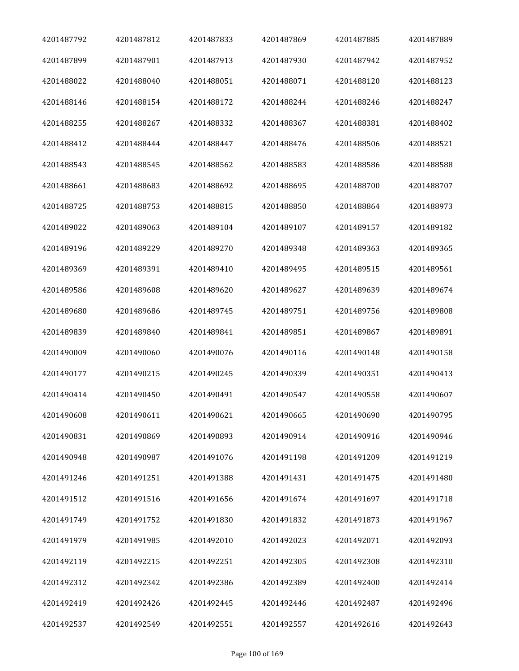| 4201487792 | 4201487812 | 4201487833 | 4201487869 | 4201487885 | 4201487889 |
|------------|------------|------------|------------|------------|------------|
| 4201487899 | 4201487901 | 4201487913 | 4201487930 | 4201487942 | 4201487952 |
| 4201488022 | 4201488040 | 4201488051 | 4201488071 | 4201488120 | 4201488123 |
| 4201488146 | 4201488154 | 4201488172 | 4201488244 | 4201488246 | 4201488247 |
| 4201488255 | 4201488267 | 4201488332 | 4201488367 | 4201488381 | 4201488402 |
| 4201488412 | 4201488444 | 4201488447 | 4201488476 | 4201488506 | 4201488521 |
| 4201488543 | 4201488545 | 4201488562 | 4201488583 | 4201488586 | 4201488588 |
| 4201488661 | 4201488683 | 4201488692 | 4201488695 | 4201488700 | 4201488707 |
| 4201488725 | 4201488753 | 4201488815 | 4201488850 | 4201488864 | 4201488973 |
| 4201489022 | 4201489063 | 4201489104 | 4201489107 | 4201489157 | 4201489182 |
| 4201489196 | 4201489229 | 4201489270 | 4201489348 | 4201489363 | 4201489365 |
| 4201489369 | 4201489391 | 4201489410 | 4201489495 | 4201489515 | 4201489561 |
| 4201489586 | 4201489608 | 4201489620 | 4201489627 | 4201489639 | 4201489674 |
| 4201489680 | 4201489686 | 4201489745 | 4201489751 | 4201489756 | 4201489808 |
| 4201489839 | 4201489840 | 4201489841 | 4201489851 | 4201489867 | 4201489891 |
| 4201490009 | 4201490060 | 4201490076 | 4201490116 | 4201490148 | 4201490158 |
| 4201490177 | 4201490215 | 4201490245 | 4201490339 | 4201490351 | 4201490413 |
| 4201490414 | 4201490450 | 4201490491 | 4201490547 | 4201490558 | 4201490607 |
| 4201490608 | 4201490611 | 4201490621 | 4201490665 | 4201490690 | 4201490795 |
| 4201490831 | 4201490869 | 4201490893 | 4201490914 | 4201490916 | 4201490946 |
| 4201490948 | 4201490987 | 4201491076 | 4201491198 | 4201491209 | 4201491219 |
| 4201491246 | 4201491251 | 4201491388 | 4201491431 | 4201491475 | 4201491480 |
| 4201491512 | 4201491516 | 4201491656 | 4201491674 | 4201491697 | 4201491718 |
| 4201491749 | 4201491752 | 4201491830 | 4201491832 | 4201491873 | 4201491967 |
| 4201491979 | 4201491985 | 4201492010 | 4201492023 | 4201492071 | 4201492093 |
| 4201492119 | 4201492215 | 4201492251 | 4201492305 | 4201492308 | 4201492310 |
| 4201492312 | 4201492342 | 4201492386 | 4201492389 | 4201492400 | 4201492414 |
| 4201492419 | 4201492426 | 4201492445 | 4201492446 | 4201492487 | 4201492496 |
| 4201492537 | 4201492549 | 4201492551 | 4201492557 | 4201492616 | 4201492643 |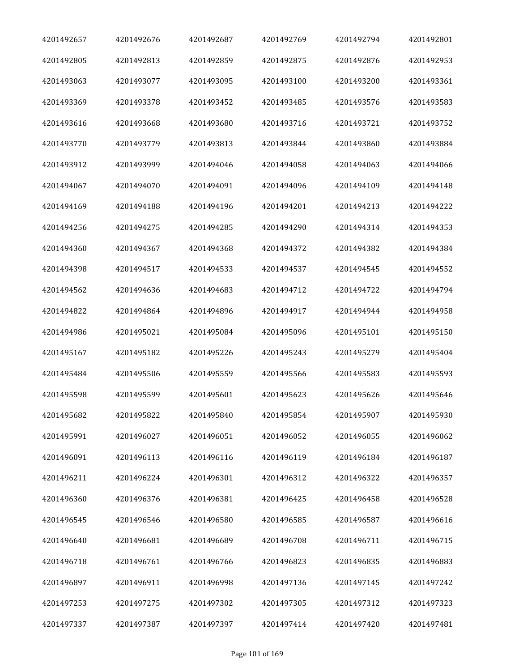| 4201492657 | 4201492676 | 4201492687 | 4201492769 | 4201492794 | 4201492801 |
|------------|------------|------------|------------|------------|------------|
| 4201492805 | 4201492813 | 4201492859 | 4201492875 | 4201492876 | 4201492953 |
| 4201493063 | 4201493077 | 4201493095 | 4201493100 | 4201493200 | 4201493361 |
| 4201493369 | 4201493378 | 4201493452 | 4201493485 | 4201493576 | 4201493583 |
| 4201493616 | 4201493668 | 4201493680 | 4201493716 | 4201493721 | 4201493752 |
| 4201493770 | 4201493779 | 4201493813 | 4201493844 | 4201493860 | 4201493884 |
| 4201493912 | 4201493999 | 4201494046 | 4201494058 | 4201494063 | 4201494066 |
| 4201494067 | 4201494070 | 4201494091 | 4201494096 | 4201494109 | 4201494148 |
| 4201494169 | 4201494188 | 4201494196 | 4201494201 | 4201494213 | 4201494222 |
| 4201494256 | 4201494275 | 4201494285 | 4201494290 | 4201494314 | 4201494353 |
| 4201494360 | 4201494367 | 4201494368 | 4201494372 | 4201494382 | 4201494384 |
| 4201494398 | 4201494517 | 4201494533 | 4201494537 | 4201494545 | 4201494552 |
| 4201494562 | 4201494636 | 4201494683 | 4201494712 | 4201494722 | 4201494794 |
| 4201494822 | 4201494864 | 4201494896 | 4201494917 | 4201494944 | 4201494958 |
| 4201494986 | 4201495021 | 4201495084 | 4201495096 | 4201495101 | 4201495150 |
| 4201495167 | 4201495182 | 4201495226 | 4201495243 | 4201495279 | 4201495404 |
| 4201495484 | 4201495506 | 4201495559 | 4201495566 | 4201495583 | 4201495593 |
| 4201495598 | 4201495599 | 4201495601 | 4201495623 | 4201495626 | 4201495646 |
| 4201495682 | 4201495822 | 4201495840 | 4201495854 | 4201495907 | 4201495930 |
| 4201495991 | 4201496027 | 4201496051 | 4201496052 | 4201496055 | 4201496062 |
| 4201496091 | 4201496113 | 4201496116 | 4201496119 | 4201496184 | 4201496187 |
| 4201496211 | 4201496224 | 4201496301 | 4201496312 | 4201496322 | 4201496357 |
| 4201496360 | 4201496376 | 4201496381 | 4201496425 | 4201496458 | 4201496528 |
| 4201496545 | 4201496546 | 4201496580 | 4201496585 | 4201496587 | 4201496616 |
| 4201496640 | 4201496681 | 4201496689 | 4201496708 | 4201496711 | 4201496715 |
| 4201496718 | 4201496761 | 4201496766 | 4201496823 | 4201496835 | 4201496883 |
| 4201496897 | 4201496911 | 4201496998 | 4201497136 | 4201497145 | 4201497242 |
| 4201497253 | 4201497275 | 4201497302 | 4201497305 | 4201497312 | 4201497323 |
| 4201497337 | 4201497387 | 4201497397 | 4201497414 | 4201497420 | 4201497481 |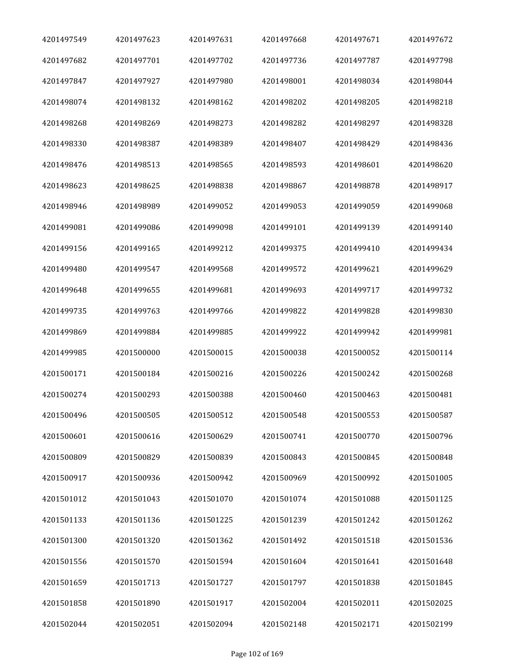| 4201497549 | 4201497623 | 4201497631 | 4201497668 | 4201497671 | 4201497672 |
|------------|------------|------------|------------|------------|------------|
| 4201497682 | 4201497701 | 4201497702 | 4201497736 | 4201497787 | 4201497798 |
| 4201497847 | 4201497927 | 4201497980 | 4201498001 | 4201498034 | 4201498044 |
| 4201498074 | 4201498132 | 4201498162 | 4201498202 | 4201498205 | 4201498218 |
| 4201498268 | 4201498269 | 4201498273 | 4201498282 | 4201498297 | 4201498328 |
| 4201498330 | 4201498387 | 4201498389 | 4201498407 | 4201498429 | 4201498436 |
| 4201498476 | 4201498513 | 4201498565 | 4201498593 | 4201498601 | 4201498620 |
| 4201498623 | 4201498625 | 4201498838 | 4201498867 | 4201498878 | 4201498917 |
| 4201498946 | 4201498989 | 4201499052 | 4201499053 | 4201499059 | 4201499068 |
| 4201499081 | 4201499086 | 4201499098 | 4201499101 | 4201499139 | 4201499140 |
| 4201499156 | 4201499165 | 4201499212 | 4201499375 | 4201499410 | 4201499434 |
| 4201499480 | 4201499547 | 4201499568 | 4201499572 | 4201499621 | 4201499629 |
| 4201499648 | 4201499655 | 4201499681 | 4201499693 | 4201499717 | 4201499732 |
| 4201499735 | 4201499763 | 4201499766 | 4201499822 | 4201499828 | 4201499830 |
| 4201499869 | 4201499884 | 4201499885 | 4201499922 | 4201499942 | 4201499981 |
| 4201499985 | 4201500000 | 4201500015 | 4201500038 | 4201500052 | 4201500114 |
| 4201500171 | 4201500184 | 4201500216 | 4201500226 | 4201500242 | 4201500268 |
| 4201500274 | 4201500293 | 4201500388 | 4201500460 | 4201500463 | 4201500481 |
| 4201500496 | 4201500505 | 4201500512 | 4201500548 | 4201500553 | 4201500587 |
| 4201500601 | 4201500616 | 4201500629 | 4201500741 | 4201500770 | 4201500796 |
| 4201500809 | 4201500829 | 4201500839 | 4201500843 | 4201500845 | 4201500848 |
| 4201500917 | 4201500936 | 4201500942 | 4201500969 | 4201500992 | 4201501005 |
| 4201501012 | 4201501043 | 4201501070 | 4201501074 | 4201501088 | 4201501125 |
| 4201501133 | 4201501136 | 4201501225 | 4201501239 | 4201501242 | 4201501262 |
| 4201501300 | 4201501320 | 4201501362 | 4201501492 | 4201501518 | 4201501536 |
| 4201501556 | 4201501570 | 4201501594 | 4201501604 | 4201501641 | 4201501648 |
| 4201501659 | 4201501713 | 4201501727 | 4201501797 | 4201501838 | 4201501845 |
| 4201501858 | 4201501890 | 4201501917 | 4201502004 | 4201502011 | 4201502025 |
| 4201502044 | 4201502051 | 4201502094 | 4201502148 | 4201502171 | 4201502199 |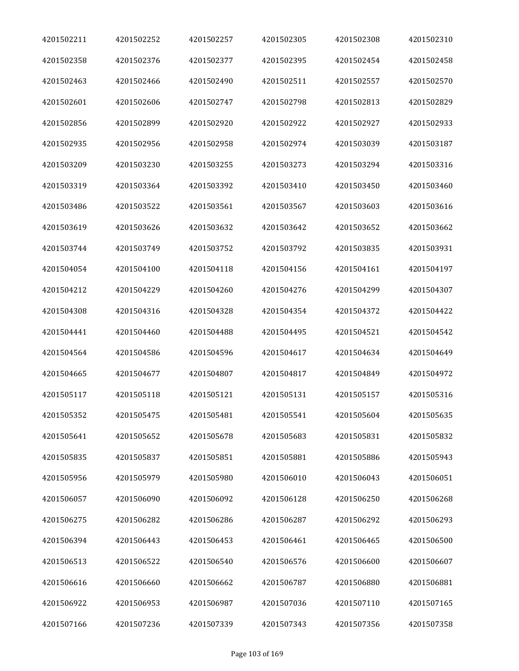| 4201502211 | 4201502252 | 4201502257 | 4201502305 | 4201502308 | 4201502310 |
|------------|------------|------------|------------|------------|------------|
| 4201502358 | 4201502376 | 4201502377 | 4201502395 | 4201502454 | 4201502458 |
| 4201502463 | 4201502466 | 4201502490 | 4201502511 | 4201502557 | 4201502570 |
| 4201502601 | 4201502606 | 4201502747 | 4201502798 | 4201502813 | 4201502829 |
| 4201502856 | 4201502899 | 4201502920 | 4201502922 | 4201502927 | 4201502933 |
| 4201502935 | 4201502956 | 4201502958 | 4201502974 | 4201503039 | 4201503187 |
| 4201503209 | 4201503230 | 4201503255 | 4201503273 | 4201503294 | 4201503316 |
| 4201503319 | 4201503364 | 4201503392 | 4201503410 | 4201503450 | 4201503460 |
| 4201503486 | 4201503522 | 4201503561 | 4201503567 | 4201503603 | 4201503616 |
| 4201503619 | 4201503626 | 4201503632 | 4201503642 | 4201503652 | 4201503662 |
| 4201503744 | 4201503749 | 4201503752 | 4201503792 | 4201503835 | 4201503931 |
| 4201504054 | 4201504100 | 4201504118 | 4201504156 | 4201504161 | 4201504197 |
| 4201504212 | 4201504229 | 4201504260 | 4201504276 | 4201504299 | 4201504307 |
| 4201504308 | 4201504316 | 4201504328 | 4201504354 | 4201504372 | 4201504422 |
| 4201504441 | 4201504460 | 4201504488 | 4201504495 | 4201504521 | 4201504542 |
| 4201504564 | 4201504586 | 4201504596 | 4201504617 | 4201504634 | 4201504649 |
| 4201504665 | 4201504677 | 4201504807 | 4201504817 | 4201504849 | 4201504972 |
| 4201505117 | 4201505118 | 4201505121 | 4201505131 | 4201505157 | 4201505316 |
| 4201505352 | 4201505475 | 4201505481 | 4201505541 | 4201505604 | 4201505635 |
| 4201505641 | 4201505652 | 4201505678 | 4201505683 | 4201505831 | 4201505832 |
| 4201505835 | 4201505837 | 4201505851 | 4201505881 | 4201505886 | 4201505943 |
| 4201505956 | 4201505979 | 4201505980 | 4201506010 | 4201506043 | 4201506051 |
| 4201506057 | 4201506090 | 4201506092 | 4201506128 | 4201506250 | 4201506268 |
| 4201506275 | 4201506282 | 4201506286 | 4201506287 | 4201506292 | 4201506293 |
| 4201506394 | 4201506443 | 4201506453 | 4201506461 | 4201506465 | 4201506500 |
| 4201506513 | 4201506522 | 4201506540 | 4201506576 | 4201506600 | 4201506607 |
| 4201506616 | 4201506660 | 4201506662 | 4201506787 | 4201506880 | 4201506881 |
| 4201506922 | 4201506953 | 4201506987 | 4201507036 | 4201507110 | 4201507165 |
| 4201507166 | 4201507236 | 4201507339 | 4201507343 | 4201507356 | 4201507358 |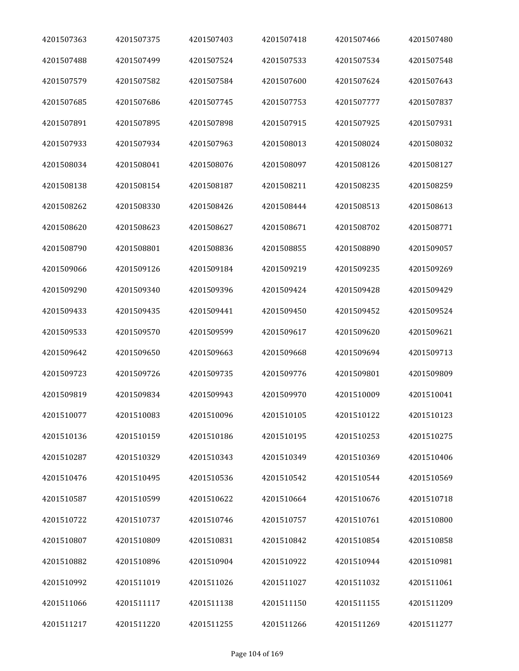| 4201507363 | 4201507375 | 4201507403 | 4201507418 | 4201507466 | 4201507480 |
|------------|------------|------------|------------|------------|------------|
| 4201507488 | 4201507499 | 4201507524 | 4201507533 | 4201507534 | 4201507548 |
| 4201507579 | 4201507582 | 4201507584 | 4201507600 | 4201507624 | 4201507643 |
| 4201507685 | 4201507686 | 4201507745 | 4201507753 | 4201507777 | 4201507837 |
| 4201507891 | 4201507895 | 4201507898 | 4201507915 | 4201507925 | 4201507931 |
| 4201507933 | 4201507934 | 4201507963 | 4201508013 | 4201508024 | 4201508032 |
| 4201508034 | 4201508041 | 4201508076 | 4201508097 | 4201508126 | 4201508127 |
| 4201508138 | 4201508154 | 4201508187 | 4201508211 | 4201508235 | 4201508259 |
| 4201508262 | 4201508330 | 4201508426 | 4201508444 | 4201508513 | 4201508613 |
| 4201508620 | 4201508623 | 4201508627 | 4201508671 | 4201508702 | 4201508771 |
| 4201508790 | 4201508801 | 4201508836 | 4201508855 | 4201508890 | 4201509057 |
| 4201509066 | 4201509126 | 4201509184 | 4201509219 | 4201509235 | 4201509269 |
| 4201509290 | 4201509340 | 4201509396 | 4201509424 | 4201509428 | 4201509429 |
| 4201509433 | 4201509435 | 4201509441 | 4201509450 | 4201509452 | 4201509524 |
| 4201509533 | 4201509570 | 4201509599 | 4201509617 | 4201509620 | 4201509621 |
| 4201509642 | 4201509650 | 4201509663 | 4201509668 | 4201509694 | 4201509713 |
| 4201509723 | 4201509726 | 4201509735 | 4201509776 | 4201509801 | 4201509809 |
| 4201509819 | 4201509834 | 4201509943 | 4201509970 | 4201510009 | 4201510041 |
| 4201510077 | 4201510083 | 4201510096 | 4201510105 | 4201510122 | 4201510123 |
| 4201510136 | 4201510159 | 4201510186 | 4201510195 | 4201510253 | 4201510275 |
| 4201510287 | 4201510329 | 4201510343 | 4201510349 | 4201510369 | 4201510406 |
| 4201510476 | 4201510495 | 4201510536 | 4201510542 | 4201510544 | 4201510569 |
| 4201510587 | 4201510599 | 4201510622 | 4201510664 | 4201510676 | 4201510718 |
| 4201510722 | 4201510737 | 4201510746 | 4201510757 | 4201510761 | 4201510800 |
| 4201510807 | 4201510809 | 4201510831 | 4201510842 | 4201510854 | 4201510858 |
| 4201510882 | 4201510896 | 4201510904 | 4201510922 | 4201510944 | 4201510981 |
| 4201510992 | 4201511019 | 4201511026 | 4201511027 | 4201511032 | 4201511061 |
| 4201511066 | 4201511117 | 4201511138 | 4201511150 | 4201511155 | 4201511209 |
| 4201511217 | 4201511220 | 4201511255 | 4201511266 | 4201511269 | 4201511277 |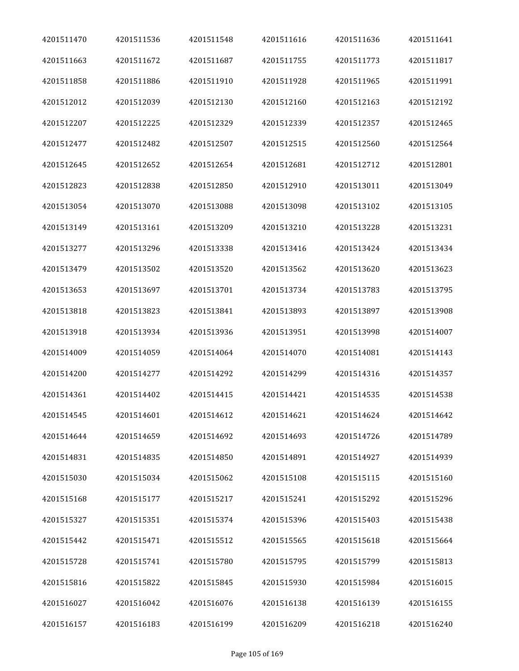| 4201511470 | 4201511536 | 4201511548 | 4201511616 | 4201511636 | 4201511641 |
|------------|------------|------------|------------|------------|------------|
| 4201511663 | 4201511672 | 4201511687 | 4201511755 | 4201511773 | 4201511817 |
| 4201511858 | 4201511886 | 4201511910 | 4201511928 | 4201511965 | 4201511991 |
| 4201512012 | 4201512039 | 4201512130 | 4201512160 | 4201512163 | 4201512192 |
| 4201512207 | 4201512225 | 4201512329 | 4201512339 | 4201512357 | 4201512465 |
| 4201512477 | 4201512482 | 4201512507 | 4201512515 | 4201512560 | 4201512564 |
| 4201512645 | 4201512652 | 4201512654 | 4201512681 | 4201512712 | 4201512801 |
| 4201512823 | 4201512838 | 4201512850 | 4201512910 | 4201513011 | 4201513049 |
| 4201513054 | 4201513070 | 4201513088 | 4201513098 | 4201513102 | 4201513105 |
| 4201513149 | 4201513161 | 4201513209 | 4201513210 | 4201513228 | 4201513231 |
| 4201513277 | 4201513296 | 4201513338 | 4201513416 | 4201513424 | 4201513434 |
| 4201513479 | 4201513502 | 4201513520 | 4201513562 | 4201513620 | 4201513623 |
| 4201513653 | 4201513697 | 4201513701 | 4201513734 | 4201513783 | 4201513795 |
| 4201513818 | 4201513823 | 4201513841 | 4201513893 | 4201513897 | 4201513908 |
| 4201513918 | 4201513934 | 4201513936 | 4201513951 | 4201513998 | 4201514007 |
| 4201514009 | 4201514059 | 4201514064 | 4201514070 | 4201514081 | 4201514143 |
| 4201514200 | 4201514277 | 4201514292 | 4201514299 | 4201514316 | 4201514357 |
| 4201514361 | 4201514402 | 4201514415 | 4201514421 | 4201514535 | 4201514538 |
| 4201514545 | 4201514601 | 4201514612 | 4201514621 | 4201514624 | 4201514642 |
| 4201514644 | 4201514659 | 4201514692 | 4201514693 | 4201514726 | 4201514789 |
| 4201514831 | 4201514835 | 4201514850 | 4201514891 | 4201514927 | 4201514939 |
| 4201515030 | 4201515034 | 4201515062 | 4201515108 | 4201515115 | 4201515160 |
| 4201515168 | 4201515177 | 4201515217 | 4201515241 | 4201515292 | 4201515296 |
| 4201515327 | 4201515351 | 4201515374 | 4201515396 | 4201515403 | 4201515438 |
| 4201515442 | 4201515471 | 4201515512 | 4201515565 | 4201515618 | 4201515664 |
| 4201515728 | 4201515741 | 4201515780 | 4201515795 | 4201515799 | 4201515813 |
| 4201515816 | 4201515822 | 4201515845 | 4201515930 | 4201515984 | 4201516015 |
| 4201516027 | 4201516042 | 4201516076 | 4201516138 | 4201516139 | 4201516155 |
| 4201516157 | 4201516183 | 4201516199 | 4201516209 | 4201516218 | 4201516240 |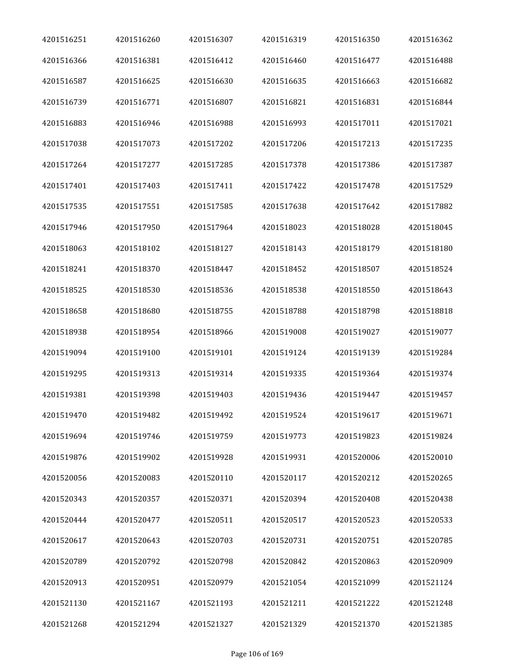| 4201516251 | 4201516260 | 4201516307 | 4201516319 | 4201516350 | 4201516362 |
|------------|------------|------------|------------|------------|------------|
| 4201516366 | 4201516381 | 4201516412 | 4201516460 | 4201516477 | 4201516488 |
| 4201516587 | 4201516625 | 4201516630 | 4201516635 | 4201516663 | 4201516682 |
| 4201516739 | 4201516771 | 4201516807 | 4201516821 | 4201516831 | 4201516844 |
| 4201516883 | 4201516946 | 4201516988 | 4201516993 | 4201517011 | 4201517021 |
| 4201517038 | 4201517073 | 4201517202 | 4201517206 | 4201517213 | 4201517235 |
| 4201517264 | 4201517277 | 4201517285 | 4201517378 | 4201517386 | 4201517387 |
| 4201517401 | 4201517403 | 4201517411 | 4201517422 | 4201517478 | 4201517529 |
| 4201517535 | 4201517551 | 4201517585 | 4201517638 | 4201517642 | 4201517882 |
| 4201517946 | 4201517950 | 4201517964 | 4201518023 | 4201518028 | 4201518045 |
| 4201518063 | 4201518102 | 4201518127 | 4201518143 | 4201518179 | 4201518180 |
| 4201518241 | 4201518370 | 4201518447 | 4201518452 | 4201518507 | 4201518524 |
| 4201518525 | 4201518530 | 4201518536 | 4201518538 | 4201518550 | 4201518643 |
| 4201518658 | 4201518680 | 4201518755 | 4201518788 | 4201518798 | 4201518818 |
| 4201518938 | 4201518954 | 4201518966 | 4201519008 | 4201519027 | 4201519077 |
| 4201519094 | 4201519100 | 4201519101 | 4201519124 | 4201519139 | 4201519284 |
| 4201519295 | 4201519313 | 4201519314 | 4201519335 | 4201519364 | 4201519374 |
| 4201519381 | 4201519398 | 4201519403 | 4201519436 | 4201519447 | 4201519457 |
| 4201519470 | 4201519482 | 4201519492 | 4201519524 | 4201519617 | 4201519671 |
| 4201519694 | 4201519746 | 4201519759 | 4201519773 | 4201519823 | 4201519824 |
| 4201519876 | 4201519902 | 4201519928 | 4201519931 | 4201520006 | 4201520010 |
| 4201520056 | 4201520083 | 4201520110 | 4201520117 | 4201520212 | 4201520265 |
| 4201520343 | 4201520357 | 4201520371 | 4201520394 | 4201520408 | 4201520438 |
| 4201520444 | 4201520477 | 4201520511 | 4201520517 | 4201520523 | 4201520533 |
| 4201520617 | 4201520643 | 4201520703 | 4201520731 | 4201520751 | 4201520785 |
| 4201520789 | 4201520792 | 4201520798 | 4201520842 | 4201520863 | 4201520909 |
| 4201520913 | 4201520951 | 4201520979 | 4201521054 | 4201521099 | 4201521124 |
| 4201521130 | 4201521167 | 4201521193 | 4201521211 | 4201521222 | 4201521248 |
| 4201521268 | 4201521294 | 4201521327 | 4201521329 | 4201521370 | 4201521385 |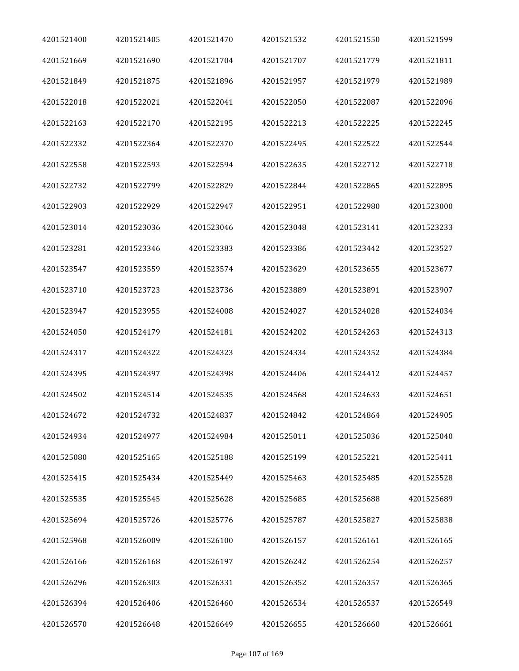| 4201521400 | 4201521405 | 4201521470 | 4201521532 | 4201521550 | 4201521599 |
|------------|------------|------------|------------|------------|------------|
| 4201521669 | 4201521690 | 4201521704 | 4201521707 | 4201521779 | 4201521811 |
| 4201521849 | 4201521875 | 4201521896 | 4201521957 | 4201521979 | 4201521989 |
| 4201522018 | 4201522021 | 4201522041 | 4201522050 | 4201522087 | 4201522096 |
| 4201522163 | 4201522170 | 4201522195 | 4201522213 | 4201522225 | 4201522245 |
| 4201522332 | 4201522364 | 4201522370 | 4201522495 | 4201522522 | 4201522544 |
| 4201522558 | 4201522593 | 4201522594 | 4201522635 | 4201522712 | 4201522718 |
| 4201522732 | 4201522799 | 4201522829 | 4201522844 | 4201522865 | 4201522895 |
| 4201522903 | 4201522929 | 4201522947 | 4201522951 | 4201522980 | 4201523000 |
| 4201523014 | 4201523036 | 4201523046 | 4201523048 | 4201523141 | 4201523233 |
| 4201523281 | 4201523346 | 4201523383 | 4201523386 | 4201523442 | 4201523527 |
| 4201523547 | 4201523559 | 4201523574 | 4201523629 | 4201523655 | 4201523677 |
| 4201523710 | 4201523723 | 4201523736 | 4201523889 | 4201523891 | 4201523907 |
| 4201523947 | 4201523955 | 4201524008 | 4201524027 | 4201524028 | 4201524034 |
| 4201524050 | 4201524179 | 4201524181 | 4201524202 | 4201524263 | 4201524313 |
| 4201524317 | 4201524322 | 4201524323 | 4201524334 | 4201524352 | 4201524384 |
| 4201524395 | 4201524397 | 4201524398 | 4201524406 | 4201524412 | 4201524457 |
| 4201524502 | 4201524514 | 4201524535 | 4201524568 | 4201524633 | 4201524651 |
| 4201524672 | 4201524732 | 4201524837 | 4201524842 | 4201524864 | 4201524905 |
| 4201524934 | 4201524977 | 4201524984 | 4201525011 | 4201525036 | 4201525040 |
| 4201525080 | 4201525165 | 4201525188 | 4201525199 | 4201525221 | 4201525411 |
| 4201525415 | 4201525434 | 4201525449 | 4201525463 | 4201525485 | 4201525528 |
| 4201525535 | 4201525545 | 4201525628 | 4201525685 | 4201525688 | 4201525689 |
| 4201525694 | 4201525726 | 4201525776 | 4201525787 | 4201525827 | 4201525838 |
| 4201525968 | 4201526009 | 4201526100 | 4201526157 | 4201526161 | 4201526165 |
| 4201526166 | 4201526168 | 4201526197 | 4201526242 | 4201526254 | 4201526257 |
| 4201526296 | 4201526303 | 4201526331 | 4201526352 | 4201526357 | 4201526365 |
| 4201526394 | 4201526406 | 4201526460 | 4201526534 | 4201526537 | 4201526549 |
| 4201526570 | 4201526648 | 4201526649 | 4201526655 | 4201526660 | 4201526661 |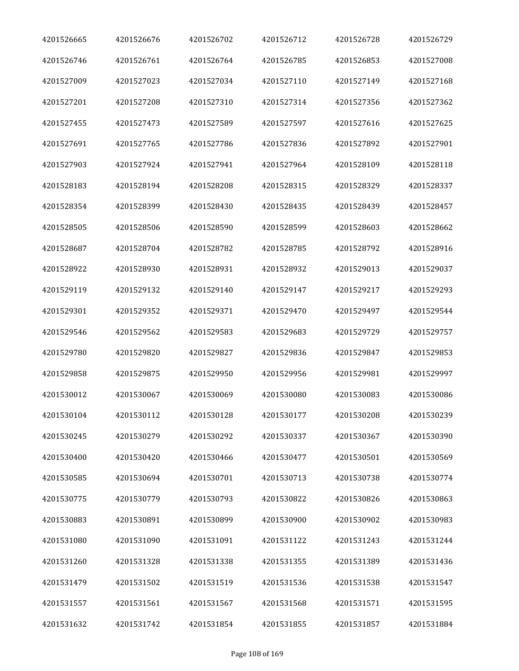| 4201526665 | 4201526676 | 4201526702 | 4201526712 | 4201526728 | 4201526729 |
|------------|------------|------------|------------|------------|------------|
| 4201526746 | 4201526761 | 4201526764 | 4201526785 | 4201526853 | 4201527008 |
| 4201527009 | 4201527023 | 4201527034 | 4201527110 | 4201527149 | 4201527168 |
| 4201527201 | 4201527208 | 4201527310 | 4201527314 | 4201527356 | 4201527362 |
| 4201527455 | 4201527473 | 4201527589 | 4201527597 | 4201527616 | 4201527625 |
| 4201527691 | 4201527765 | 4201527786 | 4201527836 | 4201527892 | 4201527901 |
| 4201527903 | 4201527924 | 4201527941 | 4201527964 | 4201528109 | 4201528118 |
| 4201528183 | 4201528194 | 4201528208 | 4201528315 | 4201528329 | 4201528337 |
| 4201528354 | 4201528399 | 4201528430 | 4201528435 | 4201528439 | 4201528457 |
| 4201528505 | 4201528506 | 4201528590 | 4201528599 | 4201528603 | 4201528662 |
| 4201528687 | 4201528704 | 4201528782 | 4201528785 | 4201528792 | 4201528916 |
| 4201528922 | 4201528930 | 4201528931 | 4201528932 | 4201529013 | 4201529037 |
| 4201529119 | 4201529132 | 4201529140 | 4201529147 | 4201529217 | 4201529293 |
| 4201529301 | 4201529352 | 4201529371 | 4201529470 | 4201529497 | 4201529544 |
| 4201529546 | 4201529562 | 4201529583 | 4201529683 | 4201529729 | 4201529757 |
| 4201529780 | 4201529820 | 4201529827 | 4201529836 | 4201529847 | 4201529853 |
| 4201529858 | 4201529875 | 4201529950 | 4201529956 | 4201529981 | 4201529997 |
| 4201530012 | 4201530067 | 4201530069 | 4201530080 | 4201530083 | 4201530086 |
| 4201530104 | 4201530112 | 4201530128 | 4201530177 | 4201530208 | 4201530239 |
| 4201530245 | 4201530279 | 4201530292 | 4201530337 | 4201530367 | 4201530390 |
| 4201530400 | 4201530420 | 4201530466 | 4201530477 | 4201530501 | 4201530569 |
| 4201530585 | 4201530694 | 4201530701 | 4201530713 | 4201530738 | 4201530774 |
| 4201530775 | 4201530779 | 4201530793 | 4201530822 | 4201530826 | 4201530863 |
| 4201530883 | 4201530891 | 4201530899 | 4201530900 | 4201530902 | 4201530983 |
| 4201531080 | 4201531090 | 4201531091 | 4201531122 | 4201531243 | 4201531244 |
| 4201531260 | 4201531328 | 4201531338 | 4201531355 | 4201531389 | 4201531436 |
| 4201531479 | 4201531502 | 4201531519 | 4201531536 | 4201531538 | 4201531547 |
| 4201531557 | 4201531561 | 4201531567 | 4201531568 | 4201531571 | 4201531595 |
| 4201531632 | 4201531742 | 4201531854 | 4201531855 | 4201531857 | 4201531884 |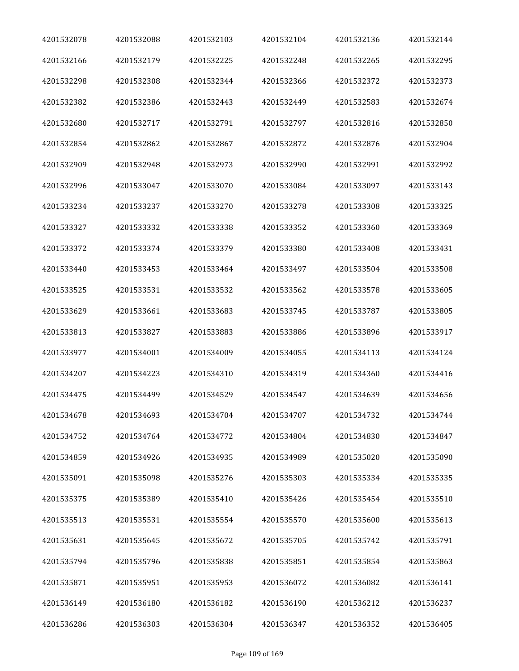| 4201532078 | 4201532088 | 4201532103 | 4201532104 | 4201532136 | 4201532144 |
|------------|------------|------------|------------|------------|------------|
| 4201532166 | 4201532179 | 4201532225 | 4201532248 | 4201532265 | 4201532295 |
| 4201532298 | 4201532308 | 4201532344 | 4201532366 | 4201532372 | 4201532373 |
| 4201532382 | 4201532386 | 4201532443 | 4201532449 | 4201532583 | 4201532674 |
| 4201532680 | 4201532717 | 4201532791 | 4201532797 | 4201532816 | 4201532850 |
| 4201532854 | 4201532862 | 4201532867 | 4201532872 | 4201532876 | 4201532904 |
| 4201532909 | 4201532948 | 4201532973 | 4201532990 | 4201532991 | 4201532992 |
| 4201532996 | 4201533047 | 4201533070 | 4201533084 | 4201533097 | 4201533143 |
| 4201533234 | 4201533237 | 4201533270 | 4201533278 | 4201533308 | 4201533325 |
| 4201533327 | 4201533332 | 4201533338 | 4201533352 | 4201533360 | 4201533369 |
| 4201533372 | 4201533374 | 4201533379 | 4201533380 | 4201533408 | 4201533431 |
| 4201533440 | 4201533453 | 4201533464 | 4201533497 | 4201533504 | 4201533508 |
| 4201533525 | 4201533531 | 4201533532 | 4201533562 | 4201533578 | 4201533605 |
| 4201533629 | 4201533661 | 4201533683 | 4201533745 | 4201533787 | 4201533805 |
| 4201533813 | 4201533827 | 4201533883 | 4201533886 | 4201533896 | 4201533917 |
| 4201533977 | 4201534001 | 4201534009 | 4201534055 | 4201534113 | 4201534124 |
| 4201534207 | 4201534223 | 4201534310 | 4201534319 | 4201534360 | 4201534416 |
| 4201534475 | 4201534499 | 4201534529 | 4201534547 | 4201534639 | 4201534656 |
| 4201534678 | 4201534693 | 4201534704 | 4201534707 | 4201534732 | 4201534744 |
| 4201534752 | 4201534764 | 4201534772 | 4201534804 | 4201534830 | 4201534847 |
| 4201534859 | 4201534926 | 4201534935 | 4201534989 | 4201535020 | 4201535090 |
| 4201535091 | 4201535098 | 4201535276 | 4201535303 | 4201535334 | 4201535335 |
| 4201535375 | 4201535389 | 4201535410 | 4201535426 | 4201535454 | 4201535510 |
| 4201535513 | 4201535531 | 4201535554 | 4201535570 | 4201535600 | 4201535613 |
| 4201535631 | 4201535645 | 4201535672 | 4201535705 | 4201535742 | 4201535791 |
| 4201535794 | 4201535796 | 4201535838 | 4201535851 | 4201535854 | 4201535863 |
| 4201535871 | 4201535951 | 4201535953 | 4201536072 | 4201536082 | 4201536141 |
| 4201536149 | 4201536180 | 4201536182 | 4201536190 | 4201536212 | 4201536237 |
| 4201536286 | 4201536303 | 4201536304 | 4201536347 | 4201536352 | 4201536405 |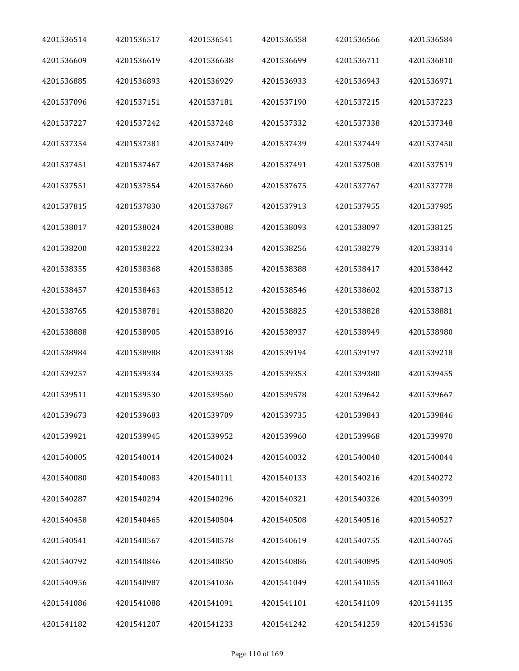| 4201536514 | 4201536517 | 4201536541 | 4201536558 | 4201536566 | 4201536584 |
|------------|------------|------------|------------|------------|------------|
| 4201536609 | 4201536619 | 4201536638 | 4201536699 | 4201536711 | 4201536810 |
| 4201536885 | 4201536893 | 4201536929 | 4201536933 | 4201536943 | 4201536971 |
| 4201537096 | 4201537151 | 4201537181 | 4201537190 | 4201537215 | 4201537223 |
| 4201537227 | 4201537242 | 4201537248 | 4201537332 | 4201537338 | 4201537348 |
| 4201537354 | 4201537381 | 4201537409 | 4201537439 | 4201537449 | 4201537450 |
| 4201537451 | 4201537467 | 4201537468 | 4201537491 | 4201537508 | 4201537519 |
| 4201537551 | 4201537554 | 4201537660 | 4201537675 | 4201537767 | 4201537778 |
| 4201537815 | 4201537830 | 4201537867 | 4201537913 | 4201537955 | 4201537985 |
| 4201538017 | 4201538024 | 4201538088 | 4201538093 | 4201538097 | 4201538125 |
| 4201538200 | 4201538222 | 4201538234 | 4201538256 | 4201538279 | 4201538314 |
| 4201538355 | 4201538368 | 4201538385 | 4201538388 | 4201538417 | 4201538442 |
| 4201538457 | 4201538463 | 4201538512 | 4201538546 | 4201538602 | 4201538713 |
| 4201538765 | 4201538781 | 4201538820 | 4201538825 | 4201538828 | 4201538881 |
| 4201538888 | 4201538905 | 4201538916 | 4201538937 | 4201538949 | 4201538980 |
| 4201538984 | 4201538988 | 4201539138 | 4201539194 | 4201539197 | 4201539218 |
| 4201539257 | 4201539334 | 4201539335 | 4201539353 | 4201539380 | 4201539455 |
| 4201539511 | 4201539530 | 4201539560 | 4201539578 | 4201539642 | 4201539667 |
| 4201539673 | 4201539683 | 4201539709 | 4201539735 | 4201539843 | 4201539846 |
| 4201539921 | 4201539945 | 4201539952 | 4201539960 | 4201539968 | 4201539970 |
| 4201540005 | 4201540014 | 4201540024 | 4201540032 | 4201540040 | 4201540044 |
| 4201540080 | 4201540083 | 4201540111 | 4201540133 | 4201540216 | 4201540272 |
| 4201540287 | 4201540294 | 4201540296 | 4201540321 | 4201540326 | 4201540399 |
| 4201540458 | 4201540465 | 4201540504 | 4201540508 | 4201540516 | 4201540527 |
| 4201540541 | 4201540567 | 4201540578 | 4201540619 | 4201540755 | 4201540765 |
| 4201540792 | 4201540846 | 4201540850 | 4201540886 | 4201540895 | 4201540905 |
| 4201540956 | 4201540987 | 4201541036 | 4201541049 | 4201541055 | 4201541063 |
| 4201541086 | 4201541088 | 4201541091 | 4201541101 | 4201541109 | 4201541135 |
| 4201541182 | 4201541207 | 4201541233 | 4201541242 | 4201541259 | 4201541536 |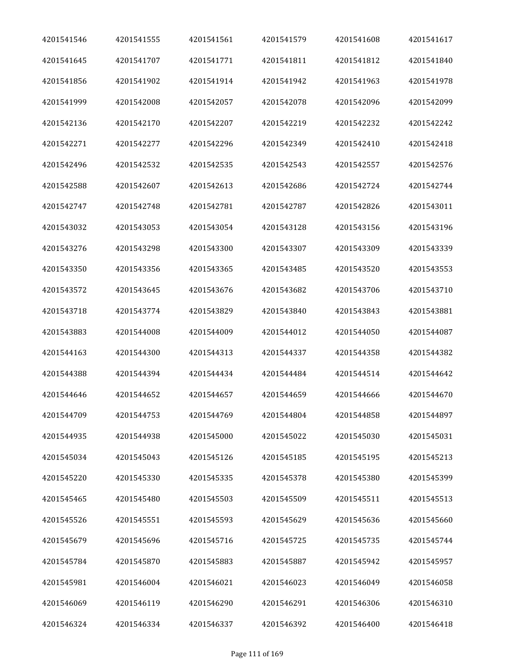| 4201541546 | 4201541555 | 4201541561 | 4201541579 | 4201541608 | 4201541617 |
|------------|------------|------------|------------|------------|------------|
| 4201541645 | 4201541707 | 4201541771 | 4201541811 | 4201541812 | 4201541840 |
| 4201541856 | 4201541902 | 4201541914 | 4201541942 | 4201541963 | 4201541978 |
| 4201541999 | 4201542008 | 4201542057 | 4201542078 | 4201542096 | 4201542099 |
| 4201542136 | 4201542170 | 4201542207 | 4201542219 | 4201542232 | 4201542242 |
| 4201542271 | 4201542277 | 4201542296 | 4201542349 | 4201542410 | 4201542418 |
| 4201542496 | 4201542532 | 4201542535 | 4201542543 | 4201542557 | 4201542576 |
| 4201542588 | 4201542607 | 4201542613 | 4201542686 | 4201542724 | 4201542744 |
| 4201542747 | 4201542748 | 4201542781 | 4201542787 | 4201542826 | 4201543011 |
| 4201543032 | 4201543053 | 4201543054 | 4201543128 | 4201543156 | 4201543196 |
| 4201543276 | 4201543298 | 4201543300 | 4201543307 | 4201543309 | 4201543339 |
| 4201543350 | 4201543356 | 4201543365 | 4201543485 | 4201543520 | 4201543553 |
| 4201543572 | 4201543645 | 4201543676 | 4201543682 | 4201543706 | 4201543710 |
| 4201543718 | 4201543774 | 4201543829 | 4201543840 | 4201543843 | 4201543881 |
| 4201543883 | 4201544008 | 4201544009 | 4201544012 | 4201544050 | 4201544087 |
| 4201544163 | 4201544300 | 4201544313 | 4201544337 | 4201544358 | 4201544382 |
| 4201544388 | 4201544394 | 4201544434 | 4201544484 | 4201544514 | 4201544642 |
| 4201544646 | 4201544652 | 4201544657 | 4201544659 | 4201544666 | 4201544670 |
| 4201544709 | 4201544753 | 4201544769 | 4201544804 | 4201544858 | 4201544897 |
| 4201544935 | 4201544938 | 4201545000 | 4201545022 | 4201545030 | 4201545031 |
| 4201545034 | 4201545043 | 4201545126 | 4201545185 | 4201545195 | 4201545213 |
| 4201545220 | 4201545330 | 4201545335 | 4201545378 | 4201545380 | 4201545399 |
| 4201545465 | 4201545480 | 4201545503 | 4201545509 | 4201545511 | 4201545513 |
| 4201545526 | 4201545551 | 4201545593 | 4201545629 | 4201545636 | 4201545660 |
| 4201545679 | 4201545696 | 4201545716 | 4201545725 | 4201545735 | 4201545744 |
| 4201545784 | 4201545870 | 4201545883 | 4201545887 | 4201545942 | 4201545957 |
| 4201545981 | 4201546004 | 4201546021 | 4201546023 | 4201546049 | 4201546058 |
| 4201546069 | 4201546119 | 4201546290 | 4201546291 | 4201546306 | 4201546310 |
| 4201546324 | 4201546334 | 4201546337 | 4201546392 | 4201546400 | 4201546418 |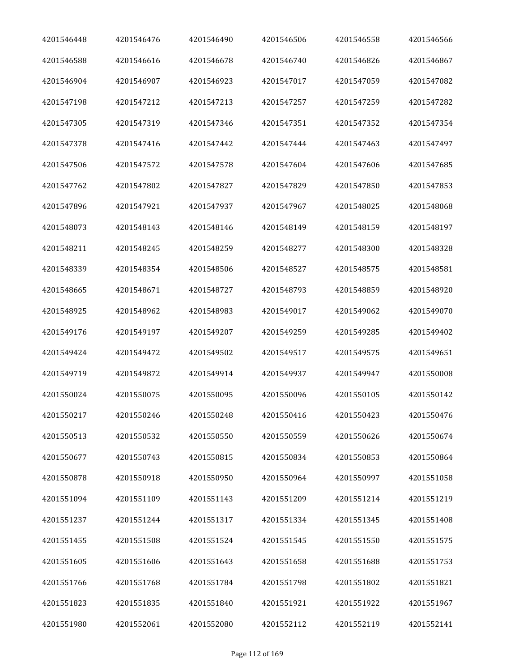| 4201546448 | 4201546476 | 4201546490 | 4201546506 | 4201546558 | 4201546566 |
|------------|------------|------------|------------|------------|------------|
| 4201546588 | 4201546616 | 4201546678 | 4201546740 | 4201546826 | 4201546867 |
| 4201546904 | 4201546907 | 4201546923 | 4201547017 | 4201547059 | 4201547082 |
| 4201547198 | 4201547212 | 4201547213 | 4201547257 | 4201547259 | 4201547282 |
| 4201547305 | 4201547319 | 4201547346 | 4201547351 | 4201547352 | 4201547354 |
| 4201547378 | 4201547416 | 4201547442 | 4201547444 | 4201547463 | 4201547497 |
| 4201547506 | 4201547572 | 4201547578 | 4201547604 | 4201547606 | 4201547685 |
| 4201547762 | 4201547802 | 4201547827 | 4201547829 | 4201547850 | 4201547853 |
| 4201547896 | 4201547921 | 4201547937 | 4201547967 | 4201548025 | 4201548068 |
| 4201548073 | 4201548143 | 4201548146 | 4201548149 | 4201548159 | 4201548197 |
| 4201548211 | 4201548245 | 4201548259 | 4201548277 | 4201548300 | 4201548328 |
| 4201548339 | 4201548354 | 4201548506 | 4201548527 | 4201548575 | 4201548581 |
| 4201548665 | 4201548671 | 4201548727 | 4201548793 | 4201548859 | 4201548920 |
| 4201548925 | 4201548962 | 4201548983 | 4201549017 | 4201549062 | 4201549070 |
| 4201549176 | 4201549197 | 4201549207 | 4201549259 | 4201549285 | 4201549402 |
| 4201549424 | 4201549472 | 4201549502 | 4201549517 | 4201549575 | 4201549651 |
| 4201549719 | 4201549872 | 4201549914 | 4201549937 | 4201549947 | 4201550008 |
| 4201550024 | 4201550075 | 4201550095 | 4201550096 | 4201550105 | 4201550142 |
| 4201550217 | 4201550246 | 4201550248 | 4201550416 | 4201550423 | 4201550476 |
| 4201550513 | 4201550532 | 4201550550 | 4201550559 | 4201550626 | 4201550674 |
| 4201550677 | 4201550743 | 4201550815 | 4201550834 | 4201550853 | 4201550864 |
| 4201550878 | 4201550918 | 4201550950 | 4201550964 | 4201550997 | 4201551058 |
| 4201551094 | 4201551109 | 4201551143 | 4201551209 | 4201551214 | 4201551219 |
| 4201551237 | 4201551244 | 4201551317 | 4201551334 | 4201551345 | 4201551408 |
| 4201551455 | 4201551508 | 4201551524 | 4201551545 | 4201551550 | 4201551575 |
| 4201551605 | 4201551606 | 4201551643 | 4201551658 | 4201551688 | 4201551753 |
| 4201551766 | 4201551768 | 4201551784 | 4201551798 | 4201551802 | 4201551821 |
| 4201551823 | 4201551835 | 4201551840 | 4201551921 | 4201551922 | 4201551967 |
| 4201551980 | 4201552061 | 4201552080 | 4201552112 | 4201552119 | 4201552141 |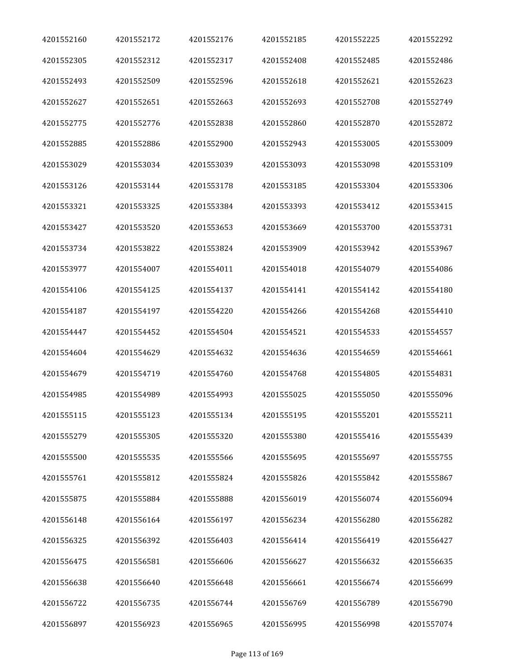| 4201552160 | 4201552172 | 4201552176 | 4201552185 | 4201552225 | 4201552292 |
|------------|------------|------------|------------|------------|------------|
| 4201552305 | 4201552312 | 4201552317 | 4201552408 | 4201552485 | 4201552486 |
| 4201552493 | 4201552509 | 4201552596 | 4201552618 | 4201552621 | 4201552623 |
| 4201552627 | 4201552651 | 4201552663 | 4201552693 | 4201552708 | 4201552749 |
| 4201552775 | 4201552776 | 4201552838 | 4201552860 | 4201552870 | 4201552872 |
| 4201552885 | 4201552886 | 4201552900 | 4201552943 | 4201553005 | 4201553009 |
| 4201553029 | 4201553034 | 4201553039 | 4201553093 | 4201553098 | 4201553109 |
| 4201553126 | 4201553144 | 4201553178 | 4201553185 | 4201553304 | 4201553306 |
| 4201553321 | 4201553325 | 4201553384 | 4201553393 | 4201553412 | 4201553415 |
| 4201553427 | 4201553520 | 4201553653 | 4201553669 | 4201553700 | 4201553731 |
| 4201553734 | 4201553822 | 4201553824 | 4201553909 | 4201553942 | 4201553967 |
| 4201553977 | 4201554007 | 4201554011 | 4201554018 | 4201554079 | 4201554086 |
| 4201554106 | 4201554125 | 4201554137 | 4201554141 | 4201554142 | 4201554180 |
| 4201554187 | 4201554197 | 4201554220 | 4201554266 | 4201554268 | 4201554410 |
| 4201554447 | 4201554452 | 4201554504 | 4201554521 | 4201554533 | 4201554557 |
| 4201554604 | 4201554629 | 4201554632 | 4201554636 | 4201554659 | 4201554661 |
| 4201554679 | 4201554719 | 4201554760 | 4201554768 | 4201554805 | 4201554831 |
| 4201554985 | 4201554989 | 4201554993 | 4201555025 | 4201555050 | 4201555096 |
| 4201555115 | 4201555123 | 4201555134 | 4201555195 | 4201555201 | 4201555211 |
| 4201555279 | 4201555305 | 4201555320 | 4201555380 | 4201555416 | 4201555439 |
| 4201555500 | 4201555535 | 4201555566 | 4201555695 | 4201555697 | 4201555755 |
| 4201555761 | 4201555812 | 4201555824 | 4201555826 | 4201555842 | 4201555867 |
| 4201555875 | 4201555884 | 4201555888 | 4201556019 | 4201556074 | 4201556094 |
| 4201556148 | 4201556164 | 4201556197 | 4201556234 | 4201556280 | 4201556282 |
| 4201556325 | 4201556392 | 4201556403 | 4201556414 | 4201556419 | 4201556427 |
| 4201556475 | 4201556581 | 4201556606 | 4201556627 | 4201556632 | 4201556635 |
| 4201556638 | 4201556640 | 4201556648 | 4201556661 | 4201556674 | 4201556699 |
| 4201556722 | 4201556735 | 4201556744 | 4201556769 | 4201556789 | 4201556790 |
| 4201556897 | 4201556923 | 4201556965 | 4201556995 | 4201556998 | 4201557074 |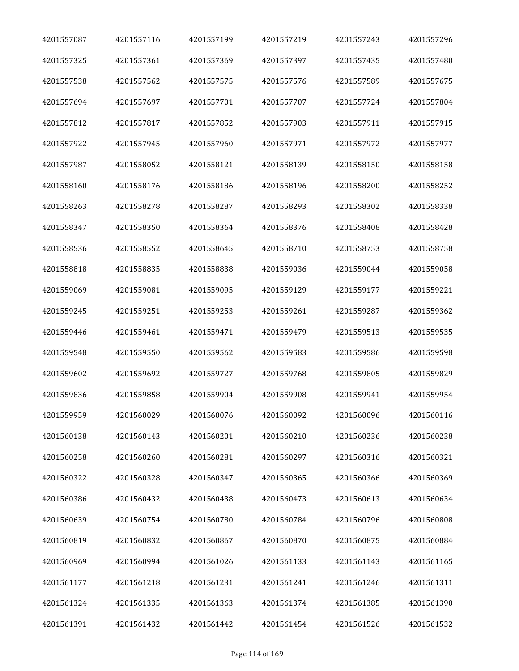| 4201557087 | 4201557116 | 4201557199 | 4201557219 | 4201557243 | 4201557296 |
|------------|------------|------------|------------|------------|------------|
| 4201557325 | 4201557361 | 4201557369 | 4201557397 | 4201557435 | 4201557480 |
| 4201557538 | 4201557562 | 4201557575 | 4201557576 | 4201557589 | 4201557675 |
| 4201557694 | 4201557697 | 4201557701 | 4201557707 | 4201557724 | 4201557804 |
| 4201557812 | 4201557817 | 4201557852 | 4201557903 | 4201557911 | 4201557915 |
| 4201557922 | 4201557945 | 4201557960 | 4201557971 | 4201557972 | 4201557977 |
| 4201557987 | 4201558052 | 4201558121 | 4201558139 | 4201558150 | 4201558158 |
| 4201558160 | 4201558176 | 4201558186 | 4201558196 | 4201558200 | 4201558252 |
| 4201558263 | 4201558278 | 4201558287 | 4201558293 | 4201558302 | 4201558338 |
| 4201558347 | 4201558350 | 4201558364 | 4201558376 | 4201558408 | 4201558428 |
| 4201558536 | 4201558552 | 4201558645 | 4201558710 | 4201558753 | 4201558758 |
| 4201558818 | 4201558835 | 4201558838 | 4201559036 | 4201559044 | 4201559058 |
| 4201559069 | 4201559081 | 4201559095 | 4201559129 | 4201559177 | 4201559221 |
| 4201559245 | 4201559251 | 4201559253 | 4201559261 | 4201559287 | 4201559362 |
| 4201559446 | 4201559461 | 4201559471 | 4201559479 | 4201559513 | 4201559535 |
| 4201559548 | 4201559550 | 4201559562 | 4201559583 | 4201559586 | 4201559598 |
| 4201559602 | 4201559692 | 4201559727 | 4201559768 | 4201559805 | 4201559829 |
| 4201559836 | 4201559858 | 4201559904 | 4201559908 | 4201559941 | 4201559954 |
| 4201559959 | 4201560029 | 4201560076 | 4201560092 | 4201560096 | 4201560116 |
| 4201560138 | 4201560143 | 4201560201 | 4201560210 | 4201560236 | 4201560238 |
| 4201560258 | 4201560260 | 4201560281 | 4201560297 | 4201560316 | 4201560321 |
| 4201560322 | 4201560328 | 4201560347 | 4201560365 | 4201560366 | 4201560369 |
| 4201560386 | 4201560432 | 4201560438 | 4201560473 | 4201560613 | 4201560634 |
| 4201560639 | 4201560754 | 4201560780 | 4201560784 | 4201560796 | 4201560808 |
| 4201560819 | 4201560832 | 4201560867 | 4201560870 | 4201560875 | 4201560884 |
| 4201560969 | 4201560994 | 4201561026 | 4201561133 | 4201561143 | 4201561165 |
| 4201561177 | 4201561218 | 4201561231 | 4201561241 | 4201561246 | 4201561311 |
| 4201561324 | 4201561335 | 4201561363 | 4201561374 | 4201561385 | 4201561390 |
| 4201561391 | 4201561432 | 4201561442 | 4201561454 | 4201561526 | 4201561532 |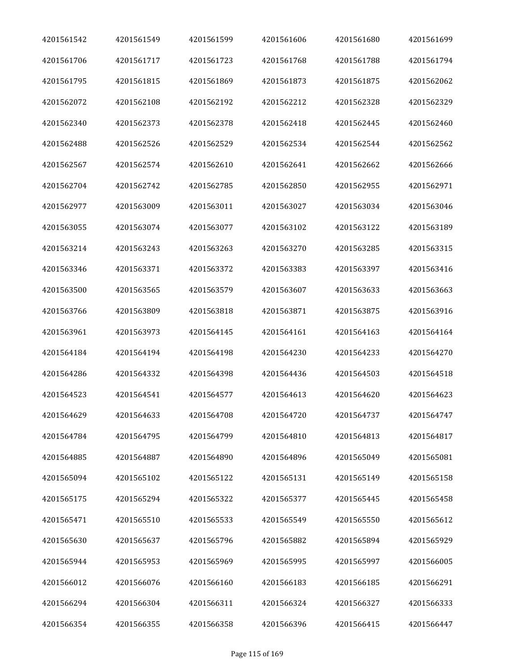| 4201561542 | 4201561549 | 4201561599 | 4201561606 | 4201561680 | 4201561699 |
|------------|------------|------------|------------|------------|------------|
| 4201561706 | 4201561717 | 4201561723 | 4201561768 | 4201561788 | 4201561794 |
| 4201561795 | 4201561815 | 4201561869 | 4201561873 | 4201561875 | 4201562062 |
| 4201562072 | 4201562108 | 4201562192 | 4201562212 | 4201562328 | 4201562329 |
| 4201562340 | 4201562373 | 4201562378 | 4201562418 | 4201562445 | 4201562460 |
| 4201562488 | 4201562526 | 4201562529 | 4201562534 | 4201562544 | 4201562562 |
| 4201562567 | 4201562574 | 4201562610 | 4201562641 | 4201562662 | 4201562666 |
| 4201562704 | 4201562742 | 4201562785 | 4201562850 | 4201562955 | 4201562971 |
| 4201562977 | 4201563009 | 4201563011 | 4201563027 | 4201563034 | 4201563046 |
| 4201563055 | 4201563074 | 4201563077 | 4201563102 | 4201563122 | 4201563189 |
| 4201563214 | 4201563243 | 4201563263 | 4201563270 | 4201563285 | 4201563315 |
| 4201563346 | 4201563371 | 4201563372 | 4201563383 | 4201563397 | 4201563416 |
| 4201563500 | 4201563565 | 4201563579 | 4201563607 | 4201563633 | 4201563663 |
| 4201563766 | 4201563809 | 4201563818 | 4201563871 | 4201563875 | 4201563916 |
| 4201563961 | 4201563973 | 4201564145 | 4201564161 | 4201564163 | 4201564164 |
| 4201564184 | 4201564194 | 4201564198 | 4201564230 | 4201564233 | 4201564270 |
| 4201564286 | 4201564332 | 4201564398 | 4201564436 | 4201564503 | 4201564518 |
| 4201564523 | 4201564541 | 4201564577 | 4201564613 | 4201564620 | 4201564623 |
| 4201564629 | 4201564633 | 4201564708 | 4201564720 | 4201564737 | 4201564747 |
| 4201564784 | 4201564795 | 4201564799 | 4201564810 | 4201564813 | 4201564817 |
| 4201564885 | 4201564887 | 4201564890 | 4201564896 | 4201565049 | 4201565081 |
| 4201565094 | 4201565102 | 4201565122 | 4201565131 | 4201565149 | 4201565158 |
| 4201565175 | 4201565294 | 4201565322 | 4201565377 | 4201565445 | 4201565458 |
| 4201565471 | 4201565510 | 4201565533 | 4201565549 | 4201565550 | 4201565612 |
| 4201565630 | 4201565637 | 4201565796 | 4201565882 | 4201565894 | 4201565929 |
| 4201565944 | 4201565953 | 4201565969 | 4201565995 | 4201565997 | 4201566005 |
| 4201566012 | 4201566076 | 4201566160 | 4201566183 | 4201566185 | 4201566291 |
| 4201566294 | 4201566304 | 4201566311 | 4201566324 | 4201566327 | 4201566333 |
| 4201566354 | 4201566355 | 4201566358 | 4201566396 | 4201566415 | 4201566447 |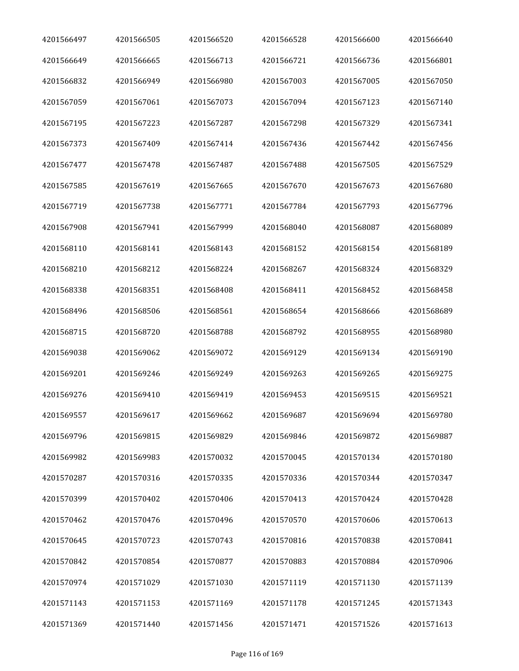| 4201566497 | 4201566505 | 4201566520 | 4201566528 | 4201566600 | 4201566640 |
|------------|------------|------------|------------|------------|------------|
| 4201566649 | 4201566665 | 4201566713 | 4201566721 | 4201566736 | 4201566801 |
| 4201566832 | 4201566949 | 4201566980 | 4201567003 | 4201567005 | 4201567050 |
| 4201567059 | 4201567061 | 4201567073 | 4201567094 | 4201567123 | 4201567140 |
| 4201567195 | 4201567223 | 4201567287 | 4201567298 | 4201567329 | 4201567341 |
| 4201567373 | 4201567409 | 4201567414 | 4201567436 | 4201567442 | 4201567456 |
| 4201567477 | 4201567478 | 4201567487 | 4201567488 | 4201567505 | 4201567529 |
| 4201567585 | 4201567619 | 4201567665 | 4201567670 | 4201567673 | 4201567680 |
| 4201567719 | 4201567738 | 4201567771 | 4201567784 | 4201567793 | 4201567796 |
| 4201567908 | 4201567941 | 4201567999 | 4201568040 | 4201568087 | 4201568089 |
| 4201568110 | 4201568141 | 4201568143 | 4201568152 | 4201568154 | 4201568189 |
| 4201568210 | 4201568212 | 4201568224 | 4201568267 | 4201568324 | 4201568329 |
| 4201568338 | 4201568351 | 4201568408 | 4201568411 | 4201568452 | 4201568458 |
| 4201568496 | 4201568506 | 4201568561 | 4201568654 | 4201568666 | 4201568689 |
| 4201568715 | 4201568720 | 4201568788 | 4201568792 | 4201568955 | 4201568980 |
| 4201569038 | 4201569062 | 4201569072 | 4201569129 | 4201569134 | 4201569190 |
| 4201569201 | 4201569246 | 4201569249 | 4201569263 | 4201569265 | 4201569275 |
| 4201569276 | 4201569410 | 4201569419 | 4201569453 | 4201569515 | 4201569521 |
| 4201569557 | 4201569617 | 4201569662 | 4201569687 | 4201569694 | 4201569780 |
| 4201569796 | 4201569815 | 4201569829 | 4201569846 | 4201569872 | 4201569887 |
| 4201569982 | 4201569983 | 4201570032 | 4201570045 | 4201570134 | 4201570180 |
| 4201570287 | 4201570316 | 4201570335 | 4201570336 | 4201570344 | 4201570347 |
| 4201570399 | 4201570402 | 4201570406 | 4201570413 | 4201570424 | 4201570428 |
| 4201570462 | 4201570476 | 4201570496 | 4201570570 | 4201570606 | 4201570613 |
| 4201570645 | 4201570723 | 4201570743 | 4201570816 | 4201570838 | 4201570841 |
| 4201570842 | 4201570854 | 4201570877 | 4201570883 | 4201570884 | 4201570906 |
| 4201570974 | 4201571029 | 4201571030 | 4201571119 | 4201571130 | 4201571139 |
| 4201571143 | 4201571153 | 4201571169 | 4201571178 | 4201571245 | 4201571343 |
| 4201571369 | 4201571440 | 4201571456 | 4201571471 | 4201571526 | 4201571613 |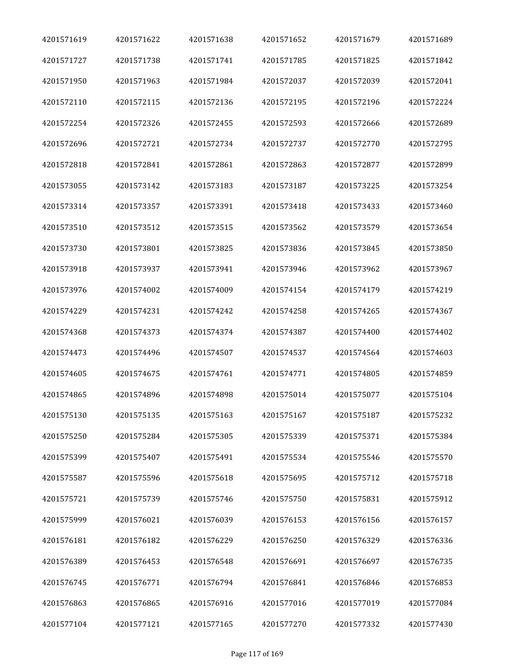| 4201571619 | 4201571622 | 4201571638 | 4201571652 | 4201571679 | 4201571689 |
|------------|------------|------------|------------|------------|------------|
| 4201571727 | 4201571738 | 4201571741 | 4201571785 | 4201571825 | 4201571842 |
| 4201571950 | 4201571963 | 4201571984 | 4201572037 | 4201572039 | 4201572041 |
| 4201572110 | 4201572115 | 4201572136 | 4201572195 | 4201572196 | 4201572224 |
| 4201572254 | 4201572326 | 4201572455 | 4201572593 | 4201572666 | 4201572689 |
| 4201572696 | 4201572721 | 4201572734 | 4201572737 | 4201572770 | 4201572795 |
| 4201572818 | 4201572841 | 4201572861 | 4201572863 | 4201572877 | 4201572899 |
| 4201573055 | 4201573142 | 4201573183 | 4201573187 | 4201573225 | 4201573254 |
| 4201573314 | 4201573357 | 4201573391 | 4201573418 | 4201573433 | 4201573460 |
| 4201573510 | 4201573512 | 4201573515 | 4201573562 | 4201573579 | 4201573654 |
| 4201573730 | 4201573801 | 4201573825 | 4201573836 | 4201573845 | 4201573850 |
| 4201573918 | 4201573937 | 4201573941 | 4201573946 | 4201573962 | 4201573967 |
| 4201573976 | 4201574002 | 4201574009 | 4201574154 | 4201574179 | 4201574219 |
| 4201574229 | 4201574231 | 4201574242 | 4201574258 | 4201574265 | 4201574367 |
| 4201574368 | 4201574373 | 4201574374 | 4201574387 | 4201574400 | 4201574402 |
| 4201574473 | 4201574496 | 4201574507 | 4201574537 | 4201574564 | 4201574603 |
| 4201574605 | 4201574675 | 4201574761 | 4201574771 | 4201574805 | 4201574859 |
| 4201574865 | 4201574896 | 4201574898 | 4201575014 | 4201575077 | 4201575104 |
| 4201575130 | 4201575135 | 4201575163 | 4201575167 | 4201575187 | 4201575232 |
| 4201575250 | 4201575284 | 4201575305 | 4201575339 | 4201575371 | 4201575384 |
| 4201575399 | 4201575407 | 4201575491 | 4201575534 | 4201575546 | 4201575570 |
| 4201575587 | 4201575596 | 4201575618 | 4201575695 | 4201575712 | 4201575718 |
| 4201575721 | 4201575739 | 4201575746 | 4201575750 | 4201575831 | 4201575912 |
| 4201575999 | 4201576021 | 4201576039 | 4201576153 | 4201576156 | 4201576157 |
| 4201576181 | 4201576182 | 4201576229 | 4201576250 | 4201576329 | 4201576336 |
| 4201576389 | 4201576453 | 4201576548 | 4201576691 | 4201576697 | 4201576735 |
| 4201576745 | 4201576771 | 4201576794 | 4201576841 | 4201576846 | 4201576853 |
| 4201576863 | 4201576865 | 4201576916 | 4201577016 | 4201577019 | 4201577084 |
| 4201577104 | 4201577121 | 4201577165 | 4201577270 | 4201577332 | 4201577430 |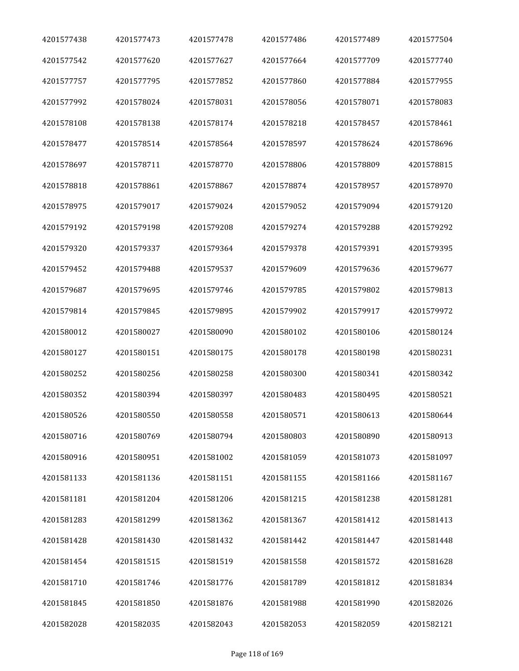| 4201577438 | 4201577473 | 4201577478 | 4201577486 | 4201577489 | 4201577504 |
|------------|------------|------------|------------|------------|------------|
| 4201577542 | 4201577620 | 4201577627 | 4201577664 | 4201577709 | 4201577740 |
| 4201577757 | 4201577795 | 4201577852 | 4201577860 | 4201577884 | 4201577955 |
| 4201577992 | 4201578024 | 4201578031 | 4201578056 | 4201578071 | 4201578083 |
| 4201578108 | 4201578138 | 4201578174 | 4201578218 | 4201578457 | 4201578461 |
| 4201578477 | 4201578514 | 4201578564 | 4201578597 | 4201578624 | 4201578696 |
| 4201578697 | 4201578711 | 4201578770 | 4201578806 | 4201578809 | 4201578815 |
| 4201578818 | 4201578861 | 4201578867 | 4201578874 | 4201578957 | 4201578970 |
| 4201578975 | 4201579017 | 4201579024 | 4201579052 | 4201579094 | 4201579120 |
| 4201579192 | 4201579198 | 4201579208 | 4201579274 | 4201579288 | 4201579292 |
| 4201579320 | 4201579337 | 4201579364 | 4201579378 | 4201579391 | 4201579395 |
| 4201579452 | 4201579488 | 4201579537 | 4201579609 | 4201579636 | 4201579677 |
| 4201579687 | 4201579695 | 4201579746 | 4201579785 | 4201579802 | 4201579813 |
| 4201579814 | 4201579845 | 4201579895 | 4201579902 | 4201579917 | 4201579972 |
| 4201580012 | 4201580027 | 4201580090 | 4201580102 | 4201580106 | 4201580124 |
| 4201580127 | 4201580151 | 4201580175 | 4201580178 | 4201580198 | 4201580231 |
| 4201580252 | 4201580256 | 4201580258 | 4201580300 | 4201580341 | 4201580342 |
| 4201580352 | 4201580394 | 4201580397 | 4201580483 | 4201580495 | 4201580521 |
| 4201580526 | 4201580550 | 4201580558 | 4201580571 | 4201580613 | 4201580644 |
| 4201580716 | 4201580769 | 4201580794 | 4201580803 | 4201580890 | 4201580913 |
| 4201580916 | 4201580951 | 4201581002 | 4201581059 | 4201581073 | 4201581097 |
| 4201581133 | 4201581136 | 4201581151 | 4201581155 | 4201581166 | 4201581167 |
| 4201581181 | 4201581204 | 4201581206 | 4201581215 | 4201581238 | 4201581281 |
| 4201581283 | 4201581299 | 4201581362 | 4201581367 | 4201581412 | 4201581413 |
| 4201581428 | 4201581430 | 4201581432 | 4201581442 | 4201581447 | 4201581448 |
| 4201581454 | 4201581515 | 4201581519 | 4201581558 | 4201581572 | 4201581628 |
| 4201581710 | 4201581746 | 4201581776 | 4201581789 | 4201581812 | 4201581834 |
| 4201581845 | 4201581850 | 4201581876 | 4201581988 | 4201581990 | 4201582026 |
| 4201582028 | 4201582035 | 4201582043 | 4201582053 | 4201582059 | 4201582121 |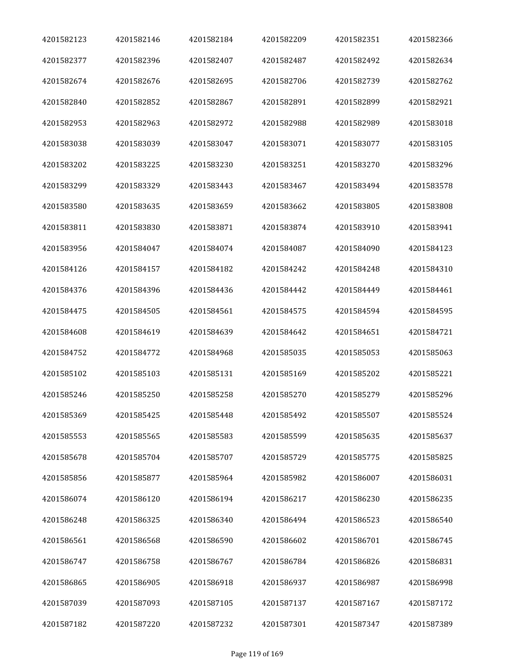| 4201582123 | 4201582146 | 4201582184 | 4201582209 | 4201582351 | 4201582366 |
|------------|------------|------------|------------|------------|------------|
| 4201582377 | 4201582396 | 4201582407 | 4201582487 | 4201582492 | 4201582634 |
| 4201582674 | 4201582676 | 4201582695 | 4201582706 | 4201582739 | 4201582762 |
| 4201582840 | 4201582852 | 4201582867 | 4201582891 | 4201582899 | 4201582921 |
| 4201582953 | 4201582963 | 4201582972 | 4201582988 | 4201582989 | 4201583018 |
| 4201583038 | 4201583039 | 4201583047 | 4201583071 | 4201583077 | 4201583105 |
| 4201583202 | 4201583225 | 4201583230 | 4201583251 | 4201583270 | 4201583296 |
| 4201583299 | 4201583329 | 4201583443 | 4201583467 | 4201583494 | 4201583578 |
| 4201583580 | 4201583635 | 4201583659 | 4201583662 | 4201583805 | 4201583808 |
| 4201583811 | 4201583830 | 4201583871 | 4201583874 | 4201583910 | 4201583941 |
| 4201583956 | 4201584047 | 4201584074 | 4201584087 | 4201584090 | 4201584123 |
| 4201584126 | 4201584157 | 4201584182 | 4201584242 | 4201584248 | 4201584310 |
| 4201584376 | 4201584396 | 4201584436 | 4201584442 | 4201584449 | 4201584461 |
| 4201584475 | 4201584505 | 4201584561 | 4201584575 | 4201584594 | 4201584595 |
| 4201584608 | 4201584619 | 4201584639 | 4201584642 | 4201584651 | 4201584721 |
| 4201584752 | 4201584772 | 4201584968 | 4201585035 | 4201585053 | 4201585063 |
| 4201585102 | 4201585103 | 4201585131 | 4201585169 | 4201585202 | 4201585221 |
| 4201585246 | 4201585250 | 4201585258 | 4201585270 | 4201585279 | 4201585296 |
| 4201585369 | 4201585425 | 4201585448 | 4201585492 | 4201585507 | 4201585524 |
| 4201585553 | 4201585565 | 4201585583 | 4201585599 | 4201585635 | 4201585637 |
| 4201585678 | 4201585704 | 4201585707 | 4201585729 | 4201585775 | 4201585825 |
| 4201585856 | 4201585877 | 4201585964 | 4201585982 | 4201586007 | 4201586031 |
| 4201586074 | 4201586120 | 4201586194 | 4201586217 | 4201586230 | 4201586235 |
| 4201586248 | 4201586325 | 4201586340 | 4201586494 | 4201586523 | 4201586540 |
| 4201586561 | 4201586568 | 4201586590 | 4201586602 | 4201586701 | 4201586745 |
| 4201586747 | 4201586758 | 4201586767 | 4201586784 | 4201586826 | 4201586831 |
| 4201586865 | 4201586905 | 4201586918 | 4201586937 | 4201586987 | 4201586998 |
| 4201587039 | 4201587093 | 4201587105 | 4201587137 | 4201587167 | 4201587172 |
| 4201587182 | 4201587220 | 4201587232 | 4201587301 | 4201587347 | 4201587389 |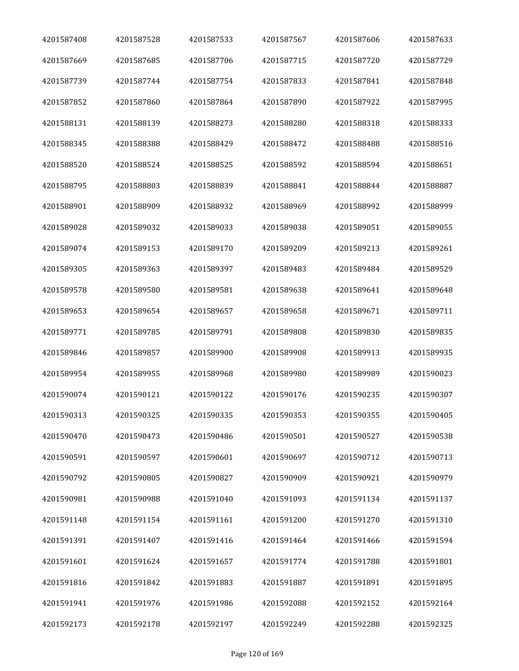| 4201587408 | 4201587528 | 4201587533 | 4201587567 | 4201587606 | 4201587633 |
|------------|------------|------------|------------|------------|------------|
| 4201587669 | 4201587685 | 4201587706 | 4201587715 | 4201587720 | 4201587729 |
| 4201587739 | 4201587744 | 4201587754 | 4201587833 | 4201587841 | 4201587848 |
| 4201587852 | 4201587860 | 4201587864 | 4201587890 | 4201587922 | 4201587995 |
| 4201588131 | 4201588139 | 4201588273 | 4201588280 | 4201588318 | 4201588333 |
| 4201588345 | 4201588388 | 4201588429 | 4201588472 | 4201588488 | 4201588516 |
| 4201588520 | 4201588524 | 4201588525 | 4201588592 | 4201588594 | 4201588651 |
| 4201588795 | 4201588803 | 4201588839 | 4201588841 | 4201588844 | 4201588887 |
| 4201588901 | 4201588909 | 4201588932 | 4201588969 | 4201588992 | 4201588999 |
| 4201589028 | 4201589032 | 4201589033 | 4201589038 | 4201589051 | 4201589055 |
| 4201589074 | 4201589153 | 4201589170 | 4201589209 | 4201589213 | 4201589261 |
| 4201589305 | 4201589363 | 4201589397 | 4201589483 | 4201589484 | 4201589529 |
| 4201589578 | 4201589580 | 4201589581 | 4201589638 | 4201589641 | 4201589648 |
| 4201589653 | 4201589654 | 4201589657 | 4201589658 | 4201589671 | 4201589711 |
| 4201589771 | 4201589785 | 4201589791 | 4201589808 | 4201589830 | 4201589835 |
| 4201589846 | 4201589857 | 4201589900 | 4201589908 | 4201589913 | 4201589935 |
| 4201589954 | 4201589955 | 4201589968 | 4201589980 | 4201589989 | 4201590023 |
| 4201590074 | 4201590121 | 4201590122 | 4201590176 | 4201590235 | 4201590307 |
| 4201590313 | 4201590325 | 4201590335 | 4201590353 | 4201590355 | 4201590405 |
| 4201590470 | 4201590473 | 4201590486 | 4201590501 | 4201590527 | 4201590538 |
| 4201590591 | 4201590597 | 4201590601 | 4201590697 | 4201590712 | 4201590713 |
| 4201590792 | 4201590805 | 4201590827 | 4201590909 | 4201590921 | 4201590979 |
| 4201590981 | 4201590988 | 4201591040 | 4201591093 | 4201591134 | 4201591137 |
| 4201591148 | 4201591154 | 4201591161 | 4201591200 | 4201591270 | 4201591310 |
| 4201591391 | 4201591407 | 4201591416 | 4201591464 | 4201591466 | 4201591594 |
| 4201591601 | 4201591624 | 4201591657 | 4201591774 | 4201591788 | 4201591801 |
| 4201591816 | 4201591842 | 4201591883 | 4201591887 | 4201591891 | 4201591895 |
| 4201591941 | 4201591976 | 4201591986 | 4201592088 | 4201592152 | 4201592164 |
| 4201592173 | 4201592178 | 4201592197 | 4201592249 | 4201592288 | 4201592325 |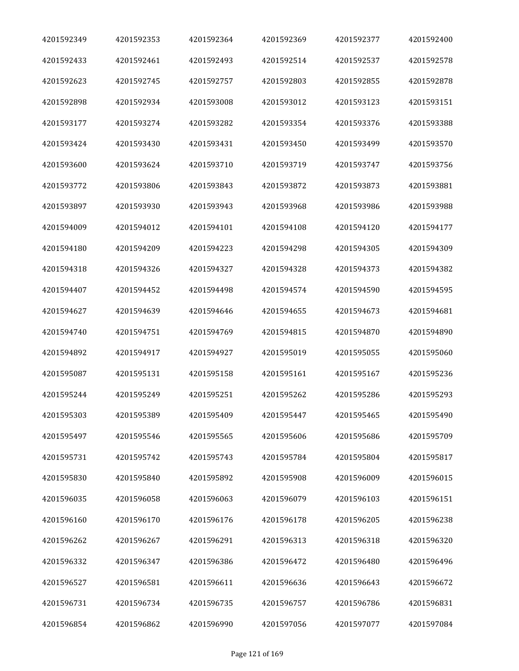| 4201592349 | 4201592353 | 4201592364 | 4201592369 | 4201592377 | 4201592400 |
|------------|------------|------------|------------|------------|------------|
| 4201592433 | 4201592461 | 4201592493 | 4201592514 | 4201592537 | 4201592578 |
| 4201592623 | 4201592745 | 4201592757 | 4201592803 | 4201592855 | 4201592878 |
| 4201592898 | 4201592934 | 4201593008 | 4201593012 | 4201593123 | 4201593151 |
| 4201593177 | 4201593274 | 4201593282 | 4201593354 | 4201593376 | 4201593388 |
| 4201593424 | 4201593430 | 4201593431 | 4201593450 | 4201593499 | 4201593570 |
| 4201593600 | 4201593624 | 4201593710 | 4201593719 | 4201593747 | 4201593756 |
| 4201593772 | 4201593806 | 4201593843 | 4201593872 | 4201593873 | 4201593881 |
| 4201593897 | 4201593930 | 4201593943 | 4201593968 | 4201593986 | 4201593988 |
| 4201594009 | 4201594012 | 4201594101 | 4201594108 | 4201594120 | 4201594177 |
| 4201594180 | 4201594209 | 4201594223 | 4201594298 | 4201594305 | 4201594309 |
| 4201594318 | 4201594326 | 4201594327 | 4201594328 | 4201594373 | 4201594382 |
| 4201594407 | 4201594452 | 4201594498 | 4201594574 | 4201594590 | 4201594595 |
| 4201594627 | 4201594639 | 4201594646 | 4201594655 | 4201594673 | 4201594681 |
| 4201594740 | 4201594751 | 4201594769 | 4201594815 | 4201594870 | 4201594890 |
| 4201594892 | 4201594917 | 4201594927 | 4201595019 | 4201595055 | 4201595060 |
| 4201595087 | 4201595131 | 4201595158 | 4201595161 | 4201595167 | 4201595236 |
| 4201595244 | 4201595249 | 4201595251 | 4201595262 | 4201595286 | 4201595293 |
| 4201595303 | 4201595389 | 4201595409 | 4201595447 | 4201595465 | 4201595490 |
| 4201595497 | 4201595546 | 4201595565 | 4201595606 | 4201595686 | 4201595709 |
| 4201595731 | 4201595742 | 4201595743 | 4201595784 | 4201595804 | 4201595817 |
| 4201595830 | 4201595840 | 4201595892 | 4201595908 | 4201596009 | 4201596015 |
| 4201596035 | 4201596058 | 4201596063 | 4201596079 | 4201596103 | 4201596151 |
| 4201596160 | 4201596170 | 4201596176 | 4201596178 | 4201596205 | 4201596238 |
| 4201596262 | 4201596267 | 4201596291 | 4201596313 | 4201596318 | 4201596320 |
| 4201596332 | 4201596347 | 4201596386 | 4201596472 | 4201596480 | 4201596496 |
| 4201596527 | 4201596581 | 4201596611 | 4201596636 | 4201596643 | 4201596672 |
| 4201596731 | 4201596734 | 4201596735 | 4201596757 | 4201596786 | 4201596831 |
| 4201596854 | 4201596862 | 4201596990 | 4201597056 | 4201597077 | 4201597084 |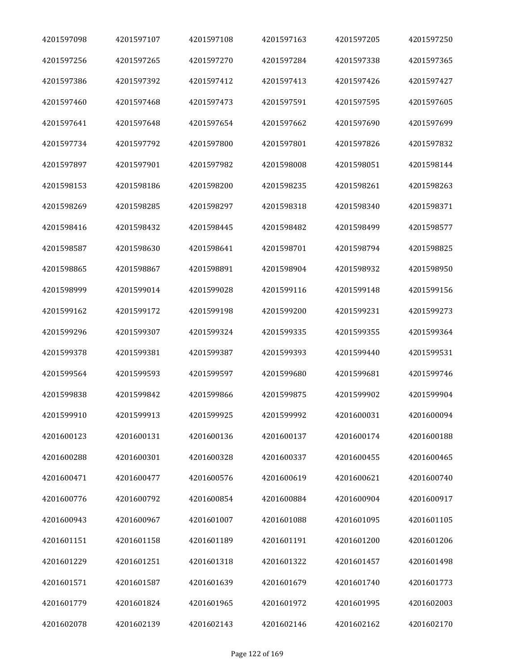| 4201597098 | 4201597107 | 4201597108 | 4201597163 | 4201597205 | 4201597250 |
|------------|------------|------------|------------|------------|------------|
| 4201597256 | 4201597265 | 4201597270 | 4201597284 | 4201597338 | 4201597365 |
| 4201597386 | 4201597392 | 4201597412 | 4201597413 | 4201597426 | 4201597427 |
| 4201597460 | 4201597468 | 4201597473 | 4201597591 | 4201597595 | 4201597605 |
| 4201597641 | 4201597648 | 4201597654 | 4201597662 | 4201597690 | 4201597699 |
| 4201597734 | 4201597792 | 4201597800 | 4201597801 | 4201597826 | 4201597832 |
| 4201597897 | 4201597901 | 4201597982 | 4201598008 | 4201598051 | 4201598144 |
| 4201598153 | 4201598186 | 4201598200 | 4201598235 | 4201598261 | 4201598263 |
| 4201598269 | 4201598285 | 4201598297 | 4201598318 | 4201598340 | 4201598371 |
| 4201598416 | 4201598432 | 4201598445 | 4201598482 | 4201598499 | 4201598577 |
| 4201598587 | 4201598630 | 4201598641 | 4201598701 | 4201598794 | 4201598825 |
| 4201598865 | 4201598867 | 4201598891 | 4201598904 | 4201598932 | 4201598950 |
| 4201598999 | 4201599014 | 4201599028 | 4201599116 | 4201599148 | 4201599156 |
| 4201599162 | 4201599172 | 4201599198 | 4201599200 | 4201599231 | 4201599273 |
| 4201599296 | 4201599307 | 4201599324 | 4201599335 | 4201599355 | 4201599364 |
| 4201599378 | 4201599381 | 4201599387 | 4201599393 | 4201599440 | 4201599531 |
| 4201599564 | 4201599593 | 4201599597 | 4201599680 | 4201599681 | 4201599746 |
| 4201599838 | 4201599842 | 4201599866 | 4201599875 | 4201599902 | 4201599904 |
| 4201599910 | 4201599913 | 4201599925 | 4201599992 | 4201600031 | 4201600094 |
| 4201600123 | 4201600131 | 4201600136 | 4201600137 | 4201600174 | 4201600188 |
| 4201600288 | 4201600301 | 4201600328 | 4201600337 | 4201600455 | 4201600465 |
| 4201600471 | 4201600477 | 4201600576 | 4201600619 | 4201600621 | 4201600740 |
| 4201600776 | 4201600792 | 4201600854 | 4201600884 | 4201600904 | 4201600917 |
| 4201600943 | 4201600967 | 4201601007 | 4201601088 | 4201601095 | 4201601105 |
| 4201601151 | 4201601158 | 4201601189 | 4201601191 | 4201601200 | 4201601206 |
| 4201601229 | 4201601251 | 4201601318 | 4201601322 | 4201601457 | 4201601498 |
| 4201601571 | 4201601587 | 4201601639 | 4201601679 | 4201601740 | 4201601773 |
| 4201601779 | 4201601824 | 4201601965 | 4201601972 | 4201601995 | 4201602003 |
| 4201602078 | 4201602139 | 4201602143 | 4201602146 | 4201602162 | 4201602170 |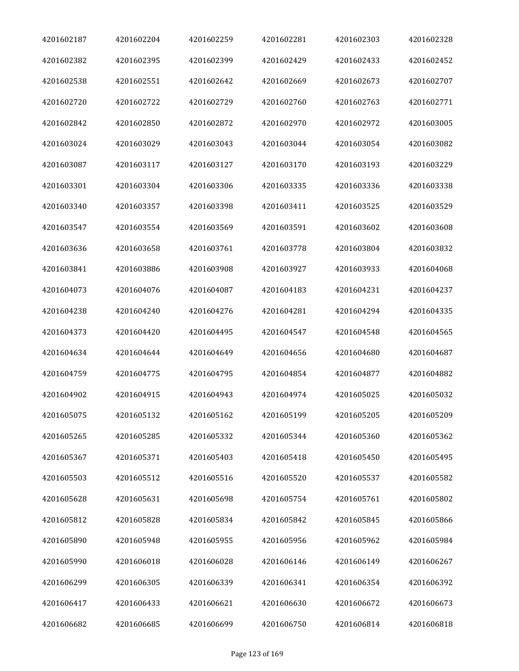| 4201602187 | 4201602204 | 4201602259 | 4201602281 | 4201602303 | 4201602328 |
|------------|------------|------------|------------|------------|------------|
| 4201602382 | 4201602395 | 4201602399 | 4201602429 | 4201602433 | 4201602452 |
| 4201602538 | 4201602551 | 4201602642 | 4201602669 | 4201602673 | 4201602707 |
| 4201602720 | 4201602722 | 4201602729 | 4201602760 | 4201602763 | 4201602771 |
| 4201602842 | 4201602850 | 4201602872 | 4201602970 | 4201602972 | 4201603005 |
| 4201603024 | 4201603029 | 4201603043 | 4201603044 | 4201603054 | 4201603082 |
| 4201603087 | 4201603117 | 4201603127 | 4201603170 | 4201603193 | 4201603229 |
| 4201603301 | 4201603304 | 4201603306 | 4201603335 | 4201603336 | 4201603338 |
| 4201603340 | 4201603357 | 4201603398 | 4201603411 | 4201603525 | 4201603529 |
| 4201603547 | 4201603554 | 4201603569 | 4201603591 | 4201603602 | 4201603608 |
| 4201603636 | 4201603658 | 4201603761 | 4201603778 | 4201603804 | 4201603832 |
| 4201603841 | 4201603886 | 4201603908 | 4201603927 | 4201603933 | 4201604068 |
| 4201604073 | 4201604076 | 4201604087 | 4201604183 | 4201604231 | 4201604237 |
| 4201604238 | 4201604240 | 4201604276 | 4201604281 | 4201604294 | 4201604335 |
| 4201604373 | 4201604420 | 4201604495 | 4201604547 | 4201604548 | 4201604565 |
| 4201604634 | 4201604644 | 4201604649 | 4201604656 | 4201604680 | 4201604687 |
| 4201604759 | 4201604775 | 4201604795 | 4201604854 | 4201604877 | 4201604882 |
| 4201604902 | 4201604915 | 4201604943 | 4201604974 | 4201605025 | 4201605032 |
| 4201605075 | 4201605132 | 4201605162 | 4201605199 | 4201605205 | 4201605209 |
| 4201605265 | 4201605285 | 4201605332 | 4201605344 | 4201605360 | 4201605362 |
| 4201605367 | 4201605371 | 4201605403 | 4201605418 | 4201605450 | 4201605495 |
| 4201605503 | 4201605512 | 4201605516 | 4201605520 | 4201605537 | 4201605582 |
| 4201605628 | 4201605631 | 4201605698 | 4201605754 | 4201605761 | 4201605802 |
| 4201605812 | 4201605828 | 4201605834 | 4201605842 | 4201605845 | 4201605866 |
| 4201605890 | 4201605948 | 4201605955 | 4201605956 | 4201605962 | 4201605984 |
| 4201605990 | 4201606018 | 4201606028 | 4201606146 | 4201606149 | 4201606267 |
| 4201606299 | 4201606305 | 4201606339 | 4201606341 | 4201606354 | 4201606392 |
| 4201606417 | 4201606433 | 4201606621 | 4201606630 | 4201606672 | 4201606673 |
| 4201606682 | 4201606685 | 4201606699 | 4201606750 | 4201606814 | 4201606818 |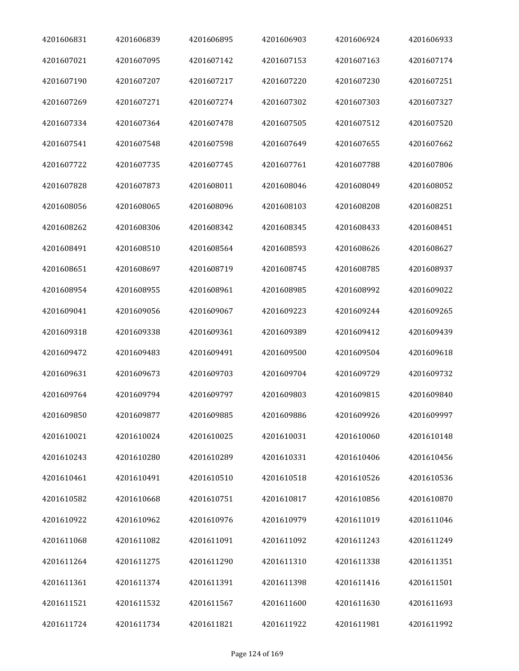| 4201606831 | 4201606839 | 4201606895 | 4201606903 | 4201606924 | 4201606933 |
|------------|------------|------------|------------|------------|------------|
| 4201607021 | 4201607095 | 4201607142 | 4201607153 | 4201607163 | 4201607174 |
| 4201607190 | 4201607207 | 4201607217 | 4201607220 | 4201607230 | 4201607251 |
| 4201607269 | 4201607271 | 4201607274 | 4201607302 | 4201607303 | 4201607327 |
| 4201607334 | 4201607364 | 4201607478 | 4201607505 | 4201607512 | 4201607520 |
| 4201607541 | 4201607548 | 4201607598 | 4201607649 | 4201607655 | 4201607662 |
| 4201607722 | 4201607735 | 4201607745 | 4201607761 | 4201607788 | 4201607806 |
| 4201607828 | 4201607873 | 4201608011 | 4201608046 | 4201608049 | 4201608052 |
| 4201608056 | 4201608065 | 4201608096 | 4201608103 | 4201608208 | 4201608251 |
| 4201608262 | 4201608306 | 4201608342 | 4201608345 | 4201608433 | 4201608451 |
| 4201608491 | 4201608510 | 4201608564 | 4201608593 | 4201608626 | 4201608627 |
| 4201608651 | 4201608697 | 4201608719 | 4201608745 | 4201608785 | 4201608937 |
| 4201608954 | 4201608955 | 4201608961 | 4201608985 | 4201608992 | 4201609022 |
| 4201609041 | 4201609056 | 4201609067 | 4201609223 | 4201609244 | 4201609265 |
| 4201609318 | 4201609338 | 4201609361 | 4201609389 | 4201609412 | 4201609439 |
| 4201609472 | 4201609483 | 4201609491 | 4201609500 | 4201609504 | 4201609618 |
| 4201609631 | 4201609673 | 4201609703 | 4201609704 | 4201609729 | 4201609732 |
| 4201609764 | 4201609794 | 4201609797 | 4201609803 | 4201609815 | 4201609840 |
| 4201609850 | 4201609877 | 4201609885 | 4201609886 | 4201609926 | 4201609997 |
| 4201610021 | 4201610024 | 4201610025 | 4201610031 | 4201610060 | 4201610148 |
| 4201610243 | 4201610280 | 4201610289 | 4201610331 | 4201610406 | 4201610456 |
| 4201610461 | 4201610491 | 4201610510 | 4201610518 | 4201610526 | 4201610536 |
| 4201610582 | 4201610668 | 4201610751 | 4201610817 | 4201610856 | 4201610870 |
| 4201610922 | 4201610962 | 4201610976 | 4201610979 | 4201611019 | 4201611046 |
| 4201611068 | 4201611082 | 4201611091 | 4201611092 | 4201611243 | 4201611249 |
| 4201611264 | 4201611275 | 4201611290 | 4201611310 | 4201611338 | 4201611351 |
| 4201611361 | 4201611374 | 4201611391 | 4201611398 | 4201611416 | 4201611501 |
| 4201611521 | 4201611532 | 4201611567 | 4201611600 | 4201611630 | 4201611693 |
| 4201611724 | 4201611734 | 4201611821 | 4201611922 | 4201611981 | 4201611992 |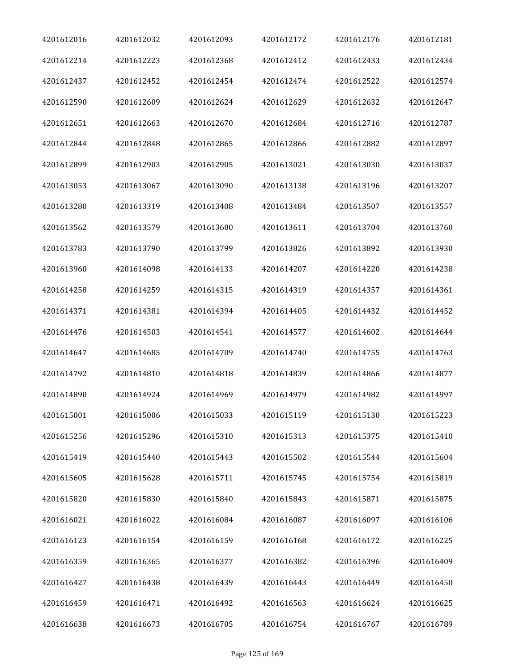| 4201612016 | 4201612032 | 4201612093 | 4201612172 | 4201612176 | 4201612181 |
|------------|------------|------------|------------|------------|------------|
| 4201612214 | 4201612223 | 4201612368 | 4201612412 | 4201612433 | 4201612434 |
| 4201612437 | 4201612452 | 4201612454 | 4201612474 | 4201612522 | 4201612574 |
| 4201612590 | 4201612609 | 4201612624 | 4201612629 | 4201612632 | 4201612647 |
| 4201612651 | 4201612663 | 4201612670 | 4201612684 | 4201612716 | 4201612787 |
| 4201612844 | 4201612848 | 4201612865 | 4201612866 | 4201612882 | 4201612897 |
| 4201612899 | 4201612903 | 4201612905 | 4201613021 | 4201613030 | 4201613037 |
| 4201613053 | 4201613067 | 4201613090 | 4201613138 | 4201613196 | 4201613207 |
| 4201613280 | 4201613319 | 4201613408 | 4201613484 | 4201613507 | 4201613557 |
| 4201613562 | 4201613579 | 4201613600 | 4201613611 | 4201613704 | 4201613760 |
| 4201613783 | 4201613790 | 4201613799 | 4201613826 | 4201613892 | 4201613930 |
| 4201613960 | 4201614098 | 4201614133 | 4201614207 | 4201614220 | 4201614238 |
| 4201614258 | 4201614259 | 4201614315 | 4201614319 | 4201614357 | 4201614361 |
| 4201614371 | 4201614381 | 4201614394 | 4201614405 | 4201614432 | 4201614452 |
| 4201614476 | 4201614503 | 4201614541 | 4201614577 | 4201614602 | 4201614644 |
| 4201614647 | 4201614685 | 4201614709 | 4201614740 | 4201614755 | 4201614763 |
| 4201614792 | 4201614810 | 4201614818 | 4201614839 | 4201614866 | 4201614877 |
| 4201614890 | 4201614924 | 4201614969 | 4201614979 | 4201614982 | 4201614997 |
| 4201615001 | 4201615006 | 4201615033 | 4201615119 | 4201615130 | 4201615223 |
| 4201615256 | 4201615296 | 4201615310 | 4201615313 | 4201615375 | 4201615410 |
| 4201615419 | 4201615440 | 4201615443 | 4201615502 | 4201615544 | 4201615604 |
| 4201615605 | 4201615628 | 4201615711 | 4201615745 | 4201615754 | 4201615819 |
| 4201615820 | 4201615830 | 4201615840 | 4201615843 | 4201615871 | 4201615875 |
| 4201616021 | 4201616022 | 4201616084 | 4201616087 | 4201616097 | 4201616106 |
| 4201616123 | 4201616154 | 4201616159 | 4201616168 | 4201616172 | 4201616225 |
| 4201616359 | 4201616365 | 4201616377 | 4201616382 | 4201616396 | 4201616409 |
| 4201616427 | 4201616438 | 4201616439 | 4201616443 | 4201616449 | 4201616450 |
| 4201616459 | 4201616471 | 4201616492 | 4201616563 | 4201616624 | 4201616625 |
| 4201616638 | 4201616673 | 4201616705 | 4201616754 | 4201616767 | 4201616789 |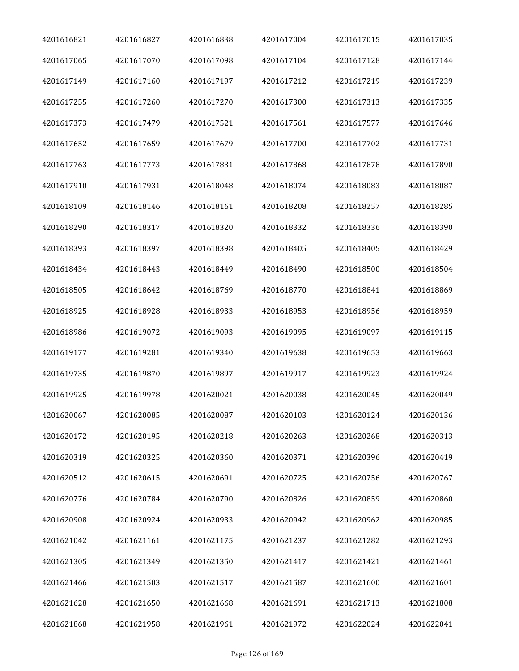| 4201616821 | 4201616827 | 4201616838 | 4201617004 | 4201617015 | 4201617035 |
|------------|------------|------------|------------|------------|------------|
| 4201617065 | 4201617070 | 4201617098 | 4201617104 | 4201617128 | 4201617144 |
| 4201617149 | 4201617160 | 4201617197 | 4201617212 | 4201617219 | 4201617239 |
| 4201617255 | 4201617260 | 4201617270 | 4201617300 | 4201617313 | 4201617335 |
| 4201617373 | 4201617479 | 4201617521 | 4201617561 | 4201617577 | 4201617646 |
| 4201617652 | 4201617659 | 4201617679 | 4201617700 | 4201617702 | 4201617731 |
| 4201617763 | 4201617773 | 4201617831 | 4201617868 | 4201617878 | 4201617890 |
| 4201617910 | 4201617931 | 4201618048 | 4201618074 | 4201618083 | 4201618087 |
| 4201618109 | 4201618146 | 4201618161 | 4201618208 | 4201618257 | 4201618285 |
| 4201618290 | 4201618317 | 4201618320 | 4201618332 | 4201618336 | 4201618390 |
| 4201618393 | 4201618397 | 4201618398 | 4201618405 | 4201618405 | 4201618429 |
| 4201618434 | 4201618443 | 4201618449 | 4201618490 | 4201618500 | 4201618504 |
| 4201618505 | 4201618642 | 4201618769 | 4201618770 | 4201618841 | 4201618869 |
| 4201618925 | 4201618928 | 4201618933 | 4201618953 | 4201618956 | 4201618959 |
| 4201618986 | 4201619072 | 4201619093 | 4201619095 | 4201619097 | 4201619115 |
| 4201619177 | 4201619281 | 4201619340 | 4201619638 | 4201619653 | 4201619663 |
| 4201619735 | 4201619870 | 4201619897 | 4201619917 | 4201619923 | 4201619924 |
| 4201619925 | 4201619978 | 4201620021 | 4201620038 | 4201620045 | 4201620049 |
| 4201620067 | 4201620085 | 4201620087 | 4201620103 | 4201620124 | 4201620136 |
| 4201620172 | 4201620195 | 4201620218 | 4201620263 | 4201620268 | 4201620313 |
| 4201620319 | 4201620325 | 4201620360 | 4201620371 | 4201620396 | 4201620419 |
| 4201620512 | 4201620615 | 4201620691 | 4201620725 | 4201620756 | 4201620767 |
| 4201620776 | 4201620784 | 4201620790 | 4201620826 | 4201620859 | 4201620860 |
| 4201620908 | 4201620924 | 4201620933 | 4201620942 | 4201620962 | 4201620985 |
| 4201621042 | 4201621161 | 4201621175 | 4201621237 | 4201621282 | 4201621293 |
| 4201621305 | 4201621349 | 4201621350 | 4201621417 | 4201621421 | 4201621461 |
| 4201621466 | 4201621503 | 4201621517 | 4201621587 | 4201621600 | 4201621601 |
| 4201621628 | 4201621650 | 4201621668 | 4201621691 | 4201621713 | 4201621808 |
| 4201621868 | 4201621958 | 4201621961 | 4201621972 | 4201622024 | 4201622041 |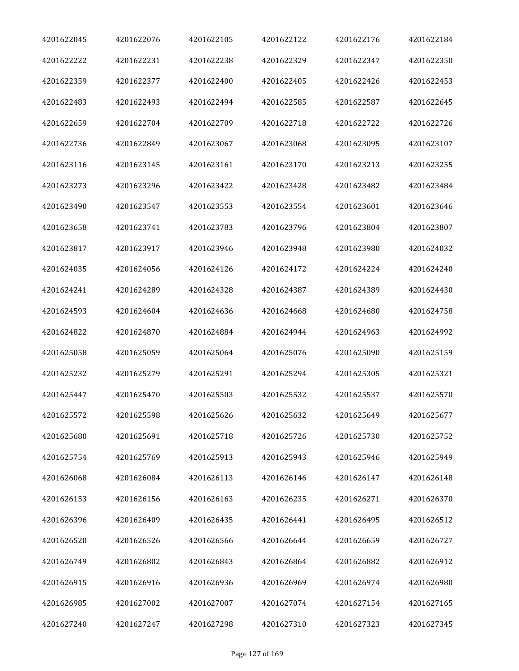| 4201622045 | 4201622076 | 4201622105 | 4201622122 | 4201622176 | 4201622184 |
|------------|------------|------------|------------|------------|------------|
| 4201622222 | 4201622231 | 4201622238 | 4201622329 | 4201622347 | 4201622350 |
| 4201622359 | 4201622377 | 4201622400 | 4201622405 | 4201622426 | 4201622453 |
| 4201622483 | 4201622493 | 4201622494 | 4201622585 | 4201622587 | 4201622645 |
| 4201622659 | 4201622704 | 4201622709 | 4201622718 | 4201622722 | 4201622726 |
| 4201622736 | 4201622849 | 4201623067 | 4201623068 | 4201623095 | 4201623107 |
| 4201623116 | 4201623145 | 4201623161 | 4201623170 | 4201623213 | 4201623255 |
| 4201623273 | 4201623296 | 4201623422 | 4201623428 | 4201623482 | 4201623484 |
| 4201623490 | 4201623547 | 4201623553 | 4201623554 | 4201623601 | 4201623646 |
| 4201623658 | 4201623741 | 4201623783 | 4201623796 | 4201623804 | 4201623807 |
| 4201623817 | 4201623917 | 4201623946 | 4201623948 | 4201623980 | 4201624032 |
| 4201624035 | 4201624056 | 4201624126 | 4201624172 | 4201624224 | 4201624240 |
| 4201624241 | 4201624289 | 4201624328 | 4201624387 | 4201624389 | 4201624430 |
| 4201624593 | 4201624604 | 4201624636 | 4201624668 | 4201624680 | 4201624758 |
| 4201624822 | 4201624870 | 4201624884 | 4201624944 | 4201624963 | 4201624992 |
| 4201625058 | 4201625059 | 4201625064 | 4201625076 | 4201625090 | 4201625159 |
| 4201625232 | 4201625279 | 4201625291 | 4201625294 | 4201625305 | 4201625321 |
| 4201625447 | 4201625470 | 4201625503 | 4201625532 | 4201625537 | 4201625570 |
| 4201625572 | 4201625598 | 4201625626 | 4201625632 | 4201625649 | 4201625677 |
| 4201625680 | 4201625691 | 4201625718 | 4201625726 | 4201625730 | 4201625752 |
| 4201625754 | 4201625769 | 4201625913 | 4201625943 | 4201625946 | 4201625949 |
| 4201626068 | 4201626084 | 4201626113 | 4201626146 | 4201626147 | 4201626148 |
| 4201626153 | 4201626156 | 4201626163 | 4201626235 | 4201626271 | 4201626370 |
| 4201626396 | 4201626409 | 4201626435 | 4201626441 | 4201626495 | 4201626512 |
| 4201626520 | 4201626526 | 4201626566 | 4201626644 | 4201626659 | 4201626727 |
| 4201626749 | 4201626802 | 4201626843 | 4201626864 | 4201626882 | 4201626912 |
| 4201626915 | 4201626916 | 4201626936 | 4201626969 | 4201626974 | 4201626980 |
| 4201626985 | 4201627002 | 4201627007 | 4201627074 | 4201627154 | 4201627165 |
| 4201627240 | 4201627247 | 4201627298 | 4201627310 | 4201627323 | 4201627345 |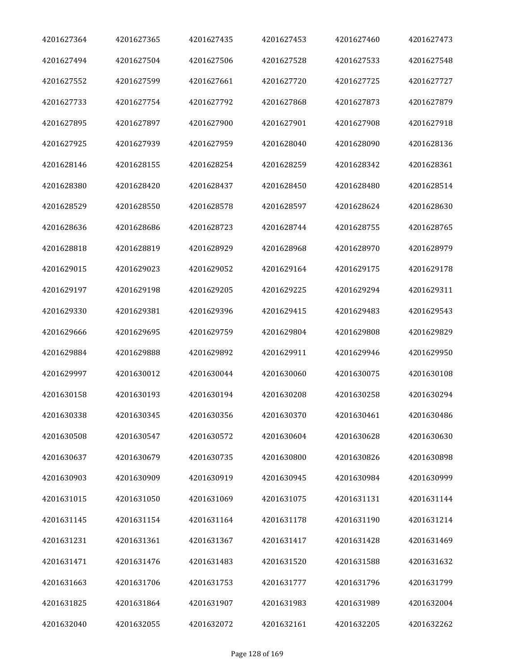| 4201627364 | 4201627365 | 4201627435 | 4201627453 | 4201627460 | 4201627473 |
|------------|------------|------------|------------|------------|------------|
| 4201627494 | 4201627504 | 4201627506 | 4201627528 | 4201627533 | 4201627548 |
| 4201627552 | 4201627599 | 4201627661 | 4201627720 | 4201627725 | 4201627727 |
| 4201627733 | 4201627754 | 4201627792 | 4201627868 | 4201627873 | 4201627879 |
| 4201627895 | 4201627897 | 4201627900 | 4201627901 | 4201627908 | 4201627918 |
| 4201627925 | 4201627939 | 4201627959 | 4201628040 | 4201628090 | 4201628136 |
| 4201628146 | 4201628155 | 4201628254 | 4201628259 | 4201628342 | 4201628361 |
| 4201628380 | 4201628420 | 4201628437 | 4201628450 | 4201628480 | 4201628514 |
| 4201628529 | 4201628550 | 4201628578 | 4201628597 | 4201628624 | 4201628630 |
| 4201628636 | 4201628686 | 4201628723 | 4201628744 | 4201628755 | 4201628765 |
| 4201628818 | 4201628819 | 4201628929 | 4201628968 | 4201628970 | 4201628979 |
| 4201629015 | 4201629023 | 4201629052 | 4201629164 | 4201629175 | 4201629178 |
| 4201629197 | 4201629198 | 4201629205 | 4201629225 | 4201629294 | 4201629311 |
| 4201629330 | 4201629381 | 4201629396 | 4201629415 | 4201629483 | 4201629543 |
| 4201629666 | 4201629695 | 4201629759 | 4201629804 | 4201629808 | 4201629829 |
| 4201629884 | 4201629888 | 4201629892 | 4201629911 | 4201629946 | 4201629950 |
| 4201629997 | 4201630012 | 4201630044 | 4201630060 | 4201630075 | 4201630108 |
| 4201630158 | 4201630193 | 4201630194 | 4201630208 | 4201630258 | 4201630294 |
| 4201630338 | 4201630345 | 4201630356 | 4201630370 | 4201630461 | 4201630486 |
| 4201630508 | 4201630547 | 4201630572 | 4201630604 | 4201630628 | 4201630630 |
| 4201630637 | 4201630679 | 4201630735 | 4201630800 | 4201630826 | 4201630898 |
| 4201630903 | 4201630909 | 4201630919 | 4201630945 | 4201630984 | 4201630999 |
| 4201631015 | 4201631050 | 4201631069 | 4201631075 | 4201631131 | 4201631144 |
| 4201631145 | 4201631154 | 4201631164 | 4201631178 | 4201631190 | 4201631214 |
| 4201631231 | 4201631361 | 4201631367 | 4201631417 | 4201631428 | 4201631469 |
| 4201631471 | 4201631476 | 4201631483 | 4201631520 | 4201631588 | 4201631632 |
| 4201631663 | 4201631706 | 4201631753 | 4201631777 | 4201631796 | 4201631799 |
| 4201631825 | 4201631864 | 4201631907 | 4201631983 | 4201631989 | 4201632004 |
| 4201632040 | 4201632055 | 4201632072 | 4201632161 | 4201632205 | 4201632262 |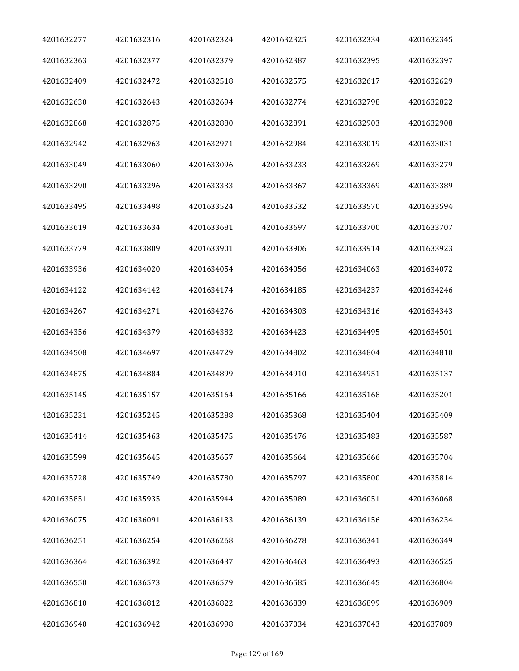| 4201632277 | 4201632316 | 4201632324 | 4201632325 | 4201632334 | 4201632345 |
|------------|------------|------------|------------|------------|------------|
| 4201632363 | 4201632377 | 4201632379 | 4201632387 | 4201632395 | 4201632397 |
| 4201632409 | 4201632472 | 4201632518 | 4201632575 | 4201632617 | 4201632629 |
| 4201632630 | 4201632643 | 4201632694 | 4201632774 | 4201632798 | 4201632822 |
| 4201632868 | 4201632875 | 4201632880 | 4201632891 | 4201632903 | 4201632908 |
| 4201632942 | 4201632963 | 4201632971 | 4201632984 | 4201633019 | 4201633031 |
| 4201633049 | 4201633060 | 4201633096 | 4201633233 | 4201633269 | 4201633279 |
| 4201633290 | 4201633296 | 4201633333 | 4201633367 | 4201633369 | 4201633389 |
| 4201633495 | 4201633498 | 4201633524 | 4201633532 | 4201633570 | 4201633594 |
| 4201633619 | 4201633634 | 4201633681 | 4201633697 | 4201633700 | 4201633707 |
| 4201633779 | 4201633809 | 4201633901 | 4201633906 | 4201633914 | 4201633923 |
| 4201633936 | 4201634020 | 4201634054 | 4201634056 | 4201634063 | 4201634072 |
| 4201634122 | 4201634142 | 4201634174 | 4201634185 | 4201634237 | 4201634246 |
| 4201634267 | 4201634271 | 4201634276 | 4201634303 | 4201634316 | 4201634343 |
| 4201634356 | 4201634379 | 4201634382 | 4201634423 | 4201634495 | 4201634501 |
| 4201634508 | 4201634697 | 4201634729 | 4201634802 | 4201634804 | 4201634810 |
| 4201634875 | 4201634884 | 4201634899 | 4201634910 | 4201634951 | 4201635137 |
| 4201635145 | 4201635157 | 4201635164 | 4201635166 | 4201635168 | 4201635201 |
| 4201635231 | 4201635245 | 4201635288 | 4201635368 | 4201635404 | 4201635409 |
| 4201635414 | 4201635463 | 4201635475 | 4201635476 | 4201635483 | 4201635587 |
| 4201635599 | 4201635645 | 4201635657 | 4201635664 | 4201635666 | 4201635704 |
| 4201635728 | 4201635749 | 4201635780 | 4201635797 | 4201635800 | 4201635814 |
| 4201635851 | 4201635935 | 4201635944 | 4201635989 | 4201636051 | 4201636068 |
| 4201636075 | 4201636091 | 4201636133 | 4201636139 | 4201636156 | 4201636234 |
| 4201636251 | 4201636254 | 4201636268 | 4201636278 | 4201636341 | 4201636349 |
| 4201636364 | 4201636392 | 4201636437 | 4201636463 | 4201636493 | 4201636525 |
| 4201636550 | 4201636573 | 4201636579 | 4201636585 | 4201636645 | 4201636804 |
| 4201636810 | 4201636812 | 4201636822 | 4201636839 | 4201636899 | 4201636909 |
| 4201636940 | 4201636942 | 4201636998 | 4201637034 | 4201637043 | 4201637089 |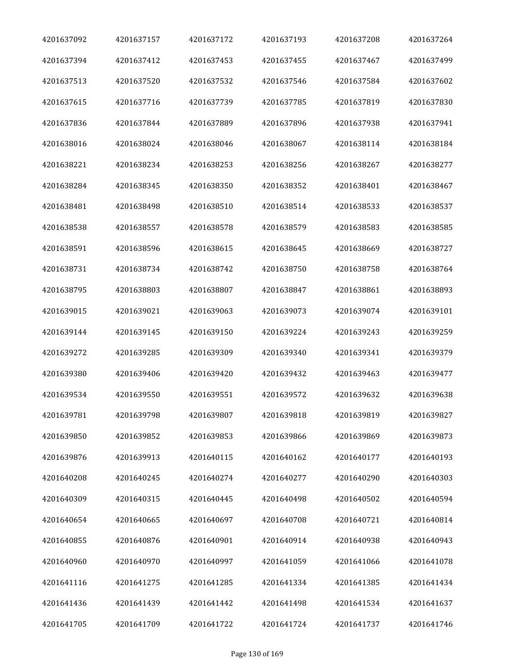| 4201637092 | 4201637157 | 4201637172 | 4201637193 | 4201637208 | 4201637264 |
|------------|------------|------------|------------|------------|------------|
| 4201637394 | 4201637412 | 4201637453 | 4201637455 | 4201637467 | 4201637499 |
| 4201637513 | 4201637520 | 4201637532 | 4201637546 | 4201637584 | 4201637602 |
| 4201637615 | 4201637716 | 4201637739 | 4201637785 | 4201637819 | 4201637830 |
| 4201637836 | 4201637844 | 4201637889 | 4201637896 | 4201637938 | 4201637941 |
| 4201638016 | 4201638024 | 4201638046 | 4201638067 | 4201638114 | 4201638184 |
| 4201638221 | 4201638234 | 4201638253 | 4201638256 | 4201638267 | 4201638277 |
| 4201638284 | 4201638345 | 4201638350 | 4201638352 | 4201638401 | 4201638467 |
| 4201638481 | 4201638498 | 4201638510 | 4201638514 | 4201638533 | 4201638537 |
| 4201638538 | 4201638557 | 4201638578 | 4201638579 | 4201638583 | 4201638585 |
| 4201638591 | 4201638596 | 4201638615 | 4201638645 | 4201638669 | 4201638727 |
| 4201638731 | 4201638734 | 4201638742 | 4201638750 | 4201638758 | 4201638764 |
| 4201638795 | 4201638803 | 4201638807 | 4201638847 | 4201638861 | 4201638893 |
| 4201639015 | 4201639021 | 4201639063 | 4201639073 | 4201639074 | 4201639101 |
| 4201639144 | 4201639145 | 4201639150 | 4201639224 | 4201639243 | 4201639259 |
| 4201639272 | 4201639285 | 4201639309 | 4201639340 | 4201639341 | 4201639379 |
| 4201639380 | 4201639406 | 4201639420 | 4201639432 | 4201639463 | 4201639477 |
| 4201639534 | 4201639550 | 4201639551 | 4201639572 | 4201639632 | 4201639638 |
| 4201639781 | 4201639798 | 4201639807 | 4201639818 | 4201639819 | 4201639827 |
| 4201639850 | 4201639852 | 4201639853 | 4201639866 | 4201639869 | 4201639873 |
| 4201639876 | 4201639913 | 4201640115 | 4201640162 | 4201640177 | 4201640193 |
| 4201640208 | 4201640245 | 4201640274 | 4201640277 | 4201640290 | 4201640303 |
| 4201640309 | 4201640315 | 4201640445 | 4201640498 | 4201640502 | 4201640594 |
| 4201640654 | 4201640665 | 4201640697 | 4201640708 | 4201640721 | 4201640814 |
| 4201640855 | 4201640876 | 4201640901 | 4201640914 | 4201640938 | 4201640943 |
| 4201640960 | 4201640970 | 4201640997 | 4201641059 | 4201641066 | 4201641078 |
| 4201641116 | 4201641275 | 4201641285 | 4201641334 | 4201641385 | 4201641434 |
| 4201641436 | 4201641439 | 4201641442 | 4201641498 | 4201641534 | 4201641637 |
| 4201641705 | 4201641709 | 4201641722 | 4201641724 | 4201641737 | 4201641746 |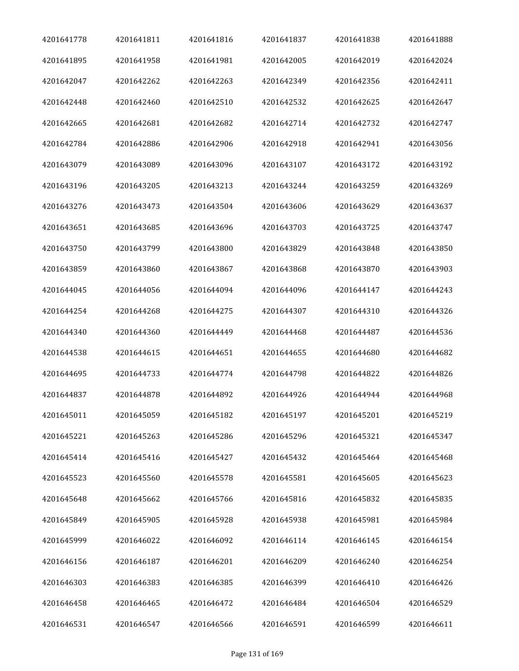| 4201641778 | 4201641811 | 4201641816 | 4201641837 | 4201641838 | 4201641888 |
|------------|------------|------------|------------|------------|------------|
| 4201641895 | 4201641958 | 4201641981 | 4201642005 | 4201642019 | 4201642024 |
| 4201642047 | 4201642262 | 4201642263 | 4201642349 | 4201642356 | 4201642411 |
| 4201642448 | 4201642460 | 4201642510 | 4201642532 | 4201642625 | 4201642647 |
| 4201642665 | 4201642681 | 4201642682 | 4201642714 | 4201642732 | 4201642747 |
| 4201642784 | 4201642886 | 4201642906 | 4201642918 | 4201642941 | 4201643056 |
| 4201643079 | 4201643089 | 4201643096 | 4201643107 | 4201643172 | 4201643192 |
| 4201643196 | 4201643205 | 4201643213 | 4201643244 | 4201643259 | 4201643269 |
| 4201643276 | 4201643473 | 4201643504 | 4201643606 | 4201643629 | 4201643637 |
| 4201643651 | 4201643685 | 4201643696 | 4201643703 | 4201643725 | 4201643747 |
| 4201643750 | 4201643799 | 4201643800 | 4201643829 | 4201643848 | 4201643850 |
| 4201643859 | 4201643860 | 4201643867 | 4201643868 | 4201643870 | 4201643903 |
| 4201644045 | 4201644056 | 4201644094 | 4201644096 | 4201644147 | 4201644243 |
| 4201644254 | 4201644268 | 4201644275 | 4201644307 | 4201644310 | 4201644326 |
| 4201644340 | 4201644360 | 4201644449 | 4201644468 | 4201644487 | 4201644536 |
| 4201644538 | 4201644615 | 4201644651 | 4201644655 | 4201644680 | 4201644682 |
| 4201644695 | 4201644733 | 4201644774 | 4201644798 | 4201644822 | 4201644826 |
| 4201644837 | 4201644878 | 4201644892 | 4201644926 | 4201644944 | 4201644968 |
| 4201645011 | 4201645059 | 4201645182 | 4201645197 | 4201645201 | 4201645219 |
| 4201645221 | 4201645263 | 4201645286 | 4201645296 | 4201645321 | 4201645347 |
| 4201645414 | 4201645416 | 4201645427 | 4201645432 | 4201645464 | 4201645468 |
| 4201645523 | 4201645560 | 4201645578 | 4201645581 | 4201645605 | 4201645623 |
| 4201645648 | 4201645662 | 4201645766 | 4201645816 | 4201645832 | 4201645835 |
| 4201645849 | 4201645905 | 4201645928 | 4201645938 | 4201645981 | 4201645984 |
| 4201645999 | 4201646022 | 4201646092 | 4201646114 | 4201646145 | 4201646154 |
| 4201646156 | 4201646187 | 4201646201 | 4201646209 | 4201646240 | 4201646254 |
| 4201646303 | 4201646383 | 4201646385 | 4201646399 | 4201646410 | 4201646426 |
| 4201646458 | 4201646465 | 4201646472 | 4201646484 | 4201646504 | 4201646529 |
| 4201646531 | 4201646547 | 4201646566 | 4201646591 | 4201646599 | 4201646611 |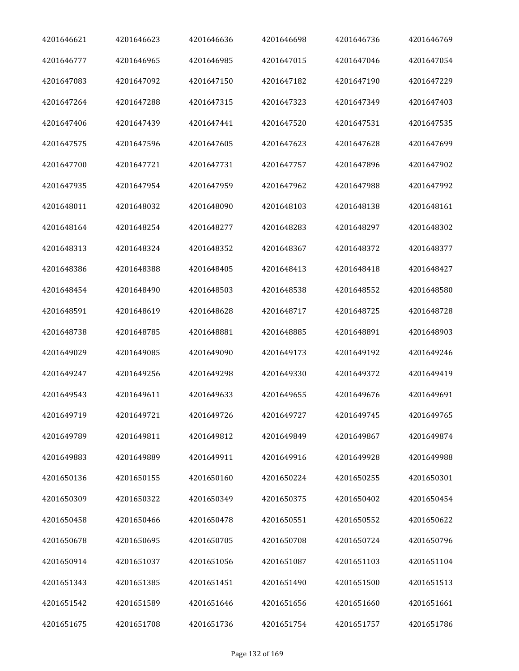| 4201646621 | 4201646623 | 4201646636 | 4201646698 | 4201646736 | 4201646769 |
|------------|------------|------------|------------|------------|------------|
| 4201646777 | 4201646965 | 4201646985 | 4201647015 | 4201647046 | 4201647054 |
| 4201647083 | 4201647092 | 4201647150 | 4201647182 | 4201647190 | 4201647229 |
| 4201647264 | 4201647288 | 4201647315 | 4201647323 | 4201647349 | 4201647403 |
| 4201647406 | 4201647439 | 4201647441 | 4201647520 | 4201647531 | 4201647535 |
| 4201647575 | 4201647596 | 4201647605 | 4201647623 | 4201647628 | 4201647699 |
| 4201647700 | 4201647721 | 4201647731 | 4201647757 | 4201647896 | 4201647902 |
| 4201647935 | 4201647954 | 4201647959 | 4201647962 | 4201647988 | 4201647992 |
| 4201648011 | 4201648032 | 4201648090 | 4201648103 | 4201648138 | 4201648161 |
| 4201648164 | 4201648254 | 4201648277 | 4201648283 | 4201648297 | 4201648302 |
| 4201648313 | 4201648324 | 4201648352 | 4201648367 | 4201648372 | 4201648377 |
| 4201648386 | 4201648388 | 4201648405 | 4201648413 | 4201648418 | 4201648427 |
| 4201648454 | 4201648490 | 4201648503 | 4201648538 | 4201648552 | 4201648580 |
| 4201648591 | 4201648619 | 4201648628 | 4201648717 | 4201648725 | 4201648728 |
| 4201648738 | 4201648785 | 4201648881 | 4201648885 | 4201648891 | 4201648903 |
| 4201649029 | 4201649085 | 4201649090 | 4201649173 | 4201649192 | 4201649246 |
| 4201649247 | 4201649256 | 4201649298 | 4201649330 | 4201649372 | 4201649419 |
| 4201649543 | 4201649611 | 4201649633 | 4201649655 | 4201649676 | 4201649691 |
| 4201649719 | 4201649721 | 4201649726 | 4201649727 | 4201649745 | 4201649765 |
| 4201649789 | 4201649811 | 4201649812 | 4201649849 | 4201649867 | 4201649874 |
| 4201649883 | 4201649889 | 4201649911 | 4201649916 | 4201649928 | 4201649988 |
| 4201650136 | 4201650155 | 4201650160 | 4201650224 | 4201650255 | 4201650301 |
| 4201650309 | 4201650322 | 4201650349 | 4201650375 | 4201650402 | 4201650454 |
| 4201650458 | 4201650466 | 4201650478 | 4201650551 | 4201650552 | 4201650622 |
| 4201650678 | 4201650695 | 4201650705 | 4201650708 | 4201650724 | 4201650796 |
| 4201650914 | 4201651037 | 4201651056 | 4201651087 | 4201651103 | 4201651104 |
| 4201651343 | 4201651385 | 4201651451 | 4201651490 | 4201651500 | 4201651513 |
| 4201651542 | 4201651589 | 4201651646 | 4201651656 | 4201651660 | 4201651661 |
| 4201651675 | 4201651708 | 4201651736 | 4201651754 | 4201651757 | 4201651786 |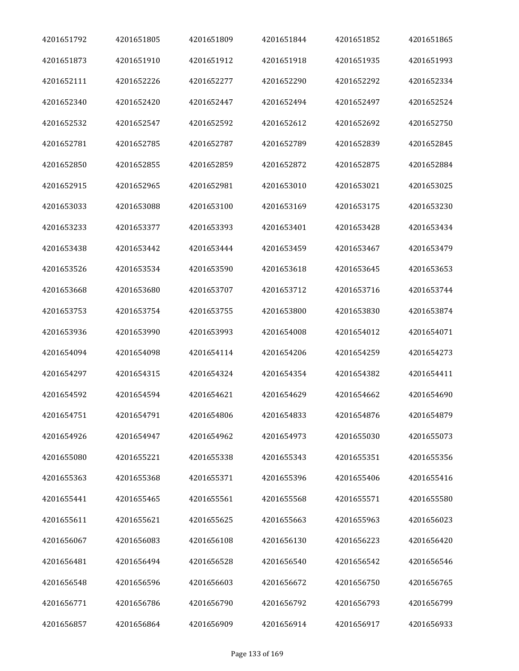| 4201651792 | 4201651805 | 4201651809 | 4201651844 | 4201651852 | 4201651865 |
|------------|------------|------------|------------|------------|------------|
| 4201651873 | 4201651910 | 4201651912 | 4201651918 | 4201651935 | 4201651993 |
| 4201652111 | 4201652226 | 4201652277 | 4201652290 | 4201652292 | 4201652334 |
| 4201652340 | 4201652420 | 4201652447 | 4201652494 | 4201652497 | 4201652524 |
| 4201652532 | 4201652547 | 4201652592 | 4201652612 | 4201652692 | 4201652750 |
| 4201652781 | 4201652785 | 4201652787 | 4201652789 | 4201652839 | 4201652845 |
| 4201652850 | 4201652855 | 4201652859 | 4201652872 | 4201652875 | 4201652884 |
| 4201652915 | 4201652965 | 4201652981 | 4201653010 | 4201653021 | 4201653025 |
| 4201653033 | 4201653088 | 4201653100 | 4201653169 | 4201653175 | 4201653230 |
| 4201653233 | 4201653377 | 4201653393 | 4201653401 | 4201653428 | 4201653434 |
| 4201653438 | 4201653442 | 4201653444 | 4201653459 | 4201653467 | 4201653479 |
| 4201653526 | 4201653534 | 4201653590 | 4201653618 | 4201653645 | 4201653653 |
| 4201653668 | 4201653680 | 4201653707 | 4201653712 | 4201653716 | 4201653744 |
| 4201653753 | 4201653754 | 4201653755 | 4201653800 | 4201653830 | 4201653874 |
| 4201653936 | 4201653990 | 4201653993 | 4201654008 | 4201654012 | 4201654071 |
| 4201654094 | 4201654098 | 4201654114 | 4201654206 | 4201654259 | 4201654273 |
| 4201654297 | 4201654315 | 4201654324 | 4201654354 | 4201654382 | 4201654411 |
| 4201654592 | 4201654594 | 4201654621 | 4201654629 | 4201654662 | 4201654690 |
| 4201654751 | 4201654791 | 4201654806 | 4201654833 | 4201654876 | 4201654879 |
| 4201654926 | 4201654947 | 4201654962 | 4201654973 | 4201655030 | 4201655073 |
| 4201655080 | 4201655221 | 4201655338 | 4201655343 | 4201655351 | 4201655356 |
| 4201655363 | 4201655368 | 4201655371 | 4201655396 | 4201655406 | 4201655416 |
| 4201655441 | 4201655465 | 4201655561 | 4201655568 | 4201655571 | 4201655580 |
| 4201655611 | 4201655621 | 4201655625 | 4201655663 | 4201655963 | 4201656023 |
| 4201656067 | 4201656083 | 4201656108 | 4201656130 | 4201656223 | 4201656420 |
| 4201656481 | 4201656494 | 4201656528 | 4201656540 | 4201656542 | 4201656546 |
| 4201656548 | 4201656596 | 4201656603 | 4201656672 | 4201656750 | 4201656765 |
| 4201656771 | 4201656786 | 4201656790 | 4201656792 | 4201656793 | 4201656799 |
| 4201656857 | 4201656864 | 4201656909 | 4201656914 | 4201656917 | 4201656933 |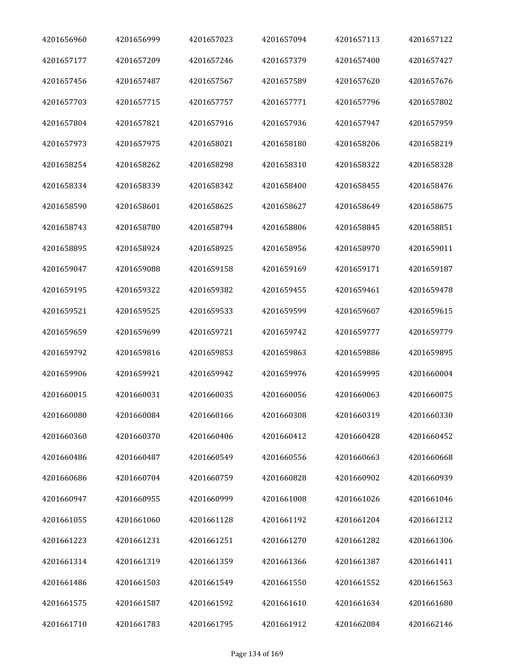| 4201656960 | 4201656999 | 4201657023 | 4201657094 | 4201657113 | 4201657122 |
|------------|------------|------------|------------|------------|------------|
| 4201657177 | 4201657209 | 4201657246 | 4201657379 | 4201657400 | 4201657427 |
| 4201657456 | 4201657487 | 4201657567 | 4201657589 | 4201657620 | 4201657676 |
| 4201657703 | 4201657715 | 4201657757 | 4201657771 | 4201657796 | 4201657802 |
| 4201657804 | 4201657821 | 4201657916 | 4201657936 | 4201657947 | 4201657959 |
| 4201657973 | 4201657975 | 4201658021 | 4201658180 | 4201658206 | 4201658219 |
| 4201658254 | 4201658262 | 4201658298 | 4201658310 | 4201658322 | 4201658328 |
| 4201658334 | 4201658339 | 4201658342 | 4201658400 | 4201658455 | 4201658476 |
| 4201658590 | 4201658601 | 4201658625 | 4201658627 | 4201658649 | 4201658675 |
| 4201658743 | 4201658780 | 4201658794 | 4201658806 | 4201658845 | 4201658851 |
| 4201658895 | 4201658924 | 4201658925 | 4201658956 | 4201658970 | 4201659011 |
| 4201659047 | 4201659088 | 4201659158 | 4201659169 | 4201659171 | 4201659187 |
| 4201659195 | 4201659322 | 4201659382 | 4201659455 | 4201659461 | 4201659478 |
| 4201659521 | 4201659525 | 4201659533 | 4201659599 | 4201659607 | 4201659615 |
| 4201659659 | 4201659699 | 4201659721 | 4201659742 | 4201659777 | 4201659779 |
| 4201659792 | 4201659816 | 4201659853 | 4201659863 | 4201659886 | 4201659895 |
| 4201659906 | 4201659921 | 4201659942 | 4201659976 | 4201659995 | 4201660004 |
| 4201660015 | 4201660031 | 4201660035 | 4201660056 | 4201660063 | 4201660075 |
| 4201660080 | 4201660084 | 4201660166 | 4201660308 | 4201660319 | 4201660330 |
| 4201660360 | 4201660370 | 4201660406 | 4201660412 | 4201660428 | 4201660452 |
| 4201660486 | 4201660487 | 4201660549 | 4201660556 | 4201660663 | 4201660668 |
| 4201660686 | 4201660704 | 4201660759 | 4201660828 | 4201660902 | 4201660939 |
| 4201660947 | 4201660955 | 4201660999 | 4201661008 | 4201661026 | 4201661046 |
| 4201661055 | 4201661060 | 4201661128 | 4201661192 | 4201661204 | 4201661212 |
| 4201661223 | 4201661231 | 4201661251 | 4201661270 | 4201661282 | 4201661306 |
| 4201661314 | 4201661319 | 4201661359 | 4201661366 | 4201661387 | 4201661411 |
| 4201661486 | 4201661503 | 4201661549 | 4201661550 | 4201661552 | 4201661563 |
| 4201661575 | 4201661587 | 4201661592 | 4201661610 | 4201661634 | 4201661680 |
| 4201661710 | 4201661783 | 4201661795 | 4201661912 | 4201662084 | 4201662146 |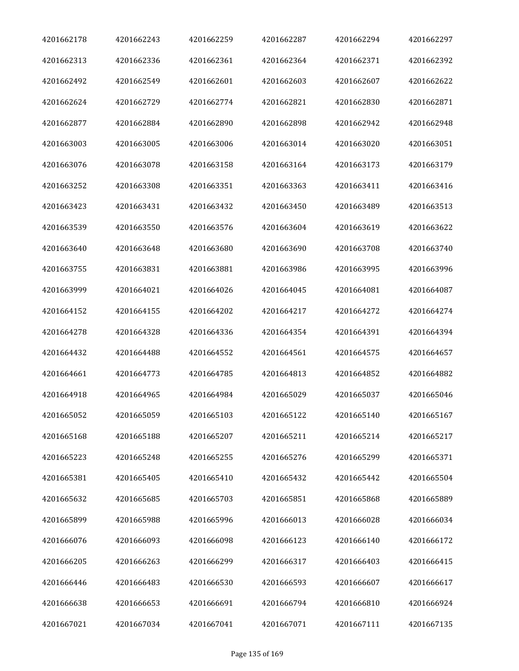| 4201662178 | 4201662243 | 4201662259 | 4201662287 | 4201662294 | 4201662297 |
|------------|------------|------------|------------|------------|------------|
| 4201662313 | 4201662336 | 4201662361 | 4201662364 | 4201662371 | 4201662392 |
| 4201662492 | 4201662549 | 4201662601 | 4201662603 | 4201662607 | 4201662622 |
| 4201662624 | 4201662729 | 4201662774 | 4201662821 | 4201662830 | 4201662871 |
| 4201662877 | 4201662884 | 4201662890 | 4201662898 | 4201662942 | 4201662948 |
| 4201663003 | 4201663005 | 4201663006 | 4201663014 | 4201663020 | 4201663051 |
| 4201663076 | 4201663078 | 4201663158 | 4201663164 | 4201663173 | 4201663179 |
| 4201663252 | 4201663308 | 4201663351 | 4201663363 | 4201663411 | 4201663416 |
| 4201663423 | 4201663431 | 4201663432 | 4201663450 | 4201663489 | 4201663513 |
| 4201663539 | 4201663550 | 4201663576 | 4201663604 | 4201663619 | 4201663622 |
| 4201663640 | 4201663648 | 4201663680 | 4201663690 | 4201663708 | 4201663740 |
| 4201663755 | 4201663831 | 4201663881 | 4201663986 | 4201663995 | 4201663996 |
| 4201663999 | 4201664021 | 4201664026 | 4201664045 | 4201664081 | 4201664087 |
| 4201664152 | 4201664155 | 4201664202 | 4201664217 | 4201664272 | 4201664274 |
| 4201664278 | 4201664328 | 4201664336 | 4201664354 | 4201664391 | 4201664394 |
| 4201664432 | 4201664488 | 4201664552 | 4201664561 | 4201664575 | 4201664657 |
| 4201664661 | 4201664773 | 4201664785 | 4201664813 | 4201664852 | 4201664882 |
| 4201664918 | 4201664965 | 4201664984 | 4201665029 | 4201665037 | 4201665046 |
| 4201665052 | 4201665059 | 4201665103 | 4201665122 | 4201665140 | 4201665167 |
| 4201665168 | 4201665188 | 4201665207 | 4201665211 | 4201665214 | 4201665217 |
| 4201665223 | 4201665248 | 4201665255 | 4201665276 | 4201665299 | 4201665371 |
| 4201665381 | 4201665405 | 4201665410 | 4201665432 | 4201665442 | 4201665504 |
| 4201665632 | 4201665685 | 4201665703 | 4201665851 | 4201665868 | 4201665889 |
| 4201665899 | 4201665988 | 4201665996 | 4201666013 | 4201666028 | 4201666034 |
| 4201666076 | 4201666093 | 4201666098 | 4201666123 | 4201666140 | 4201666172 |
| 4201666205 | 4201666263 | 4201666299 | 4201666317 | 4201666403 | 4201666415 |
| 4201666446 | 4201666483 | 4201666530 | 4201666593 | 4201666607 | 4201666617 |
| 4201666638 | 4201666653 | 4201666691 | 4201666794 | 4201666810 | 4201666924 |
| 4201667021 | 4201667034 | 4201667041 | 4201667071 | 4201667111 | 4201667135 |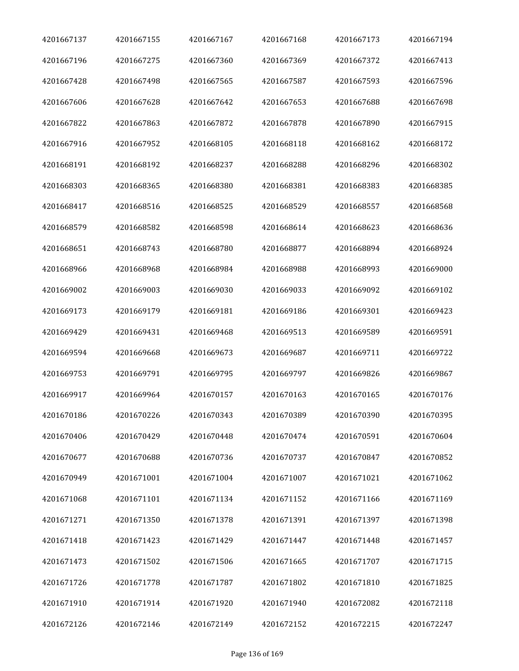| 4201667137 | 4201667155 | 4201667167 | 4201667168 | 4201667173 | 4201667194 |
|------------|------------|------------|------------|------------|------------|
| 4201667196 | 4201667275 | 4201667360 | 4201667369 | 4201667372 | 4201667413 |
| 4201667428 | 4201667498 | 4201667565 | 4201667587 | 4201667593 | 4201667596 |
| 4201667606 | 4201667628 | 4201667642 | 4201667653 | 4201667688 | 4201667698 |
| 4201667822 | 4201667863 | 4201667872 | 4201667878 | 4201667890 | 4201667915 |
| 4201667916 | 4201667952 | 4201668105 | 4201668118 | 4201668162 | 4201668172 |
| 4201668191 | 4201668192 | 4201668237 | 4201668288 | 4201668296 | 4201668302 |
| 4201668303 | 4201668365 | 4201668380 | 4201668381 | 4201668383 | 4201668385 |
| 4201668417 | 4201668516 | 4201668525 | 4201668529 | 4201668557 | 4201668568 |
| 4201668579 | 4201668582 | 4201668598 | 4201668614 | 4201668623 | 4201668636 |
| 4201668651 | 4201668743 | 4201668780 | 4201668877 | 4201668894 | 4201668924 |
| 4201668966 | 4201668968 | 4201668984 | 4201668988 | 4201668993 | 4201669000 |
| 4201669002 | 4201669003 | 4201669030 | 4201669033 | 4201669092 | 4201669102 |
| 4201669173 | 4201669179 | 4201669181 | 4201669186 | 4201669301 | 4201669423 |
| 4201669429 | 4201669431 | 4201669468 | 4201669513 | 4201669589 | 4201669591 |
| 4201669594 | 4201669668 | 4201669673 | 4201669687 | 4201669711 | 4201669722 |
| 4201669753 | 4201669791 | 4201669795 | 4201669797 | 4201669826 | 4201669867 |
| 4201669917 | 4201669964 | 4201670157 | 4201670163 | 4201670165 | 4201670176 |
| 4201670186 | 4201670226 | 4201670343 | 4201670389 | 4201670390 | 4201670395 |
| 4201670406 | 4201670429 | 4201670448 | 4201670474 | 4201670591 | 4201670604 |
| 4201670677 | 4201670688 | 4201670736 | 4201670737 | 4201670847 | 4201670852 |
| 4201670949 | 4201671001 | 4201671004 | 4201671007 | 4201671021 | 4201671062 |
| 4201671068 | 4201671101 | 4201671134 | 4201671152 | 4201671166 | 4201671169 |
| 4201671271 | 4201671350 | 4201671378 | 4201671391 | 4201671397 | 4201671398 |
| 4201671418 | 4201671423 | 4201671429 | 4201671447 | 4201671448 | 4201671457 |
| 4201671473 | 4201671502 | 4201671506 | 4201671665 | 4201671707 | 4201671715 |
| 4201671726 | 4201671778 | 4201671787 | 4201671802 | 4201671810 | 4201671825 |
| 4201671910 | 4201671914 | 4201671920 | 4201671940 | 4201672082 | 4201672118 |
| 4201672126 | 4201672146 | 4201672149 | 4201672152 | 4201672215 | 4201672247 |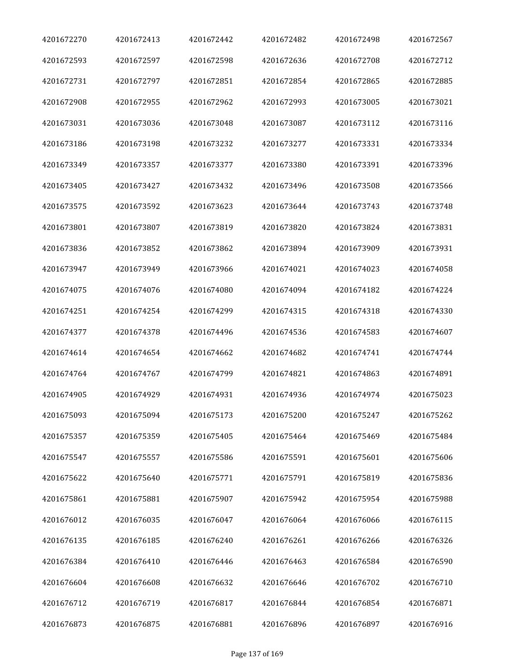| 4201672270 | 4201672413 | 4201672442 | 4201672482 | 4201672498 | 4201672567 |
|------------|------------|------------|------------|------------|------------|
| 4201672593 | 4201672597 | 4201672598 | 4201672636 | 4201672708 | 4201672712 |
| 4201672731 | 4201672797 | 4201672851 | 4201672854 | 4201672865 | 4201672885 |
| 4201672908 | 4201672955 | 4201672962 | 4201672993 | 4201673005 | 4201673021 |
| 4201673031 | 4201673036 | 4201673048 | 4201673087 | 4201673112 | 4201673116 |
| 4201673186 | 4201673198 | 4201673232 | 4201673277 | 4201673331 | 4201673334 |
| 4201673349 | 4201673357 | 4201673377 | 4201673380 | 4201673391 | 4201673396 |
| 4201673405 | 4201673427 | 4201673432 | 4201673496 | 4201673508 | 4201673566 |
| 4201673575 | 4201673592 | 4201673623 | 4201673644 | 4201673743 | 4201673748 |
| 4201673801 | 4201673807 | 4201673819 | 4201673820 | 4201673824 | 4201673831 |
| 4201673836 | 4201673852 | 4201673862 | 4201673894 | 4201673909 | 4201673931 |
| 4201673947 | 4201673949 | 4201673966 | 4201674021 | 4201674023 | 4201674058 |
| 4201674075 | 4201674076 | 4201674080 | 4201674094 | 4201674182 | 4201674224 |
| 4201674251 | 4201674254 | 4201674299 | 4201674315 | 4201674318 | 4201674330 |
| 4201674377 | 4201674378 | 4201674496 | 4201674536 | 4201674583 | 4201674607 |
| 4201674614 | 4201674654 | 4201674662 | 4201674682 | 4201674741 | 4201674744 |
| 4201674764 | 4201674767 | 4201674799 | 4201674821 | 4201674863 | 4201674891 |
| 4201674905 | 4201674929 | 4201674931 | 4201674936 | 4201674974 | 4201675023 |
| 4201675093 | 4201675094 | 4201675173 | 4201675200 | 4201675247 | 4201675262 |
| 4201675357 | 4201675359 | 4201675405 | 4201675464 | 4201675469 | 4201675484 |
| 4201675547 | 4201675557 | 4201675586 | 4201675591 | 4201675601 | 4201675606 |
| 4201675622 | 4201675640 | 4201675771 | 4201675791 | 4201675819 | 4201675836 |
| 4201675861 | 4201675881 | 4201675907 | 4201675942 | 4201675954 | 4201675988 |
| 4201676012 | 4201676035 | 4201676047 | 4201676064 | 4201676066 | 4201676115 |
| 4201676135 | 4201676185 | 4201676240 | 4201676261 | 4201676266 | 4201676326 |
| 4201676384 | 4201676410 | 4201676446 | 4201676463 | 4201676584 | 4201676590 |
| 4201676604 | 4201676608 | 4201676632 | 4201676646 | 4201676702 | 4201676710 |
| 4201676712 | 4201676719 | 4201676817 | 4201676844 | 4201676854 | 4201676871 |
| 4201676873 | 4201676875 | 4201676881 | 4201676896 | 4201676897 | 4201676916 |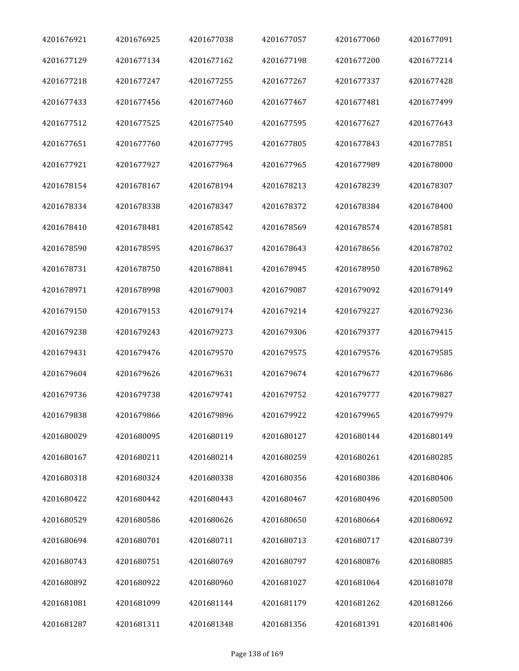| 4201676921 | 4201676925 | 4201677038 | 4201677057 | 4201677060 | 4201677091 |
|------------|------------|------------|------------|------------|------------|
| 4201677129 | 4201677134 | 4201677162 | 4201677198 | 4201677200 | 4201677214 |
| 4201677218 | 4201677247 | 4201677255 | 4201677267 | 4201677337 | 4201677428 |
| 4201677433 | 4201677456 | 4201677460 | 4201677467 | 4201677481 | 4201677499 |
| 4201677512 | 4201677525 | 4201677540 | 4201677595 | 4201677627 | 4201677643 |
| 4201677651 | 4201677760 | 4201677795 | 4201677805 | 4201677843 | 4201677851 |
| 4201677921 | 4201677927 | 4201677964 | 4201677965 | 4201677989 | 4201678000 |
| 4201678154 | 4201678167 | 4201678194 | 4201678213 | 4201678239 | 4201678307 |
| 4201678334 | 4201678338 | 4201678347 | 4201678372 | 4201678384 | 4201678400 |
| 4201678410 | 4201678481 | 4201678542 | 4201678569 | 4201678574 | 4201678581 |
| 4201678590 | 4201678595 | 4201678637 | 4201678643 | 4201678656 | 4201678702 |
| 4201678731 | 4201678750 | 4201678841 | 4201678945 | 4201678950 | 4201678962 |
| 4201678971 | 4201678998 | 4201679003 | 4201679087 | 4201679092 | 4201679149 |
| 4201679150 | 4201679153 | 4201679174 | 4201679214 | 4201679227 | 4201679236 |
| 4201679238 | 4201679243 | 4201679273 | 4201679306 | 4201679377 | 4201679415 |
| 4201679431 | 4201679476 | 4201679570 | 4201679575 | 4201679576 | 4201679585 |
| 4201679604 | 4201679626 | 4201679631 | 4201679674 | 4201679677 | 4201679686 |
| 4201679736 | 4201679738 | 4201679741 | 4201679752 | 4201679777 | 4201679827 |
| 4201679838 | 4201679866 | 4201679896 | 4201679922 | 4201679965 | 4201679979 |
| 4201680029 | 4201680095 | 4201680119 | 4201680127 | 4201680144 | 4201680149 |
| 4201680167 | 4201680211 | 4201680214 | 4201680259 | 4201680261 | 4201680285 |
| 4201680318 | 4201680324 | 4201680338 | 4201680356 | 4201680386 | 4201680406 |
| 4201680422 | 4201680442 | 4201680443 | 4201680467 | 4201680496 | 4201680500 |
| 4201680529 | 4201680586 | 4201680626 | 4201680650 | 4201680664 | 4201680692 |
| 4201680694 | 4201680701 | 4201680711 | 4201680713 | 4201680717 | 4201680739 |
| 4201680743 | 4201680751 | 4201680769 | 4201680797 | 4201680876 | 4201680885 |
| 4201680892 | 4201680922 | 4201680960 | 4201681027 | 4201681064 | 4201681078 |
| 4201681081 | 4201681099 | 4201681144 | 4201681179 | 4201681262 | 4201681266 |
| 4201681287 | 4201681311 | 4201681348 | 4201681356 | 4201681391 | 4201681406 |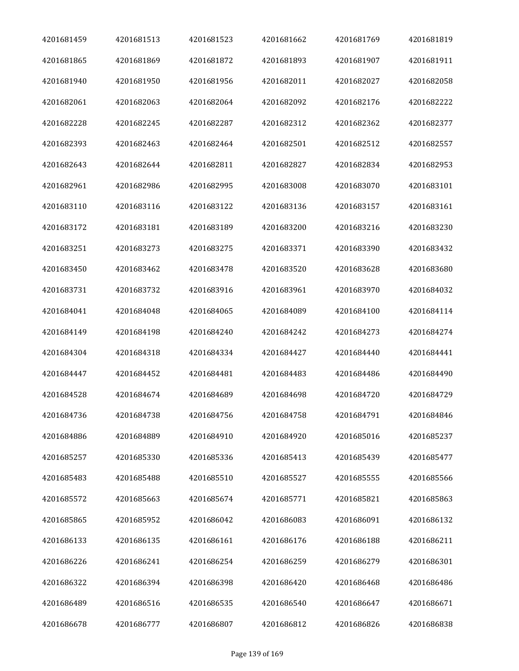| 4201681459 | 4201681513 | 4201681523 | 4201681662 | 4201681769 | 4201681819 |
|------------|------------|------------|------------|------------|------------|
| 4201681865 | 4201681869 | 4201681872 | 4201681893 | 4201681907 | 4201681911 |
| 4201681940 | 4201681950 | 4201681956 | 4201682011 | 4201682027 | 4201682058 |
| 4201682061 | 4201682063 | 4201682064 | 4201682092 | 4201682176 | 4201682222 |
| 4201682228 | 4201682245 | 4201682287 | 4201682312 | 4201682362 | 4201682377 |
| 4201682393 | 4201682463 | 4201682464 | 4201682501 | 4201682512 | 4201682557 |
| 4201682643 | 4201682644 | 4201682811 | 4201682827 | 4201682834 | 4201682953 |
| 4201682961 | 4201682986 | 4201682995 | 4201683008 | 4201683070 | 4201683101 |
| 4201683110 | 4201683116 | 4201683122 | 4201683136 | 4201683157 | 4201683161 |
| 4201683172 | 4201683181 | 4201683189 | 4201683200 | 4201683216 | 4201683230 |
| 4201683251 | 4201683273 | 4201683275 | 4201683371 | 4201683390 | 4201683432 |
| 4201683450 | 4201683462 | 4201683478 | 4201683520 | 4201683628 | 4201683680 |
| 4201683731 | 4201683732 | 4201683916 | 4201683961 | 4201683970 | 4201684032 |
| 4201684041 | 4201684048 | 4201684065 | 4201684089 | 4201684100 | 4201684114 |
| 4201684149 | 4201684198 | 4201684240 | 4201684242 | 4201684273 | 4201684274 |
| 4201684304 | 4201684318 | 4201684334 | 4201684427 | 4201684440 | 4201684441 |
| 4201684447 | 4201684452 | 4201684481 | 4201684483 | 4201684486 | 4201684490 |
| 4201684528 | 4201684674 | 4201684689 | 4201684698 | 4201684720 | 4201684729 |
| 4201684736 | 4201684738 | 4201684756 | 4201684758 | 4201684791 | 4201684846 |
| 4201684886 | 4201684889 | 4201684910 | 4201684920 | 4201685016 | 4201685237 |
| 4201685257 | 4201685330 | 4201685336 | 4201685413 | 4201685439 | 4201685477 |
| 4201685483 | 4201685488 | 4201685510 | 4201685527 | 4201685555 | 4201685566 |
| 4201685572 | 4201685663 | 4201685674 | 4201685771 | 4201685821 | 4201685863 |
| 4201685865 | 4201685952 | 4201686042 | 4201686083 | 4201686091 | 4201686132 |
| 4201686133 | 4201686135 | 4201686161 | 4201686176 | 4201686188 | 4201686211 |
| 4201686226 | 4201686241 | 4201686254 | 4201686259 | 4201686279 | 4201686301 |
| 4201686322 | 4201686394 | 4201686398 | 4201686420 | 4201686468 | 4201686486 |
| 4201686489 | 4201686516 | 4201686535 | 4201686540 | 4201686647 | 4201686671 |
| 4201686678 | 4201686777 | 4201686807 | 4201686812 | 4201686826 | 4201686838 |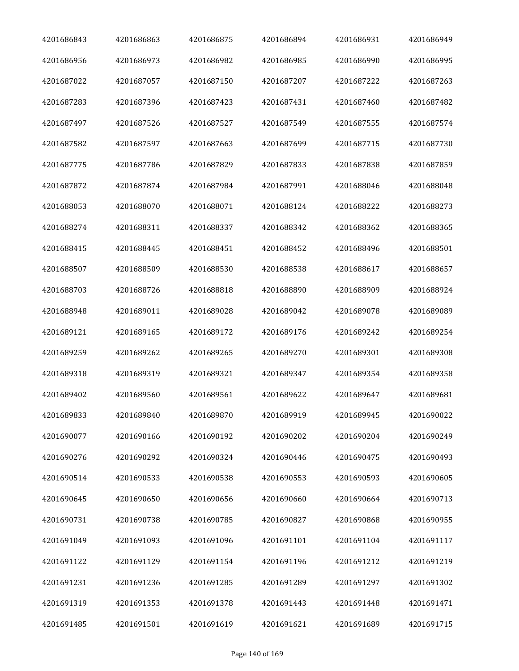| 4201686843 | 4201686863 | 4201686875 | 4201686894 | 4201686931 | 4201686949 |
|------------|------------|------------|------------|------------|------------|
| 4201686956 | 4201686973 | 4201686982 | 4201686985 | 4201686990 | 4201686995 |
| 4201687022 | 4201687057 | 4201687150 | 4201687207 | 4201687222 | 4201687263 |
| 4201687283 | 4201687396 | 4201687423 | 4201687431 | 4201687460 | 4201687482 |
| 4201687497 | 4201687526 | 4201687527 | 4201687549 | 4201687555 | 4201687574 |
| 4201687582 | 4201687597 | 4201687663 | 4201687699 | 4201687715 | 4201687730 |
| 4201687775 | 4201687786 | 4201687829 | 4201687833 | 4201687838 | 4201687859 |
| 4201687872 | 4201687874 | 4201687984 | 4201687991 | 4201688046 | 4201688048 |
| 4201688053 | 4201688070 | 4201688071 | 4201688124 | 4201688222 | 4201688273 |
| 4201688274 | 4201688311 | 4201688337 | 4201688342 | 4201688362 | 4201688365 |
| 4201688415 | 4201688445 | 4201688451 | 4201688452 | 4201688496 | 4201688501 |
| 4201688507 | 4201688509 | 4201688530 | 4201688538 | 4201688617 | 4201688657 |
| 4201688703 | 4201688726 | 4201688818 | 4201688890 | 4201688909 | 4201688924 |
| 4201688948 | 4201689011 | 4201689028 | 4201689042 | 4201689078 | 4201689089 |
| 4201689121 | 4201689165 | 4201689172 | 4201689176 | 4201689242 | 4201689254 |
| 4201689259 | 4201689262 | 4201689265 | 4201689270 | 4201689301 | 4201689308 |
| 4201689318 | 4201689319 | 4201689321 | 4201689347 | 4201689354 | 4201689358 |
| 4201689402 | 4201689560 | 4201689561 | 4201689622 | 4201689647 | 4201689681 |
| 4201689833 | 4201689840 | 4201689870 | 4201689919 | 4201689945 | 4201690022 |
| 4201690077 | 4201690166 | 4201690192 | 4201690202 | 4201690204 | 4201690249 |
| 4201690276 | 4201690292 | 4201690324 | 4201690446 | 4201690475 | 4201690493 |
| 4201690514 | 4201690533 | 4201690538 | 4201690553 | 4201690593 | 4201690605 |
| 4201690645 | 4201690650 | 4201690656 | 4201690660 | 4201690664 | 4201690713 |
| 4201690731 | 4201690738 | 4201690785 | 4201690827 | 4201690868 | 4201690955 |
| 4201691049 | 4201691093 | 4201691096 | 4201691101 | 4201691104 | 4201691117 |
| 4201691122 | 4201691129 | 4201691154 | 4201691196 | 4201691212 | 4201691219 |
| 4201691231 | 4201691236 | 4201691285 | 4201691289 | 4201691297 | 4201691302 |
| 4201691319 | 4201691353 | 4201691378 | 4201691443 | 4201691448 | 4201691471 |
| 4201691485 | 4201691501 | 4201691619 | 4201691621 | 4201691689 | 4201691715 |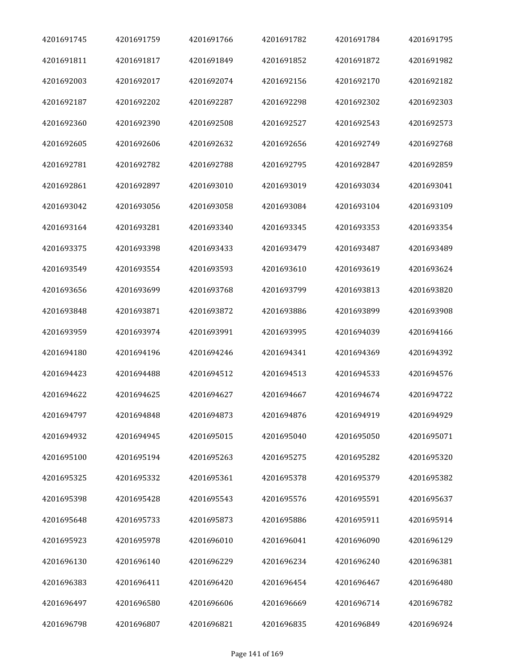| 4201691745 | 4201691759 | 4201691766 | 4201691782 | 4201691784 | 4201691795 |
|------------|------------|------------|------------|------------|------------|
| 4201691811 | 4201691817 | 4201691849 | 4201691852 | 4201691872 | 4201691982 |
| 4201692003 | 4201692017 | 4201692074 | 4201692156 | 4201692170 | 4201692182 |
| 4201692187 | 4201692202 | 4201692287 | 4201692298 | 4201692302 | 4201692303 |
| 4201692360 | 4201692390 | 4201692508 | 4201692527 | 4201692543 | 4201692573 |
| 4201692605 | 4201692606 | 4201692632 | 4201692656 | 4201692749 | 4201692768 |
| 4201692781 | 4201692782 | 4201692788 | 4201692795 | 4201692847 | 4201692859 |
| 4201692861 | 4201692897 | 4201693010 | 4201693019 | 4201693034 | 4201693041 |
| 4201693042 | 4201693056 | 4201693058 | 4201693084 | 4201693104 | 4201693109 |
| 4201693164 | 4201693281 | 4201693340 | 4201693345 | 4201693353 | 4201693354 |
| 4201693375 | 4201693398 | 4201693433 | 4201693479 | 4201693487 | 4201693489 |
| 4201693549 | 4201693554 | 4201693593 | 4201693610 | 4201693619 | 4201693624 |
| 4201693656 | 4201693699 | 4201693768 | 4201693799 | 4201693813 | 4201693820 |
| 4201693848 | 4201693871 | 4201693872 | 4201693886 | 4201693899 | 4201693908 |
| 4201693959 | 4201693974 | 4201693991 | 4201693995 | 4201694039 | 4201694166 |
| 4201694180 | 4201694196 | 4201694246 | 4201694341 | 4201694369 | 4201694392 |
| 4201694423 | 4201694488 | 4201694512 | 4201694513 | 4201694533 | 4201694576 |
| 4201694622 | 4201694625 | 4201694627 | 4201694667 | 4201694674 | 4201694722 |
| 4201694797 | 4201694848 | 4201694873 | 4201694876 | 4201694919 | 4201694929 |
| 4201694932 | 4201694945 | 4201695015 | 4201695040 | 4201695050 | 4201695071 |
| 4201695100 | 4201695194 | 4201695263 | 4201695275 | 4201695282 | 4201695320 |
| 4201695325 | 4201695332 | 4201695361 | 4201695378 | 4201695379 | 4201695382 |
| 4201695398 | 4201695428 | 4201695543 | 4201695576 | 4201695591 | 4201695637 |
| 4201695648 | 4201695733 | 4201695873 | 4201695886 | 4201695911 | 4201695914 |
| 4201695923 | 4201695978 | 4201696010 | 4201696041 | 4201696090 | 4201696129 |
| 4201696130 | 4201696140 | 4201696229 | 4201696234 | 4201696240 | 4201696381 |
| 4201696383 | 4201696411 | 4201696420 | 4201696454 | 4201696467 | 4201696480 |
| 4201696497 | 4201696580 | 4201696606 | 4201696669 | 4201696714 | 4201696782 |
| 4201696798 | 4201696807 | 4201696821 | 4201696835 | 4201696849 | 4201696924 |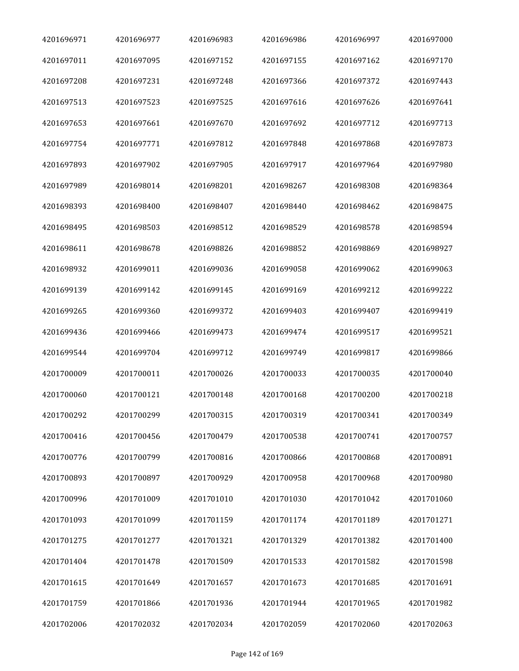| 4201696971 | 4201696977 | 4201696983 | 4201696986 | 4201696997 | 4201697000 |
|------------|------------|------------|------------|------------|------------|
| 4201697011 | 4201697095 | 4201697152 | 4201697155 | 4201697162 | 4201697170 |
| 4201697208 | 4201697231 | 4201697248 | 4201697366 | 4201697372 | 4201697443 |
| 4201697513 | 4201697523 | 4201697525 | 4201697616 | 4201697626 | 4201697641 |
| 4201697653 | 4201697661 | 4201697670 | 4201697692 | 4201697712 | 4201697713 |
| 4201697754 | 4201697771 | 4201697812 | 4201697848 | 4201697868 | 4201697873 |
| 4201697893 | 4201697902 | 4201697905 | 4201697917 | 4201697964 | 4201697980 |
| 4201697989 | 4201698014 | 4201698201 | 4201698267 | 4201698308 | 4201698364 |
| 4201698393 | 4201698400 | 4201698407 | 4201698440 | 4201698462 | 4201698475 |
| 4201698495 | 4201698503 | 4201698512 | 4201698529 | 4201698578 | 4201698594 |
| 4201698611 | 4201698678 | 4201698826 | 4201698852 | 4201698869 | 4201698927 |
| 4201698932 | 4201699011 | 4201699036 | 4201699058 | 4201699062 | 4201699063 |
| 4201699139 | 4201699142 | 4201699145 | 4201699169 | 4201699212 | 4201699222 |
| 4201699265 | 4201699360 | 4201699372 | 4201699403 | 4201699407 | 4201699419 |
| 4201699436 | 4201699466 | 4201699473 | 4201699474 | 4201699517 | 4201699521 |
| 4201699544 | 4201699704 | 4201699712 | 4201699749 | 4201699817 | 4201699866 |
| 4201700009 | 4201700011 | 4201700026 | 4201700033 | 4201700035 | 4201700040 |
| 4201700060 | 4201700121 | 4201700148 | 4201700168 | 4201700200 | 4201700218 |
| 4201700292 | 4201700299 | 4201700315 | 4201700319 | 4201700341 | 4201700349 |
| 4201700416 | 4201700456 | 4201700479 | 4201700538 | 4201700741 | 4201700757 |
| 4201700776 | 4201700799 | 4201700816 | 4201700866 | 4201700868 | 4201700891 |
| 4201700893 | 4201700897 | 4201700929 | 4201700958 | 4201700968 | 4201700980 |
| 4201700996 | 4201701009 | 4201701010 | 4201701030 | 4201701042 | 4201701060 |
| 4201701093 | 4201701099 | 4201701159 | 4201701174 | 4201701189 | 4201701271 |
| 4201701275 | 4201701277 | 4201701321 | 4201701329 | 4201701382 | 4201701400 |
| 4201701404 | 4201701478 | 4201701509 | 4201701533 | 4201701582 | 4201701598 |
| 4201701615 | 4201701649 | 4201701657 | 4201701673 | 4201701685 | 4201701691 |
| 4201701759 | 4201701866 | 4201701936 | 4201701944 | 4201701965 | 4201701982 |
| 4201702006 | 4201702032 | 4201702034 | 4201702059 | 4201702060 | 4201702063 |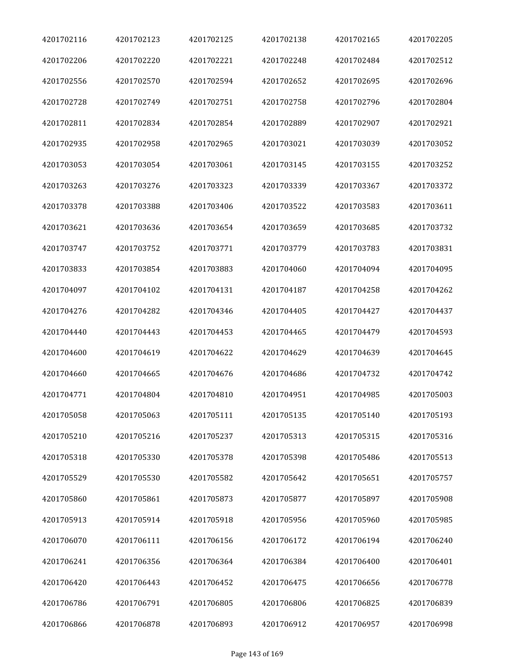| 4201702116 | 4201702123 | 4201702125 | 4201702138 | 4201702165 | 4201702205 |
|------------|------------|------------|------------|------------|------------|
| 4201702206 | 4201702220 | 4201702221 | 4201702248 | 4201702484 | 4201702512 |
| 4201702556 | 4201702570 | 4201702594 | 4201702652 | 4201702695 | 4201702696 |
| 4201702728 | 4201702749 | 4201702751 | 4201702758 | 4201702796 | 4201702804 |
| 4201702811 | 4201702834 | 4201702854 | 4201702889 | 4201702907 | 4201702921 |
| 4201702935 | 4201702958 | 4201702965 | 4201703021 | 4201703039 | 4201703052 |
| 4201703053 | 4201703054 | 4201703061 | 4201703145 | 4201703155 | 4201703252 |
| 4201703263 | 4201703276 | 4201703323 | 4201703339 | 4201703367 | 4201703372 |
| 4201703378 | 4201703388 | 4201703406 | 4201703522 | 4201703583 | 4201703611 |
| 4201703621 | 4201703636 | 4201703654 | 4201703659 | 4201703685 | 4201703732 |
| 4201703747 | 4201703752 | 4201703771 | 4201703779 | 4201703783 | 4201703831 |
| 4201703833 | 4201703854 | 4201703883 | 4201704060 | 4201704094 | 4201704095 |
| 4201704097 | 4201704102 | 4201704131 | 4201704187 | 4201704258 | 4201704262 |
| 4201704276 | 4201704282 | 4201704346 | 4201704405 | 4201704427 | 4201704437 |
| 4201704440 | 4201704443 | 4201704453 | 4201704465 | 4201704479 | 4201704593 |
| 4201704600 | 4201704619 | 4201704622 | 4201704629 | 4201704639 | 4201704645 |
| 4201704660 | 4201704665 | 4201704676 | 4201704686 | 4201704732 | 4201704742 |
| 4201704771 | 4201704804 | 4201704810 | 4201704951 | 4201704985 | 4201705003 |
| 4201705058 | 4201705063 | 4201705111 | 4201705135 | 4201705140 | 4201705193 |
| 4201705210 | 4201705216 | 4201705237 | 4201705313 | 4201705315 | 4201705316 |
| 4201705318 | 4201705330 | 4201705378 | 4201705398 | 4201705486 | 4201705513 |
| 4201705529 | 4201705530 | 4201705582 | 4201705642 | 4201705651 | 4201705757 |
| 4201705860 | 4201705861 | 4201705873 | 4201705877 | 4201705897 | 4201705908 |
| 4201705913 | 4201705914 | 4201705918 | 4201705956 | 4201705960 | 4201705985 |
| 4201706070 | 4201706111 | 4201706156 | 4201706172 | 4201706194 | 4201706240 |
| 4201706241 | 4201706356 | 4201706364 | 4201706384 | 4201706400 | 4201706401 |
| 4201706420 | 4201706443 | 4201706452 | 4201706475 | 4201706656 | 4201706778 |
| 4201706786 | 4201706791 | 4201706805 | 4201706806 | 4201706825 | 4201706839 |
| 4201706866 | 4201706878 | 4201706893 | 4201706912 | 4201706957 | 4201706998 |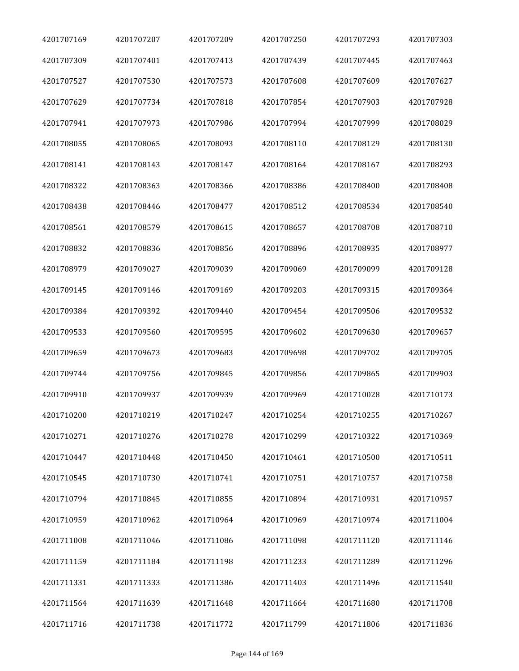| 4201707169 | 4201707207 | 4201707209 | 4201707250 | 4201707293 | 4201707303 |
|------------|------------|------------|------------|------------|------------|
| 4201707309 | 4201707401 | 4201707413 | 4201707439 | 4201707445 | 4201707463 |
| 4201707527 | 4201707530 | 4201707573 | 4201707608 | 4201707609 | 4201707627 |
| 4201707629 | 4201707734 | 4201707818 | 4201707854 | 4201707903 | 4201707928 |
| 4201707941 | 4201707973 | 4201707986 | 4201707994 | 4201707999 | 4201708029 |
| 4201708055 | 4201708065 | 4201708093 | 4201708110 | 4201708129 | 4201708130 |
| 4201708141 | 4201708143 | 4201708147 | 4201708164 | 4201708167 | 4201708293 |
| 4201708322 | 4201708363 | 4201708366 | 4201708386 | 4201708400 | 4201708408 |
| 4201708438 | 4201708446 | 4201708477 | 4201708512 | 4201708534 | 4201708540 |
| 4201708561 | 4201708579 | 4201708615 | 4201708657 | 4201708708 | 4201708710 |
| 4201708832 | 4201708836 | 4201708856 | 4201708896 | 4201708935 | 4201708977 |
| 4201708979 | 4201709027 | 4201709039 | 4201709069 | 4201709099 | 4201709128 |
| 4201709145 | 4201709146 | 4201709169 | 4201709203 | 4201709315 | 4201709364 |
| 4201709384 | 4201709392 | 4201709440 | 4201709454 | 4201709506 | 4201709532 |
| 4201709533 | 4201709560 | 4201709595 | 4201709602 | 4201709630 | 4201709657 |
| 4201709659 | 4201709673 | 4201709683 | 4201709698 | 4201709702 | 4201709705 |
| 4201709744 | 4201709756 | 4201709845 | 4201709856 | 4201709865 | 4201709903 |
| 4201709910 | 4201709937 | 4201709939 | 4201709969 | 4201710028 | 4201710173 |
| 4201710200 | 4201710219 | 4201710247 | 4201710254 | 4201710255 | 4201710267 |
| 4201710271 | 4201710276 | 4201710278 | 4201710299 | 4201710322 | 4201710369 |
| 4201710447 | 4201710448 | 4201710450 | 4201710461 | 4201710500 | 4201710511 |
| 4201710545 | 4201710730 | 4201710741 | 4201710751 | 4201710757 | 4201710758 |
| 4201710794 | 4201710845 | 4201710855 | 4201710894 | 4201710931 | 4201710957 |
| 4201710959 | 4201710962 | 4201710964 | 4201710969 | 4201710974 | 4201711004 |
| 4201711008 | 4201711046 | 4201711086 | 4201711098 | 4201711120 | 4201711146 |
| 4201711159 | 4201711184 | 4201711198 | 4201711233 | 4201711289 | 4201711296 |
| 4201711331 | 4201711333 | 4201711386 | 4201711403 | 4201711496 | 4201711540 |
| 4201711564 | 4201711639 | 4201711648 | 4201711664 | 4201711680 | 4201711708 |
| 4201711716 | 4201711738 | 4201711772 | 4201711799 | 4201711806 | 4201711836 |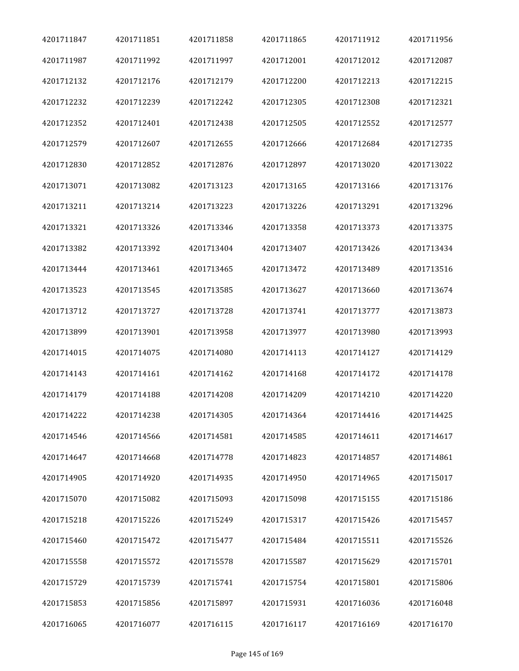| 4201711847 | 4201711851 | 4201711858 | 4201711865 | 4201711912 | 4201711956 |
|------------|------------|------------|------------|------------|------------|
| 4201711987 | 4201711992 | 4201711997 | 4201712001 | 4201712012 | 4201712087 |
| 4201712132 | 4201712176 | 4201712179 | 4201712200 | 4201712213 | 4201712215 |
| 4201712232 | 4201712239 | 4201712242 | 4201712305 | 4201712308 | 4201712321 |
| 4201712352 | 4201712401 | 4201712438 | 4201712505 | 4201712552 | 4201712577 |
| 4201712579 | 4201712607 | 4201712655 | 4201712666 | 4201712684 | 4201712735 |
| 4201712830 | 4201712852 | 4201712876 | 4201712897 | 4201713020 | 4201713022 |
| 4201713071 | 4201713082 | 4201713123 | 4201713165 | 4201713166 | 4201713176 |
| 4201713211 | 4201713214 | 4201713223 | 4201713226 | 4201713291 | 4201713296 |
| 4201713321 | 4201713326 | 4201713346 | 4201713358 | 4201713373 | 4201713375 |
| 4201713382 | 4201713392 | 4201713404 | 4201713407 | 4201713426 | 4201713434 |
| 4201713444 | 4201713461 | 4201713465 | 4201713472 | 4201713489 | 4201713516 |
| 4201713523 | 4201713545 | 4201713585 | 4201713627 | 4201713660 | 4201713674 |
| 4201713712 | 4201713727 | 4201713728 | 4201713741 | 4201713777 | 4201713873 |
| 4201713899 | 4201713901 | 4201713958 | 4201713977 | 4201713980 | 4201713993 |
| 4201714015 | 4201714075 | 4201714080 | 4201714113 | 4201714127 | 4201714129 |
| 4201714143 | 4201714161 | 4201714162 | 4201714168 | 4201714172 | 4201714178 |
| 4201714179 | 4201714188 | 4201714208 | 4201714209 | 4201714210 | 4201714220 |
| 4201714222 | 4201714238 | 4201714305 | 4201714364 | 4201714416 | 4201714425 |
| 4201714546 | 4201714566 | 4201714581 | 4201714585 | 4201714611 | 4201714617 |
| 4201714647 | 4201714668 | 4201714778 | 4201714823 | 4201714857 | 4201714861 |
| 4201714905 | 4201714920 | 4201714935 | 4201714950 | 4201714965 | 4201715017 |
| 4201715070 | 4201715082 | 4201715093 | 4201715098 | 4201715155 | 4201715186 |
| 4201715218 | 4201715226 | 4201715249 | 4201715317 | 4201715426 | 4201715457 |
| 4201715460 | 4201715472 | 4201715477 | 4201715484 | 4201715511 | 4201715526 |
| 4201715558 | 4201715572 | 4201715578 | 4201715587 | 4201715629 | 4201715701 |
| 4201715729 | 4201715739 | 4201715741 | 4201715754 | 4201715801 | 4201715806 |
| 4201715853 | 4201715856 | 4201715897 | 4201715931 | 4201716036 | 4201716048 |
| 4201716065 | 4201716077 | 4201716115 | 4201716117 | 4201716169 | 4201716170 |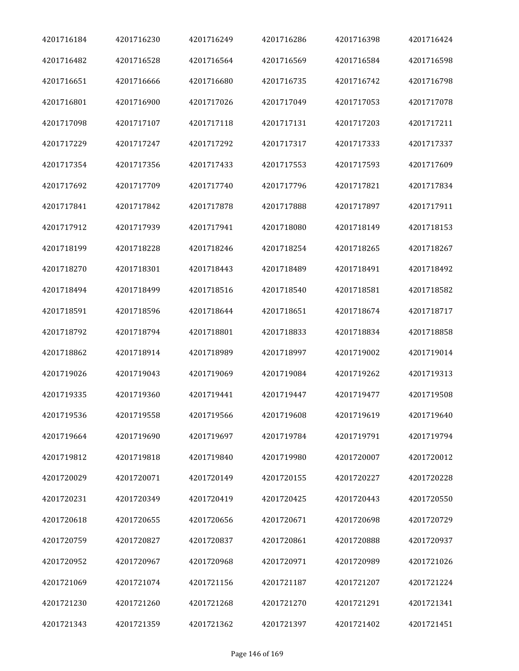| 4201716184 | 4201716230 | 4201716249 | 4201716286 | 4201716398 | 4201716424 |
|------------|------------|------------|------------|------------|------------|
| 4201716482 | 4201716528 | 4201716564 | 4201716569 | 4201716584 | 4201716598 |
| 4201716651 | 4201716666 | 4201716680 | 4201716735 | 4201716742 | 4201716798 |
| 4201716801 | 4201716900 | 4201717026 | 4201717049 | 4201717053 | 4201717078 |
| 4201717098 | 4201717107 | 4201717118 | 4201717131 | 4201717203 | 4201717211 |
| 4201717229 | 4201717247 | 4201717292 | 4201717317 | 4201717333 | 4201717337 |
| 4201717354 | 4201717356 | 4201717433 | 4201717553 | 4201717593 | 4201717609 |
| 4201717692 | 4201717709 | 4201717740 | 4201717796 | 4201717821 | 4201717834 |
| 4201717841 | 4201717842 | 4201717878 | 4201717888 | 4201717897 | 4201717911 |
| 4201717912 | 4201717939 | 4201717941 | 4201718080 | 4201718149 | 4201718153 |
| 4201718199 | 4201718228 | 4201718246 | 4201718254 | 4201718265 | 4201718267 |
| 4201718270 | 4201718301 | 4201718443 | 4201718489 | 4201718491 | 4201718492 |
| 4201718494 | 4201718499 | 4201718516 | 4201718540 | 4201718581 | 4201718582 |
| 4201718591 | 4201718596 | 4201718644 | 4201718651 | 4201718674 | 4201718717 |
| 4201718792 | 4201718794 | 4201718801 | 4201718833 | 4201718834 | 4201718858 |
| 4201718862 | 4201718914 | 4201718989 | 4201718997 | 4201719002 | 4201719014 |
| 4201719026 | 4201719043 | 4201719069 | 4201719084 | 4201719262 | 4201719313 |
| 4201719335 | 4201719360 | 4201719441 | 4201719447 | 4201719477 | 4201719508 |
| 4201719536 | 4201719558 | 4201719566 | 4201719608 | 4201719619 | 4201719640 |
| 4201719664 | 4201719690 | 4201719697 | 4201719784 | 4201719791 | 4201719794 |
| 4201719812 | 4201719818 | 4201719840 | 4201719980 | 4201720007 | 4201720012 |
| 4201720029 | 4201720071 | 4201720149 | 4201720155 | 4201720227 | 4201720228 |
| 4201720231 | 4201720349 | 4201720419 | 4201720425 | 4201720443 | 4201720550 |
| 4201720618 | 4201720655 | 4201720656 | 4201720671 | 4201720698 | 4201720729 |
| 4201720759 | 4201720827 | 4201720837 | 4201720861 | 4201720888 | 4201720937 |
| 4201720952 | 4201720967 | 4201720968 | 4201720971 | 4201720989 | 4201721026 |
| 4201721069 | 4201721074 | 4201721156 | 4201721187 | 4201721207 | 4201721224 |
| 4201721230 | 4201721260 | 4201721268 | 4201721270 | 4201721291 | 4201721341 |
| 4201721343 | 4201721359 | 4201721362 | 4201721397 | 4201721402 | 4201721451 |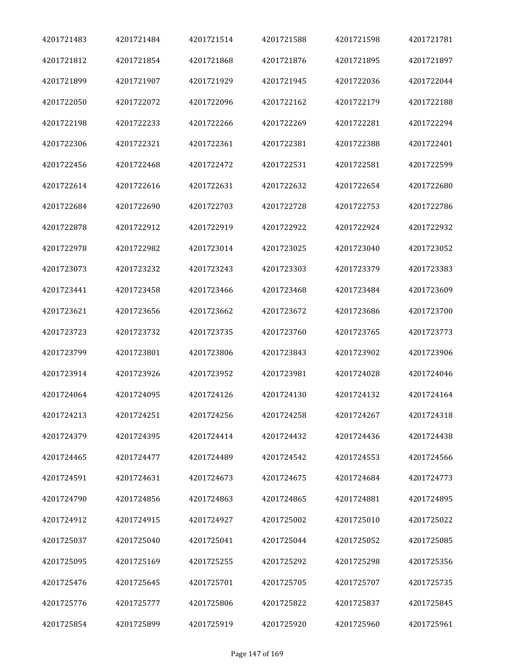| 4201721483 | 4201721484 | 4201721514 | 4201721588 | 4201721598 | 4201721781 |
|------------|------------|------------|------------|------------|------------|
| 4201721812 | 4201721854 | 4201721868 | 4201721876 | 4201721895 | 4201721897 |
| 4201721899 | 4201721907 | 4201721929 | 4201721945 | 4201722036 | 4201722044 |
| 4201722050 | 4201722072 | 4201722096 | 4201722162 | 4201722179 | 4201722188 |
| 4201722198 | 4201722233 | 4201722266 | 4201722269 | 4201722281 | 4201722294 |
| 4201722306 | 4201722321 | 4201722361 | 4201722381 | 4201722388 | 4201722401 |
| 4201722456 | 4201722468 | 4201722472 | 4201722531 | 4201722581 | 4201722599 |
| 4201722614 | 4201722616 | 4201722631 | 4201722632 | 4201722654 | 4201722680 |
| 4201722684 | 4201722690 | 4201722703 | 4201722728 | 4201722753 | 4201722786 |
| 4201722878 | 4201722912 | 4201722919 | 4201722922 | 4201722924 | 4201722932 |
| 4201722978 | 4201722982 | 4201723014 | 4201723025 | 4201723040 | 4201723052 |
| 4201723073 | 4201723232 | 4201723243 | 4201723303 | 4201723379 | 4201723383 |
| 4201723441 | 4201723458 | 4201723466 | 4201723468 | 4201723484 | 4201723609 |
| 4201723621 | 4201723656 | 4201723662 | 4201723672 | 4201723686 | 4201723700 |
| 4201723723 | 4201723732 | 4201723735 | 4201723760 | 4201723765 | 4201723773 |
| 4201723799 | 4201723801 | 4201723806 | 4201723843 | 4201723902 | 4201723906 |
| 4201723914 | 4201723926 | 4201723952 | 4201723981 | 4201724028 | 4201724046 |
| 4201724064 | 4201724095 | 4201724126 | 4201724130 | 4201724132 | 4201724164 |
| 4201724213 | 4201724251 | 4201724256 | 4201724258 | 4201724267 | 4201724318 |
| 4201724379 | 4201724395 | 4201724414 | 4201724432 | 4201724436 | 4201724438 |
| 4201724465 | 4201724477 | 4201724489 | 4201724542 | 4201724553 | 4201724566 |
| 4201724591 | 4201724631 | 4201724673 | 4201724675 | 4201724684 | 4201724773 |
| 4201724790 | 4201724856 | 4201724863 | 4201724865 | 4201724881 | 4201724895 |
| 4201724912 | 4201724915 | 4201724927 | 4201725002 | 4201725010 | 4201725022 |
| 4201725037 | 4201725040 | 4201725041 | 4201725044 | 4201725052 | 4201725085 |
| 4201725095 | 4201725169 | 4201725255 | 4201725292 | 4201725298 | 4201725356 |
| 4201725476 | 4201725645 | 4201725701 | 4201725705 | 4201725707 | 4201725735 |
| 4201725776 | 4201725777 | 4201725806 | 4201725822 | 4201725837 | 4201725845 |
| 4201725854 | 4201725899 | 4201725919 | 4201725920 | 4201725960 | 4201725961 |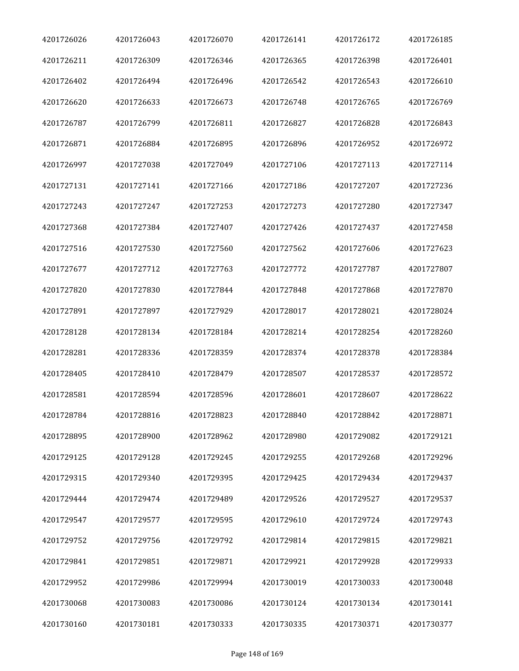| 4201726026 | 4201726043 | 4201726070 | 4201726141 | 4201726172 | 4201726185 |
|------------|------------|------------|------------|------------|------------|
| 4201726211 | 4201726309 | 4201726346 | 4201726365 | 4201726398 | 4201726401 |
| 4201726402 | 4201726494 | 4201726496 | 4201726542 | 4201726543 | 4201726610 |
| 4201726620 | 4201726633 | 4201726673 | 4201726748 | 4201726765 | 4201726769 |
| 4201726787 | 4201726799 | 4201726811 | 4201726827 | 4201726828 | 4201726843 |
| 4201726871 | 4201726884 | 4201726895 | 4201726896 | 4201726952 | 4201726972 |
| 4201726997 | 4201727038 | 4201727049 | 4201727106 | 4201727113 | 4201727114 |
| 4201727131 | 4201727141 | 4201727166 | 4201727186 | 4201727207 | 4201727236 |
| 4201727243 | 4201727247 | 4201727253 | 4201727273 | 4201727280 | 4201727347 |
| 4201727368 | 4201727384 | 4201727407 | 4201727426 | 4201727437 | 4201727458 |
| 4201727516 | 4201727530 | 4201727560 | 4201727562 | 4201727606 | 4201727623 |
| 4201727677 | 4201727712 | 4201727763 | 4201727772 | 4201727787 | 4201727807 |
| 4201727820 | 4201727830 | 4201727844 | 4201727848 | 4201727868 | 4201727870 |
| 4201727891 | 4201727897 | 4201727929 | 4201728017 | 4201728021 | 4201728024 |
| 4201728128 | 4201728134 | 4201728184 | 4201728214 | 4201728254 | 4201728260 |
| 4201728281 | 4201728336 | 4201728359 | 4201728374 | 4201728378 | 4201728384 |
| 4201728405 | 4201728410 | 4201728479 | 4201728507 | 4201728537 | 4201728572 |
| 4201728581 | 4201728594 | 4201728596 | 4201728601 | 4201728607 | 4201728622 |
| 4201728784 | 4201728816 | 4201728823 | 4201728840 | 4201728842 | 4201728871 |
| 4201728895 | 4201728900 | 4201728962 | 4201728980 | 4201729082 | 4201729121 |
| 4201729125 | 4201729128 | 4201729245 | 4201729255 | 4201729268 | 4201729296 |
| 4201729315 | 4201729340 | 4201729395 | 4201729425 | 4201729434 | 4201729437 |
| 4201729444 | 4201729474 | 4201729489 | 4201729526 | 4201729527 | 4201729537 |
| 4201729547 | 4201729577 | 4201729595 | 4201729610 | 4201729724 | 4201729743 |
| 4201729752 | 4201729756 | 4201729792 | 4201729814 | 4201729815 | 4201729821 |
| 4201729841 | 4201729851 | 4201729871 | 4201729921 | 4201729928 | 4201729933 |
| 4201729952 | 4201729986 | 4201729994 | 4201730019 | 4201730033 | 4201730048 |
| 4201730068 | 4201730083 | 4201730086 | 4201730124 | 4201730134 | 4201730141 |
| 4201730160 | 4201730181 | 4201730333 | 4201730335 | 4201730371 | 4201730377 |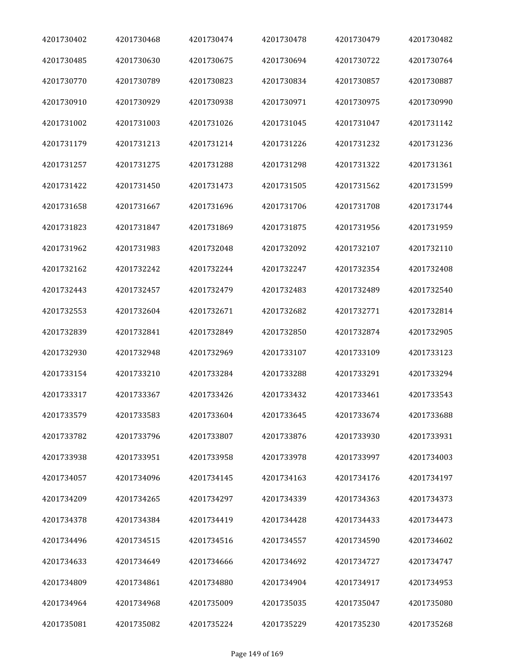| 4201730402 | 4201730468 | 4201730474 | 4201730478 | 4201730479 | 4201730482 |
|------------|------------|------------|------------|------------|------------|
| 4201730485 | 4201730630 | 4201730675 | 4201730694 | 4201730722 | 4201730764 |
| 4201730770 | 4201730789 | 4201730823 | 4201730834 | 4201730857 | 4201730887 |
| 4201730910 | 4201730929 | 4201730938 | 4201730971 | 4201730975 | 4201730990 |
| 4201731002 | 4201731003 | 4201731026 | 4201731045 | 4201731047 | 4201731142 |
| 4201731179 | 4201731213 | 4201731214 | 4201731226 | 4201731232 | 4201731236 |
| 4201731257 | 4201731275 | 4201731288 | 4201731298 | 4201731322 | 4201731361 |
| 4201731422 | 4201731450 | 4201731473 | 4201731505 | 4201731562 | 4201731599 |
| 4201731658 | 4201731667 | 4201731696 | 4201731706 | 4201731708 | 4201731744 |
| 4201731823 | 4201731847 | 4201731869 | 4201731875 | 4201731956 | 4201731959 |
| 4201731962 | 4201731983 | 4201732048 | 4201732092 | 4201732107 | 4201732110 |
| 4201732162 | 4201732242 | 4201732244 | 4201732247 | 4201732354 | 4201732408 |
| 4201732443 | 4201732457 | 4201732479 | 4201732483 | 4201732489 | 4201732540 |
| 4201732553 | 4201732604 | 4201732671 | 4201732682 | 4201732771 | 4201732814 |
| 4201732839 | 4201732841 | 4201732849 | 4201732850 | 4201732874 | 4201732905 |
| 4201732930 | 4201732948 | 4201732969 | 4201733107 | 4201733109 | 4201733123 |
| 4201733154 | 4201733210 | 4201733284 | 4201733288 | 4201733291 | 4201733294 |
| 4201733317 | 4201733367 | 4201733426 | 4201733432 | 4201733461 | 4201733543 |
| 4201733579 | 4201733583 | 4201733604 | 4201733645 | 4201733674 | 4201733688 |
| 4201733782 | 4201733796 | 4201733807 | 4201733876 | 4201733930 | 4201733931 |
| 4201733938 | 4201733951 | 4201733958 | 4201733978 | 4201733997 | 4201734003 |
| 4201734057 | 4201734096 | 4201734145 | 4201734163 | 4201734176 | 4201734197 |
| 4201734209 | 4201734265 | 4201734297 | 4201734339 | 4201734363 | 4201734373 |
| 4201734378 | 4201734384 | 4201734419 | 4201734428 | 4201734433 | 4201734473 |
| 4201734496 | 4201734515 | 4201734516 | 4201734557 | 4201734590 | 4201734602 |
| 4201734633 | 4201734649 | 4201734666 | 4201734692 | 4201734727 | 4201734747 |
| 4201734809 | 4201734861 | 4201734880 | 4201734904 | 4201734917 | 4201734953 |
| 4201734964 | 4201734968 | 4201735009 | 4201735035 | 4201735047 | 4201735080 |
| 4201735081 | 4201735082 | 4201735224 | 4201735229 | 4201735230 | 4201735268 |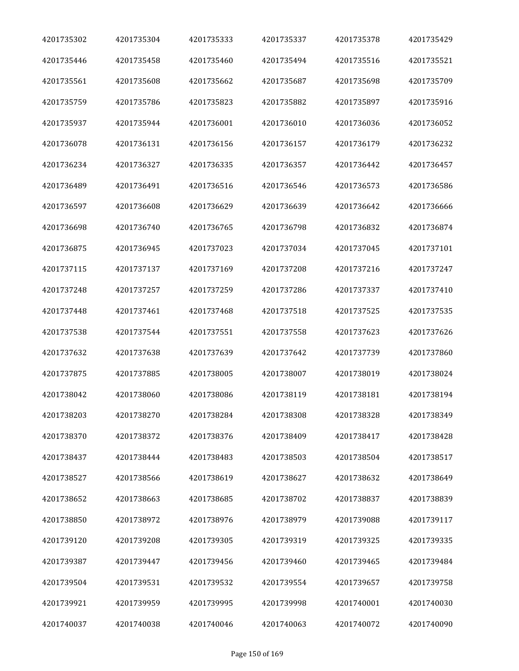| 4201735302 | 4201735304 | 4201735333 | 4201735337 | 4201735378 | 4201735429 |
|------------|------------|------------|------------|------------|------------|
| 4201735446 | 4201735458 | 4201735460 | 4201735494 | 4201735516 | 4201735521 |
| 4201735561 | 4201735608 | 4201735662 | 4201735687 | 4201735698 | 4201735709 |
| 4201735759 | 4201735786 | 4201735823 | 4201735882 | 4201735897 | 4201735916 |
| 4201735937 | 4201735944 | 4201736001 | 4201736010 | 4201736036 | 4201736052 |
| 4201736078 | 4201736131 | 4201736156 | 4201736157 | 4201736179 | 4201736232 |
| 4201736234 | 4201736327 | 4201736335 | 4201736357 | 4201736442 | 4201736457 |
| 4201736489 | 4201736491 | 4201736516 | 4201736546 | 4201736573 | 4201736586 |
| 4201736597 | 4201736608 | 4201736629 | 4201736639 | 4201736642 | 4201736666 |
| 4201736698 | 4201736740 | 4201736765 | 4201736798 | 4201736832 | 4201736874 |
| 4201736875 | 4201736945 | 4201737023 | 4201737034 | 4201737045 | 4201737101 |
| 4201737115 | 4201737137 | 4201737169 | 4201737208 | 4201737216 | 4201737247 |
| 4201737248 | 4201737257 | 4201737259 | 4201737286 | 4201737337 | 4201737410 |
| 4201737448 | 4201737461 | 4201737468 | 4201737518 | 4201737525 | 4201737535 |
| 4201737538 | 4201737544 | 4201737551 | 4201737558 | 4201737623 | 4201737626 |
| 4201737632 | 4201737638 | 4201737639 | 4201737642 | 4201737739 | 4201737860 |
| 4201737875 | 4201737885 | 4201738005 | 4201738007 | 4201738019 | 4201738024 |
| 4201738042 | 4201738060 | 4201738086 | 4201738119 | 4201738181 | 4201738194 |
| 4201738203 | 4201738270 | 4201738284 | 4201738308 | 4201738328 | 4201738349 |
| 4201738370 | 4201738372 | 4201738376 | 4201738409 | 4201738417 | 4201738428 |
| 4201738437 | 4201738444 | 4201738483 | 4201738503 | 4201738504 | 4201738517 |
| 4201738527 | 4201738566 | 4201738619 | 4201738627 | 4201738632 | 4201738649 |
| 4201738652 | 4201738663 | 4201738685 | 4201738702 | 4201738837 | 4201738839 |
| 4201738850 | 4201738972 | 4201738976 | 4201738979 | 4201739088 | 4201739117 |
| 4201739120 | 4201739208 | 4201739305 | 4201739319 | 4201739325 | 4201739335 |
| 4201739387 | 4201739447 | 4201739456 | 4201739460 | 4201739465 | 4201739484 |
| 4201739504 | 4201739531 | 4201739532 | 4201739554 | 4201739657 | 4201739758 |
| 4201739921 | 4201739959 | 4201739995 | 4201739998 | 4201740001 | 4201740030 |
| 4201740037 | 4201740038 | 4201740046 | 4201740063 | 4201740072 | 4201740090 |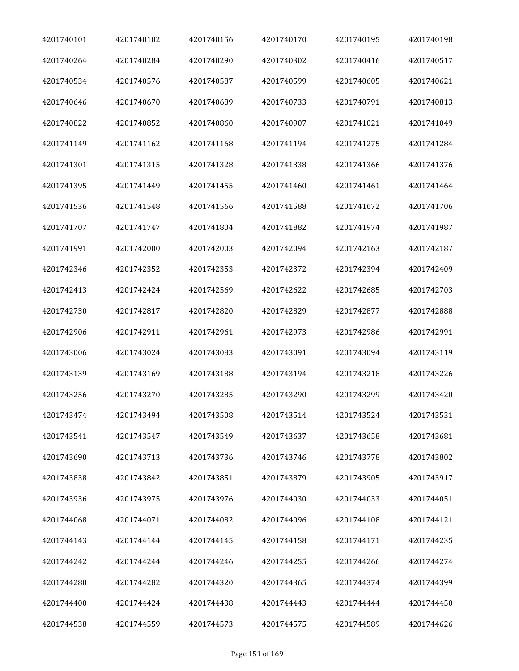| 4201740101 | 4201740102 | 4201740156 | 4201740170 | 4201740195 | 4201740198 |
|------------|------------|------------|------------|------------|------------|
| 4201740264 | 4201740284 | 4201740290 | 4201740302 | 4201740416 | 4201740517 |
| 4201740534 | 4201740576 | 4201740587 | 4201740599 | 4201740605 | 4201740621 |
| 4201740646 | 4201740670 | 4201740689 | 4201740733 | 4201740791 | 4201740813 |
| 4201740822 | 4201740852 | 4201740860 | 4201740907 | 4201741021 | 4201741049 |
| 4201741149 | 4201741162 | 4201741168 | 4201741194 | 4201741275 | 4201741284 |
| 4201741301 | 4201741315 | 4201741328 | 4201741338 | 4201741366 | 4201741376 |
| 4201741395 | 4201741449 | 4201741455 | 4201741460 | 4201741461 | 4201741464 |
| 4201741536 | 4201741548 | 4201741566 | 4201741588 | 4201741672 | 4201741706 |
| 4201741707 | 4201741747 | 4201741804 | 4201741882 | 4201741974 | 4201741987 |
| 4201741991 | 4201742000 | 4201742003 | 4201742094 | 4201742163 | 4201742187 |
| 4201742346 | 4201742352 | 4201742353 | 4201742372 | 4201742394 | 4201742409 |
| 4201742413 | 4201742424 | 4201742569 | 4201742622 | 4201742685 | 4201742703 |
| 4201742730 | 4201742817 | 4201742820 | 4201742829 | 4201742877 | 4201742888 |
| 4201742906 | 4201742911 | 4201742961 | 4201742973 | 4201742986 | 4201742991 |
| 4201743006 | 4201743024 | 4201743083 | 4201743091 | 4201743094 | 4201743119 |
| 4201743139 | 4201743169 | 4201743188 | 4201743194 | 4201743218 | 4201743226 |
| 4201743256 | 4201743270 | 4201743285 | 4201743290 | 4201743299 | 4201743420 |
| 4201743474 | 4201743494 | 4201743508 | 4201743514 | 4201743524 | 4201743531 |
| 4201743541 | 4201743547 | 4201743549 | 4201743637 | 4201743658 | 4201743681 |
| 4201743690 | 4201743713 | 4201743736 | 4201743746 | 4201743778 | 4201743802 |
| 4201743838 | 4201743842 | 4201743851 | 4201743879 | 4201743905 | 4201743917 |
| 4201743936 | 4201743975 | 4201743976 | 4201744030 | 4201744033 | 4201744051 |
| 4201744068 | 4201744071 | 4201744082 | 4201744096 | 4201744108 | 4201744121 |
| 4201744143 | 4201744144 | 4201744145 | 4201744158 | 4201744171 | 4201744235 |
| 4201744242 | 4201744244 | 4201744246 | 4201744255 | 4201744266 | 4201744274 |
| 4201744280 | 4201744282 | 4201744320 | 4201744365 | 4201744374 | 4201744399 |
| 4201744400 | 4201744424 | 4201744438 | 4201744443 | 4201744444 | 4201744450 |
| 4201744538 | 4201744559 | 4201744573 | 4201744575 | 4201744589 | 4201744626 |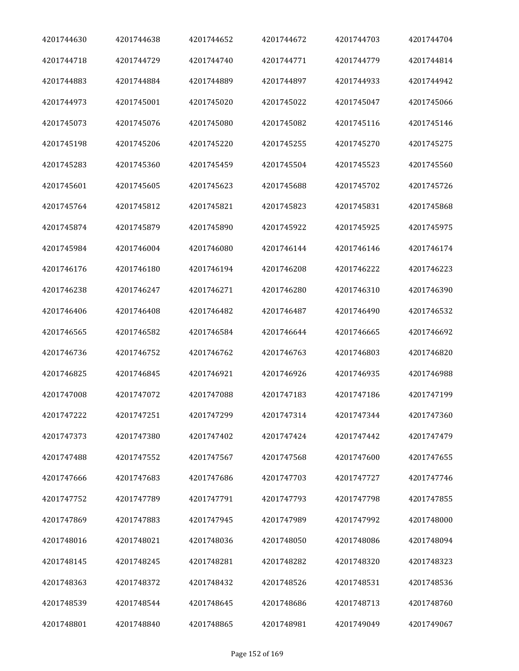| 4201744630 | 4201744638 | 4201744652 | 4201744672 | 4201744703 | 4201744704 |
|------------|------------|------------|------------|------------|------------|
| 4201744718 | 4201744729 | 4201744740 | 4201744771 | 4201744779 | 4201744814 |
| 4201744883 | 4201744884 | 4201744889 | 4201744897 | 4201744933 | 4201744942 |
| 4201744973 | 4201745001 | 4201745020 | 4201745022 | 4201745047 | 4201745066 |
| 4201745073 | 4201745076 | 4201745080 | 4201745082 | 4201745116 | 4201745146 |
| 4201745198 | 4201745206 | 4201745220 | 4201745255 | 4201745270 | 4201745275 |
| 4201745283 | 4201745360 | 4201745459 | 4201745504 | 4201745523 | 4201745560 |
| 4201745601 | 4201745605 | 4201745623 | 4201745688 | 4201745702 | 4201745726 |
| 4201745764 | 4201745812 | 4201745821 | 4201745823 | 4201745831 | 4201745868 |
| 4201745874 | 4201745879 | 4201745890 | 4201745922 | 4201745925 | 4201745975 |
| 4201745984 | 4201746004 | 4201746080 | 4201746144 | 4201746146 | 4201746174 |
| 4201746176 | 4201746180 | 4201746194 | 4201746208 | 4201746222 | 4201746223 |
| 4201746238 | 4201746247 | 4201746271 | 4201746280 | 4201746310 | 4201746390 |
| 4201746406 | 4201746408 | 4201746482 | 4201746487 | 4201746490 | 4201746532 |
| 4201746565 | 4201746582 | 4201746584 | 4201746644 | 4201746665 | 4201746692 |
| 4201746736 | 4201746752 | 4201746762 | 4201746763 | 4201746803 | 4201746820 |
| 4201746825 | 4201746845 | 4201746921 | 4201746926 | 4201746935 | 4201746988 |
| 4201747008 | 4201747072 | 4201747088 | 4201747183 | 4201747186 | 4201747199 |
| 4201747222 | 4201747251 | 4201747299 | 4201747314 | 4201747344 | 4201747360 |
| 4201747373 | 4201747380 | 4201747402 | 4201747424 | 4201747442 | 4201747479 |
| 4201747488 | 4201747552 | 4201747567 | 4201747568 | 4201747600 | 4201747655 |
| 4201747666 | 4201747683 | 4201747686 | 4201747703 | 4201747727 | 4201747746 |
| 4201747752 | 4201747789 | 4201747791 | 4201747793 | 4201747798 | 4201747855 |
| 4201747869 | 4201747883 | 4201747945 | 4201747989 | 4201747992 | 4201748000 |
| 4201748016 | 4201748021 | 4201748036 | 4201748050 | 4201748086 | 4201748094 |
| 4201748145 | 4201748245 | 4201748281 | 4201748282 | 4201748320 | 4201748323 |
| 4201748363 | 4201748372 | 4201748432 | 4201748526 | 4201748531 | 4201748536 |
| 4201748539 | 4201748544 | 4201748645 | 4201748686 | 4201748713 | 4201748760 |
| 4201748801 | 4201748840 | 4201748865 | 4201748981 | 4201749049 | 4201749067 |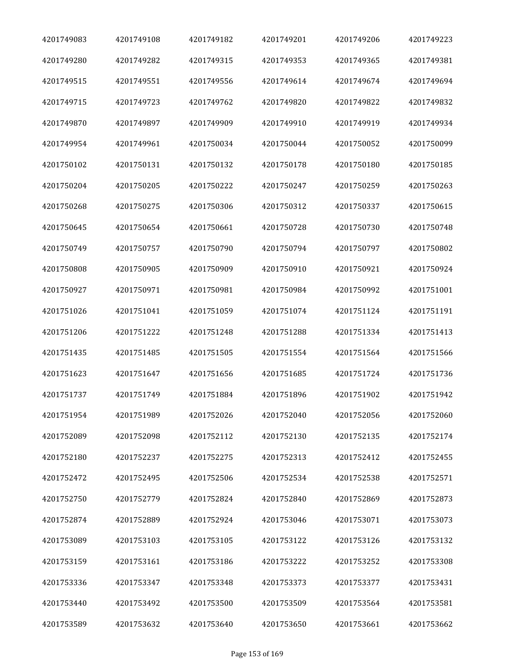| 4201749083 | 4201749108 | 4201749182 | 4201749201 | 4201749206 | 4201749223 |
|------------|------------|------------|------------|------------|------------|
| 4201749280 | 4201749282 | 4201749315 | 4201749353 | 4201749365 | 4201749381 |
| 4201749515 | 4201749551 | 4201749556 | 4201749614 | 4201749674 | 4201749694 |
| 4201749715 | 4201749723 | 4201749762 | 4201749820 | 4201749822 | 4201749832 |
| 4201749870 | 4201749897 | 4201749909 | 4201749910 | 4201749919 | 4201749934 |
| 4201749954 | 4201749961 | 4201750034 | 4201750044 | 4201750052 | 4201750099 |
| 4201750102 | 4201750131 | 4201750132 | 4201750178 | 4201750180 | 4201750185 |
| 4201750204 | 4201750205 | 4201750222 | 4201750247 | 4201750259 | 4201750263 |
| 4201750268 | 4201750275 | 4201750306 | 4201750312 | 4201750337 | 4201750615 |
| 4201750645 | 4201750654 | 4201750661 | 4201750728 | 4201750730 | 4201750748 |
| 4201750749 | 4201750757 | 4201750790 | 4201750794 | 4201750797 | 4201750802 |
| 4201750808 | 4201750905 | 4201750909 | 4201750910 | 4201750921 | 4201750924 |
| 4201750927 | 4201750971 | 4201750981 | 4201750984 | 4201750992 | 4201751001 |
| 4201751026 | 4201751041 | 4201751059 | 4201751074 | 4201751124 | 4201751191 |
| 4201751206 | 4201751222 | 4201751248 | 4201751288 | 4201751334 | 4201751413 |
| 4201751435 | 4201751485 | 4201751505 | 4201751554 | 4201751564 | 4201751566 |
| 4201751623 | 4201751647 | 4201751656 | 4201751685 | 4201751724 | 4201751736 |
| 4201751737 | 4201751749 | 4201751884 | 4201751896 | 4201751902 | 4201751942 |
| 4201751954 | 4201751989 | 4201752026 | 4201752040 | 4201752056 | 4201752060 |
| 4201752089 | 4201752098 | 4201752112 | 4201752130 | 4201752135 | 4201752174 |
| 4201752180 | 4201752237 | 4201752275 | 4201752313 | 4201752412 | 4201752455 |
| 4201752472 | 4201752495 | 4201752506 | 4201752534 | 4201752538 | 4201752571 |
| 4201752750 | 4201752779 | 4201752824 | 4201752840 | 4201752869 | 4201752873 |
| 4201752874 | 4201752889 | 4201752924 | 4201753046 | 4201753071 | 4201753073 |
| 4201753089 | 4201753103 | 4201753105 | 4201753122 | 4201753126 | 4201753132 |
| 4201753159 | 4201753161 | 4201753186 | 4201753222 | 4201753252 | 4201753308 |
| 4201753336 | 4201753347 | 4201753348 | 4201753373 | 4201753377 | 4201753431 |
| 4201753440 | 4201753492 | 4201753500 | 4201753509 | 4201753564 | 4201753581 |
| 4201753589 | 4201753632 | 4201753640 | 4201753650 | 4201753661 | 4201753662 |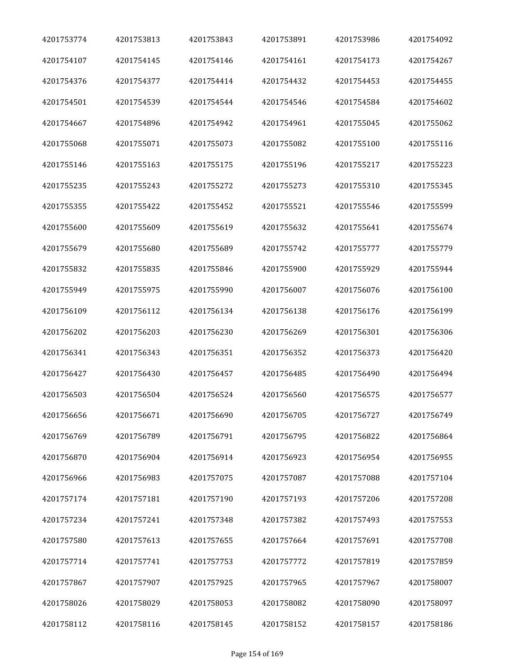| 4201753774 | 4201753813 | 4201753843 | 4201753891 | 4201753986 | 4201754092 |
|------------|------------|------------|------------|------------|------------|
| 4201754107 | 4201754145 | 4201754146 | 4201754161 | 4201754173 | 4201754267 |
| 4201754376 | 4201754377 | 4201754414 | 4201754432 | 4201754453 | 4201754455 |
| 4201754501 | 4201754539 | 4201754544 | 4201754546 | 4201754584 | 4201754602 |
| 4201754667 | 4201754896 | 4201754942 | 4201754961 | 4201755045 | 4201755062 |
| 4201755068 | 4201755071 | 4201755073 | 4201755082 | 4201755100 | 4201755116 |
| 4201755146 | 4201755163 | 4201755175 | 4201755196 | 4201755217 | 4201755223 |
| 4201755235 | 4201755243 | 4201755272 | 4201755273 | 4201755310 | 4201755345 |
| 4201755355 | 4201755422 | 4201755452 | 4201755521 | 4201755546 | 4201755599 |
| 4201755600 | 4201755609 | 4201755619 | 4201755632 | 4201755641 | 4201755674 |
| 4201755679 | 4201755680 | 4201755689 | 4201755742 | 4201755777 | 4201755779 |
| 4201755832 | 4201755835 | 4201755846 | 4201755900 | 4201755929 | 4201755944 |
| 4201755949 | 4201755975 | 4201755990 | 4201756007 | 4201756076 | 4201756100 |
| 4201756109 | 4201756112 | 4201756134 | 4201756138 | 4201756176 | 4201756199 |
| 4201756202 | 4201756203 | 4201756230 | 4201756269 | 4201756301 | 4201756306 |
| 4201756341 | 4201756343 | 4201756351 | 4201756352 | 4201756373 | 4201756420 |
| 4201756427 | 4201756430 | 4201756457 | 4201756485 | 4201756490 | 4201756494 |
| 4201756503 | 4201756504 | 4201756524 | 4201756560 | 4201756575 | 4201756577 |
| 4201756656 | 4201756671 | 4201756690 | 4201756705 | 4201756727 | 4201756749 |
| 4201756769 | 4201756789 | 4201756791 | 4201756795 | 4201756822 | 4201756864 |
| 4201756870 | 4201756904 | 4201756914 | 4201756923 | 4201756954 | 4201756955 |
| 4201756966 | 4201756983 | 4201757075 | 4201757087 | 4201757088 | 4201757104 |
| 4201757174 | 4201757181 | 4201757190 | 4201757193 | 4201757206 | 4201757208 |
| 4201757234 | 4201757241 | 4201757348 | 4201757382 | 4201757493 | 4201757553 |
| 4201757580 | 4201757613 | 4201757655 | 4201757664 | 4201757691 | 4201757708 |
| 4201757714 | 4201757741 | 4201757753 | 4201757772 | 4201757819 | 4201757859 |
| 4201757867 | 4201757907 | 4201757925 | 4201757965 | 4201757967 | 4201758007 |
| 4201758026 | 4201758029 | 4201758053 | 4201758082 | 4201758090 | 4201758097 |
| 4201758112 | 4201758116 | 4201758145 | 4201758152 | 4201758157 | 4201758186 |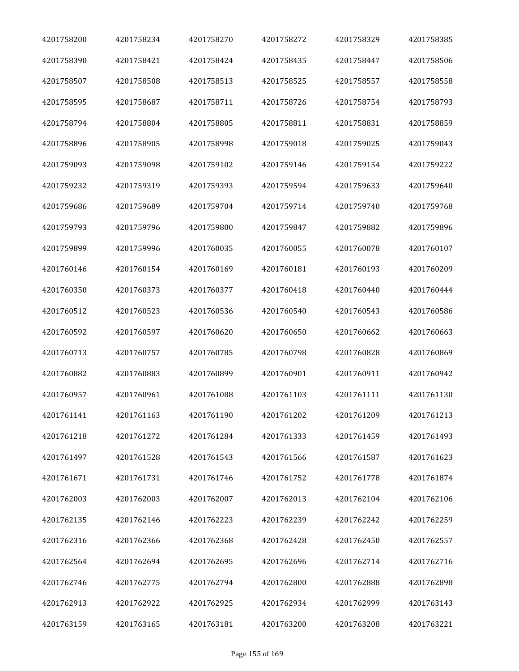| 4201758200 | 4201758234 | 4201758270 | 4201758272 | 4201758329 | 4201758385 |
|------------|------------|------------|------------|------------|------------|
| 4201758390 | 4201758421 | 4201758424 | 4201758435 | 4201758447 | 4201758506 |
| 4201758507 | 4201758508 | 4201758513 | 4201758525 | 4201758557 | 4201758558 |
| 4201758595 | 4201758687 | 4201758711 | 4201758726 | 4201758754 | 4201758793 |
| 4201758794 | 4201758804 | 4201758805 | 4201758811 | 4201758831 | 4201758859 |
| 4201758896 | 4201758905 | 4201758998 | 4201759018 | 4201759025 | 4201759043 |
| 4201759093 | 4201759098 | 4201759102 | 4201759146 | 4201759154 | 4201759222 |
| 4201759232 | 4201759319 | 4201759393 | 4201759594 | 4201759633 | 4201759640 |
| 4201759686 | 4201759689 | 4201759704 | 4201759714 | 4201759740 | 4201759768 |
| 4201759793 | 4201759796 | 4201759800 | 4201759847 | 4201759882 | 4201759896 |
| 4201759899 | 4201759996 | 4201760035 | 4201760055 | 4201760078 | 4201760107 |
| 4201760146 | 4201760154 | 4201760169 | 4201760181 | 4201760193 | 4201760209 |
| 4201760350 | 4201760373 | 4201760377 | 4201760418 | 4201760440 | 4201760444 |
| 4201760512 | 4201760523 | 4201760536 | 4201760540 | 4201760543 | 4201760586 |
| 4201760592 | 4201760597 | 4201760620 | 4201760650 | 4201760662 | 4201760663 |
| 4201760713 | 4201760757 | 4201760785 | 4201760798 | 4201760828 | 4201760869 |
| 4201760882 | 4201760883 | 4201760899 | 4201760901 | 4201760911 | 4201760942 |
| 4201760957 | 4201760961 | 4201761088 | 4201761103 | 4201761111 | 4201761130 |
| 4201761141 | 4201761163 | 4201761190 | 4201761202 | 4201761209 | 4201761213 |
| 4201761218 | 4201761272 | 4201761284 | 4201761333 | 4201761459 | 4201761493 |
| 4201761497 | 4201761528 | 4201761543 | 4201761566 | 4201761587 | 4201761623 |
| 4201761671 | 4201761731 | 4201761746 | 4201761752 | 4201761778 | 4201761874 |
| 4201762003 | 4201762003 | 4201762007 | 4201762013 | 4201762104 | 4201762106 |
| 4201762135 | 4201762146 | 4201762223 | 4201762239 | 4201762242 | 4201762259 |
| 4201762316 | 4201762366 | 4201762368 | 4201762428 | 4201762450 | 4201762557 |
| 4201762564 | 4201762694 | 4201762695 | 4201762696 | 4201762714 | 4201762716 |
| 4201762746 | 4201762775 | 4201762794 | 4201762800 | 4201762888 | 4201762898 |
| 4201762913 | 4201762922 | 4201762925 | 4201762934 | 4201762999 | 4201763143 |
| 4201763159 | 4201763165 | 4201763181 | 4201763200 | 4201763208 | 4201763221 |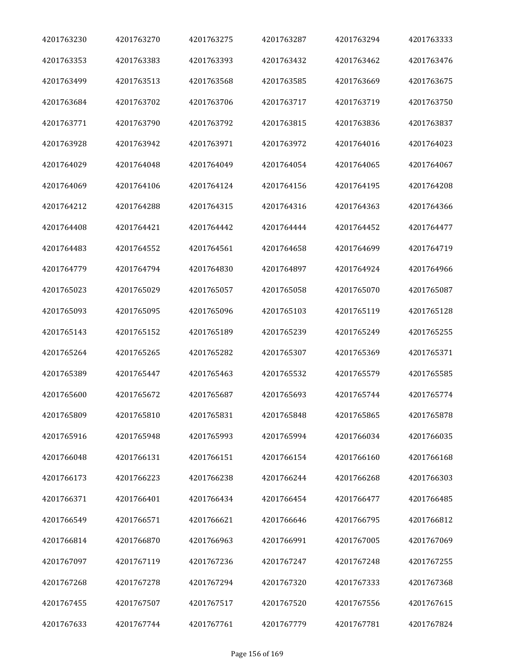| 4201763230 | 4201763270 | 4201763275 | 4201763287 | 4201763294 | 4201763333 |
|------------|------------|------------|------------|------------|------------|
| 4201763353 | 4201763383 | 4201763393 | 4201763432 | 4201763462 | 4201763476 |
| 4201763499 | 4201763513 | 4201763568 | 4201763585 | 4201763669 | 4201763675 |
| 4201763684 | 4201763702 | 4201763706 | 4201763717 | 4201763719 | 4201763750 |
| 4201763771 | 4201763790 | 4201763792 | 4201763815 | 4201763836 | 4201763837 |
| 4201763928 | 4201763942 | 4201763971 | 4201763972 | 4201764016 | 4201764023 |
| 4201764029 | 4201764048 | 4201764049 | 4201764054 | 4201764065 | 4201764067 |
| 4201764069 | 4201764106 | 4201764124 | 4201764156 | 4201764195 | 4201764208 |
| 4201764212 | 4201764288 | 4201764315 | 4201764316 | 4201764363 | 4201764366 |
| 4201764408 | 4201764421 | 4201764442 | 4201764444 | 4201764452 | 4201764477 |
| 4201764483 | 4201764552 | 4201764561 | 4201764658 | 4201764699 | 4201764719 |
| 4201764779 | 4201764794 | 4201764830 | 4201764897 | 4201764924 | 4201764966 |
| 4201765023 | 4201765029 | 4201765057 | 4201765058 | 4201765070 | 4201765087 |
| 4201765093 | 4201765095 | 4201765096 | 4201765103 | 4201765119 | 4201765128 |
| 4201765143 | 4201765152 | 4201765189 | 4201765239 | 4201765249 | 4201765255 |
| 4201765264 | 4201765265 | 4201765282 | 4201765307 | 4201765369 | 4201765371 |
| 4201765389 | 4201765447 | 4201765463 | 4201765532 | 4201765579 | 4201765585 |
| 4201765600 | 4201765672 | 4201765687 | 4201765693 | 4201765744 | 4201765774 |
| 4201765809 | 4201765810 | 4201765831 | 4201765848 | 4201765865 | 4201765878 |
| 4201765916 | 4201765948 | 4201765993 | 4201765994 | 4201766034 | 4201766035 |
| 4201766048 | 4201766131 | 4201766151 | 4201766154 | 4201766160 | 4201766168 |
| 4201766173 | 4201766223 | 4201766238 | 4201766244 | 4201766268 | 4201766303 |
| 4201766371 | 4201766401 | 4201766434 | 4201766454 | 4201766477 | 4201766485 |
| 4201766549 | 4201766571 | 4201766621 | 4201766646 | 4201766795 | 4201766812 |
| 4201766814 | 4201766870 | 4201766963 | 4201766991 | 4201767005 | 4201767069 |
| 4201767097 | 4201767119 | 4201767236 | 4201767247 | 4201767248 | 4201767255 |
| 4201767268 | 4201767278 | 4201767294 | 4201767320 | 4201767333 | 4201767368 |
| 4201767455 | 4201767507 | 4201767517 | 4201767520 | 4201767556 | 4201767615 |
| 4201767633 | 4201767744 | 4201767761 | 4201767779 | 4201767781 | 4201767824 |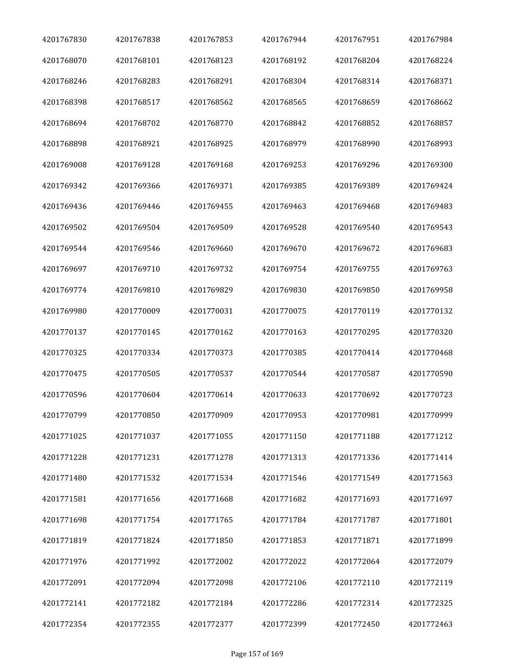| 4201767830 | 4201767838 | 4201767853 | 4201767944 | 4201767951 | 4201767984 |
|------------|------------|------------|------------|------------|------------|
| 4201768070 | 4201768101 | 4201768123 | 4201768192 | 4201768204 | 4201768224 |
| 4201768246 | 4201768283 | 4201768291 | 4201768304 | 4201768314 | 4201768371 |
| 4201768398 | 4201768517 | 4201768562 | 4201768565 | 4201768659 | 4201768662 |
| 4201768694 | 4201768702 | 4201768770 | 4201768842 | 4201768852 | 4201768857 |
| 4201768898 | 4201768921 | 4201768925 | 4201768979 | 4201768990 | 4201768993 |
| 4201769008 | 4201769128 | 4201769168 | 4201769253 | 4201769296 | 4201769300 |
| 4201769342 | 4201769366 | 4201769371 | 4201769385 | 4201769389 | 4201769424 |
| 4201769436 | 4201769446 | 4201769455 | 4201769463 | 4201769468 | 4201769483 |
| 4201769502 | 4201769504 | 4201769509 | 4201769528 | 4201769540 | 4201769543 |
| 4201769544 | 4201769546 | 4201769660 | 4201769670 | 4201769672 | 4201769683 |
| 4201769697 | 4201769710 | 4201769732 | 4201769754 | 4201769755 | 4201769763 |
| 4201769774 | 4201769810 | 4201769829 | 4201769830 | 4201769850 | 4201769958 |
| 4201769980 | 4201770009 | 4201770031 | 4201770075 | 4201770119 | 4201770132 |
| 4201770137 | 4201770145 | 4201770162 | 4201770163 | 4201770295 | 4201770320 |
| 4201770325 | 4201770334 | 4201770373 | 4201770385 | 4201770414 | 4201770468 |
| 4201770475 | 4201770505 | 4201770537 | 4201770544 | 4201770587 | 4201770590 |
| 4201770596 | 4201770604 | 4201770614 | 4201770633 | 4201770692 | 4201770723 |
| 4201770799 | 4201770850 | 4201770909 | 4201770953 | 4201770981 | 4201770999 |
| 4201771025 | 4201771037 | 4201771055 | 4201771150 | 4201771188 | 4201771212 |
| 4201771228 | 4201771231 | 4201771278 | 4201771313 | 4201771336 | 4201771414 |
| 4201771480 | 4201771532 | 4201771534 | 4201771546 | 4201771549 | 4201771563 |
| 4201771581 | 4201771656 | 4201771668 | 4201771682 | 4201771693 | 4201771697 |
| 4201771698 | 4201771754 | 4201771765 | 4201771784 | 4201771787 | 4201771801 |
| 4201771819 | 4201771824 | 4201771850 | 4201771853 | 4201771871 | 4201771899 |
| 4201771976 | 4201771992 | 4201772002 | 4201772022 | 4201772064 | 4201772079 |
| 4201772091 | 4201772094 | 4201772098 | 4201772106 | 4201772110 | 4201772119 |
| 4201772141 | 4201772182 | 4201772184 | 4201772286 | 4201772314 | 4201772325 |
| 4201772354 | 4201772355 | 4201772377 | 4201772399 | 4201772450 | 4201772463 |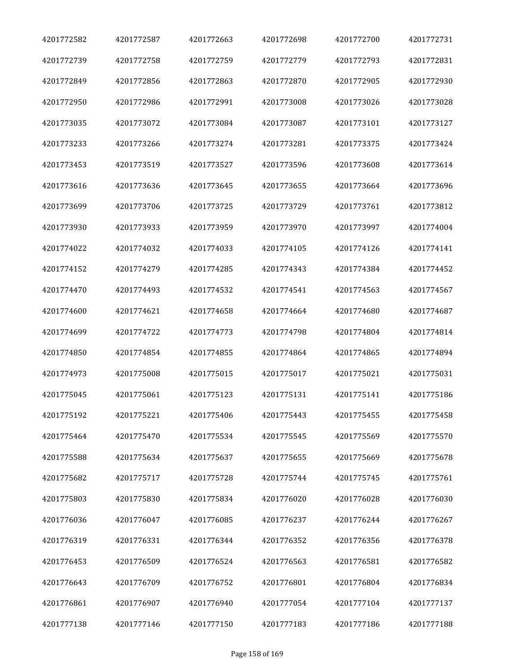| 4201772582 | 4201772587 | 4201772663 | 4201772698 | 4201772700 | 4201772731 |
|------------|------------|------------|------------|------------|------------|
| 4201772739 | 4201772758 | 4201772759 | 4201772779 | 4201772793 | 4201772831 |
| 4201772849 | 4201772856 | 4201772863 | 4201772870 | 4201772905 | 4201772930 |
| 4201772950 | 4201772986 | 4201772991 | 4201773008 | 4201773026 | 4201773028 |
| 4201773035 | 4201773072 | 4201773084 | 4201773087 | 4201773101 | 4201773127 |
| 4201773233 | 4201773266 | 4201773274 | 4201773281 | 4201773375 | 4201773424 |
| 4201773453 | 4201773519 | 4201773527 | 4201773596 | 4201773608 | 4201773614 |
| 4201773616 | 4201773636 | 4201773645 | 4201773655 | 4201773664 | 4201773696 |
| 4201773699 | 4201773706 | 4201773725 | 4201773729 | 4201773761 | 4201773812 |
| 4201773930 | 4201773933 | 4201773959 | 4201773970 | 4201773997 | 4201774004 |
| 4201774022 | 4201774032 | 4201774033 | 4201774105 | 4201774126 | 4201774141 |
| 4201774152 | 4201774279 | 4201774285 | 4201774343 | 4201774384 | 4201774452 |
| 4201774470 | 4201774493 | 4201774532 | 4201774541 | 4201774563 | 4201774567 |
| 4201774600 | 4201774621 | 4201774658 | 4201774664 | 4201774680 | 4201774687 |
| 4201774699 | 4201774722 | 4201774773 | 4201774798 | 4201774804 | 4201774814 |
| 4201774850 | 4201774854 | 4201774855 | 4201774864 | 4201774865 | 4201774894 |
| 4201774973 | 4201775008 | 4201775015 | 4201775017 | 4201775021 | 4201775031 |
| 4201775045 | 4201775061 | 4201775123 | 4201775131 | 4201775141 | 4201775186 |
| 4201775192 | 4201775221 | 4201775406 | 4201775443 | 4201775455 | 4201775458 |
| 4201775464 | 4201775470 | 4201775534 | 4201775545 | 4201775569 | 4201775570 |
| 4201775588 | 4201775634 | 4201775637 | 4201775655 | 4201775669 | 4201775678 |
| 4201775682 | 4201775717 | 4201775728 | 4201775744 | 4201775745 | 4201775761 |
| 4201775803 | 4201775830 | 4201775834 | 4201776020 | 4201776028 | 4201776030 |
| 4201776036 | 4201776047 | 4201776085 | 4201776237 | 4201776244 | 4201776267 |
| 4201776319 | 4201776331 | 4201776344 | 4201776352 | 4201776356 | 4201776378 |
| 4201776453 | 4201776509 | 4201776524 | 4201776563 | 4201776581 | 4201776582 |
| 4201776643 | 4201776709 | 4201776752 | 4201776801 | 4201776804 | 4201776834 |
| 4201776861 | 4201776907 | 4201776940 | 4201777054 | 4201777104 | 4201777137 |
| 4201777138 | 4201777146 | 4201777150 | 4201777183 | 4201777186 | 4201777188 |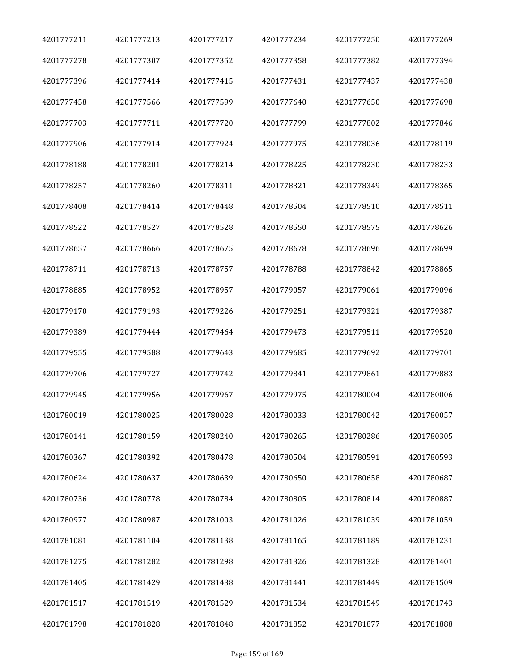| 4201777211 | 4201777213 | 4201777217 | 4201777234 | 4201777250 | 4201777269 |
|------------|------------|------------|------------|------------|------------|
| 4201777278 | 4201777307 | 4201777352 | 4201777358 | 4201777382 | 4201777394 |
| 4201777396 | 4201777414 | 4201777415 | 4201777431 | 4201777437 | 4201777438 |
| 4201777458 | 4201777566 | 4201777599 | 4201777640 | 4201777650 | 4201777698 |
| 4201777703 | 4201777711 | 4201777720 | 4201777799 | 4201777802 | 4201777846 |
| 4201777906 | 4201777914 | 4201777924 | 4201777975 | 4201778036 | 4201778119 |
| 4201778188 | 4201778201 | 4201778214 | 4201778225 | 4201778230 | 4201778233 |
| 4201778257 | 4201778260 | 4201778311 | 4201778321 | 4201778349 | 4201778365 |
| 4201778408 | 4201778414 | 4201778448 | 4201778504 | 4201778510 | 4201778511 |
| 4201778522 | 4201778527 | 4201778528 | 4201778550 | 4201778575 | 4201778626 |
| 4201778657 | 4201778666 | 4201778675 | 4201778678 | 4201778696 | 4201778699 |
| 4201778711 | 4201778713 | 4201778757 | 4201778788 | 4201778842 | 4201778865 |
| 4201778885 | 4201778952 | 4201778957 | 4201779057 | 4201779061 | 4201779096 |
| 4201779170 | 4201779193 | 4201779226 | 4201779251 | 4201779321 | 4201779387 |
| 4201779389 | 4201779444 | 4201779464 | 4201779473 | 4201779511 | 4201779520 |
| 4201779555 | 4201779588 | 4201779643 | 4201779685 | 4201779692 | 4201779701 |
| 4201779706 | 4201779727 | 4201779742 | 4201779841 | 4201779861 | 4201779883 |
| 4201779945 | 4201779956 | 4201779967 | 4201779975 | 4201780004 | 4201780006 |
| 4201780019 | 4201780025 | 4201780028 | 4201780033 | 4201780042 | 4201780057 |
| 4201780141 | 4201780159 | 4201780240 | 4201780265 | 4201780286 | 4201780305 |
| 4201780367 | 4201780392 | 4201780478 | 4201780504 | 4201780591 | 4201780593 |
| 4201780624 | 4201780637 | 4201780639 | 4201780650 | 4201780658 | 4201780687 |
| 4201780736 | 4201780778 | 4201780784 | 4201780805 | 4201780814 | 4201780887 |
| 4201780977 | 4201780987 | 4201781003 | 4201781026 | 4201781039 | 4201781059 |
| 4201781081 | 4201781104 | 4201781138 | 4201781165 | 4201781189 | 4201781231 |
| 4201781275 | 4201781282 | 4201781298 | 4201781326 | 4201781328 | 4201781401 |
| 4201781405 | 4201781429 | 4201781438 | 4201781441 | 4201781449 | 4201781509 |
| 4201781517 | 4201781519 | 4201781529 | 4201781534 | 4201781549 | 4201781743 |
| 4201781798 | 4201781828 | 4201781848 | 4201781852 | 4201781877 | 4201781888 |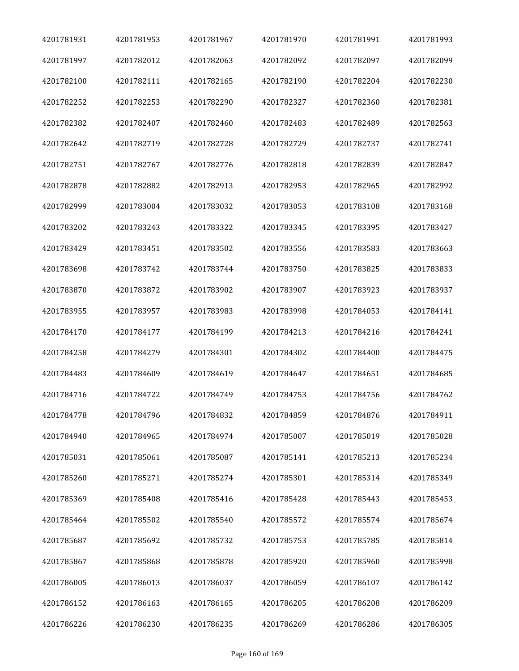| 4201781931 | 4201781953 | 4201781967 | 4201781970 | 4201781991 | 4201781993 |
|------------|------------|------------|------------|------------|------------|
| 4201781997 | 4201782012 | 4201782063 | 4201782092 | 4201782097 | 4201782099 |
| 4201782100 | 4201782111 | 4201782165 | 4201782190 | 4201782204 | 4201782230 |
| 4201782252 | 4201782253 | 4201782290 | 4201782327 | 4201782360 | 4201782381 |
| 4201782382 | 4201782407 | 4201782460 | 4201782483 | 4201782489 | 4201782563 |
| 4201782642 | 4201782719 | 4201782728 | 4201782729 | 4201782737 | 4201782741 |
| 4201782751 | 4201782767 | 4201782776 | 4201782818 | 4201782839 | 4201782847 |
| 4201782878 | 4201782882 | 4201782913 | 4201782953 | 4201782965 | 4201782992 |
| 4201782999 | 4201783004 | 4201783032 | 4201783053 | 4201783108 | 4201783168 |
| 4201783202 | 4201783243 | 4201783322 | 4201783345 | 4201783395 | 4201783427 |
| 4201783429 | 4201783451 | 4201783502 | 4201783556 | 4201783583 | 4201783663 |
| 4201783698 | 4201783742 | 4201783744 | 4201783750 | 4201783825 | 4201783833 |
| 4201783870 | 4201783872 | 4201783902 | 4201783907 | 4201783923 | 4201783937 |
| 4201783955 | 4201783957 | 4201783983 | 4201783998 | 4201784053 | 4201784141 |
| 4201784170 | 4201784177 | 4201784199 | 4201784213 | 4201784216 | 4201784241 |
| 4201784258 | 4201784279 | 4201784301 | 4201784302 | 4201784400 | 4201784475 |
| 4201784483 | 4201784609 | 4201784619 | 4201784647 | 4201784651 | 4201784685 |
| 4201784716 | 4201784722 | 4201784749 | 4201784753 | 4201784756 | 4201784762 |
| 4201784778 | 4201784796 | 4201784832 | 4201784859 | 4201784876 | 4201784911 |
| 4201784940 | 4201784965 | 4201784974 | 4201785007 | 4201785019 | 4201785028 |
| 4201785031 | 4201785061 | 4201785087 | 4201785141 | 4201785213 | 4201785234 |
| 4201785260 | 4201785271 | 4201785274 | 4201785301 | 4201785314 | 4201785349 |
| 4201785369 | 4201785408 | 4201785416 | 4201785428 | 4201785443 | 4201785453 |
| 4201785464 | 4201785502 | 4201785540 | 4201785572 | 4201785574 | 4201785674 |
| 4201785687 | 4201785692 | 4201785732 | 4201785753 | 4201785785 | 4201785814 |
| 4201785867 | 4201785868 | 4201785878 | 4201785920 | 4201785960 | 4201785998 |
| 4201786005 | 4201786013 | 4201786037 | 4201786059 | 4201786107 | 4201786142 |
| 4201786152 | 4201786163 | 4201786165 | 4201786205 | 4201786208 | 4201786209 |
| 4201786226 | 4201786230 | 4201786235 | 4201786269 | 4201786286 | 4201786305 |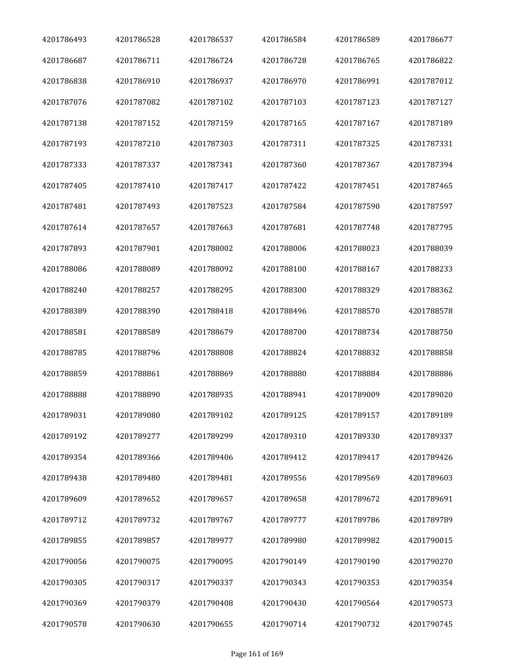| 4201786493 | 4201786528 | 4201786537 | 4201786584 | 4201786589 | 4201786677 |
|------------|------------|------------|------------|------------|------------|
| 4201786687 | 4201786711 | 4201786724 | 4201786728 | 4201786765 | 4201786822 |
| 4201786838 | 4201786910 | 4201786937 | 4201786970 | 4201786991 | 4201787012 |
| 4201787076 | 4201787082 | 4201787102 | 4201787103 | 4201787123 | 4201787127 |
| 4201787138 | 4201787152 | 4201787159 | 4201787165 | 4201787167 | 4201787189 |
| 4201787193 | 4201787210 | 4201787303 | 4201787311 | 4201787325 | 4201787331 |
| 4201787333 | 4201787337 | 4201787341 | 4201787360 | 4201787367 | 4201787394 |
| 4201787405 | 4201787410 | 4201787417 | 4201787422 | 4201787451 | 4201787465 |
| 4201787481 | 4201787493 | 4201787523 | 4201787584 | 4201787590 | 4201787597 |
| 4201787614 | 4201787657 | 4201787663 | 4201787681 | 4201787748 | 4201787795 |
| 4201787893 | 4201787901 | 4201788002 | 4201788006 | 4201788023 | 4201788039 |
| 4201788086 | 4201788089 | 4201788092 | 4201788100 | 4201788167 | 4201788233 |
| 4201788240 | 4201788257 | 4201788295 | 4201788300 | 4201788329 | 4201788362 |
| 4201788389 | 4201788390 | 4201788418 | 4201788496 | 4201788570 | 4201788578 |
| 4201788581 | 4201788589 | 4201788679 | 4201788700 | 4201788734 | 4201788750 |
| 4201788785 | 4201788796 | 4201788808 | 4201788824 | 4201788832 | 4201788858 |
| 4201788859 | 4201788861 | 4201788869 | 4201788880 | 4201788884 | 4201788886 |
| 4201788888 | 4201788890 | 4201788935 | 4201788941 | 4201789009 | 4201789020 |
| 4201789031 | 4201789080 | 4201789102 | 4201789125 | 4201789157 | 4201789189 |
| 4201789192 | 4201789277 | 4201789299 | 4201789310 | 4201789330 | 4201789337 |
| 4201789354 | 4201789366 | 4201789406 | 4201789412 | 4201789417 | 4201789426 |
| 4201789438 | 4201789480 | 4201789481 | 4201789556 | 4201789569 | 4201789603 |
| 4201789609 | 4201789652 | 4201789657 | 4201789658 | 4201789672 | 4201789691 |
| 4201789712 | 4201789732 | 4201789767 | 4201789777 | 4201789786 | 4201789789 |
| 4201789855 | 4201789857 | 4201789977 | 4201789980 | 4201789982 | 4201790015 |
| 4201790056 | 4201790075 | 4201790095 | 4201790149 | 4201790190 | 4201790270 |
| 4201790305 | 4201790317 | 4201790337 | 4201790343 | 4201790353 | 4201790354 |
| 4201790369 | 4201790379 | 4201790408 | 4201790430 | 4201790564 | 4201790573 |
| 4201790578 | 4201790630 | 4201790655 | 4201790714 | 4201790732 | 4201790745 |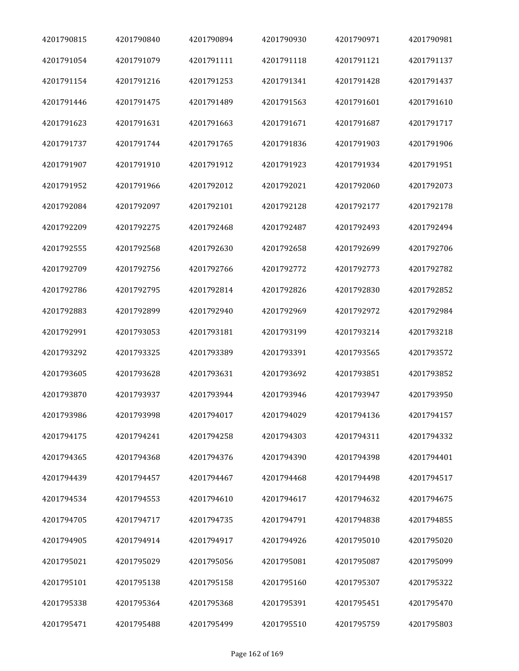| 4201790815 | 4201790840 | 4201790894 | 4201790930 | 4201790971 | 4201790981 |
|------------|------------|------------|------------|------------|------------|
| 4201791054 | 4201791079 | 4201791111 | 4201791118 | 4201791121 | 4201791137 |
| 4201791154 | 4201791216 | 4201791253 | 4201791341 | 4201791428 | 4201791437 |
| 4201791446 | 4201791475 | 4201791489 | 4201791563 | 4201791601 | 4201791610 |
| 4201791623 | 4201791631 | 4201791663 | 4201791671 | 4201791687 | 4201791717 |
| 4201791737 | 4201791744 | 4201791765 | 4201791836 | 4201791903 | 4201791906 |
| 4201791907 | 4201791910 | 4201791912 | 4201791923 | 4201791934 | 4201791951 |
| 4201791952 | 4201791966 | 4201792012 | 4201792021 | 4201792060 | 4201792073 |
| 4201792084 | 4201792097 | 4201792101 | 4201792128 | 4201792177 | 4201792178 |
| 4201792209 | 4201792275 | 4201792468 | 4201792487 | 4201792493 | 4201792494 |
| 4201792555 | 4201792568 | 4201792630 | 4201792658 | 4201792699 | 4201792706 |
| 4201792709 | 4201792756 | 4201792766 | 4201792772 | 4201792773 | 4201792782 |
| 4201792786 | 4201792795 | 4201792814 | 4201792826 | 4201792830 | 4201792852 |
| 4201792883 | 4201792899 | 4201792940 | 4201792969 | 4201792972 | 4201792984 |
| 4201792991 | 4201793053 | 4201793181 | 4201793199 | 4201793214 | 4201793218 |
| 4201793292 | 4201793325 | 4201793389 | 4201793391 | 4201793565 | 4201793572 |
| 4201793605 | 4201793628 | 4201793631 | 4201793692 | 4201793851 | 4201793852 |
| 4201793870 | 4201793937 | 4201793944 | 4201793946 | 4201793947 | 4201793950 |
| 4201793986 | 4201793998 | 4201794017 | 4201794029 | 4201794136 | 4201794157 |
| 4201794175 | 4201794241 | 4201794258 | 4201794303 | 4201794311 | 4201794332 |
| 4201794365 | 4201794368 | 4201794376 | 4201794390 | 4201794398 | 4201794401 |
| 4201794439 | 4201794457 | 4201794467 | 4201794468 | 4201794498 | 4201794517 |
| 4201794534 | 4201794553 | 4201794610 | 4201794617 | 4201794632 | 4201794675 |
| 4201794705 | 4201794717 | 4201794735 | 4201794791 | 4201794838 | 4201794855 |
| 4201794905 | 4201794914 | 4201794917 | 4201794926 | 4201795010 | 4201795020 |
| 4201795021 | 4201795029 | 4201795056 | 4201795081 | 4201795087 | 4201795099 |
| 4201795101 | 4201795138 | 4201795158 | 4201795160 | 4201795307 | 4201795322 |
| 4201795338 | 4201795364 | 4201795368 | 4201795391 | 4201795451 | 4201795470 |
| 4201795471 | 4201795488 | 4201795499 | 4201795510 | 4201795759 | 4201795803 |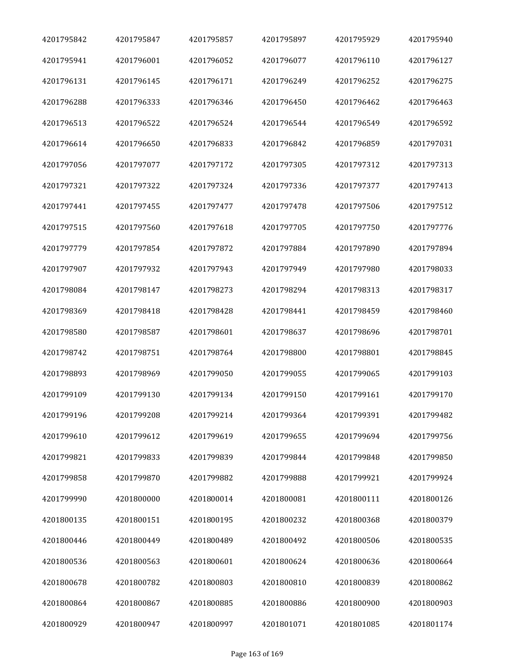| 4201795842 | 4201795847 | 4201795857 | 4201795897 | 4201795929 | 4201795940 |
|------------|------------|------------|------------|------------|------------|
| 4201795941 | 4201796001 | 4201796052 | 4201796077 | 4201796110 | 4201796127 |
| 4201796131 | 4201796145 | 4201796171 | 4201796249 | 4201796252 | 4201796275 |
| 4201796288 | 4201796333 | 4201796346 | 4201796450 | 4201796462 | 4201796463 |
| 4201796513 | 4201796522 | 4201796524 | 4201796544 | 4201796549 | 4201796592 |
| 4201796614 | 4201796650 | 4201796833 | 4201796842 | 4201796859 | 4201797031 |
| 4201797056 | 4201797077 | 4201797172 | 4201797305 | 4201797312 | 4201797313 |
| 4201797321 | 4201797322 | 4201797324 | 4201797336 | 4201797377 | 4201797413 |
| 4201797441 | 4201797455 | 4201797477 | 4201797478 | 4201797506 | 4201797512 |
| 4201797515 | 4201797560 | 4201797618 | 4201797705 | 4201797750 | 4201797776 |
| 4201797779 | 4201797854 | 4201797872 | 4201797884 | 4201797890 | 4201797894 |
| 4201797907 | 4201797932 | 4201797943 | 4201797949 | 4201797980 | 4201798033 |
| 4201798084 | 4201798147 | 4201798273 | 4201798294 | 4201798313 | 4201798317 |
| 4201798369 | 4201798418 | 4201798428 | 4201798441 | 4201798459 | 4201798460 |
| 4201798580 | 4201798587 | 4201798601 | 4201798637 | 4201798696 | 4201798701 |
| 4201798742 | 4201798751 | 4201798764 | 4201798800 | 4201798801 | 4201798845 |
| 4201798893 | 4201798969 | 4201799050 | 4201799055 | 4201799065 | 4201799103 |
| 4201799109 | 4201799130 | 4201799134 | 4201799150 | 4201799161 | 4201799170 |
| 4201799196 | 4201799208 | 4201799214 | 4201799364 | 4201799391 | 4201799482 |
| 4201799610 | 4201799612 | 4201799619 | 4201799655 | 4201799694 | 4201799756 |
| 4201799821 | 4201799833 | 4201799839 | 4201799844 | 4201799848 | 4201799850 |
| 4201799858 | 4201799870 | 4201799882 | 4201799888 | 4201799921 | 4201799924 |
| 4201799990 | 4201800000 | 4201800014 | 4201800081 | 4201800111 | 4201800126 |
| 4201800135 | 4201800151 | 4201800195 | 4201800232 | 4201800368 | 4201800379 |
| 4201800446 | 4201800449 | 4201800489 | 4201800492 | 4201800506 | 4201800535 |
| 4201800536 | 4201800563 | 4201800601 | 4201800624 | 4201800636 | 4201800664 |
| 4201800678 | 4201800782 | 4201800803 | 4201800810 | 4201800839 | 4201800862 |
| 4201800864 | 4201800867 | 4201800885 | 4201800886 | 4201800900 | 4201800903 |
| 4201800929 | 4201800947 | 4201800997 | 4201801071 | 4201801085 | 4201801174 |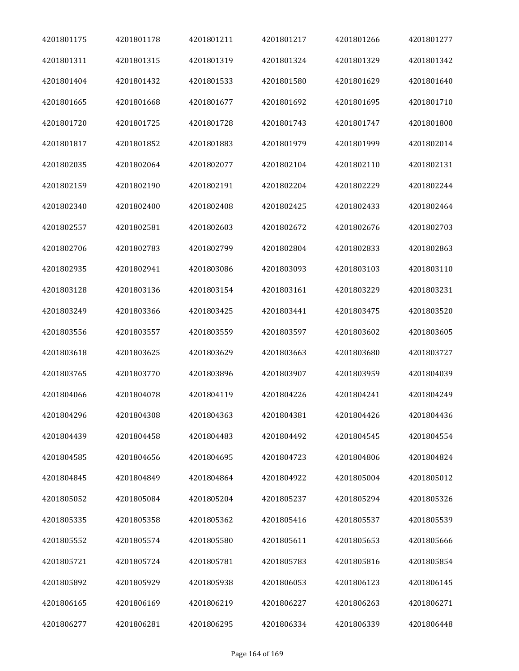| 4201801175 | 4201801178 | 4201801211 | 4201801217 | 4201801266 | 4201801277 |
|------------|------------|------------|------------|------------|------------|
| 4201801311 | 4201801315 | 4201801319 | 4201801324 | 4201801329 | 4201801342 |
| 4201801404 | 4201801432 | 4201801533 | 4201801580 | 4201801629 | 4201801640 |
| 4201801665 | 4201801668 | 4201801677 | 4201801692 | 4201801695 | 4201801710 |
| 4201801720 | 4201801725 | 4201801728 | 4201801743 | 4201801747 | 4201801800 |
| 4201801817 | 4201801852 | 4201801883 | 4201801979 | 4201801999 | 4201802014 |
| 4201802035 | 4201802064 | 4201802077 | 4201802104 | 4201802110 | 4201802131 |
| 4201802159 | 4201802190 | 4201802191 | 4201802204 | 4201802229 | 4201802244 |
| 4201802340 | 4201802400 | 4201802408 | 4201802425 | 4201802433 | 4201802464 |
| 4201802557 | 4201802581 | 4201802603 | 4201802672 | 4201802676 | 4201802703 |
| 4201802706 | 4201802783 | 4201802799 | 4201802804 | 4201802833 | 4201802863 |
| 4201802935 | 4201802941 | 4201803086 | 4201803093 | 4201803103 | 4201803110 |
| 4201803128 | 4201803136 | 4201803154 | 4201803161 | 4201803229 | 4201803231 |
| 4201803249 | 4201803366 | 4201803425 | 4201803441 | 4201803475 | 4201803520 |
| 4201803556 | 4201803557 | 4201803559 | 4201803597 | 4201803602 | 4201803605 |
| 4201803618 | 4201803625 | 4201803629 | 4201803663 | 4201803680 | 4201803727 |
| 4201803765 | 4201803770 | 4201803896 | 4201803907 | 4201803959 | 4201804039 |
| 4201804066 | 4201804078 | 4201804119 | 4201804226 | 4201804241 | 4201804249 |
| 4201804296 | 4201804308 | 4201804363 | 4201804381 | 4201804426 | 4201804436 |
| 4201804439 | 4201804458 | 4201804483 | 4201804492 | 4201804545 | 4201804554 |
| 4201804585 | 4201804656 | 4201804695 | 4201804723 | 4201804806 | 4201804824 |
| 4201804845 | 4201804849 | 4201804864 | 4201804922 | 4201805004 | 4201805012 |
| 4201805052 | 4201805084 | 4201805204 | 4201805237 | 4201805294 | 4201805326 |
| 4201805335 | 4201805358 | 4201805362 | 4201805416 | 4201805537 | 4201805539 |
| 4201805552 | 4201805574 | 4201805580 | 4201805611 | 4201805653 | 4201805666 |
| 4201805721 | 4201805724 | 4201805781 | 4201805783 | 4201805816 | 4201805854 |
| 4201805892 | 4201805929 | 4201805938 | 4201806053 | 4201806123 | 4201806145 |
| 4201806165 | 4201806169 | 4201806219 | 4201806227 | 4201806263 | 4201806271 |
| 4201806277 | 4201806281 | 4201806295 | 4201806334 | 4201806339 | 4201806448 |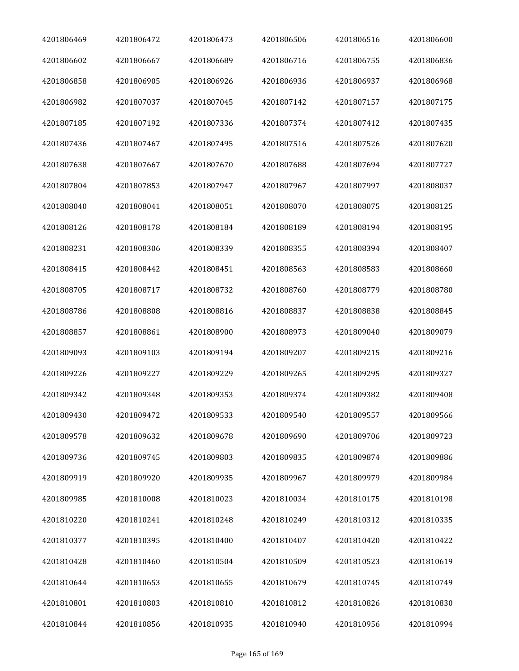| 4201806469 | 4201806472 | 4201806473 | 4201806506 | 4201806516 | 4201806600 |
|------------|------------|------------|------------|------------|------------|
| 4201806602 | 4201806667 | 4201806689 | 4201806716 | 4201806755 | 4201806836 |
| 4201806858 | 4201806905 | 4201806926 | 4201806936 | 4201806937 | 4201806968 |
| 4201806982 | 4201807037 | 4201807045 | 4201807142 | 4201807157 | 4201807175 |
| 4201807185 | 4201807192 | 4201807336 | 4201807374 | 4201807412 | 4201807435 |
| 4201807436 | 4201807467 | 4201807495 | 4201807516 | 4201807526 | 4201807620 |
| 4201807638 | 4201807667 | 4201807670 | 4201807688 | 4201807694 | 4201807727 |
| 4201807804 | 4201807853 | 4201807947 | 4201807967 | 4201807997 | 4201808037 |
| 4201808040 | 4201808041 | 4201808051 | 4201808070 | 4201808075 | 4201808125 |
| 4201808126 | 4201808178 | 4201808184 | 4201808189 | 4201808194 | 4201808195 |
| 4201808231 | 4201808306 | 4201808339 | 4201808355 | 4201808394 | 4201808407 |
| 4201808415 | 4201808442 | 4201808451 | 4201808563 | 4201808583 | 4201808660 |
| 4201808705 | 4201808717 | 4201808732 | 4201808760 | 4201808779 | 4201808780 |
| 4201808786 | 4201808808 | 4201808816 | 4201808837 | 4201808838 | 4201808845 |
| 4201808857 | 4201808861 | 4201808900 | 4201808973 | 4201809040 | 4201809079 |
| 4201809093 | 4201809103 | 4201809194 | 4201809207 | 4201809215 | 4201809216 |
| 4201809226 | 4201809227 | 4201809229 | 4201809265 | 4201809295 | 4201809327 |
| 4201809342 | 4201809348 | 4201809353 | 4201809374 | 4201809382 | 4201809408 |
| 4201809430 | 4201809472 | 4201809533 | 4201809540 | 4201809557 | 4201809566 |
| 4201809578 | 4201809632 | 4201809678 | 4201809690 | 4201809706 | 4201809723 |
| 4201809736 | 4201809745 | 4201809803 | 4201809835 | 4201809874 | 4201809886 |
| 4201809919 | 4201809920 | 4201809935 | 4201809967 | 4201809979 | 4201809984 |
| 4201809985 | 4201810008 | 4201810023 | 4201810034 | 4201810175 | 4201810198 |
| 4201810220 | 4201810241 | 4201810248 | 4201810249 | 4201810312 | 4201810335 |
| 4201810377 | 4201810395 | 4201810400 | 4201810407 | 4201810420 | 4201810422 |
| 4201810428 | 4201810460 | 4201810504 | 4201810509 | 4201810523 | 4201810619 |
| 4201810644 | 4201810653 | 4201810655 | 4201810679 | 4201810745 | 4201810749 |
| 4201810801 | 4201810803 | 4201810810 | 4201810812 | 4201810826 | 4201810830 |
| 4201810844 | 4201810856 | 4201810935 | 4201810940 | 4201810956 | 4201810994 |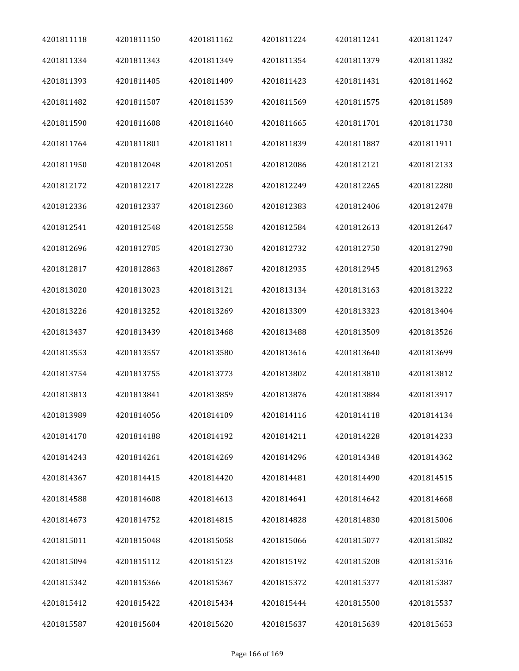| 4201811118 | 4201811150 | 4201811162 | 4201811224 | 4201811241 | 4201811247 |
|------------|------------|------------|------------|------------|------------|
| 4201811334 | 4201811343 | 4201811349 | 4201811354 | 4201811379 | 4201811382 |
| 4201811393 | 4201811405 | 4201811409 | 4201811423 | 4201811431 | 4201811462 |
| 4201811482 | 4201811507 | 4201811539 | 4201811569 | 4201811575 | 4201811589 |
| 4201811590 | 4201811608 | 4201811640 | 4201811665 | 4201811701 | 4201811730 |
| 4201811764 | 4201811801 | 4201811811 | 4201811839 | 4201811887 | 4201811911 |
| 4201811950 | 4201812048 | 4201812051 | 4201812086 | 4201812121 | 4201812133 |
| 4201812172 | 4201812217 | 4201812228 | 4201812249 | 4201812265 | 4201812280 |
| 4201812336 | 4201812337 | 4201812360 | 4201812383 | 4201812406 | 4201812478 |
| 4201812541 | 4201812548 | 4201812558 | 4201812584 | 4201812613 | 4201812647 |
| 4201812696 | 4201812705 | 4201812730 | 4201812732 | 4201812750 | 4201812790 |
| 4201812817 | 4201812863 | 4201812867 | 4201812935 | 4201812945 | 4201812963 |
| 4201813020 | 4201813023 | 4201813121 | 4201813134 | 4201813163 | 4201813222 |
| 4201813226 | 4201813252 | 4201813269 | 4201813309 | 4201813323 | 4201813404 |
| 4201813437 | 4201813439 | 4201813468 | 4201813488 | 4201813509 | 4201813526 |
| 4201813553 | 4201813557 | 4201813580 | 4201813616 | 4201813640 | 4201813699 |
| 4201813754 | 4201813755 | 4201813773 | 4201813802 | 4201813810 | 4201813812 |
| 4201813813 | 4201813841 | 4201813859 | 4201813876 | 4201813884 | 4201813917 |
| 4201813989 | 4201814056 | 4201814109 | 4201814116 | 4201814118 | 4201814134 |
| 4201814170 | 4201814188 | 4201814192 | 4201814211 | 4201814228 | 4201814233 |
| 4201814243 | 4201814261 | 4201814269 | 4201814296 | 4201814348 | 4201814362 |
| 4201814367 | 4201814415 | 4201814420 | 4201814481 | 4201814490 | 4201814515 |
| 4201814588 | 4201814608 | 4201814613 | 4201814641 | 4201814642 | 4201814668 |
| 4201814673 | 4201814752 | 4201814815 | 4201814828 | 4201814830 | 4201815006 |
| 4201815011 | 4201815048 | 4201815058 | 4201815066 | 4201815077 | 4201815082 |
| 4201815094 | 4201815112 | 4201815123 | 4201815192 | 4201815208 | 4201815316 |
| 4201815342 | 4201815366 | 4201815367 | 4201815372 | 4201815377 | 4201815387 |
| 4201815412 | 4201815422 | 4201815434 | 4201815444 | 4201815500 | 4201815537 |
| 4201815587 | 4201815604 | 4201815620 | 4201815637 | 4201815639 | 4201815653 |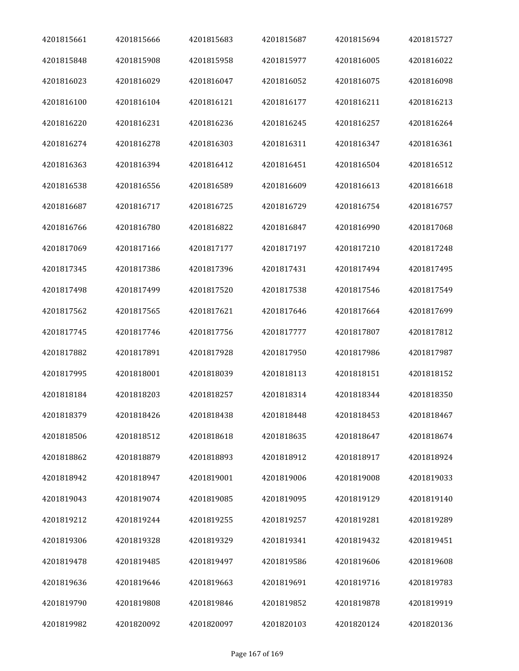| 4201815661 | 4201815666 | 4201815683 | 4201815687 | 4201815694 | 4201815727 |
|------------|------------|------------|------------|------------|------------|
| 4201815848 | 4201815908 | 4201815958 | 4201815977 | 4201816005 | 4201816022 |
| 4201816023 | 4201816029 | 4201816047 | 4201816052 | 4201816075 | 4201816098 |
| 4201816100 | 4201816104 | 4201816121 | 4201816177 | 4201816211 | 4201816213 |
| 4201816220 | 4201816231 | 4201816236 | 4201816245 | 4201816257 | 4201816264 |
| 4201816274 | 4201816278 | 4201816303 | 4201816311 | 4201816347 | 4201816361 |
| 4201816363 | 4201816394 | 4201816412 | 4201816451 | 4201816504 | 4201816512 |
| 4201816538 | 4201816556 | 4201816589 | 4201816609 | 4201816613 | 4201816618 |
| 4201816687 | 4201816717 | 4201816725 | 4201816729 | 4201816754 | 4201816757 |
| 4201816766 | 4201816780 | 4201816822 | 4201816847 | 4201816990 | 4201817068 |
| 4201817069 | 4201817166 | 4201817177 | 4201817197 | 4201817210 | 4201817248 |
| 4201817345 | 4201817386 | 4201817396 | 4201817431 | 4201817494 | 4201817495 |
| 4201817498 | 4201817499 | 4201817520 | 4201817538 | 4201817546 | 4201817549 |
| 4201817562 | 4201817565 | 4201817621 | 4201817646 | 4201817664 | 4201817699 |
| 4201817745 | 4201817746 | 4201817756 | 4201817777 | 4201817807 | 4201817812 |
| 4201817882 | 4201817891 | 4201817928 | 4201817950 | 4201817986 | 4201817987 |
| 4201817995 | 4201818001 | 4201818039 | 4201818113 | 4201818151 | 4201818152 |
| 4201818184 | 4201818203 | 4201818257 | 4201818314 | 4201818344 | 4201818350 |
| 4201818379 | 4201818426 | 4201818438 | 4201818448 | 4201818453 | 4201818467 |
| 4201818506 | 4201818512 | 4201818618 | 4201818635 | 4201818647 | 4201818674 |
| 4201818862 | 4201818879 | 4201818893 | 4201818912 | 4201818917 | 4201818924 |
| 4201818942 | 4201818947 | 4201819001 | 4201819006 | 4201819008 | 4201819033 |
| 4201819043 | 4201819074 | 4201819085 | 4201819095 | 4201819129 | 4201819140 |
| 4201819212 | 4201819244 | 4201819255 | 4201819257 | 4201819281 | 4201819289 |
| 4201819306 | 4201819328 | 4201819329 | 4201819341 | 4201819432 | 4201819451 |
| 4201819478 | 4201819485 | 4201819497 | 4201819586 | 4201819606 | 4201819608 |
| 4201819636 | 4201819646 | 4201819663 | 4201819691 | 4201819716 | 4201819783 |
| 4201819790 | 4201819808 | 4201819846 | 4201819852 | 4201819878 | 4201819919 |
| 4201819982 | 4201820092 | 4201820097 | 4201820103 | 4201820124 | 4201820136 |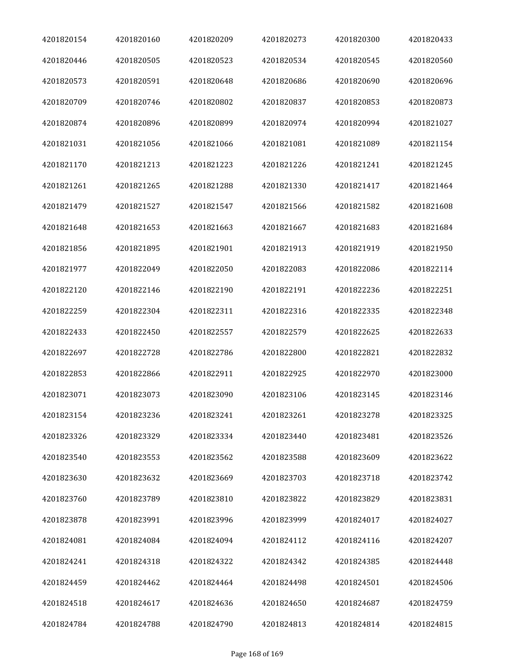| 4201820154 | 4201820160 | 4201820209 | 4201820273 | 4201820300 | 4201820433 |
|------------|------------|------------|------------|------------|------------|
| 4201820446 | 4201820505 | 4201820523 | 4201820534 | 4201820545 | 4201820560 |
| 4201820573 | 4201820591 | 4201820648 | 4201820686 | 4201820690 | 4201820696 |
| 4201820709 | 4201820746 | 4201820802 | 4201820837 | 4201820853 | 4201820873 |
| 4201820874 | 4201820896 | 4201820899 | 4201820974 | 4201820994 | 4201821027 |
| 4201821031 | 4201821056 | 4201821066 | 4201821081 | 4201821089 | 4201821154 |
| 4201821170 | 4201821213 | 4201821223 | 4201821226 | 4201821241 | 4201821245 |
| 4201821261 | 4201821265 | 4201821288 | 4201821330 | 4201821417 | 4201821464 |
| 4201821479 | 4201821527 | 4201821547 | 4201821566 | 4201821582 | 4201821608 |
| 4201821648 | 4201821653 | 4201821663 | 4201821667 | 4201821683 | 4201821684 |
| 4201821856 | 4201821895 | 4201821901 | 4201821913 | 4201821919 | 4201821950 |
| 4201821977 | 4201822049 | 4201822050 | 4201822083 | 4201822086 | 4201822114 |
| 4201822120 | 4201822146 | 4201822190 | 4201822191 | 4201822236 | 4201822251 |
| 4201822259 | 4201822304 | 4201822311 | 4201822316 | 4201822335 | 4201822348 |
| 4201822433 | 4201822450 | 4201822557 | 4201822579 | 4201822625 | 4201822633 |
| 4201822697 | 4201822728 | 4201822786 | 4201822800 | 4201822821 | 4201822832 |
| 4201822853 | 4201822866 | 4201822911 | 4201822925 | 4201822970 | 4201823000 |
| 4201823071 | 4201823073 | 4201823090 | 4201823106 | 4201823145 | 4201823146 |
| 4201823154 | 4201823236 | 4201823241 | 4201823261 | 4201823278 | 4201823325 |
| 4201823326 | 4201823329 | 4201823334 | 4201823440 | 4201823481 | 4201823526 |
| 4201823540 | 4201823553 | 4201823562 | 4201823588 | 4201823609 | 4201823622 |
| 4201823630 | 4201823632 | 4201823669 | 4201823703 | 4201823718 | 4201823742 |
| 4201823760 | 4201823789 | 4201823810 | 4201823822 | 4201823829 | 4201823831 |
| 4201823878 | 4201823991 | 4201823996 | 4201823999 | 4201824017 | 4201824027 |
| 4201824081 | 4201824084 | 4201824094 | 4201824112 | 4201824116 | 4201824207 |
| 4201824241 | 4201824318 | 4201824322 | 4201824342 | 4201824385 | 4201824448 |
| 4201824459 | 4201824462 | 4201824464 | 4201824498 | 4201824501 | 4201824506 |
| 4201824518 | 4201824617 | 4201824636 | 4201824650 | 4201824687 | 4201824759 |
| 4201824784 | 4201824788 | 4201824790 | 4201824813 | 4201824814 | 4201824815 |